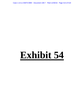Case 1:13-cv-03675-WBH Document 108-7 Filed 12/30/16 Page 413 of 519

# **Exhibit 54**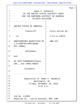|                |                                                     | Page 1           |  |
|----------------|-----------------------------------------------------|------------------|--|
| $\mathbf{1}$   | James P. Kababick                                   |                  |  |
| $\overline{a}$ | IN THE UNITED STATES DISTRICT COURT                 |                  |  |
| 3              | FOR THE NORTHERN DISTRICT OF GEORGIA                |                  |  |
| 4              | ATLANTA DIVISION                                    |                  |  |
| 5              |                                                     |                  |  |
| 6              | UNITED STATES OF AMERICA,                           |                  |  |
| 7              | Plaintiff,                                          | Civil Action No. |  |
| 8              | VS.                                                 | $1:13-cv-13675-$ |  |
| 9              | UNDETERMINED QUANTITIES OF<br>1,3-DIMETHYLAMYLAMINE | WBH-JCF          |  |
| 10             | $HCl (DMAA)$ ,                                      |                  |  |
| 11             | Defendant,                                          |                  |  |
| 12             | and                                                 |                  |  |
| 13             | HI-TECH PHARMACEUTICALS,<br>INC., and JARED WHEAT,  |                  |  |
| 14             |                                                     |                  |  |
|                | Claimants.                                          |                  |  |
| 15             |                                                     |                  |  |
|                |                                                     |                  |  |
| 16             |                                                     |                  |  |
| 17             | Deposition of James P. Kababick                     |                  |  |
| 18             | Washington, DC                                      |                  |  |
| 19             | Friday, November 18, 2016                           |                  |  |
| 20             | 9:32 a.m.                                           |                  |  |
| 21             |                                                     |                  |  |
| 22             |                                                     |                  |  |
| 23             |                                                     |                  |  |
| 24             | Job No. 114994                                      |                  |  |
| 25             | Reported by: Laurie Donovan, RPR, CRR               |                  |  |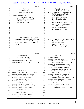|                | Page 2                                                                               |              | Page 3                                                               |
|----------------|--------------------------------------------------------------------------------------|--------------|----------------------------------------------------------------------|
| 1              | James P. Kababick                                                                    | $\mathbf{1}$ | James P. Kababick                                                    |
| 2              | Deposition of                                                                        | 2            | <b>APPEARANCES</b>                                                   |
| 3              | <b>JAMES P. KABABICK</b>                                                             | 3            | ON BEHALF OF THE PLAINTIFF:                                          |
| 4              |                                                                                      | 4            | U.S. Department of Justice                                           |
| 5              | Held at the offices of:                                                              | 5            | 450 Fifth Street, NW                                                 |
| 6              | U.S. Department of Justice                                                           | 6            | Washington, DC 20530                                                 |
| 7              | <b>Consumer Protection Branch</b>                                                    | 7            | By: Claude Scott, Esq.                                               |
| 8              | 450 Fifth Street, NW                                                                 | 8            | and                                                                  |
| 9              | Washington, DC 20530                                                                 | 9            | United States Attorney's Office                                      |
| 10             |                                                                                      | 10           | Northern District of Georgia                                         |
| 11             |                                                                                      | 11           | 75 Ted Turner Drive                                                  |
| 12             |                                                                                      | 12           | Atlanta, Georgia 30303                                               |
| 13<br>14       |                                                                                      | 13<br>14     | By: David O'Neal, Esq.                                               |
| 15             |                                                                                      | 15           |                                                                      |
| 16             |                                                                                      | 16           |                                                                      |
| 17             |                                                                                      | 17           |                                                                      |
| 18             | Taken pursuant to notice, before                                                     | 18           |                                                                      |
| 19             | Laurie Donovan, Registered Professional                                              | 19           | ON BEHALF OF THE DEFENDANTS:                                         |
| 20             | Reporter, Certified Realtime Reporter, and                                           | 20           | Epstein Becker & Green                                               |
| 21             | Notary public in and for the District of                                             | 21           | One Gateway Center                                                   |
| 22             | Columbia.                                                                            | 22           | Newark, New Jersey 07102                                             |
| 23             |                                                                                      | 23           | By: Sheila Woolson, Esq.                                             |
| 24             |                                                                                      | 24           |                                                                      |
| 25             |                                                                                      | 25           |                                                                      |
|                |                                                                                      |              |                                                                      |
|                | Page 4                                                                               |              | Page 5                                                               |
| 1              |                                                                                      | $\mathbf{1}$ |                                                                      |
| $\overline{a}$ | James P. Kababick                                                                    | 2            | James P. Kababick                                                    |
| 3              | <b>EXAMINATION INDEX</b><br><b>PAGE</b>                                              | 3            | (Exhibits continued)<br>EXHIBIT<br><b>DESCRIPTION</b><br><b>PAGE</b> |
| $\overline{4}$ | EXAMINATION BY MS. WOOLSON  6, 162                                                   | 4            | Exhibit 9 Fleming et al article, Bates                               |
| 5              | EXAMINATION BY MR. O'NEAL 161                                                        | 5            | number GOV-0278669 $\dots$<br>-80                                    |
| 6              |                                                                                      | 6            | Exhibit 10 Li et al article, Bates number                            |
| 7              |                                                                                      | 7            | GOV-027941  98                                                       |
| 8              |                                                                                      | 8            | - - - -<br>Exhibit 11 Email chain discussing the Li                  |
| 9              |                                                                                      | 9            | paper, Bates ElSohly 2626 98                                         |
| 10             | EXHIBITS                                                                             | 10           | Exhibit 12 Newmaster et al article, Bates                            |
| 11             | <b>DESCRIPTION</b><br>PAGE<br><b>EXHIBIT</b>                                         | 11           | $GOV-031305$ 118                                                     |
| 12             | Exhibit 1 Rule 26 Rebuttal Expert Report                                             | 12           | Exhibit 13 Appendix K: Guidelines for                                |
| 13             | of James P. Kababick  18                                                             | 13           | Dietary Supplements and                                              |
| 14<br>15       | Exhibit 2 Email chain, Bates number                                                  | 14<br>15     | Botanicals, Bates GOV-030720 130                                     |
| 16             | $GOV-006988$ 41                                                                      | 16           | Exhibit 14 Lucas et al article 135                                   |
| 17             | Exhibit 3 Ping et al paper, Bates number                                             | 17           | Exhibit 15 Email chain, Bates number                                 |
| 18             |                                                                                      | 18           | Exhibit 16 Article from New Zealand                                  |
| 19             | Exhibit 4 ElSohly et al 2012 article  68<br>Exhibit 5 ElSohly et al 2014 article  68 | 19           | regarding classification of                                          |
| 20             | Exhibit 6 Lisi et al 2011 article, Bates                                             | 20           | 1,3-dimethylamylamine  152                                           |
| 21             |                                                                                      | 21           |                                                                      |
| 22             | Exhibit 7 Di Lorenzo et al 2012 article                                              | 22           |                                                                      |
| 23             | Bates GOV-027966  75                                                                 | 23           |                                                                      |
| 24<br>25       | Exhibit 8 Email chain with attachment,<br>Bates number ElSohly 2267  78              | 24<br>25     |                                                                      |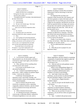|                | Page 6                                             |              | Page 7                                             |
|----------------|----------------------------------------------------|--------------|----------------------------------------------------|
| 1              | James P. Kababick                                  | $\,1$        | James P. Kababick                                  |
| $\overline{2}$ | <b>PROCEEDINGS</b>                                 | $\sqrt{2}$   | question, I'm going to assume that you heard it,   |
| 3              | JAMES PETER PAUL KABABICK,                         | 3            | understood it, and are answering it to the best    |
| 4              | having been first duly sworn, testified            | 4            | your ability.                                      |
| 5              | upon his oath as follows:                          | 5            | It's important that you keep your                  |
| 6              | EXAMINATION BY COUNSEL FOR DEFENDANT               | 6            | responses verbal, because the court reporter can't |
| 7              | BY MS. WOOLSON:                                    | 7            | take down gestures or nods of the head, and it's   |
| 8              | Q Good morning.                                    | 8            | important that I let you finish your answer before |
| 9              | A Good morning.                                    | 9            | I begin my next question, and likewise you let me  |
| 10             | Q We met a few minutes ago. We're here             | 10           | finish my question before you begin your answer,   |
| 11             | today to take your deposition.                     | 11           | because the court reporter cannot take down two    |
| 12             | Have you ever had your deposition taken            | 12           | people talking at the same time. Well, she can,    |
| 13             | before?                                            | 13           | but she prefers not to.                            |
| 14             | A No, I haven't.                                   | 14           | And from time to time Mr. O'Neal may               |
| 15             | Q I'm going to give you some basic                 | 15           | interpose an objection to a question. If he does,  |
| 16             | instructions about how today is going to proceed.  | 16           | just refrain from answering until the attorneys    |
| 17             | A Okay.                                            | 17           | have worked it out. He will instruct you whether   |
| 18             | Q You're going to be answering questions           | 18           | or not to answer the question.                     |
| 19             | under oath, and even though we're in an informal   | 19           | Finally, if you need to take a break at            |
| 20             | setting, your answers can be used just as if we    | 20           | any time, let me know. Other than when a question  |
| 21             | were in court, so it's important that you make     | 21           | is pending, we can take a break.                   |
| 22             | sure you hear and understand my questions.         | 22           | Do you understand those instructions?              |
| 23             | If you don't hear it, let me know, and             | 23           | A Yes.                                             |
| 24             | I'll repeat it. If you don't understand it, let    | 24           | Q What did you do to prepare for your              |
| 25             | me know, and I'll rephrase it. If you answer a     | 25           | deposition today?                                  |
|                |                                                    |              |                                                    |
|                | Page 8                                             |              | Page 9                                             |
|                |                                                    |              |                                                    |
| 1              | James P. Kababick                                  | $\mathbf{1}$ | James P. Kababick                                  |
| $\sqrt{2}$     | A I reviewed the scientific papers and             | 2            | dietary ingredients; and also related to examining |
| 3              | data presented to me, the documents, and then I    | 3            | components of materials that might be under the    |
| $\overline{4}$ | reviewed my expert report again, and yesterday I   | 4            | ability of the eye to see, so you need a           |
| 5              | met with counsel.                                  | 5            | microscope to see.                                 |
| 6              | Q Okay, and don't tell me anything about           | 6            | Q And you said you took graduate courses           |
| 7              | your discussions with counsel.                     | 7            | in psychopharmacology.                             |
| 8              | Can you give me the benefit of your                | 8            | What is your undergraduate degree in?              |
| 9              | educational background.                            | 9            | A Undergraduate, I have a bachelor's of            |
| 10             | A Yes. I trained in psychopharmacology in          | $10$         | science in business administration and a           |
| 11             | grad school. I didn't complete my graduate degree  | 11           | bachelor's of science in psychology.               |
| 12             | in that. I went into the workforce.                | 12           | Q And I take it from your earlier                  |
| 13             | I studied gas chromatography and                   | 13           | testimony, you do not have an advanced degree      |
| 14             | separation science with Walter Jennings, who       | 14           | beyond a bachelor's degree; is that correct?       |
| 15             | pioneered modern column chromatography, analytical | 15           | A I do not have a degree beyond a                  |
| 16             | column chromatography.                             | 16           | bachelor's degree.                                 |
| 17             | And I've trained in the private sector             | 17           | Q And can you give me the benefit of your          |
| 18             | extensively in separation science, separating      | $18\,$       | work history.                                      |
| 19             | compounds, analytical chemistry, and also trained  | 19           | A Yes. I have about 23 years of                    |
| 20             | at FDA in botanical microscopy and forensic        | $20$         | experience in natural products chemistry,          |
| 21             | microscopy.                                        | 21           | analytical chemistry, and separation science.      |
| 22             | Q What is botanical microscopy?                    | 22           | Q When you say you have 23 years of                |
| 23             | A It's utilizing microscopic examination,          | 23           | experience, can you tell me where you gained that  |
| 24             | a microscope, to determine identity, authenticity  | 24           | experience?                                        |
| 25             | of botanical ingredients; in our case, used as     | 25           | A Sure. I worked in the private sector             |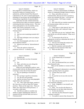|              | Page 10                                                                                 | Page 11                                                                         |  |
|--------------|-----------------------------------------------------------------------------------------|---------------------------------------------------------------------------------|--|
| $\mathbf{1}$ | James P. Kababick                                                                       | $\mathbf{1}$<br>James P. Kababick                                               |  |
| $\sqrt{2}$   | here originally at Chromascentia, which was                                             | 2<br>rotation -- as well as measurements of different                           |  |
| 3            | involved in analysis of essential oils for                                              | 3<br>classes of compounds through chemical analysis.                            |  |
| 4            | authenticity, and then formed Flora Research                                            | 4<br>Q Okay, and while you were at                                              |  |
| 5            | Laboratories in '93, and we started applying the                                        | 5<br>Chromascentia, did you ever have occasion to                               |  |
| 6            | techniques of microscopy and chromatography to                                          | 6<br>review any essential oils from -- we'll start off                          |  |
| $\sqrt{ }$   | testing dietary ingredients of natural products.                                        | 7<br>at Geranium plants. We'll keep it simple.                                  |  |
| 8            | And I have not only worked extensively                                                  | 8<br>Yes.<br>$\mathsf{A}$                                                       |  |
| 9            | in the field but have taken an extensive number of                                      | 9<br>How often did you examine essential oils<br>$\overline{Q}$                 |  |
| 10           | continuing education training courses. Then also                                        | 10<br>of Geranium plants while you were at                                      |  |
| 11           | I have participated in a lot of scientific society                                      | 11<br>Chromascentia?                                                            |  |
| 12           | panels, and I teach at university as well.                                              | 12<br>A I don't know at what interval, but I was                                |  |
| 13           | Q And you said initially you worked at                                                  | 13<br>analyzing oils daily, and I analyzed a large                              |  |
| 14           | Chromascentia?                                                                          | 14<br>number of them.                                                           |  |
| 15           | A Yes.                                                                                  | 15<br>Q And when you say you "analyzed" them,                                   |  |
| 16           | And you were examining essential oils?<br>$\overline{Q}$                                | 16<br>what did do you with this analysis? What was it                           |  |
| 17           | $\mathbf{A}$<br>Yes.                                                                    | 17<br>used for?                                                                 |  |
| 18           | $\overline{Q}$<br>And what techniques were you using to                                 | 18<br>A To characterize the oil for its                                         |  |
| 19           | examine the oils?                                                                       | 19<br>authenticity as well as to determine the levels of                        |  |
| 20           | A Gas chromatography and what we call                                                   | 20<br>desirable components.                                                     |  |
| 21           | physiochemical analysis.                                                                | 21<br>Q And you were doing this analysis for                                    |  |
| 22           | Q What do you mean by "physiochemical                                                   | 22<br>customers or clients of the lab?                                          |  |
| 23           | analysis"?                                                                              | 23<br>A Both for customers and internally for                                   |  |
| 24           | A That's the analysis of physical                                                       | 24<br>the company for the research of their line.                               |  |
| 25           | properties of the oil -- so density, specific                                           | 25<br>What was their line?<br>Q                                                 |  |
|              |                                                                                         |                                                                                 |  |
|              | Page 12                                                                                 | Page 13                                                                         |  |
| 1            | James P. Kababick                                                                       | 1<br>James P. Kababick                                                          |  |
| 2            | Essential oils.<br>A                                                                    | 2<br>Is that related only to Geranium?<br>A                                     |  |
| 3            | They had their own line of essential<br>Q                                               | 3<br>Yes.<br>Q                                                                  |  |
| 4            | oils?                                                                                   | 4<br>A No, I did not.                                                           |  |
| 5            | A<br>Yes.                                                                               | 5<br>Now, you mentioned that you created<br>$\overline{Q}$                      |  |
| 6            | Okay, and when you were doing this<br>$\mathbf{Q}$                                      | 6<br>Flora Research Labs.                                                       |  |
| 7            | analysis, did these -- strike that.                                                     | 7<br>Who are the members or owners of Flora                                     |  |
| $\,8\,$      | When you were doing this analysis, were                                                 | 8<br>Research?                                                                  |  |
| 9            | you provided with the oils themselves as opposed                                        | 9<br>A Flora Research Laboratories is owned by                                  |  |
| 10           | to having to extract the oil from the plant?                                            | 10<br>myself, and Dana Neal is my partner.                                      |  |
| 11           | A Are you speaking to Geranium in                                                       | 11<br>Is Dana Neal your wife?<br>0                                              |  |
| 12           | particular?                                                                             | 12<br>Yes.<br>A                                                                 |  |
| 13<br>14     | Q We can keep it specific to Geranium.                                                  | 13<br>It's just the two of you who own the<br>Q<br>14                           |  |
| 15           | Yes, the oils were provided.<br>A                                                       | company?<br>15                                                                  |  |
| 16           | And do you know from what geographic<br>$\mathbf{O}$                                    | Yes.<br>$\mathbf{A}$<br>16<br>0                                                 |  |
| 17           | regions these oils came from?                                                           | Has it always been just the two of you<br>17<br>that owned the company?         |  |
| 18           | A Yes. They came from Egypt, outside of<br>the Cairo area, as well as China, the Yunnan | 18<br>A Yeah. Originally it was myself, and                                     |  |
| 19           | province. Those are the major ones. There are                                           | 19<br>then both of us.                                                          |  |
| 20           | others, but I don't know all the provinces. It                                          | 20<br>Okay. Are you the sole director at<br>Q                                   |  |
| 21           | was quite a while back.                                                                 | 21<br>Flora Research, or are there other directors?                             |  |
| 22           | Q And did you author or coauthor any                                                    | 22<br>I'm the only director.<br>A                                               |  |
| 23           | studies or papers regarding this analysis of                                            | 23<br>And who are Flora Research's largest<br>Q                                 |  |
| 24<br>25     | essential oils that you did while you were at<br>Chromascentia?                         | 24<br>customers currently?<br>25<br>I'm unable to answer that, because I'm<br>A |  |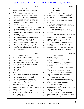|                         | Page 14                                                                                              |                  | Page 15                                                                          |
|-------------------------|------------------------------------------------------------------------------------------------------|------------------|----------------------------------------------------------------------------------|
| 1                       | James P. Kababick                                                                                    | 1                | James P. Kababick                                                                |
| 2                       | bound to confidentiality under contract with                                                         | 2                | MS. WOOLSON: Okay.                                                               |
| 3                       | clients.                                                                                             | 3                | BY MS. WOOLSON:                                                                  |
| 4                       | MS. WOOLSON: Okay. This came up                                                                      | 4                | Q Just so you understand, I'm not going                                          |
| 5                       | earlier this week with Dr. Brown, and what                                                           | 5                | to simply allow you to refuse to answer the                                      |
| 6                       | Mr. Scott and I discussed was having the                                                             | 6                | question. We're going to try and take steps to                                   |
| 7                       | United States go back and see whether or not                                                         | 7                | make sure that you can answer the question and do                                |
| 8                       | this information can be provided pursuant to                                                         | 8                | it in a way that does not violate your contractual                               |
| 9                       | the confidentiality order that's in place in                                                         | 9                | obligations.                                                                     |
| 10                      | this case.                                                                                           | 10               | As you sit here today, can you tell me                                           |
| 11                      | MR. O'NEAL: Okay.                                                                                    | 11               | if Flora Research Labs does work for any United                                  |
| 12                      | MS. WOOLSON: So I would suggest we                                                                   | 12               | States governmental agency?                                                      |
| 13                      | proceed similarly and see whether you can get                                                        | 13               | A Can you clarify that just a little bit?                                        |
| 14                      | that information. If not, we'll have to take                                                         | 14               | Sure. Does Flora Research do work for<br>Q                                       |
| 15                      | whatever necessary steps we have to take with                                                        | 15               | the FDA?                                                                         |
| 16                      | the court.                                                                                           | 16               | A We don't do compensated work for the FDA                                       |
| 17                      | MR. O'NEAL: Sure. I would think                                                                      | 17               | directly. We do work for companies that may have                                 |
| 18                      | this would be handled in whatever way you                                                            | 18               | samples in detention and need data packages                                      |
| 19                      | discussed with Mr. Scott previously. We                                                              | 19               | submitted from private labs. They're called                                      |
| 20                      | don't represent him in his individual                                                                | 20               | "detention without physical examination."                                        |
| 21                      | capacity, and so whatever his contractual                                                            | 21               | Q And when you say "detention without                                            |
| 22                      | obligations are, I have to take him at face                                                          | 22               | physical examination," what do you mean?                                         |
| 23                      | value, but certainly we will, you know, with                                                         | 23               | A When a product comes into the United                                           |
| 24<br>25                | everyone, see what can be done and resolve it                                                        | 24<br>25         | States, it may be subject to an import alert, and                                |
|                         | in the same manner.                                                                                  |                  | if it's subject to an import alert, it's detained                                |
|                         |                                                                                                      |                  |                                                                                  |
|                         | Page 16                                                                                              |                  | Page 17                                                                          |
| 1                       | James P. Kababick                                                                                    | 1                | James P. Kababick                                                                |
| $\overline{\mathbf{c}}$ |                                                                                                      | $\boldsymbol{2}$ | ag research services.                                                            |
| 3                       | without testing by FDA sometimes, and it's up to<br>the company to show that it meets specifications | 3                | Q Okay, and what do you do for ag                                                |
| 4                       | and is not adulterated. So we do that work.                                                          | 4                | research?                                                                        |
| 5                       | Q And does Flora Research Labs currently                                                             | 5                | A We were given a grant to develop some                                          |
| 6                       | do work for the National Institutes of Health?                                                       | 6                | techniques for identity of botanicals using                                      |
| 7                       | A Not currently.                                                                                     | 7                | spectroscopy.                                                                    |
| 8                       | Has it in the past?<br>Q                                                                             | 8<br>Q           | And do you know which botanicals are at                                          |
| 9                       | Yes.<br>A                                                                                            | 9<br>issue?      |                                                                                  |
| 10                      | Q<br>When is the last time it did work for                                                           | 10               | A We're actually working on ginseng.                                             |
| 11                      | NIH?                                                                                                 | 11<br>Q          | And how long have you been doing that                                            |
| 12                      | I believe around 2006 we were given a<br>A                                                           | 12               | work, "you" meaning Flora Research Labs?                                         |
| 13                      | grant to develop some test methodology.                                                              | 13               | A A few years now.                                                               |
| 14                      | What was the test methodology?<br>O                                                                  | 14<br>Q          | So other than FDA, NIH, and the                                                  |
| 15                      | It was a technique for quantifying<br>$\mathbf{A}$                                                   | 15<br>16         | Department of Agriculture, are there any other                                   |
| 16<br>17                | benzene in liquid supplements, specifically                                                          | 17               | agencies of the federal government for which Flora                               |
| 18                      | resulting from the decomposition of the                                                              | 18               | Research Labs is currently doing work?                                           |
| 19                      | preservative system.                                                                                 | 19<br>0          | A Not that I can recall.                                                         |
| 20                      | Q So we talked about FDA. We've talked                                                               | 20               | Are there other agencies of the federal                                          |
| 21                      | about NIH. I'm going to exhaust my vocabulary of<br>acronyms very quickly.                           | 21               | government for which Flora Research Labs has done<br>work in the last ten years? |
| 22                      | Any other agency of the United States                                                                | 22               | A Not that I can recall.                                                         |
| 23                      | government for which Flora Research Labs is                                                          | 23<br>O          | And when I asked you earlier about the                                           |
| 24                      | currently doing work?                                                                                | 24               | largest customers, were those customers in private                               |
| 25                      | A Yes. The US Department of Agriculture's                                                            | 25               | industry or were they in government?                                             |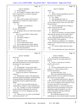|          | Page 18                                                                |                         | Page 19                                                                              |
|----------|------------------------------------------------------------------------|-------------------------|--------------------------------------------------------------------------------------|
| 1        | James P. Kababick                                                      | 1                       | James P. Kababick                                                                    |
| 2        | A Private industry.                                                    | $\overline{\mathbf{c}}$ | report?                                                                              |
| 3        | Q Mr. Kababick, would you agree with me                                | 3                       | Q Yes.                                                                               |
| 4        | that it's important for a scientist to approach                        | 4                       | Speak to people regarding the nature of<br>$\mathbf{A}$                              |
| 5        | research impartially?                                                  | 5                       | the report or its contents?                                                          |
| 6        | A Yes.                                                                 | 6                       | Q Yes. Either.                                                                       |
| 7        | And would you agree with me that it's<br>$\overline{Q}$                | 7                       | A Not regarding this work, no.                                                       |
| 8        | important for a scientist to evaluate research                         | 8                       | Q Did you tell anyone that you were going                                            |
| 9        | impartially?                                                           | 9                       | to be an expert witness in this case, other than                                     |
| 10       | A Yes.                                                                 | 10                      | the government?                                                                      |
| 11       | (Exhibit 1 was marked for                                              | 11                      | A I've only told people that are being an                                            |
| 12       | identification.)                                                       | 12                      | expert witness for the DoJ.                                                          |
| 13       | BY MS. WOOLSON:                                                        | 13                      | $\overline{Q}$<br>And who have you told?                                             |
| 14       | Q I'm going to show you what's been marked                             | 14                      | A My attorney.                                                                       |
| 15       | as Exhibit 1.                                                          | 15                      | And by your attorney, you mean someone<br>$\mathbf{O}$                               |
| 16       | Have you seen Exhibit 1 before today?                                  | 16                      | other than the attorneys for the United States?                                      |
| 17       | A Yes, I have.                                                         | 17                      | A Yeah, our company's, yeah, and of                                                  |
| 18       | And what is Exhibit 1?<br>Q                                            | 18                      | course, staff people that need to know that I'm                                      |
| 19       | I'm sorry?<br>A                                                        | 19                      | out of the office, what's going on.                                                  |
| 20       | What is Exhibit 1?<br>$\overline{Q}$                                   | 20                      | Q And have you spoken to any colleagues                                              |
| 21       | A It's my expert rebuttal report.                                      | 21                      | outside of Flora Research about your expert work                                     |
| 22       | And in preparing your expert rebuttal<br>$\mathbf{O}$                  | 22                      | in this case?                                                                        |
| 23       | report, did you speak to anyone other than the                         | 23                      | A No, I haven't spoken about the expert                                              |
| 24       | attorneys for the government?                                          | 24                      | work.                                                                                |
| 25       | A You mean as far as preparing this                                    | 25                      | And in preparing your report, did anyone<br>Q                                        |
|          |                                                                        |                         |                                                                                      |
|          | Page 20                                                                |                         | Page 21                                                                              |
| 1        | James P. Kababick                                                      | 1                       | James P. Kababick                                                                    |
| 2        | assist you?                                                            | 2                       | A I developed it at the laboratory to                                                |
| 3        | A No.                                                                  | 3                       | describe the specific and unique approach to                                         |
| 4        | Did anyone review a draft of the report<br>$\overline{O}$              | 4                       | analysis.                                                                            |
| 5        | other than the attorneys for the United States or                      | 5                       | Q So this is a term that you created to                                              |
| 6        | the attorney for your company?                                         | 6                       | describe what you do?                                                                |
| 7        | A No.                                                                  | 7                       | A Yes.                                                                               |
| 8        | In paragraph 1 of your report where --<br>Q                            | 8                       | You also testified earlier that you were<br>Q.                                       |
| 9        | you're discussing your qualifications, and you say                     | 9                       | trained as a -- I think I asked you this --                                          |
| $10$     | you are a "phytoforensic scientist."                                   | 10                      | botanical microscopist.                                                              |
| $1\,1$   | What do you mean by "phytoforensic                                     | 11                      | We talked about that. Sorry.                                                         |
| $1\,2$   | scientist"?                                                            | 12                      | What is the standardized phytoforensic                                               |
| 13       | A Phytoforensic science is the application                             | 13                      | approach and the cross-over analytical technique                                     |
| 14       | of diverse analytical techniques in the evaluation                     | 14                      | that you refer to in your report?                                                    |
| 15       | of natural products and dietary ingredients,                           | 15                      | A The standardized phytoforensic approach,                                           |
| 16       | specifically focused on global food safety,                            | 16                      | or SPA, and the crossover analytical technique, or                                   |
| 17       | quality.                                                               | $17\,$                  | CAT, are two techniques for the systematic review                                    |
| 18       | Q And if I were to go look up the term                                 | $18\,$                  | of forensic data relative to this dietary                                            |
| 19       | "phytoforensic scientist," is that a defined term?                     | 19                      | supplement industry, as well as the analysis of                                      |
| 20       | A Yes. Actually, it's a term we developed                              | 20                      | data involved in the investigation of issues that                                    |
| 21       | for this field that I pioneered, but you'll see                        | 21<br>22                | stakeholders might be having let's say with a                                        |
| 22<br>23 | references to it in LCGC Magazine and other                            | 23                      | product formulation challenge, qualifying                                            |
| 24       | resources.                                                             | 24                      | materials, things like that.                                                         |
| 25       | Q When you say "it's a term we developed,"<br>who do you mean by "we"? | 25                      | The standardized approach is the<br>methodology by which material might be examined, |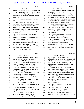|                  | Page 22                                                                                          |                | Page 23                                                                                               |
|------------------|--------------------------------------------------------------------------------------------------|----------------|-------------------------------------------------------------------------------------------------------|
| $\mathbf{1}$     | James P. Kababick                                                                                | $\mathbf{1}$   | James P. Kababick                                                                                     |
| $\boldsymbol{2}$ | and crossover analytical technique is the approach                                               | 2              | How do you have a standardized approach                                                               |
| 3                | to utilize orthogonal methodologies to help form a                                               | 3              | for something that's not routine?                                                                     |
| $\overline{4}$   | better picture of what's going on and what                                                       | $\overline{4}$ | A This is the reason we developed this, is                                                            |
| 5                | approaches might be utilized depending on what                                                   | 5              | that a lot of stakeholders were challenged with                                                       |
| 6                | data is already at hand.                                                                         | 6              | this problem of how to approach the unknown, and                                                      |
| 7                | Q So let me see if I understand what you                                                         | 7              | from years of experience doing this, I organized a                                                    |
| 8                | just said.                                                                                       | 8              | flow path for doing that and how we would gather                                                      |
| 9                | The standardized method approach that                                                            | 9              | information, review information, design                                                               |
| 10               | you're talking about, standardized phytoforensic                                                 | 10             | experiments, and continue through that process.                                                       |
| 11               | approach is an attempt to create sort of a                                                       | 11             | And what is that flow path?<br>$\overline{O}$                                                         |
| 12               | operating procedure by which to approach any                                                     | 12             | The flow path? I'll have to refer to my<br>A                                                          |
| 13               | phytoforensic examination of a substance, like a                                                 | 13             | data on that. I wrote up a paper on that, but I                                                       |
| 14               | number of steps that you would walk through to do                                                | 14             | don't remember all the steps off the top of my                                                        |
| 15               | the analysis?                                                                                    | 15             | head right now.                                                                                       |
| 16               | A It's for specifically -- we're dealing                                                         | 16             | Q And what's the name of that paper?                                                                  |
| 17               | with issues of unknowns or with evaluating a                                                     | 17             | A It's actually the -- the paper is a --                                                              |
| 18               | material where routine standard methods aren't out                                               | 18             | it was actually a poster, standardized                                                                |
| 19               | there to answer the question specifically, or                                                    | 19             | phytoforensic approach scientific poster that I                                                       |
| 20               | where the answer is something that you need to                                                   | 20             | presented at AOAC, and then there's a PowerPoint                                                      |
| 21               | approach in different ways to get a better rounded                                               | 21             | that was presented at the United States                                                               |
| 22               | view of it. It's not really addressing things                                                    | 22             | Pharmacopeia Dietary Supplements Workshop.                                                            |
| 23<br>24         | that are routine and worked out, but more of the                                                 | 23<br>24       | Q So this standard approach or this flow                                                              |
| 25               | emerging and nonroutine things.                                                                  | 25             | path -- excuse me -- is a poster in a PowerPoint,<br>correct?                                         |
|                  | I guess I'm confused then.<br>0                                                                  |                |                                                                                                       |
|                  |                                                                                                  |                |                                                                                                       |
|                  | Page 24                                                                                          |                | Page 25                                                                                               |
| 1                | James P. Kababick                                                                                | 1              | James P. Kababick                                                                                     |
| 2                | A Well, I've developed a poster PowerPoint                                                       | 2              | might have a part of the puzzle or part of the                                                        |
| 3                | to cover it, to provide resources to others.                                                     | 3              | understanding, so reaching out to your peers and                                                      |
| 4                | Q Okay, and this flow path is not                                                                | 4              | colleagues and industry in the scientific fields,                                                     |
| 5                | incorporated into any study or publication beyond                                                | 5              | looking at the scientific literature that's out                                                       |
| 6                | this poster and this PowerPoint, correct?                                                        | 6              | there, searching publications, including books,                                                       |
| 7                | A I'm sorry. I'm not sure I understand.                                                          | $\overline{7}$ | and gathering data.                                                                                   |
| 8                | The flow path, is it the subject of any<br>O                                                     | 8              | So the first step is to gather data and                                                               |
| 9<br>10          | publication or paper or article beyond just this                                                 | 9<br>10        | review it, and also in defining exactly what the                                                      |
| 11               | PowerPoint and this poster?                                                                      | 11             | issue is, and taking that data, putting it                                                            |
| 12               | A I believe it has been addressed in some                                                        | 12             | together into a cohesive understanding of what's                                                      |
| 13               | other articles in the industry educational                                                       | 13             | known to date, and then designing experimental                                                        |
| 14               | resources, and I'm actually submitting a paper                                                   | 14             | tests to approach the problem.<br>$\overline{O}$                                                      |
| 15               | regarding it to a journal.<br>Q And when did you prepare this poster                             | 15             | And is there a particular process that<br>you follow in designing these tests?                        |
| 16               | and/or PowerPoint?                                                                               | 16             | A Yeah, it depends on what the test is and                                                            |
| 17               | A I don't remember the exact date, but                                                           | 17             | what the problem is.                                                                                  |
| 18               | about two or three years ago. I'd have to check                                                  | 18             | And what's after designing the test?<br>Q                                                             |
| 19               | to be sure exactly.                                                                              | 19             | Conducting the test examinations.<br>A                                                                |
| 20               | Q And understanding that you don't                                                               | 20             | And after you conduct the test?<br>Q                                                                  |
| 21               | remember all of the steps of the flow path, what                                                 | 21             | Reviewing the data to make a<br>A                                                                     |
| 22               | steps do you remember?                                                                           | 22             | determination of what is found and where that                                                         |
| 23               | A The first thing that I outline is                                                              | 23             | points you, and then you would regroup and                                                            |
| 24<br>25         | collecting information, so a review of the<br>literature, tapping resources like colleagues that | 24<br>25       | determine what next steps need to be taken, either<br>further experiments, whether or not you resolve |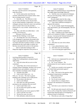|              | Page 26                                                                           |          | Page 27                                                                   |
|--------------|-----------------------------------------------------------------------------------|----------|---------------------------------------------------------------------------|
| $\mathbf{1}$ | James P. Kababick                                                                 | 1        | James P. Kababick                                                         |
| 2            | the issue or got the answers to the questions,                                    | 2        | other aspects of manufacturing or crop production                         |
| 3            | make discoveries.                                                                 | 3        | that might impart knowledge indirectly.                                   |
| 4            | Q So this seems pretty much like the                                              | 4        | Q And the cross-over analytical techniques                                |
| 5            | scientific method that most scientists follow when                                | 5        | that you were discussing, I think you used the                            |
| 6            | they are doing research, correct?                                                 | 6        | word "orthogonal."                                                        |
| 7            | A Basically, yes. The difference is that                                          | 7        | Do you simply mean by that, using                                         |
| 8            | a lot of times with these issues, because there                                   | 8        | multiple different techniques in the analysis?                            |
| 9            | are not canned methods or approaches, a lot of my                                 | 9        | A Yeah, there's different techniques to                                   |
| 10           | colleagues and peers that have come to me and been                                | 10       | approach the analysis.                                                    |
| 11           | stuck or unsure what to do, this provides a                                       | 11       | Q So, for example, liquid chromatography,                                 |
| 12           | framework of a way to think "outside the box," so                                 | 12       | mass spectrometry, gas chromatography, that sort                          |
| 13           | to speak.                                                                         | 13       | of thing?                                                                 |
| 14           | Q Okay, and when you talked about -- well,                                        | 14       | A Yes, those could be components.                                         |
| 15           | actually, let me back up.                                                         | 15       | Okay. Looking at your expert report,<br>$\overline{Q}$                    |
| 16           | What part of this flow path is                                                    | 16       | which we've marked as Exhibit 1, in paragraph 8                           |
| 17           | outside-the-box thinking, in your mind?                                           | 17       | you say, "I served on the National Institutes of                          |
| 18           | A The things that I see a lot of times are                                        | 18       | Health R15 and R21 grant committees."                                     |
| 19           | in the designing of experiments that people often                                 | 19       | Do you see that?                                                          |
| 20           | forget or get pigeonholed into thinking a certain                                 | 20       | A Yes.                                                                    |
| 21           | way about what they're going to analyze, so maybe                                 | 21       | And what was your role on those<br>$\overline{Q}$                         |
| 22           | going directly after some target or analyte, but                                  | 22       | committees?                                                               |
| 23           | that may not provide the answer to the question.                                  | 23       | I was a phytochemistry expert.<br>A                                       |
| 24           | And so I talk about looking at other                                              | 24       | And what were you reviewing?<br>Q                                         |
| 25           | things that might be impurities from process or                                   | 25       | I was reviewing grant applications<br>A                                   |
|              |                                                                                   |          |                                                                           |
|              | Page 28                                                                           |          | Page 29                                                                   |
| 1            | James P. Kababick                                                                 | 1        | James P. Kababick                                                         |
| 2            | involving natural products research for                                           | 2        | years.                                                                    |
| 3            | college-level undergraduates and general grant                                    | 3        | And were you compensated for your work<br>$\mathbf{O}$                    |
| 4            | applications.                                                                     | 4        | in reviewing NIH grants?                                                  |
| 5            | Q And with whom did you serve on that                                             | 5        | A No. It was volunteer. The                                               |
| 6            | committee?                                                                        | 6        | reimbursement for travel expenses was given,                              |
| 7            | Guido Palli, who is from University of<br>A                                       | 7        | though.                                                                   |
| 8            | Chicago Urbana-Champaign, and there were several                                  | 8        | And do you currently review grants for<br>Q.                              |
| 9            | medical doctors and academics, statisticians. I                                   | 9        | any United States government agency?                                      |
| 10           | don't remember everybody's name, though.                                          | 10       | No, I don't.<br>A                                                         |
| 11           | Anybody from NIH?<br>Q                                                            | 11       | Okay. Now back to the question where<br>O                                 |
| 12           | A I don't recall if there was -- no.                                              | 12       | I'm going to mispronounce something.                                      |
| 13           | Well, yes. I'm sorry. The chair or person                                         | 13       | What is Synutra Pure?                                                     |
| 14           | heading up the committee was an NIH person.                                       | 14       | Is that here in the --<br>A                                               |
| 15           | Q Do you know who that was?                                                       | 15       | No, it's not in your report.<br>$\mathbf{Q}$                              |
| 16           | I don't recall offhand.<br>A                                                      | 16       | Synutra Pure is a company that is<br>A                                    |
| 17           | Were there any other government<br>O                                              | 17       | involved in the distribution of chondroitin                               |
| 18           | personnel on the committee that you recall?                                       | 18       | sulphate.                                                                 |
| 19<br>20     | A I don't recall if there were.                                                   | 19<br>20 | And what is your connection to Synutra<br>Q                               |
| 21           | Do you still review grants for NIH?<br>Q                                          | 21       | Pure?                                                                     |
| 22           | Not currently.<br>A                                                               | 22       | We did some joint research with Synutra<br>A                              |
| 23           | When did you last review grants for NIH?<br>Q                                     | 23       | Pure as well as Tampa Bay Analytical Research and                         |
| 24           | I don't recall the exact time.<br>A                                               | 24       | United States Pharmacopeia in investigating an                            |
| 25           | The last five years, ten years?<br>Q<br>Well, definitely within the last ten<br>A | 25       | adulterant found in chondroitin.<br>Q Who did you work with at Tampa Bay? |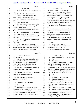|          | Page 30                                                                                              | Page 31                                                                               |
|----------|------------------------------------------------------------------------------------------------------|---------------------------------------------------------------------------------------|
| 1        | James P. Kababick                                                                                    | $1\,$<br>James P. Kababick                                                            |
| 2        | With Mark Roman, who is deceased at this<br>A                                                        | $\overline{\mathbf{c}}$<br>contacted them to talk about the impurity, and it          |
| 3        | time.                                                                                                | 3<br>piqued my interest as a researcher. A lot of our                                 |
| 4        | How about U.S. Pharmacopeia?<br>Q                                                                    | $\bf 4$<br>clients use chondroitin, and they had concerns                             |
| 5        | Christy -- I don't remember her last<br>A                                                            | 5<br>about that contaminant, so I felt it would be good                               |
| 6        | name. She's an NMR spectroscopist.                                                                   | $\epsilon$<br>for our company to try to help research and                             |
| 7        | And who did you work with at Synutra<br>Q                                                            | $\boldsymbol{7}$<br>understand it so we could help our clients test.                  |
| 8        | Pure?                                                                                                | 8<br>So we got involved with them and USP and Tampa Bay                               |
| 9        | Weigo, W-E-I-G-O.<br>A                                                                               | $\,9$<br>to see if we could help identify it, which we were                           |
| 10       | And other than this work you did on the<br>0                                                         | 10<br>able to do and write the paper.                                                 |
| 11       | chondroitin compound, do you have any other                                                          | 11<br>Q What work specifically did your company                                       |
| 12       | interest in Synutra Pure?                                                                            | 12<br>do?                                                                             |
| 13       | A We did conduct some analysis on some                                                               | 13<br>A We did a combination of FTIR, infrared                                        |
| 14       | chondroitin.                                                                                         | 14<br>spectroscopy, as well as differential scanning                                  |
| 15       | And how long ago did you do that work?<br>$\mathbf{O}$                                               | 15<br>calorimetry, DSC, and then we also did some                                     |
| 16       | I don't remember the exact date.<br>A                                                                | 16<br>cellulose acetate membrane electrophoresis to                                   |
| 17       | And how did you come to be involved in<br>$\mathbf{O}$                                               | $17$<br>separate the compound.                                                        |
| 18       | that work?                                                                                           | 18<br>Q And did you personally do this work, or                                       |
| 19       | A You mean the work that I published with                                                            | 19<br>did people who work at Flora Research do this                                   |
| 20       | Synutra Pure and USP?                                                                                | 20<br>work?                                                                           |
| 21       | Q Yes.                                                                                               | 21<br>A Both.                                                                         |
| 22       | Okay. There was an article regarding<br>A                                                            | 22<br>What did you personally do?<br>$\mathbf Q$                                      |
| 23       | the 01. They named the contaminate 01 they were                                                      | 23<br>A I actually collected infrared data and                                        |
| 24       | trying to identify, and I had done a lot of work                                                     | 24<br>calorimetry data, and I did also the                                            |
| 25       | on chondroitin sulphate in the industry and                                                          | 25<br>electrophoresis, but I also had staff involved                                  |
|          |                                                                                                      |                                                                                       |
|          | Page 32                                                                                              | Page 33                                                                               |
| 1        |                                                                                                      | 1<br>James P. Kababick                                                                |
| 2        | James P. Kababick                                                                                    | 2<br>Q                                                                                |
| 3        | with me working.<br>Q And other than that research that you've                                       | Have you authored any papers with her?<br>3<br>A<br>Yes.                              |
| 4        | talked about, that we've just talked about, did                                                      | 4<br>How many?<br>$\mathbf Q$                                                         |
| 5        | you do any other work with Synutra Pure?                                                             | 5<br>I wrote an article for Nutraingredients<br>$\mathbf{A}$                          |
| 6        | Just the couple of samples that we<br>A                                                              | 6<br>or nutrition -- let me see. I'm trying to                                        |
| 7        | analyzed for them of chondroitin.                                                                    | 7<br>remember the name of that trade publication.                                     |
| 8        | Q And do you or does your wife have any                                                              | 8<br>Nutraceuticals World. We wrote a paper together.                                 |
| 9        | ownership interest in Synutra Pure?                                                                  | 9<br>I believe we authored some publications together,                                |
| 10       | A No.                                                                                                | 10<br>but I would have to look it up to be sure.                                      |
| 11       | Do you or your wife have any ownership<br>Q                                                          | 11<br>Do you know who Frank Jaksch is?<br>Q                                           |
| 12       | interest in any dietary supplement?                                                                  | 12<br>$\mathbf{A}$<br>Yes.                                                            |
| 13       | A No.                                                                                                | 13<br>Who is he?<br>$\overline{Q}$                                                    |
| 14       | Any company that makes dietary<br>0                                                                  | 14<br>Frank Jaksch runs ChromaDex.<br>A                                               |
| 15       | supplements, I should say.                                                                           | 15<br>What is ChromaDex?<br>Q                                                         |
| 16       | A No.                                                                                                | 16<br>They are a company that provides<br>A                                           |
| 17<br>18 | Do you know Paula Brown?<br>Q                                                                        | 17<br>analytical standards, analytical services and<br>18                             |
| 19       | Yes.<br>A                                                                                            | consulting services, as well as some ingredients<br>19                                |
| 20       | Who is she?<br>Q<br>A                                                                                | in the industry.<br>$20\,$<br>$\overline{O}$                                          |
| 21       | Paula Brown is a scientist in Canada.                                                                | And how do you know Mr. Jaksch?<br>21<br>When he started ChromaDex, he solicited<br>A |
| 22       | She's at British Columbia Institute of Technology,<br>and she serves on various AOAC committees that | 22<br>our business to buy standards, and I knew some                                  |
| 23       | I've been involved with as well, and she's                                                           | 23<br>scientists that worked there, and so we did                                     |
| 24       | organized symposia that I've spoken at, things                                                       | $2\sqrt{4}$<br>business together and know each other from                             |
| 25       | like that.                                                                                           | 25<br>meetings and things like that.                                                  |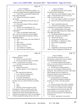|          | Page 34                                                   |                | Page 35                                                                                         |
|----------|-----------------------------------------------------------|----------------|-------------------------------------------------------------------------------------------------|
| 1        | James P. Kababick                                         | 1              | James P. Kababick                                                                               |
| 2        | When you say "did business together," do<br>Q             | $\sqrt{2}$     | She published a paper, and I've heard<br>A                                                      |
| 3        | you mean anything other than supplying standards?         | 3              | her speak at some conferences.                                                                  |
| 4        | A Yeah, well, we purchased standards from                 | $\overline{4}$ | Q When you say she published a paper, what                                                      |
| 5        | them, from ChromaDex.                                     | 5              | paper? I mean obviously it sticks out in your                                                   |
| 6        | Q When is the last time you spoke to                      | 6              | mind, so I want to know why.                                                                    |
| 7        | Mr. Jaksch?                                               | 7              | A Yes, it was a paper on DMAA in Geranium.                                                      |
| 8        | A Oh, I would think several years ago, two                | 8              | Have you ever discussed that paper with<br>$\mathbf{O}$                                         |
| 9        | or three years ago.                                       | 9              | her?                                                                                            |
| 10       | Q Does your company still buy standards                   | 10             | Yeah, I emailed her about that.<br>A                                                            |
| 11       | from ChromaDex?                                           | 11             | And what was the subject of your email,<br>$\mathbf{O}$                                         |
| 12       | A I believe we occasionally do, yes.                      | 12             | the substance of your emails, I should say?                                                     |
| 13       | Q Do you know what standards you buy from                 | 13             | A Just congratulating her on the paper                                                          |
| 14       | ChromaDex?                                                | 14             | that -- you know, appreciating that it helped shed                                              |
| 15       | A I know we purchased creatine ethyl                      | 15             | more light on the issue.                                                                        |
| 16       | ester. I'm not sure what else, but occasionally           | 16             | Q And did she publish this paper with                                                           |
| 17       | we will get phytochemical materials or dietary            | 17             | anyone else? Did she have coauthors?                                                            |
| 18       | ingredient materials.                                     | 18             | A I believe she did, yes.                                                                       |
| 19       | Q Okay. Do you know who Amy Eichner is?                   | 19             | Do you know who they were?<br>Q                                                                 |
| 20       | A Yes.                                                    | 20             | Not offhand. I would have to check.<br>A                                                        |
| 21       | Who is she?<br>Q                                          | 21             | Do you know Joseph Betz?<br>Q                                                                   |
| 22       | She's a scientist at USADA.<br>A                          | 22             | Yes.<br>A                                                                                       |
| 23       | That's U-S-A-D-A?<br>Q                                    | 23             | Who is he?<br>$\overline{Q}$                                                                    |
| 24       | Yes, I believe it's USADA.<br>A                           | 24             | Joseph Betz is the director of the NIH<br>A                                                     |
| 25       | How do you know Ms. Eichner?<br>Q                         | 25             | Office of Dietary Supplements Methods and                                                       |
|          |                                                           |                |                                                                                                 |
|          |                                                           |                |                                                                                                 |
|          | Page 36                                                   |                | Page 37                                                                                         |
| 1        | James P. Kababick                                         | $\mathbf{1}$   | James P. Kababick                                                                               |
| 2        | <b>Standards Division.</b>                                | 2              | chair of the methods committee, as well as                                                      |
| 3        | Q And how do you know him?                                | 3              | participating in symposia that were put together.                                               |
| 4        | A He was my instructor when I was trained                 | $\bf 4$        | I've interacted with Joe quite a while.                                                         |
| 5        | at FDA. At that time he was at FDA.                       | 5              | Q You mentioned that the FDA funded, I                                                          |
| 6        | And what training specifically did you<br>$\mathbf{Q}$    | 6              | think you said various official methods that were                                               |
| 7        | receive from him?                                         | 7              | to be developed by the AOAC.                                                                    |
| 8        | A Botanical microscopy.                                   | 8              | A The NIH had a funding mechanism. I                                                            |
| 9        | And how rigorous -- let me rephrase the<br>Q              | 9              | believe it was an interagency NIH/FDA funded                                                    |
| 10<br>11 | question.                                                 | 10             | mechanism. They contracted with AOAC, which holds                                               |
| 12       | How long did the training last?                           | 11             | official methods which are recognized as                                                        |
| 13       | A It was a 40-hour training course.                       | $1\,2$<br>13   | enforcement methods, and to develop priority                                                    |
| 14       | Over what period of time?<br>Q                            | 14             | methods for testing supplements.                                                                |
| 15       | A It was one week intensive.                              | 15             | Q So let me make sure I understand.                                                             |
| 16       | And other than that training class with<br>$\overline{Q}$ | 16             | The NIH/FDA interagency funding was                                                             |
| 17       | Mr. Betz, have you worked with him on anything            | 17             | provided to the AOAC to develop methods?                                                        |
| 18       | else?<br>Yes.<br>A                                        | 18             | A Yes.<br>$\mathbf{Q}$                                                                          |
| 19       | What?<br>Q                                                | 19             | And you were part of the AOAC committee                                                         |
| 20       | A He's been actively involved in AOAC                     | 20             | that received that funding to develop the methods?                                              |
| 21       | International, which is a scientific society that         | 21             | A Well, I was a volunteer on the committee                                                      |
| 22       | I'm a fellow in, and he has been involved in the          | 22             | that provided the work of review and study. The                                                 |
| 23       | funding of the various official methods that were         | 23             | AOAC funding was to essentially support the<br>infrastructure and mechanism of the organization |
| 24       | contracted by the agency for AOAC for development         | 24             | toward that end.                                                                                |
| 25       | of dietary supplement testing, and my work as the         | 25             | And by "organization," you mean the<br>$\overline{Q}$                                           |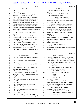|              | Page 38                                                                                        |                | Page 39                                                  |
|--------------|------------------------------------------------------------------------------------------------|----------------|----------------------------------------------------------|
| 1            | James P. Kababick                                                                              | 1              | James P. Kababick                                        |
| 2            | AOAC?                                                                                          | 2              | A Yes. I believe it was around 2006. I'd                 |
| 3            | A Yes.                                                                                         | 3              | have to verify.                                          |
| 4            | And who did the actual work, if you<br>Q                                                       | 4              | Was that the only NIH funding?<br>Q                      |
| 5            | will, of developing those methods?                                                             | 5              | To my knowledge, yes.<br>A                               |
| 6            | A It was a variety of sources. Sometimes                                                       | 6              | You mentioned Mark Roman earlier.<br>O.                  |
| 7            | there was funding mechanism for somebody to                                                    | 7              | Have you published any papers with Mark                  |
| 8            | develop what we call a single lab validated                                                    | 8              | Roman or done any work beyond the chondroitin            |
| 9            | method. Sometimes there were calls for methods                                                 | 9              | studies that we discussed?                               |
| 10           | where people would submit methods, candidate                                                   | 10             | A Yes. I worked on the study of a product                |
| 11           | methods, and sometimes a method would be                                                       | 11             | called Nucleomaxx, which was a subject of a              |
| 12           | considered as a potential viable method, and maybe                                             | 12             | clinical trial, and I did some mass spectrometry         |
| 13           | after review it was determined additional work was                                             | 13             | as part of that paper -- or poster, I should say.        |
| 14           | needed to flesh it out.                                                                        | 14             | Q Is that the only other work you've done                |
| 15           | So there were a variety of ways those                                                          | 15             | with Mr. Roman that you recall as you sit here           |
| 16           | came in.                                                                                       | 16             | today?                                                   |
| 17           | Q When you say there was funding for a                                                         | 17             | A Mark and I did quite a bit of work over                |
| 18           | single laboratory validation method, did Flora                                                 | 18             | the years together, and I believe there were some        |
| 19           | Research receive any funding for such methods?                                                 | 19             | other papers published. We worked extensively            |
| 20           | A Not through the AOAC mechanism, no.                                                          | 20             | together on AOAC committees, since we both served        |
| 21           | Through some other mechanism?<br>Q                                                             | 21             | on the Committee K.                                      |
| 22           | A Well, the previously disclosed funding I                                                     | 22             | Q And what is Committee K?                               |
| 23           | received from NIH for the benzene study was to                                                 | 23             | A That's the methods committee on dietary                |
| 24           | develop a method, single lab method.                                                           | 24             | supplements. And then we served on various expert        |
| 25           | Q Did I ask you when you did that work?                                                        | 25             | review panels in AOAC.                                   |
|              |                                                                                                |                |                                                          |
|              |                                                                                                |                |                                                          |
|              | Page 40                                                                                        |                | Page 41                                                  |
| $\mathbf{1}$ | James P. Kababick                                                                              | 1              | James P. Kababick                                        |
| 2            | Do you have any patents in your name?<br>Q                                                     | $\overline{a}$ | for some reason you need to distinguish among            |
| 3            | A I do not.                                                                                    | 3              | types of Geranium, let me know, but otherwise I'm        |
| 4<br>5       | Are you a co-author of any patents?<br>Q                                                       | $\,4$<br>5     | going to assume, if we're talking about Geranium,        |
| 6            | No.<br>A                                                                                       | 6              | we're talking about Pelargonium graveolens. Okay?        |
| 7            | Earlier this morning you mentioned DMAA.<br>Q                                                  | $\overline{7}$ | Okay.<br>A                                               |
| 8            | What is DMAA?                                                                                  | 8              | Thank you.<br>Q                                          |
| 9            | A DMAA, as I use the term, refers to the                                                       | 9              | A Before we go further, would it be okay                 |
| 10           | compound methylhexaneamine.<br>Q                                                               | 10             | if I used the restroom real quick?<br>MS. WOOLSON: Sure. |
| 11           | And just so we're all on the same page                                                         | 11             |                                                          |
| 12           | for the duration of the deposition, if I refer to                                              | 12             | (Whereupon, a short recess was                           |
| 13           | this as "DMAA," you will understand that to be                                                 | 13             | taken.)<br>(Exhibit 2 was marked for                     |
| 14           | methylhexaneamine?<br>A Yes.                                                                   | 14             | identification.)                                         |
| 15           | I just find it easier for me to say DMAA<br>Q                                                  | 15             | BY MS. WOOLSON:                                          |
| 16           | than all those letters.                                                                        | 16             | Q When we broke, we talked about some                    |
| 17           | Sure.<br>A                                                                                     | 17             | shorthand that we were going to use for the day,         |
| 18           | The other thing is, are you familiar<br>$\mathbf{Q}$                                           | 18             | at least to try to use for the day to make things        |
| 19           | with the term "Pelargonium graveolens"?                                                        | 19             | a little more straightforward.                           |
| 20           | A Yes.                                                                                         | 20             | How many years, Mr. Kababick, have you                   |
| 21           | Are you comfortable if we refer to that<br>$\mathbf{Q}$                                        | 21             | been trying to get DMAA banned?                          |
| 22           | as Geranium?                                                                                   | 22             | MR. O'NEAL: Object to the form.                          |
| 23           | It is a Geranium.<br>A                                                                         | 23             | THE WITNESS: I haven't been trying                       |
| 24<br>25     | Okay. So we'll just refer to that as<br>Q<br>Geranium. If during the course of your deposition | 24<br>25       | to get DMAA banned.                                      |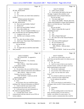# Case 1:13-cv-03675-WBH Document 108-7 Filed 12/30/16 Page 425 of 519

|          | Page 42                                                          |                | Page 43                                                                                      |
|----------|------------------------------------------------------------------|----------------|----------------------------------------------------------------------------------------------|
| 1        | James P. Kababick                                                | 1              | James P. Kababick                                                                            |
| 2        | BY MS. WOOLSON:                                                  | 2              | A I don't recall, actually.                                                                  |
| 3        | $Q$ No?                                                          | 3              | Q If you look at the email at the top of                                                     |
| 4        | No.<br>$\mathbf{A}$                                              | $\overline{4}$ | the page, it appears that somehow your                                                       |
| 5        | Q Let me show you what's been marked as                          | 5              | communication went to Daniel Fabricant.                                                      |
| 6        | Exhibit 2.                                                       | 6              | Do you see that?                                                                             |
| 7        | (Witness peruses document.)                                      | 7              | A You mean right here?                                                                       |
| 8        | THE WITNESS: Okay.                                               | 8              | Q Yeah, in the middle. Directly above the                                                    |
| 9        | BY MS. WOOLSON:                                                  | 9              | "James Neal Kababick to James Neal Kababick,"                                                |
| 10       | Have you seen Exhibit 2 before?<br>Q                             | 10             | there is a to-from that says "from Daniel                                                    |
| 11       | Pardon me?<br>A                                                  | 11             | Fabricant."                                                                                  |
| 12       | Have you seen Exhibit 2 before?<br>Q                             | 12             | Do you see that?                                                                             |
| 13       | Not as this exhibit, no.<br>A                                    | 13             | A Where it looks like this is part of                                                        |
| 14       | Okay. Do you recognize Exhibit 2 as, in<br>$\mathbf{O}$          | 14             | something he sent?                                                                           |
| 15       | part, an email that you sent regarding DMAA?                     | 15             | Yes.<br>Q                                                                                    |
| 16       | A It appears to be so, yes.                                      | 16             | Yes.<br>A                                                                                    |
| 17       | And this was in January of 2012,<br>Q                            | 17             | Who is Daniel Fabricant?<br>$\mathbf{O}$                                                     |
| 18       | correct?                                                         | 18             | A He is the CEO of the Natural Products                                                      |
| 19       | A Yes, that's the set date on here.                              | 19             | Association.                                                                                 |
| 20       | And it says "from James Neal Kababick to<br>Q                    | 20             | Q Is he also an FDA employee?                                                                |
| 21       | James Neal Kababick."                                            | 21             | A He was formally [sic].                                                                     |
| 22       | Do you see that?                                                 | 22             | And do you know why --<br>Q                                                                  |
| 23       | A Yes.                                                           | 23             | MR. O'NEAL: Did you mean                                                                     |
| 24       | Q To whom did you send this email other                          | 24             | "formerly"?                                                                                  |
| 25       | than yourself?                                                   | 25             | THE WITNESS: Yeah, he was at FDA.                                                            |
|          |                                                                  |                |                                                                                              |
|          | Page 44                                                          |                | Page 45                                                                                      |
| 1        | James P. Kababick                                                | 1              | James P. Kababick                                                                            |
| 2        | MS. WOOLSON: As opposed to                                       | 2              | Q And as you sit here today, you can't                                                       |
| 3        | "formally"?                                                      | 3              | recall why you sent this email or to whom you sent                                           |
| 4        | THE WITNESS: Yes, formerly.                                      | 4              | this email?                                                                                  |
| 5        | Currently he's at --                                             | 5              | A No. No, I can't.                                                                           |
| 6        | MR. O'NEAL: I don't think anybody                                | 6              | And if we were to look at your email in<br>Q                                                 |
| 7        | is informally at FDA.                                            | 7              | its native format, would we be able to see if you                                            |
| 8        | BY MS. WOOLSON:                                                  | 8              | blind-copied people on this email?                                                           |
| 9        | Q Do you know why you would have been                            | 9              | A I'm not sure I understand.                                                                 |
| 10       | sending to Mr. Fabricant information about DMAA?                 | 10             | Do you know what a blind copy is?<br>Q                                                       |
| 11       | MR. O'NEAL: Object as to form.                                   | 11             | Yeah, I do, but what's the "native"<br>A                                                     |
| 12       | Assumes a fact not in evidence.                                  | 12             | format"?                                                                                     |
| 13       | THE WITNESS: Could you ask the                                   | 13             | Q It's a format in which you can look at                                                     |
| 14       | question again, please.                                          | 14             | emails. It preserves all the original data.                                                  |
| 15       | BY MS. WOOLSON:                                                  | 15             | Let me rephrase the question.                                                                |
| 16       | Q Sure.                                                          | 16             | A Okay.                                                                                      |
| 17       | Do you know why you would have been                              | 17             | Was it your practice to send emails to<br>O                                                  |
| 18       | sending to Mr. Fabricant information on DMAA?                    | 18             | colleagues where you BCC'd them instead of CC'ing                                            |
| 19       | A I don't recall the exact nature of this                        | 19             | them?                                                                                        |
| 20       | communication and exactly who it went to.                        | 20             | Sometimes.<br>A                                                                              |
| 21       | Q In the past have you sent information to                       | 21             | Why?<br>Q                                                                                    |
| 22       | Mr. Fabricant regarding DMAA?                                    | 22             | If I was sending emails to more than one<br>A                                                |
| 23<br>24 | A I actually don't recall. I have                                | 23<br>24       | party, and those parties, for one reason or                                                  |
| 25       | communicated with him when he was at FDA on<br>various subjects. | 25             | another, were distinct for some reason. For<br>instance, maybe a communication that would be |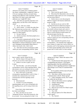|                  | Page 46                                                                                               | Page 47                                                                    |
|------------------|-------------------------------------------------------------------------------------------------------|----------------------------------------------------------------------------|
| 1                | James P. Kababick                                                                                     | $\mathbf 1$<br>James P. Kababick                                           |
| $\boldsymbol{2}$ | relevant to two clients, but I wanted to protect                                                      | $\boldsymbol{2}$<br>regarding DMAA?                                        |
| 3                | the clients' confidentiality, I might BCC them; or                                                    | 3<br>A I don't recall the specific details.                                |
| 4                | if I'm not wanting to disclose an email chain,                                                        | $\overline{4}$<br>What about Mr. Blumenthal; what were the<br>$\mathbf{Q}$ |
| 5                | sharing email addresses with everybody, because I                                                     | 5<br>circumstances under which you were corresponding                      |
| 6                | don't know if it's okay to give other email                                                           | 6<br>with him about DMAA?                                                  |
| 7                | addresses out, I might BCC them.                                                                      | 7<br>A I believe that we were discussing the                               |
| 8                | Q And when you sent this email that we're                                                             | 8<br>DMAA in regard to the botanical adulterants                           |
| 9                | talking about, was the FDA or Mr. Fabricant a                                                         | 9<br>program at ABC.                                                       |
| 10               | client?                                                                                               | 10<br>Q And did you do any work for ABC                                    |
| 11               | A No, no. He's not a client.                                                                          | 11<br>regarding the botanical adulterants program?                         |
| 12               | And to whom -- to whom else other than                                                                | 12<br>A I actually am on the board currently,                              |
| 13               | Mr. Fabricant may you have sent -- strike that.                                                       | 13<br>the scientific advisory board, and I, prior to                       |
| 14               | Do you recall sending emails regarding                                                                | 14<br>that, have ongoingly provided peer review and                        |
| 15               | DMAA to other people?                                                                                 | 15<br>input on various botanical-related matters for                       |
| 16               | A I'm sure I did, yes.                                                                                | 16<br>educational papers that they do.                                     |
| 17               | And do you know who those people are as<br>O                                                          | 17<br>Q And what about Dr. Khan; what is the                               |
| 18               | you sit here today?                                                                                   | 18<br>context in which you were corresponding with him                     |
| 19               | A I may have communicated with Roy Upton                                                              | 19<br>regarding DMAA?                                                      |
| 20               | at American Herbal Pharmacopeia and Mark                                                              | 20<br>A I don't remember the specifics of our                              |
| 21               | Blumenthal at American Botanical Council, and I'm                                                     | 21<br>correspondence. I do remember that I addressed                       |
| 22               | sure I dialogued with probably Ikhlas Khan or                                                         | 22<br>some critiques of a paper that I read on DMAA on                     |
| 23               | others, but exactly who, I don't recall.                                                              | 23<br>Geranium, and I've had ongoing communications with                   |
| 24               | And what were the circumstances under<br>$\overline{O}$                                               | 24<br>Dr. Khan's group regarding various articles and                      |
| 25               | which you were corresponding with Mr. Upton                                                           | 25<br>projects that I've done where I've been seeking                      |
|                  |                                                                                                       |                                                                            |
|                  |                                                                                                       |                                                                            |
|                  | Page 48                                                                                               | Page 49                                                                    |
| 1                | James P. Kababick                                                                                     | 1<br>James P. Kababick                                                     |
| 2                | input or papers, reprints, things like that.                                                          | 2<br>asking you for help? What's the nature of the                         |
| 3                | Q And the critique of this paper that you                                                             | 3<br>discussions?                                                          |
| 4                | referred to, do you know whose paper it was?                                                          | 4<br>A Usually because their group does a lot                              |
| 5                | A I believe it was the Li paper, the first                                                            | 5<br>of publishing and research, I will inquire                            |
| 6                | Li paper.                                                                                             | 6<br>regarding papers that they published to get                           |
| 7                | Q And what other -- you said you had other                                                            | 7<br>reprints or check regarding questions I might have                    |
| 8                | correspondence with Dr. Khan regarding DMAA. What                                                     | 8<br>about things to see if they've examined those                         |
| 9                | other projects were you working on that you would                                                     | 9<br>things.                                                               |
| 10               | have been corresponding with him about DMAA?                                                          | 10<br>So I've spoken with his team off and on                              |
| 11               | A Well, I don't know if I had other                                                                   | 11<br>regarding different things.                                          |
| 12               | correspondence regarding DMAA with Dr. Khan. I                                                        | 12<br>And when is the last time you had<br>O.                              |
| 13               | remember that communication, but I've had                                                             | 13<br>communications with Dr. Khan's group?                                |
| 14               | communication with him regarding various                                                              | 14<br>A I don't remember exactly, but I would                              |
| 15               | botanicals.                                                                                           | 15<br>say within the last 60 days.                                         |
| 16               | Q What botanicals?                                                                                    | 16<br>And was this about acacia or ginkgo?<br>0                            |
| 17               | A Currently we've been dialoguing                                                                     | 17<br>I believe about ginkgo.<br>A                                         |
| 18               | regarding ginkgo, and I've also corresponded with                                                     | 18<br>Anything else?<br>Q<br>19                                            |
| 19               | him regarding acacia, and I'm trying to think what                                                    | I don't recall offhand.<br>A<br>20                                         |
| 20               | else.                                                                                                 | Did you ever review Dr. Khan's expert<br>Q<br>21                           |
| 21               | I know there's other related matters,                                                                 | report in this case?<br>22                                                 |
| 22<br>23         | but I don't recall offhand.                                                                           | Yes, I did.<br>A<br>23                                                     |
| 24               | Q Okay, and when you say you're                                                                       | Did you speak to Dr. Khan about his<br>Q<br>24                             |
| 25               | "dialoguing with him" about these botanicals, what<br>do you mean? Are you asking him for help? Is he | expert report?<br>25<br>A No, I haven't.                                   |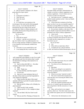|              | Page 50                                                 | Page 51                                                        |
|--------------|---------------------------------------------------------|----------------------------------------------------------------|
| $\mathbf{1}$ | James P. Kababick                                       | $\mathbf 1$<br>James P. Kababick                               |
| 2            | Q Did you speak to anybody in Dr. Khan's                | $\sqrt{2}$<br>the matter further and make a determination on   |
| 3            | group about his expert report?                          | 3<br>whether or not this is a dietary supplement or not        |
| 4            | A No.                                                   | $\,4$<br>a dietary supplement. A lot of clients were on        |
| 5            | Going back to Exhibit 2 --<br>Q                         | 5<br>the fence on what to do about this.                       |
| 6            | That's this one?<br>A                                   | 6<br>Q And when you say "I completely support                  |
| 7            | That's the email.<br>Q                                  | 7<br>Health Canada's position on this," what was Health        |
| 8            | A Okay.                                                 | 8<br>Canada's position?                                        |
| 9            | If I could draw your attention to the<br>$\overline{O}$ | 9<br>A I know that their evaluation of the Ping                |
| 10           | second page of the email and the third paragraph        | 10<br>paper was that it was not an acceptable support of       |
| 11           | down, you say, "I can only hope that FDA is             | 11<br>naturally occurring DMAA in Geranium. I don't            |
| 12           | drawing back the bow string on this and not             | 12<br>remember the other information from Health Canada.       |
| 13           | ignoring what I think is a blatant attempt to sell      | 13<br>Q Do you know whether, at the time of this               |
| 14           | yet another pharmaceutical drug dressed up as a         | 14<br>email, Health Canada had ruled that DMAA was not         |
| 15           | dietary supplement."                                    | 15<br>permitted to be sold as a dietary supplement?            |
| 16           | Do you see that?                                        | 16<br>A I don't recall.                                        |
| 17           | A Yes.                                                  | 17<br>Q Now, you go on to say, "Despite offers                 |
| 18           | Q What did you mean?                                    | 18<br>to analyze Geranium stem and leaf for free to see        |
| 19           | A I believe -- and this was several years               | 19<br>if it really has this compound in it, no takers          |
| 20           | ago, but I believe what I was addressing here was       | 20<br>have shown up yet."                                      |
| 21           | the use of large amounts of DMAA in products where      | 21<br>Do you see that?                                         |
| 22           | it was claimed to be all naturally isolated from        | 22<br>A Yes.                                                   |
| 23           | Geranium.                                               | 23<br>Where did you make these offers?<br>$\overline{O}$       |
| 24           | And what is it you wanted FDA to do?<br>$\mathbf{Q}$    | 24<br>A I actually put out a call for material                 |
| 25           | I was hoping that they would look into<br>A             | 25<br>to ABC and American Herbal Pharmacopeia, who are         |
|              |                                                         |                                                                |
|              | Page 52                                                 | Page 53                                                        |
| $\mathbf 1$  | James P. Kababick                                       | $\mathbf 1$<br>James P. Kababick                               |
| 2            | well connected in the industry, to see if we could      | $\boldsymbol{2}$<br>plant material?                            |
| 3            | get material, and I let it be known that I would        | 3<br>A No.                                                     |
| 4            | be interested in looking at that material in its        | $\overline{4}$<br>Was there some reason why you couldn't<br>O. |
| 5            | native form.                                            | 5<br>get your own plant material?                              |
| 6            | And to whom did ABC or -- the other<br>O                | 6<br>A You mean as far as obtaining my own                     |
| 7            | company whose name I just forgot.                       | 7<br>Geranium?                                                 |
| 8            | AHP.<br>A                                               | 8<br>Mm-hmm.<br>Q                                              |
| 9            | AHP. Thank you.<br>Q                                    | 9<br>A What I was asking for was material in                   |
| 10           |                                                         | 10                                                             |
|              | To whom did they send that request?                     | trade that was being used by manufacturers to                  |
| 11           | I'm not sure.<br>A                                      | 11<br>extract the DMAA.                                        |
| 12           | And so is it your testimony that as of<br>Q             | 12<br>What do you mean "material in trade"?<br>Q               |
| 13           | the date of this email, no one had responded to         | 13<br>The source material that manufacturers<br>A              |
| 14           | your request for material?                              | 14<br>claim that they were extracting the DMAA from,           |
| 15           | A I don't recall at the date of this email              | 15<br>so I wanted to --                                        |
| 16           | anybody offering to provide live plant material or      | 16<br>Q What was the source material?                          |
| 17           | dried whole pieces.                                     | 17<br>A Well, they claimed Geranium stem and                   |
| 18           | Q Did you ask Dr. Khan or Dr. ElSohly for               | 18<br>some oil, so I wanted to get the material they           |
| 19           | plant material?                                         | 19<br>were using before I did the extraction so I could        |
| 20           | A I don't recall if I did, actually.                    | 20<br>look at it.                                              |
| 21           | Did you ask Dr. Li for a sample of plant<br>Q           | 21<br>Q Okay, and I go back to my original                     |
| 22           | material?                                               | 22<br>question, which was: Was there some reason why           |
| 23           | A I do not think I did, but I don't recall              | 23<br>you couldn't have gotten your own Geranium stem or       |
| 24<br>25     | exactly.<br>Q Did you ask Drs. Fleming or Simone for    | 24<br>oil?<br>25<br>A I did not have the information on who    |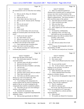|                | Page 54                                                     | Page 55                                                                                  |
|----------------|-------------------------------------------------------------|------------------------------------------------------------------------------------------|
| $\mathbf 1$    | James P. Kababick                                           | 1<br>James P. Kababick                                                                   |
| $\overline{c}$ | the manufacturers were in China that were making            | 2<br>A Well, I've analyzed essential oil                                                 |
| 3              | it.                                                         | 3<br>obtained from Geranium and I've analyzed some                                       |
| $\overline{4}$ | $\overline{Q}$<br>Did you ask Dr. Khan, Dr. ElSohly?        | $\overline{4}$<br>extracts, but I don't recall the details of the                        |
| 5              | I don't recall.<br>A                                        | 5<br>specifics who it was from. I know the oil was in                                    |
| 6              | Did you ask Dr. Li?<br>Q                                    | 6<br>regard to authentication. The extract powders, I                                    |
| 7              | I don't think I did, but I don't recall.<br>A               | 7<br>don't recall the nature of the analysis.                                            |
| 8              | Did you ask Dr. Simone and Dr. Fleming?<br>Q                | 8<br>And when did you do these analyses?<br>$\mathbf{O}$                                 |
| 9              | $\mathsf{A}$<br>No.                                         | 9<br>I don't recall the exact date.<br>A                                                 |
| 10             | Did you ask anyone?<br>$\overline{Q}$                       | 10<br>Who were they for?<br>$\overline{Q}$                                               |
| 11             | Yes, I believe I did.<br>A                                  | 11<br>A These were for clients.                                                          |
| 12             | Who?<br>Q                                                   | 12<br>And I suppose you won't tell me the name<br>$\overline{Q}$                         |
| 13             | I don't recall.<br>$\mathbf{A}$                             | 13<br>of the clients.                                                                    |
| 14             | As we sit here today, have you run any<br>$\overline{Q}$    | 14<br>A I'm bound by confidentiality.                                                    |
| 15             | studies on Geranium plants since the date of this           | 15<br>Speaking of that, we'll take it up.<br>$\overline{O}$                              |
| 16             | email?                                                      | 16<br>And when you say you analyzed the                                                  |
| 17             | A Could you be more specific?                               | 17<br>Geranium plants, how did you analyze them?                                         |
| 18             | No, I don't think I can be.<br>Q                            | 18<br>Actually, I take it back.                                                          |
| 19             | What do you mean by "studies"?<br>A                         | 19<br>You said oil and extracts.                                                         |
| 20             | Have you analyzed any Geranium plants<br>Q                  | 20<br>A Yes.                                                                             |
| 21             | for DMAA since the date of this email?                      | 21<br>How did you analyze the oil and<br>Q                                               |
| 22             | A I have analyzed some Geranium plant                       | 22<br>extracts?                                                                          |
| 23             | product, but I don't recall the specifics.                  | 23<br>A Using gas chromatography and mass                                                |
| 24             | Q What do you mean you "analyzed some                       | 24<br>spectrometry, GC/MS.                                                               |
| 25             | Geranium plant product"?                                    | 25<br>And have you analyzed any Geranium<br>Q                                            |
|                |                                                             |                                                                                          |
|                | Page 56                                                     | Page 57                                                                                  |
| 1              | James P. Kababick                                           | 1<br>James P. Kababick                                                                   |
| 2              | plants since the date of this email?                        | 2<br>In some cases, yes.<br>A                                                            |
| 3              | A Not whole plant material. Not that I                      | 3<br>How many cases?<br>Q                                                                |
| 4              | can recall at least.                                        | 4<br>$\mathbf{A}$<br>I don't recall offhand exactly how many                             |
| 5              | And how many oils did you analyze?<br>Q                     | 5<br>cases.                                                                              |
| 6              | Between the time of this?<br>A                              | 6<br>Do you recall the results?<br>Q                                                     |
| 7              | Between the time of Exhibit 2 and today.<br>$\Omega$        | 7<br>Yes. As far as I know, I don't recall<br>A                                          |
| 8              | A<br>I am not sure.                                         | 8<br>finding it in any oils that I was able to                                           |
| 9              | Can you estimate?<br>Q                                      | 9<br>authenticate as all natural.                                                        |
| 10             | At least a dozen or two.<br>A                               | 10<br>Where did these oils come from?<br>Ő                                               |
| 11             | And how many extracts did you analyze?<br>Q                 | 11<br>Clients submitted them from their<br>A                                             |
| 12             | That I don't recall at all.<br>A                            | 12<br>producers or brokers, buyers.                                                      |
| 13             | And when you did this analysis on the<br>Q                  | 13<br>Do you know the geographic origin of the<br>Q                                      |
| 14             | dozen or so, one to two dozen oils, what                    | 14<br>oils?                                                                              |
| 15             | specifically were you looking for?                          | 15<br>No.<br>A                                                                           |
| 16             | A I was looking at the composition for                      | 16<br>And when you did the GC mass spec<br>0                                             |
| 17             | various markers that are used in evaluating the             | 17<br>analysis, what were the conditions?                                                |
| 18             | quality of the oil, as well as looking for any              | 18<br>The GC conditions?<br>A                                                            |
| 19             | compounds that would be considered synthetic.               | 19<br>Both GC and mass spec.<br>O                                                        |
| 20             | And when you say you were looking at<br>O.                  | 20<br>First of all, what did you do to the oil                                           |
| 21             | markers, what markers?                                      | 21<br>before you analyzed it as GC mass spec?                                            |
| 22             | A Essential oil constituents, like                          | 22<br>A It was diluted in a solvent and then                                             |
| 23             | alcohols, terpenes, oxygenated sesquiterpenoids,            | 23<br>injected directly.                                                                 |
| 24<br>25       | aldehydes, esters.<br>Q Did you look specifically for DMAA? | 24<br>What solvent?<br>$\overline{Q}$<br>25<br>We usually use ethanol for Geranium.<br>A |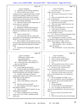|                         | Page 58                                                                                            |                  | Page 59                                                          |
|-------------------------|----------------------------------------------------------------------------------------------------|------------------|------------------------------------------------------------------|
| 1                       | James P. Kababick                                                                                  | $\mathbf{1}$     | James P. Kababick                                                |
| $\overline{2}$          | Q And what were the column conditions?                                                             | $\overline{2}$   | A The extracts were -- the country of                            |
| 3                       | A I don't recall the exact column                                                                  | 3                | origin claim was China.                                          |
| 4                       |                                                                                                    | $\overline{4}$   | Q Do you know what province in China?                            |
| 5                       | conditions, but we replicated the atom's GC/MS<br>essential oil conditions, and then we also ran a | 5                | A No.                                                            |
| 6                       |                                                                                                    | 6                |                                                                  |
| 7                       | second condition which used a lower starting                                                       | 7                | Q When you analyzed the extracts, what                           |
| 8                       | temperature and solvent delay so that we could                                                     | 8                | were you looking for?                                            |
| 9                       | look at early eluting compounds.                                                                   | 9                | A In the extracts I was looking for DMAA.                        |
|                         | Q And what was the column temperature on                                                           |                  | And what were the results?<br>0                                  |
| 10                      | the second set of conditions?                                                                      | 10               | A There were some samples that had it and                        |
| 11                      | A I don't recall exactly.                                                                          | 11               | some samples that didn't.                                        |
| 12                      | During any of these analyses that you<br>Q                                                         | 12               | Q How many samples had it, if you recall?                        |
| 13                      | did on the Geranium oils, did you attempt to                                                       | 13               | A I don't recall, to be honest.                                  |
| 14                      | replicate the conditions in the Li or Fleming                                                      | 14               | And again, the extracts were work that<br>Q                      |
| 15                      | studies?                                                                                           | 15               | you were doing for a client?                                     |
| 16                      | A I don't recall that I did.                                                                       | 16               | A Yes. They were commercial samples being                        |
| 17                      | And same question for the extracts that<br>0                                                       | 17               | represented as extracts from Geranium.                           |
| 18                      | you analyzed; what steps did you take before you                                                   | 18               | So getting back to Exhibit 2, you did<br>Q                       |
| 19                      | did the GC mass spec analysis?                                                                     | 19               | not attempt to obtain samples yourself of Geranium               |
| 20                      | A Those samples were extracted in an acid                                                          | $20$             | plants, oils or extracts to study, correct?                      |
| 21                      | base extraction cleanup and then placed into ethyl                                                 | 21               | MR. O'NEAL: Object to the form.                                  |
| 22                      | acetate or chloroform and analyzed as freebase                                                     | 22               | THE WITNESS: Sorry. Would you                                    |
| 23                      | forms.                                                                                             | 23               | repeat the question.                                             |
| 24                      | Q And what were the geographic origins of                                                          | 24               | MS. WOOLSON: Can you read it back.                               |
| 25                      | the extracts?                                                                                      | 25               |                                                                  |
|                         |                                                                                                    |                  |                                                                  |
|                         |                                                                                                    |                  |                                                                  |
|                         |                                                                                                    |                  |                                                                  |
|                         | Page 60                                                                                            |                  | Page 61                                                          |
| $\mathbf{1}$            | James P. Kababick                                                                                  | $\mathbf 1$      | James P. Kababick                                                |
| $\overline{\mathbf{c}}$ | (Whereupon, reporter reads                                                                         | 2                | And who was the vendor?<br>Q                                     |
| 3                       | requested material.)                                                                               | 3                | A I don't recall the vendor of fhand.                            |
| 4                       | THE WITNESS: Well, actually, I                                                                     | $\overline{4}$   | And did you test this extract?<br>Q                              |
| 5                       | did. I tried to get some from industry, so I                                                       | 5                | Yes.<br>A                                                        |
| 6                       | put out a call for them.                                                                           | 6                | And beyond that extract, did you receive<br>O                    |
| 7                       | BY MS. WOOLSON:                                                                                    | $\boldsymbol{7}$ | any other material from any other vendors?                       |
| 8                       | Q Let me rephrase the question                                                                     | 8                | A Not that I recall. I may have, but I                           |
| 9                       | You did not make any attempt yourself to                                                           | 9                | just don't remember that far back.                               |
| $10\,$                  | go gather samples of Geranium plants, oils or                                                      | 10               | Q And this was about the 2012 time period?                       |
| 11                      | extracts beyond this call you made to industry?                                                    | 11               | A I don't know exactly when it was, but I                        |
| 12                      | A Actually, I did contact or had my                                                                | 12               | know it was during that time I was looking into                  |
| 13                      | administrator contact some vendors to see if they                                                  | 13               | this matter.                                                     |
| 14                      | would send us some material.                                                                       | 14               |                                                                  |
| 15                      |                                                                                                    | 15               | Q The last paragraph on Exhibit 2, you                           |
| 16                      | Which vendors?<br>Q                                                                                | 16               | say -- well, you reference "peer-reviewed papers."               |
| 17                      | I don't recall offhand, to tell you the<br>A                                                       | 17               | Do you see that, "peer-reviewed publications"?<br>A Where is it? |
| 18                      | truth.                                                                                             | 18               |                                                                  |
| 19                      | Did they send you materials?<br>Q                                                                  | 19               | The last paragraph.<br>Q                                         |
| 20                      | One company at least sent a sample of<br>A                                                         | 20               | 37 years of peer-reviewed publications?<br>A                     |
| 21                      | their DMAA material.                                                                               | 21               | Q Yes. I'm asking you about the terms                            |
| 22                      | When you say DMAA material, are you<br>Q                                                           | 22               | "peer-reviewed publications" and "peer-reviewed                  |
| 23                      | talking about a standard?                                                                          | 23               | papers."                                                         |
| 24                      | A Well, it's supposed to be a Geranium                                                             | 24               | Do you see where you use those terms?                            |
| 25                      | extract, but it was a white crystalline powder,<br>nearly pure.                                    | 25               | A Yes.<br>What do you mean by peer-reviewed papers<br>Q          |

ï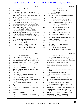|          | Page 62                                                                                     |                | Page 63                                                                        |
|----------|---------------------------------------------------------------------------------------------|----------------|--------------------------------------------------------------------------------|
| 1        | James P. Kababick                                                                           | $\mathbf 1$    | James P. Kababick                                                              |
| 2        | or publications?                                                                            | $\overline{2}$ | (Exhibit 3 was marked for                                                      |
| 3        | A These were publications that are                                                          | 3              | identification.)                                                               |
| 4        | reviewed by scientific peers that have expertise                                            | 4              | BY MS. WOOLSON:                                                                |
| 5        | in the subject matter area and are recognized as                                            | 5              | Q I'm going to show you what's been marked                                     |
| 6        | reliable scientific publications.                                                           | 6              | Exhibit 3. Take a look at that.                                                |
| 7        | Q What do you mean by "reliable scientific                                                  | 7              | (Witness peruses document.)                                                    |
| 8        | publications"?                                                                              | 8              | MR. O'NEAL: For the record, is                                                 |
| 9        | A That the journal has a high impact                                                        | 9              | this a complete version of the document?                                       |
| 10       | rating, meaning that there's recognition by a                                               | 10             | MS. WOOLSON: I believe it is.                                                  |
| 11       | larger body of scientists as to the quality of the                                          | 11             | MR. O'NEAL: Okay.                                                              |
| 12       | journal and its editorial scrutiny.                                                         | 12             | (Witness peruses document.)                                                    |
| 13       | Q And what do you know about the                                                            | 13             | THE WITNESS: Yes.                                                              |
| 14       | peer-reviewed process for the publication -- I                                              | 14             | BY MS. WOOLSON:                                                                |
| 15       | think it's called Analytical Chemistry Insights.                                            | 15             | And do you recognize Exhibit 3?<br>$\mathbf{Q}$                                |
| 16       | A I would have to check that journal                                                        | 16             | It looks like it could be the Ping<br>A                                        |
| 17       | again. I don't remember the exact details on that                                           | 17             | paper.                                                                         |
| 18       | one.                                                                                        | 18             | Okay. What is the molecular formula for<br>$\mathbf{Q}$                        |
| 19       | So as you're sitting here today, you<br>Q                                                   | 19             | DMAA, if you know?                                                             |
| 20       | don't know whether it's peer-reviewed or not?                                               | 20             | Offhand? I'd have to look it up to be<br>$\mathbf{A}$                          |
| 21       | No. I don't recall.<br>A                                                                    | 21             | sure.                                                                          |
| 22       | All right. In paragraph 15 of your<br>$\overline{Q}$                                        | 22             | Okay. If I told you that it was<br>Q                                           |
| 23       | report you talk about the Ping paper.                                                       | 23             | C7H171N, does that make sense?                                                 |
| 24       | (Witness peruses document.)                                                                 | 24             | That could be the formula.<br>A                                                |
| 25       | THE WITNESS: Yes.                                                                           | 25             | Do you know the molecular weight?<br>$\mathbf Q$                               |
|          |                                                                                             |                |                                                                                |
|          |                                                                                             |                |                                                                                |
|          | Page 64                                                                                     |                | Page 65                                                                        |
| 1        | James P. Kababick                                                                           | $\mathbf{1}$   | James P. Kababick                                                              |
| 2        | 115 is the nominal mass.<br>A                                                               | 2              | A Computerized data acquisition has                                            |
| 3        | And you would agree with me that in the<br>Q                                                | 3              | changed, so the software has been evolving, and                                |
| 4        | chart of compounds listed as being detected in the                                          | 4              | also mass spectrometry has become more mainstream                              |
| 5        | Ping paper, that #30 has a mass of 115, correct?                                            | 5              | in that there are different types of mass                                      |
| 6        | A Yeah, except on my copy the table names                                                   | 6              | spectrometers, including LCMS, that are now                                    |
| 7        | and everything are blacked out.                                                             | 7              | routinely found in analytical labs, things like                                |
| 8        | Well, I apologize. That's how it --<br>Q.                                                   | 8              | that.                                                                          |
| 9        | that's how we got it. That's how it printed out.                                            | 9              | Q<br>Okay. What is more sensitive, mass spec                                   |
| 10       | It's blacked out on mine, too.                                                              | 10             | or NMR?                                                                        |
| 11       | A Okay.                                                                                     | 11             | A It depends on the experiment.                                                |
| 12       | The Ping paper was in 1996, correct?<br>Q                                                   | 12             | Well, in terms of -- let me put it this<br>0                                   |
| 13       | Yes, I believe so. Yes.<br>A                                                                | 13             | way.                                                                           |
| 14       | And would you agree with me that<br>O.                                                      | 14             | In terms of detecting a trace quantity                                         |
| 15       | analytical chemistry has been made advances in the                                          | 15             | or trace concentration of an analyte where you                                 |
| 16       | last 20 years since 1996?                                                                   | 16             | have very low mass recovery.                                                   |
| 17       | A Is there a specific area you're speaking                                                  | 17             | A When you say "low mass recovery" --                                          |
| 18       | to?                                                                                         | 18             | So, for example, if I have a sample that<br>0                                  |
| 19       | In terms of precision, limits of<br>Q                                                       | 19             | is ten grams versus a sample that is ten                                       |
| 20       | detection, overall ability to separate and detect                                           | 20             | micrograms, would NMR be better or worse for the                               |
| 21       | compounds?                                                                                  | 21             | 10 microgram sample than mass spec?                                            |
| 22       | A In some cases, yes, but not really in                                                     | 22             | A Just to make sure that I understand, do                                      |
| 23       | precision and accuracy.                                                                     | 23             | you mean if you were trying to analyze the ten                                 |
| 24<br>25 | Q All right. Then you tell me in what<br>ways analytical chemistry has advanced since 1996. | 24<br>25       | micrograms and it was one compound?<br>Q Well, all right. That's a fair point. |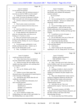| $\mathbf{1}$<br>1<br>James P. Kababick<br>James P. Kababick<br>2<br>2<br>Let me rephrase the question.<br>you say that "Drs. Lisi, Zhang, Di Lorenzo, Austin<br>3<br>3<br>and ElSohly used validated and adequately<br>On average, what's the minimum amount of<br>4<br>4<br>sensitive methods."<br>mass that you need for NMR to run the sample?<br>5<br>5<br>A It depends on the type of NMR that<br>Do you see that?<br>6<br>6<br>you're using. If you have an advanced CryoProbe<br>A Yes.<br>7<br>7<br>NMR, you could work with microgram samples.<br>Are you opining that Drs. Li and Fleming<br>$\overline{O}$<br>8<br>Q And how common are advanced CryoProbe<br>8<br>did not use adequate -- did not use validated and<br>9<br>9<br>NMRs?<br>adequately sensitive methods?<br>10<br>10<br>A No.<br>A They're pretty routine at universities<br>now, and several analytical labs have that service<br>11<br>11<br>To your knowledge, based on your review<br>$\mathbf{O}$<br>12<br>12<br>of the publications -- and we'll take just the<br>as well.<br>13<br>13<br>ElSohly publications first for purposes of this<br>Q And if you didn't have an advanced<br>14<br>14<br>CryoProbe NMR, how much sample would you need?<br>question. How did Drs. ElSohly and Khan get their<br>15<br>15<br>A It really depends on the experiment, the<br>samples?<br>16<br>16<br>pulse rate, relaxation delay, and what you are<br>A I would have to review the paper. I<br>17<br>17<br>looking at, C-13 proton, et cetera.<br>don't recall exactly offhand.<br>18<br>18<br>Q Have you reviewed as part of your work<br>Q Do you think they went out to China and<br>19<br>in this case the studies that were performed by<br>19<br>picked Geranium plants themselves?<br>20<br>20<br>Dr. Khan and Dr. ElSohly, Dr. Lisi, Dr. Zhang and<br>A I don't know that they did that.<br>21<br>21<br>Dr. Di Lorenzo?<br>Q Do you think that they had somebody from<br>22<br>22<br>A I reviewed papers published by Li and<br>China send them plants?<br>23<br>23<br>ElSohly and Khan and others. I believe one of<br>A I don't know.<br>24<br>those was the Zhang paper as well.<br>24<br>And if I asked you the same questions<br>$\mathbf{O}$<br>25<br>25<br>Okay. In paragraph 16 of your report<br>regarding Dr. Lisi, Dr. Zhang and Dr. Di Lorenzo,<br>0<br>Page 68<br>Page 69<br>1<br>1<br>James P. Kababick<br>James P. Kababick<br>2<br>2<br>would your answer be the same?<br>(Witness peruses documents.)<br>3<br>3<br>A Yeah, I don't know the exact details of<br>THE WITNESS: Okay.<br>4<br>how they obtained their samples, the specifics.<br>4<br>BY MS. WOOLSON:<br>5<br>5<br>Q And do you know the exact details of the<br>Q Okay. Now that you've had a chance to<br>6<br>6<br>samples' growing conditions, soil, anything about<br>look at Exhibits 4 and 5, do you recognize them as<br>7<br>7<br>how the plant is grown?<br>the 2012 and 2014 ElSohly studies?<br>8<br>8<br>A For-<br>Yes.<br>$\mathbf{A}$<br>9<br>9<br>Let's say Dr. ElSohly and Dr. Khan<br>Looking at Exhibit 4, which is the 2012<br>$\overline{O}$<br>O<br>10<br>studies.<br>10<br>study, what does the study say about how the<br>11<br>11<br>A I believe in one of their papers they<br>samples were obtained, the plant samples were<br>12<br>12<br>obtained?<br>discussed some of the production of material grown<br>13<br>13<br>at the University of Mississippi.<br>A They were obtained from various sources,<br>14<br>14<br>And did they give details about the soil<br>Institute of Integrative Medicine and then also<br>$\mathbf{O}$<br>15<br>15<br>conditions in that paper?<br>the Medicinal Plant Garden at the university,<br>16<br>16<br>They provided some information, but I<br>and -- let's see here. In both cases they were<br>A<br>17<br>17<br>don't recall the specifics.<br>authenticated by experts.<br>18<br>18<br>(Exhibit 4 was marked for<br>Q And when you say "they were<br>19<br>19<br>identification.)<br>authenticated by experts," why do you say they're<br>20<br>20<br>(Exhibit 5 was marked for<br>experts?<br>21<br>21<br>identification.)<br>A The research scientist at NCNPR,<br>BY MS. WOOLSON:<br>22<br>22<br>National Center for Natural Products Research, and<br>23<br>23<br>So I've marked as Exhibit 4 the<br>the other scientist is the head of the Plant<br>Q<br>24<br>24<br>ElSohly/Khan et al. study of 2012 and Exhibit 5 as<br>Biotechnology Division.<br>25<br>25<br>the ElSohly/Khan et al. study of 2014.<br>So you mean they have Ph.Ds and they<br>Q | Page 66 | Page 67 |
|-----------------------------------------------------------------------------------------------------------------------------------------------------------------------------------------------------------------------------------------------------------------------------------------------------------------------------------------------------------------------------------------------------------------------------------------------------------------------------------------------------------------------------------------------------------------------------------------------------------------------------------------------------------------------------------------------------------------------------------------------------------------------------------------------------------------------------------------------------------------------------------------------------------------------------------------------------------------------------------------------------------------------------------------------------------------------------------------------------------------------------------------------------------------------------------------------------------------------------------------------------------------------------------------------------------------------------------------------------------------------------------------------------------------------------------------------------------------------------------------------------------------------------------------------------------------------------------------------------------------------------------------------------------------------------------------------------------------------------------------------------------------------------------------------------------------------------------------------------------------------------------------------------------------------------------------------------------------------------------------------------------------------------------------------------------------------------------------------------------------------------------------------------------------------------------------------------------------------------------------------------------------------------------------------------------------------------------------------------------------------------------------------------------------------------------------------------------------------------------------------------------------------------------------------------------------------------------------------------------------------------------------------------------------------------------------------------------------------------------------------------------------------------------------------------------------------------------------------------------------------------------------------------------------------------------------------------------------------------------------------------------------------------------------------------------------------------------------------------------------------------------------------------------------------------------------------------------------------------------------------------------------------------------------------------------------------------------------------------------------------------------------------------------------------------------------------------------------------------------------------------------------------------------------------------------------------------------------------------------------------------------------------------------------------------------------------------------------------------------------------------------------------------------------------------------------------------------------------------------------------------------------------------------------------------------------------------------------------------------------------------------------------------------------------------------------------------------------------------------------------------------------------------------------------------------------------------------------------------------------------------------------------------------------------------------------------------------------------------------------------------------------------------------------------------------------------------------------------------------------------------------------------------------------------------------------------------------------------|---------|---------|
|                                                                                                                                                                                                                                                                                                                                                                                                                                                                                                                                                                                                                                                                                                                                                                                                                                                                                                                                                                                                                                                                                                                                                                                                                                                                                                                                                                                                                                                                                                                                                                                                                                                                                                                                                                                                                                                                                                                                                                                                                                                                                                                                                                                                                                                                                                                                                                                                                                                                                                                                                                                                                                                                                                                                                                                                                                                                                                                                                                                                                                                                                                                                                                                                                                                                                                                                                                                                                                                                                                                                                                                                                                                                                                                                                                                                                                                                                                                                                                                                                                                                                                                                                                                                                                                                                                                                                                                                                                                                                                                                                                                               |         |         |
|                                                                                                                                                                                                                                                                                                                                                                                                                                                                                                                                                                                                                                                                                                                                                                                                                                                                                                                                                                                                                                                                                                                                                                                                                                                                                                                                                                                                                                                                                                                                                                                                                                                                                                                                                                                                                                                                                                                                                                                                                                                                                                                                                                                                                                                                                                                                                                                                                                                                                                                                                                                                                                                                                                                                                                                                                                                                                                                                                                                                                                                                                                                                                                                                                                                                                                                                                                                                                                                                                                                                                                                                                                                                                                                                                                                                                                                                                                                                                                                                                                                                                                                                                                                                                                                                                                                                                                                                                                                                                                                                                                                               |         |         |
|                                                                                                                                                                                                                                                                                                                                                                                                                                                                                                                                                                                                                                                                                                                                                                                                                                                                                                                                                                                                                                                                                                                                                                                                                                                                                                                                                                                                                                                                                                                                                                                                                                                                                                                                                                                                                                                                                                                                                                                                                                                                                                                                                                                                                                                                                                                                                                                                                                                                                                                                                                                                                                                                                                                                                                                                                                                                                                                                                                                                                                                                                                                                                                                                                                                                                                                                                                                                                                                                                                                                                                                                                                                                                                                                                                                                                                                                                                                                                                                                                                                                                                                                                                                                                                                                                                                                                                                                                                                                                                                                                                                               |         |         |
|                                                                                                                                                                                                                                                                                                                                                                                                                                                                                                                                                                                                                                                                                                                                                                                                                                                                                                                                                                                                                                                                                                                                                                                                                                                                                                                                                                                                                                                                                                                                                                                                                                                                                                                                                                                                                                                                                                                                                                                                                                                                                                                                                                                                                                                                                                                                                                                                                                                                                                                                                                                                                                                                                                                                                                                                                                                                                                                                                                                                                                                                                                                                                                                                                                                                                                                                                                                                                                                                                                                                                                                                                                                                                                                                                                                                                                                                                                                                                                                                                                                                                                                                                                                                                                                                                                                                                                                                                                                                                                                                                                                               |         |         |
|                                                                                                                                                                                                                                                                                                                                                                                                                                                                                                                                                                                                                                                                                                                                                                                                                                                                                                                                                                                                                                                                                                                                                                                                                                                                                                                                                                                                                                                                                                                                                                                                                                                                                                                                                                                                                                                                                                                                                                                                                                                                                                                                                                                                                                                                                                                                                                                                                                                                                                                                                                                                                                                                                                                                                                                                                                                                                                                                                                                                                                                                                                                                                                                                                                                                                                                                                                                                                                                                                                                                                                                                                                                                                                                                                                                                                                                                                                                                                                                                                                                                                                                                                                                                                                                                                                                                                                                                                                                                                                                                                                                               |         |         |
|                                                                                                                                                                                                                                                                                                                                                                                                                                                                                                                                                                                                                                                                                                                                                                                                                                                                                                                                                                                                                                                                                                                                                                                                                                                                                                                                                                                                                                                                                                                                                                                                                                                                                                                                                                                                                                                                                                                                                                                                                                                                                                                                                                                                                                                                                                                                                                                                                                                                                                                                                                                                                                                                                                                                                                                                                                                                                                                                                                                                                                                                                                                                                                                                                                                                                                                                                                                                                                                                                                                                                                                                                                                                                                                                                                                                                                                                                                                                                                                                                                                                                                                                                                                                                                                                                                                                                                                                                                                                                                                                                                                               |         |         |
|                                                                                                                                                                                                                                                                                                                                                                                                                                                                                                                                                                                                                                                                                                                                                                                                                                                                                                                                                                                                                                                                                                                                                                                                                                                                                                                                                                                                                                                                                                                                                                                                                                                                                                                                                                                                                                                                                                                                                                                                                                                                                                                                                                                                                                                                                                                                                                                                                                                                                                                                                                                                                                                                                                                                                                                                                                                                                                                                                                                                                                                                                                                                                                                                                                                                                                                                                                                                                                                                                                                                                                                                                                                                                                                                                                                                                                                                                                                                                                                                                                                                                                                                                                                                                                                                                                                                                                                                                                                                                                                                                                                               |         |         |
|                                                                                                                                                                                                                                                                                                                                                                                                                                                                                                                                                                                                                                                                                                                                                                                                                                                                                                                                                                                                                                                                                                                                                                                                                                                                                                                                                                                                                                                                                                                                                                                                                                                                                                                                                                                                                                                                                                                                                                                                                                                                                                                                                                                                                                                                                                                                                                                                                                                                                                                                                                                                                                                                                                                                                                                                                                                                                                                                                                                                                                                                                                                                                                                                                                                                                                                                                                                                                                                                                                                                                                                                                                                                                                                                                                                                                                                                                                                                                                                                                                                                                                                                                                                                                                                                                                                                                                                                                                                                                                                                                                                               |         |         |
|                                                                                                                                                                                                                                                                                                                                                                                                                                                                                                                                                                                                                                                                                                                                                                                                                                                                                                                                                                                                                                                                                                                                                                                                                                                                                                                                                                                                                                                                                                                                                                                                                                                                                                                                                                                                                                                                                                                                                                                                                                                                                                                                                                                                                                                                                                                                                                                                                                                                                                                                                                                                                                                                                                                                                                                                                                                                                                                                                                                                                                                                                                                                                                                                                                                                                                                                                                                                                                                                                                                                                                                                                                                                                                                                                                                                                                                                                                                                                                                                                                                                                                                                                                                                                                                                                                                                                                                                                                                                                                                                                                                               |         |         |
|                                                                                                                                                                                                                                                                                                                                                                                                                                                                                                                                                                                                                                                                                                                                                                                                                                                                                                                                                                                                                                                                                                                                                                                                                                                                                                                                                                                                                                                                                                                                                                                                                                                                                                                                                                                                                                                                                                                                                                                                                                                                                                                                                                                                                                                                                                                                                                                                                                                                                                                                                                                                                                                                                                                                                                                                                                                                                                                                                                                                                                                                                                                                                                                                                                                                                                                                                                                                                                                                                                                                                                                                                                                                                                                                                                                                                                                                                                                                                                                                                                                                                                                                                                                                                                                                                                                                                                                                                                                                                                                                                                                               |         |         |
|                                                                                                                                                                                                                                                                                                                                                                                                                                                                                                                                                                                                                                                                                                                                                                                                                                                                                                                                                                                                                                                                                                                                                                                                                                                                                                                                                                                                                                                                                                                                                                                                                                                                                                                                                                                                                                                                                                                                                                                                                                                                                                                                                                                                                                                                                                                                                                                                                                                                                                                                                                                                                                                                                                                                                                                                                                                                                                                                                                                                                                                                                                                                                                                                                                                                                                                                                                                                                                                                                                                                                                                                                                                                                                                                                                                                                                                                                                                                                                                                                                                                                                                                                                                                                                                                                                                                                                                                                                                                                                                                                                                               |         |         |
|                                                                                                                                                                                                                                                                                                                                                                                                                                                                                                                                                                                                                                                                                                                                                                                                                                                                                                                                                                                                                                                                                                                                                                                                                                                                                                                                                                                                                                                                                                                                                                                                                                                                                                                                                                                                                                                                                                                                                                                                                                                                                                                                                                                                                                                                                                                                                                                                                                                                                                                                                                                                                                                                                                                                                                                                                                                                                                                                                                                                                                                                                                                                                                                                                                                                                                                                                                                                                                                                                                                                                                                                                                                                                                                                                                                                                                                                                                                                                                                                                                                                                                                                                                                                                                                                                                                                                                                                                                                                                                                                                                                               |         |         |
|                                                                                                                                                                                                                                                                                                                                                                                                                                                                                                                                                                                                                                                                                                                                                                                                                                                                                                                                                                                                                                                                                                                                                                                                                                                                                                                                                                                                                                                                                                                                                                                                                                                                                                                                                                                                                                                                                                                                                                                                                                                                                                                                                                                                                                                                                                                                                                                                                                                                                                                                                                                                                                                                                                                                                                                                                                                                                                                                                                                                                                                                                                                                                                                                                                                                                                                                                                                                                                                                                                                                                                                                                                                                                                                                                                                                                                                                                                                                                                                                                                                                                                                                                                                                                                                                                                                                                                                                                                                                                                                                                                                               |         |         |
|                                                                                                                                                                                                                                                                                                                                                                                                                                                                                                                                                                                                                                                                                                                                                                                                                                                                                                                                                                                                                                                                                                                                                                                                                                                                                                                                                                                                                                                                                                                                                                                                                                                                                                                                                                                                                                                                                                                                                                                                                                                                                                                                                                                                                                                                                                                                                                                                                                                                                                                                                                                                                                                                                                                                                                                                                                                                                                                                                                                                                                                                                                                                                                                                                                                                                                                                                                                                                                                                                                                                                                                                                                                                                                                                                                                                                                                                                                                                                                                                                                                                                                                                                                                                                                                                                                                                                                                                                                                                                                                                                                                               |         |         |
|                                                                                                                                                                                                                                                                                                                                                                                                                                                                                                                                                                                                                                                                                                                                                                                                                                                                                                                                                                                                                                                                                                                                                                                                                                                                                                                                                                                                                                                                                                                                                                                                                                                                                                                                                                                                                                                                                                                                                                                                                                                                                                                                                                                                                                                                                                                                                                                                                                                                                                                                                                                                                                                                                                                                                                                                                                                                                                                                                                                                                                                                                                                                                                                                                                                                                                                                                                                                                                                                                                                                                                                                                                                                                                                                                                                                                                                                                                                                                                                                                                                                                                                                                                                                                                                                                                                                                                                                                                                                                                                                                                                               |         |         |
|                                                                                                                                                                                                                                                                                                                                                                                                                                                                                                                                                                                                                                                                                                                                                                                                                                                                                                                                                                                                                                                                                                                                                                                                                                                                                                                                                                                                                                                                                                                                                                                                                                                                                                                                                                                                                                                                                                                                                                                                                                                                                                                                                                                                                                                                                                                                                                                                                                                                                                                                                                                                                                                                                                                                                                                                                                                                                                                                                                                                                                                                                                                                                                                                                                                                                                                                                                                                                                                                                                                                                                                                                                                                                                                                                                                                                                                                                                                                                                                                                                                                                                                                                                                                                                                                                                                                                                                                                                                                                                                                                                                               |         |         |
|                                                                                                                                                                                                                                                                                                                                                                                                                                                                                                                                                                                                                                                                                                                                                                                                                                                                                                                                                                                                                                                                                                                                                                                                                                                                                                                                                                                                                                                                                                                                                                                                                                                                                                                                                                                                                                                                                                                                                                                                                                                                                                                                                                                                                                                                                                                                                                                                                                                                                                                                                                                                                                                                                                                                                                                                                                                                                                                                                                                                                                                                                                                                                                                                                                                                                                                                                                                                                                                                                                                                                                                                                                                                                                                                                                                                                                                                                                                                                                                                                                                                                                                                                                                                                                                                                                                                                                                                                                                                                                                                                                                               |         |         |
|                                                                                                                                                                                                                                                                                                                                                                                                                                                                                                                                                                                                                                                                                                                                                                                                                                                                                                                                                                                                                                                                                                                                                                                                                                                                                                                                                                                                                                                                                                                                                                                                                                                                                                                                                                                                                                                                                                                                                                                                                                                                                                                                                                                                                                                                                                                                                                                                                                                                                                                                                                                                                                                                                                                                                                                                                                                                                                                                                                                                                                                                                                                                                                                                                                                                                                                                                                                                                                                                                                                                                                                                                                                                                                                                                                                                                                                                                                                                                                                                                                                                                                                                                                                                                                                                                                                                                                                                                                                                                                                                                                                               |         |         |
|                                                                                                                                                                                                                                                                                                                                                                                                                                                                                                                                                                                                                                                                                                                                                                                                                                                                                                                                                                                                                                                                                                                                                                                                                                                                                                                                                                                                                                                                                                                                                                                                                                                                                                                                                                                                                                                                                                                                                                                                                                                                                                                                                                                                                                                                                                                                                                                                                                                                                                                                                                                                                                                                                                                                                                                                                                                                                                                                                                                                                                                                                                                                                                                                                                                                                                                                                                                                                                                                                                                                                                                                                                                                                                                                                                                                                                                                                                                                                                                                                                                                                                                                                                                                                                                                                                                                                                                                                                                                                                                                                                                               |         |         |
|                                                                                                                                                                                                                                                                                                                                                                                                                                                                                                                                                                                                                                                                                                                                                                                                                                                                                                                                                                                                                                                                                                                                                                                                                                                                                                                                                                                                                                                                                                                                                                                                                                                                                                                                                                                                                                                                                                                                                                                                                                                                                                                                                                                                                                                                                                                                                                                                                                                                                                                                                                                                                                                                                                                                                                                                                                                                                                                                                                                                                                                                                                                                                                                                                                                                                                                                                                                                                                                                                                                                                                                                                                                                                                                                                                                                                                                                                                                                                                                                                                                                                                                                                                                                                                                                                                                                                                                                                                                                                                                                                                                               |         |         |
|                                                                                                                                                                                                                                                                                                                                                                                                                                                                                                                                                                                                                                                                                                                                                                                                                                                                                                                                                                                                                                                                                                                                                                                                                                                                                                                                                                                                                                                                                                                                                                                                                                                                                                                                                                                                                                                                                                                                                                                                                                                                                                                                                                                                                                                                                                                                                                                                                                                                                                                                                                                                                                                                                                                                                                                                                                                                                                                                                                                                                                                                                                                                                                                                                                                                                                                                                                                                                                                                                                                                                                                                                                                                                                                                                                                                                                                                                                                                                                                                                                                                                                                                                                                                                                                                                                                                                                                                                                                                                                                                                                                               |         |         |
|                                                                                                                                                                                                                                                                                                                                                                                                                                                                                                                                                                                                                                                                                                                                                                                                                                                                                                                                                                                                                                                                                                                                                                                                                                                                                                                                                                                                                                                                                                                                                                                                                                                                                                                                                                                                                                                                                                                                                                                                                                                                                                                                                                                                                                                                                                                                                                                                                                                                                                                                                                                                                                                                                                                                                                                                                                                                                                                                                                                                                                                                                                                                                                                                                                                                                                                                                                                                                                                                                                                                                                                                                                                                                                                                                                                                                                                                                                                                                                                                                                                                                                                                                                                                                                                                                                                                                                                                                                                                                                                                                                                               |         |         |
|                                                                                                                                                                                                                                                                                                                                                                                                                                                                                                                                                                                                                                                                                                                                                                                                                                                                                                                                                                                                                                                                                                                                                                                                                                                                                                                                                                                                                                                                                                                                                                                                                                                                                                                                                                                                                                                                                                                                                                                                                                                                                                                                                                                                                                                                                                                                                                                                                                                                                                                                                                                                                                                                                                                                                                                                                                                                                                                                                                                                                                                                                                                                                                                                                                                                                                                                                                                                                                                                                                                                                                                                                                                                                                                                                                                                                                                                                                                                                                                                                                                                                                                                                                                                                                                                                                                                                                                                                                                                                                                                                                                               |         |         |
|                                                                                                                                                                                                                                                                                                                                                                                                                                                                                                                                                                                                                                                                                                                                                                                                                                                                                                                                                                                                                                                                                                                                                                                                                                                                                                                                                                                                                                                                                                                                                                                                                                                                                                                                                                                                                                                                                                                                                                                                                                                                                                                                                                                                                                                                                                                                                                                                                                                                                                                                                                                                                                                                                                                                                                                                                                                                                                                                                                                                                                                                                                                                                                                                                                                                                                                                                                                                                                                                                                                                                                                                                                                                                                                                                                                                                                                                                                                                                                                                                                                                                                                                                                                                                                                                                                                                                                                                                                                                                                                                                                                               |         |         |
|                                                                                                                                                                                                                                                                                                                                                                                                                                                                                                                                                                                                                                                                                                                                                                                                                                                                                                                                                                                                                                                                                                                                                                                                                                                                                                                                                                                                                                                                                                                                                                                                                                                                                                                                                                                                                                                                                                                                                                                                                                                                                                                                                                                                                                                                                                                                                                                                                                                                                                                                                                                                                                                                                                                                                                                                                                                                                                                                                                                                                                                                                                                                                                                                                                                                                                                                                                                                                                                                                                                                                                                                                                                                                                                                                                                                                                                                                                                                                                                                                                                                                                                                                                                                                                                                                                                                                                                                                                                                                                                                                                                               |         |         |
|                                                                                                                                                                                                                                                                                                                                                                                                                                                                                                                                                                                                                                                                                                                                                                                                                                                                                                                                                                                                                                                                                                                                                                                                                                                                                                                                                                                                                                                                                                                                                                                                                                                                                                                                                                                                                                                                                                                                                                                                                                                                                                                                                                                                                                                                                                                                                                                                                                                                                                                                                                                                                                                                                                                                                                                                                                                                                                                                                                                                                                                                                                                                                                                                                                                                                                                                                                                                                                                                                                                                                                                                                                                                                                                                                                                                                                                                                                                                                                                                                                                                                                                                                                                                                                                                                                                                                                                                                                                                                                                                                                                               |         |         |
|                                                                                                                                                                                                                                                                                                                                                                                                                                                                                                                                                                                                                                                                                                                                                                                                                                                                                                                                                                                                                                                                                                                                                                                                                                                                                                                                                                                                                                                                                                                                                                                                                                                                                                                                                                                                                                                                                                                                                                                                                                                                                                                                                                                                                                                                                                                                                                                                                                                                                                                                                                                                                                                                                                                                                                                                                                                                                                                                                                                                                                                                                                                                                                                                                                                                                                                                                                                                                                                                                                                                                                                                                                                                                                                                                                                                                                                                                                                                                                                                                                                                                                                                                                                                                                                                                                                                                                                                                                                                                                                                                                                               |         |         |
|                                                                                                                                                                                                                                                                                                                                                                                                                                                                                                                                                                                                                                                                                                                                                                                                                                                                                                                                                                                                                                                                                                                                                                                                                                                                                                                                                                                                                                                                                                                                                                                                                                                                                                                                                                                                                                                                                                                                                                                                                                                                                                                                                                                                                                                                                                                                                                                                                                                                                                                                                                                                                                                                                                                                                                                                                                                                                                                                                                                                                                                                                                                                                                                                                                                                                                                                                                                                                                                                                                                                                                                                                                                                                                                                                                                                                                                                                                                                                                                                                                                                                                                                                                                                                                                                                                                                                                                                                                                                                                                                                                                               |         |         |
|                                                                                                                                                                                                                                                                                                                                                                                                                                                                                                                                                                                                                                                                                                                                                                                                                                                                                                                                                                                                                                                                                                                                                                                                                                                                                                                                                                                                                                                                                                                                                                                                                                                                                                                                                                                                                                                                                                                                                                                                                                                                                                                                                                                                                                                                                                                                                                                                                                                                                                                                                                                                                                                                                                                                                                                                                                                                                                                                                                                                                                                                                                                                                                                                                                                                                                                                                                                                                                                                                                                                                                                                                                                                                                                                                                                                                                                                                                                                                                                                                                                                                                                                                                                                                                                                                                                                                                                                                                                                                                                                                                                               |         |         |
|                                                                                                                                                                                                                                                                                                                                                                                                                                                                                                                                                                                                                                                                                                                                                                                                                                                                                                                                                                                                                                                                                                                                                                                                                                                                                                                                                                                                                                                                                                                                                                                                                                                                                                                                                                                                                                                                                                                                                                                                                                                                                                                                                                                                                                                                                                                                                                                                                                                                                                                                                                                                                                                                                                                                                                                                                                                                                                                                                                                                                                                                                                                                                                                                                                                                                                                                                                                                                                                                                                                                                                                                                                                                                                                                                                                                                                                                                                                                                                                                                                                                                                                                                                                                                                                                                                                                                                                                                                                                                                                                                                                               |         |         |
|                                                                                                                                                                                                                                                                                                                                                                                                                                                                                                                                                                                                                                                                                                                                                                                                                                                                                                                                                                                                                                                                                                                                                                                                                                                                                                                                                                                                                                                                                                                                                                                                                                                                                                                                                                                                                                                                                                                                                                                                                                                                                                                                                                                                                                                                                                                                                                                                                                                                                                                                                                                                                                                                                                                                                                                                                                                                                                                                                                                                                                                                                                                                                                                                                                                                                                                                                                                                                                                                                                                                                                                                                                                                                                                                                                                                                                                                                                                                                                                                                                                                                                                                                                                                                                                                                                                                                                                                                                                                                                                                                                                               |         |         |
|                                                                                                                                                                                                                                                                                                                                                                                                                                                                                                                                                                                                                                                                                                                                                                                                                                                                                                                                                                                                                                                                                                                                                                                                                                                                                                                                                                                                                                                                                                                                                                                                                                                                                                                                                                                                                                                                                                                                                                                                                                                                                                                                                                                                                                                                                                                                                                                                                                                                                                                                                                                                                                                                                                                                                                                                                                                                                                                                                                                                                                                                                                                                                                                                                                                                                                                                                                                                                                                                                                                                                                                                                                                                                                                                                                                                                                                                                                                                                                                                                                                                                                                                                                                                                                                                                                                                                                                                                                                                                                                                                                                               |         |         |
|                                                                                                                                                                                                                                                                                                                                                                                                                                                                                                                                                                                                                                                                                                                                                                                                                                                                                                                                                                                                                                                                                                                                                                                                                                                                                                                                                                                                                                                                                                                                                                                                                                                                                                                                                                                                                                                                                                                                                                                                                                                                                                                                                                                                                                                                                                                                                                                                                                                                                                                                                                                                                                                                                                                                                                                                                                                                                                                                                                                                                                                                                                                                                                                                                                                                                                                                                                                                                                                                                                                                                                                                                                                                                                                                                                                                                                                                                                                                                                                                                                                                                                                                                                                                                                                                                                                                                                                                                                                                                                                                                                                               |         |         |
|                                                                                                                                                                                                                                                                                                                                                                                                                                                                                                                                                                                                                                                                                                                                                                                                                                                                                                                                                                                                                                                                                                                                                                                                                                                                                                                                                                                                                                                                                                                                                                                                                                                                                                                                                                                                                                                                                                                                                                                                                                                                                                                                                                                                                                                                                                                                                                                                                                                                                                                                                                                                                                                                                                                                                                                                                                                                                                                                                                                                                                                                                                                                                                                                                                                                                                                                                                                                                                                                                                                                                                                                                                                                                                                                                                                                                                                                                                                                                                                                                                                                                                                                                                                                                                                                                                                                                                                                                                                                                                                                                                                               |         |         |
|                                                                                                                                                                                                                                                                                                                                                                                                                                                                                                                                                                                                                                                                                                                                                                                                                                                                                                                                                                                                                                                                                                                                                                                                                                                                                                                                                                                                                                                                                                                                                                                                                                                                                                                                                                                                                                                                                                                                                                                                                                                                                                                                                                                                                                                                                                                                                                                                                                                                                                                                                                                                                                                                                                                                                                                                                                                                                                                                                                                                                                                                                                                                                                                                                                                                                                                                                                                                                                                                                                                                                                                                                                                                                                                                                                                                                                                                                                                                                                                                                                                                                                                                                                                                                                                                                                                                                                                                                                                                                                                                                                                               |         |         |
|                                                                                                                                                                                                                                                                                                                                                                                                                                                                                                                                                                                                                                                                                                                                                                                                                                                                                                                                                                                                                                                                                                                                                                                                                                                                                                                                                                                                                                                                                                                                                                                                                                                                                                                                                                                                                                                                                                                                                                                                                                                                                                                                                                                                                                                                                                                                                                                                                                                                                                                                                                                                                                                                                                                                                                                                                                                                                                                                                                                                                                                                                                                                                                                                                                                                                                                                                                                                                                                                                                                                                                                                                                                                                                                                                                                                                                                                                                                                                                                                                                                                                                                                                                                                                                                                                                                                                                                                                                                                                                                                                                                               |         |         |
|                                                                                                                                                                                                                                                                                                                                                                                                                                                                                                                                                                                                                                                                                                                                                                                                                                                                                                                                                                                                                                                                                                                                                                                                                                                                                                                                                                                                                                                                                                                                                                                                                                                                                                                                                                                                                                                                                                                                                                                                                                                                                                                                                                                                                                                                                                                                                                                                                                                                                                                                                                                                                                                                                                                                                                                                                                                                                                                                                                                                                                                                                                                                                                                                                                                                                                                                                                                                                                                                                                                                                                                                                                                                                                                                                                                                                                                                                                                                                                                                                                                                                                                                                                                                                                                                                                                                                                                                                                                                                                                                                                                               |         |         |
|                                                                                                                                                                                                                                                                                                                                                                                                                                                                                                                                                                                                                                                                                                                                                                                                                                                                                                                                                                                                                                                                                                                                                                                                                                                                                                                                                                                                                                                                                                                                                                                                                                                                                                                                                                                                                                                                                                                                                                                                                                                                                                                                                                                                                                                                                                                                                                                                                                                                                                                                                                                                                                                                                                                                                                                                                                                                                                                                                                                                                                                                                                                                                                                                                                                                                                                                                                                                                                                                                                                                                                                                                                                                                                                                                                                                                                                                                                                                                                                                                                                                                                                                                                                                                                                                                                                                                                                                                                                                                                                                                                                               |         |         |
|                                                                                                                                                                                                                                                                                                                                                                                                                                                                                                                                                                                                                                                                                                                                                                                                                                                                                                                                                                                                                                                                                                                                                                                                                                                                                                                                                                                                                                                                                                                                                                                                                                                                                                                                                                                                                                                                                                                                                                                                                                                                                                                                                                                                                                                                                                                                                                                                                                                                                                                                                                                                                                                                                                                                                                                                                                                                                                                                                                                                                                                                                                                                                                                                                                                                                                                                                                                                                                                                                                                                                                                                                                                                                                                                                                                                                                                                                                                                                                                                                                                                                                                                                                                                                                                                                                                                                                                                                                                                                                                                                                                               |         |         |
|                                                                                                                                                                                                                                                                                                                                                                                                                                                                                                                                                                                                                                                                                                                                                                                                                                                                                                                                                                                                                                                                                                                                                                                                                                                                                                                                                                                                                                                                                                                                                                                                                                                                                                                                                                                                                                                                                                                                                                                                                                                                                                                                                                                                                                                                                                                                                                                                                                                                                                                                                                                                                                                                                                                                                                                                                                                                                                                                                                                                                                                                                                                                                                                                                                                                                                                                                                                                                                                                                                                                                                                                                                                                                                                                                                                                                                                                                                                                                                                                                                                                                                                                                                                                                                                                                                                                                                                                                                                                                                                                                                                               |         |         |
|                                                                                                                                                                                                                                                                                                                                                                                                                                                                                                                                                                                                                                                                                                                                                                                                                                                                                                                                                                                                                                                                                                                                                                                                                                                                                                                                                                                                                                                                                                                                                                                                                                                                                                                                                                                                                                                                                                                                                                                                                                                                                                                                                                                                                                                                                                                                                                                                                                                                                                                                                                                                                                                                                                                                                                                                                                                                                                                                                                                                                                                                                                                                                                                                                                                                                                                                                                                                                                                                                                                                                                                                                                                                                                                                                                                                                                                                                                                                                                                                                                                                                                                                                                                                                                                                                                                                                                                                                                                                                                                                                                                               |         |         |
|                                                                                                                                                                                                                                                                                                                                                                                                                                                                                                                                                                                                                                                                                                                                                                                                                                                                                                                                                                                                                                                                                                                                                                                                                                                                                                                                                                                                                                                                                                                                                                                                                                                                                                                                                                                                                                                                                                                                                                                                                                                                                                                                                                                                                                                                                                                                                                                                                                                                                                                                                                                                                                                                                                                                                                                                                                                                                                                                                                                                                                                                                                                                                                                                                                                                                                                                                                                                                                                                                                                                                                                                                                                                                                                                                                                                                                                                                                                                                                                                                                                                                                                                                                                                                                                                                                                                                                                                                                                                                                                                                                                               |         |         |
|                                                                                                                                                                                                                                                                                                                                                                                                                                                                                                                                                                                                                                                                                                                                                                                                                                                                                                                                                                                                                                                                                                                                                                                                                                                                                                                                                                                                                                                                                                                                                                                                                                                                                                                                                                                                                                                                                                                                                                                                                                                                                                                                                                                                                                                                                                                                                                                                                                                                                                                                                                                                                                                                                                                                                                                                                                                                                                                                                                                                                                                                                                                                                                                                                                                                                                                                                                                                                                                                                                                                                                                                                                                                                                                                                                                                                                                                                                                                                                                                                                                                                                                                                                                                                                                                                                                                                                                                                                                                                                                                                                                               |         |         |
|                                                                                                                                                                                                                                                                                                                                                                                                                                                                                                                                                                                                                                                                                                                                                                                                                                                                                                                                                                                                                                                                                                                                                                                                                                                                                                                                                                                                                                                                                                                                                                                                                                                                                                                                                                                                                                                                                                                                                                                                                                                                                                                                                                                                                                                                                                                                                                                                                                                                                                                                                                                                                                                                                                                                                                                                                                                                                                                                                                                                                                                                                                                                                                                                                                                                                                                                                                                                                                                                                                                                                                                                                                                                                                                                                                                                                                                                                                                                                                                                                                                                                                                                                                                                                                                                                                                                                                                                                                                                                                                                                                                               |         |         |
|                                                                                                                                                                                                                                                                                                                                                                                                                                                                                                                                                                                                                                                                                                                                                                                                                                                                                                                                                                                                                                                                                                                                                                                                                                                                                                                                                                                                                                                                                                                                                                                                                                                                                                                                                                                                                                                                                                                                                                                                                                                                                                                                                                                                                                                                                                                                                                                                                                                                                                                                                                                                                                                                                                                                                                                                                                                                                                                                                                                                                                                                                                                                                                                                                                                                                                                                                                                                                                                                                                                                                                                                                                                                                                                                                                                                                                                                                                                                                                                                                                                                                                                                                                                                                                                                                                                                                                                                                                                                                                                                                                                               |         |         |
|                                                                                                                                                                                                                                                                                                                                                                                                                                                                                                                                                                                                                                                                                                                                                                                                                                                                                                                                                                                                                                                                                                                                                                                                                                                                                                                                                                                                                                                                                                                                                                                                                                                                                                                                                                                                                                                                                                                                                                                                                                                                                                                                                                                                                                                                                                                                                                                                                                                                                                                                                                                                                                                                                                                                                                                                                                                                                                                                                                                                                                                                                                                                                                                                                                                                                                                                                                                                                                                                                                                                                                                                                                                                                                                                                                                                                                                                                                                                                                                                                                                                                                                                                                                                                                                                                                                                                                                                                                                                                                                                                                                               |         |         |
|                                                                                                                                                                                                                                                                                                                                                                                                                                                                                                                                                                                                                                                                                                                                                                                                                                                                                                                                                                                                                                                                                                                                                                                                                                                                                                                                                                                                                                                                                                                                                                                                                                                                                                                                                                                                                                                                                                                                                                                                                                                                                                                                                                                                                                                                                                                                                                                                                                                                                                                                                                                                                                                                                                                                                                                                                                                                                                                                                                                                                                                                                                                                                                                                                                                                                                                                                                                                                                                                                                                                                                                                                                                                                                                                                                                                                                                                                                                                                                                                                                                                                                                                                                                                                                                                                                                                                                                                                                                                                                                                                                                               |         |         |
|                                                                                                                                                                                                                                                                                                                                                                                                                                                                                                                                                                                                                                                                                                                                                                                                                                                                                                                                                                                                                                                                                                                                                                                                                                                                                                                                                                                                                                                                                                                                                                                                                                                                                                                                                                                                                                                                                                                                                                                                                                                                                                                                                                                                                                                                                                                                                                                                                                                                                                                                                                                                                                                                                                                                                                                                                                                                                                                                                                                                                                                                                                                                                                                                                                                                                                                                                                                                                                                                                                                                                                                                                                                                                                                                                                                                                                                                                                                                                                                                                                                                                                                                                                                                                                                                                                                                                                                                                                                                                                                                                                                               |         |         |
|                                                                                                                                                                                                                                                                                                                                                                                                                                                                                                                                                                                                                                                                                                                                                                                                                                                                                                                                                                                                                                                                                                                                                                                                                                                                                                                                                                                                                                                                                                                                                                                                                                                                                                                                                                                                                                                                                                                                                                                                                                                                                                                                                                                                                                                                                                                                                                                                                                                                                                                                                                                                                                                                                                                                                                                                                                                                                                                                                                                                                                                                                                                                                                                                                                                                                                                                                                                                                                                                                                                                                                                                                                                                                                                                                                                                                                                                                                                                                                                                                                                                                                                                                                                                                                                                                                                                                                                                                                                                                                                                                                                               |         |         |
|                                                                                                                                                                                                                                                                                                                                                                                                                                                                                                                                                                                                                                                                                                                                                                                                                                                                                                                                                                                                                                                                                                                                                                                                                                                                                                                                                                                                                                                                                                                                                                                                                                                                                                                                                                                                                                                                                                                                                                                                                                                                                                                                                                                                                                                                                                                                                                                                                                                                                                                                                                                                                                                                                                                                                                                                                                                                                                                                                                                                                                                                                                                                                                                                                                                                                                                                                                                                                                                                                                                                                                                                                                                                                                                                                                                                                                                                                                                                                                                                                                                                                                                                                                                                                                                                                                                                                                                                                                                                                                                                                                                               |         |         |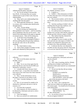| Page 70                                                        | Page 71                                                 |
|----------------------------------------------------------------|---------------------------------------------------------|
| $\mathbf{1}$                                                   | $\mathbf{1}$                                            |
| James P. Kababick                                              | James P. Kababick                                       |
| $\sqrt{2}$                                                     | 2                                                       |
| authenticated the plants, basically?                           | Drs. ElSohly and Khan, correct?                         |
| 3                                                              | 3                                                       |
| A No, I'm not saying it's because they                         | A It appears so.                                        |
| 4<br>have Ph.Ds. It's because they are in plant                | 4<br>Exhibit 5. What information in Exhibit<br>O        |
| 5                                                              | 5                                                       |
| authentication as part of their work, from my                  | 5 is there about the source of the plant samples        |
| 6                                                              | 6                                                       |
| understanding.                                                 | that were studied?                                      |
| 7                                                              | 7                                                       |
| Q Okay, and is your understanding from                         | A The accession numbers, and for those in               |
| 8                                                              | 8                                                       |
| anything other than the paper?                                 | the NCNPR collection, they're referenced under          |
| 9                                                              | 9                                                       |
| A Well, generally botanists are -- botany                      | those.                                                  |
| 10                                                             | 10                                                      |
| is a science, and it includes plant identification             | Q And does anything in Exhibit 5 tell you               |
| 11                                                             | 11                                                      |
| through features.                                              | anything about the growing conditions, soil,            |
| 12                                                             | 12                                                      |
| Q Okay. I'm just asking.                                       | water, nutrients of those plants?                       |
| 13                                                             | 13                                                      |
| So you're basing your statement that                           | A Not that I see of fhand.                              |
| 14                                                             | 14                                                      |
| these gentlemen were experts -- and I'm assuming               | Q If I could just have you flip back to                 |
| 15                                                             | 15                                                      |
| they're gentlemen; that may not be correct -- but              | Exhibit 4 for a second, where did Drs. Khan and         |
| 16                                                             | 16                                                      |
| based on the information in the paper as opposed               | ElSohly get their reference sample of DMAA?             |
| $17$                                                           | 17                                                      |
| to external sources. That's all I'm asking you.                | A They indicate that they obtained the                  |
| 18                                                             | 18                                                      |
| A To the best of my knowledge, yes.                            | standard from Sigma-Aldrich.                            |
| 19<br>Okay. Now, does anything in Exhibit 4<br>$\mathbf{O}$    | 19<br>Q And again, I'm sorry to make you flip           |
| 20                                                             | 20                                                      |
| tell you anything about the growing conditions,                | back and forth, but with respect to Exhibit 5, the      |
| 21                                                             | 21                                                      |
| the soil, the water, the air, the nutrients,                   | samples were obtained by third parties and              |
| 22                                                             | 22                                                      |
| anything?                                                      | provided to Drs. Khan and ElSohly, correct?             |
| 23                                                             | 23                                                      |
| A No, I don't believe it does.                                 | A It indicates that they were obtained by               |
| 24<br>And so these samples in Exhibit 4 of the<br>$\mathbf{Q}$ | 24<br>NCNPR, but that's the group which Dr. Khan leads, |
| 25                                                             | 25                                                      |
| plants were obtained by third parties for                      | so I'm not sure what his involvement was in the         |
| Page 72                                                        | Page 73                                                 |
| 1                                                              | 1                                                       |
| James P. Kababick                                              | James P. Kababick                                       |
| 2                                                              | 2                                                       |
| collection.                                                    | that were gathered by a third party and sent to         |
| 3                                                              | 3                                                       |
| Q Well, not all the plants came from                           | you for research?                                       |
| 4                                                              | 4                                                       |
| NCNPR, correct?                                                | A Yes.                                                  |
| 5<br>A Right.                                                  | 5<br>Now, what, if anything, did Drs. ElSohly<br>0      |
| 6<br>Okay. So we can at least agree that the<br>Q              | 6<br>and Khan do in Exhibit 4 and Exhibit 5 to          |
| 7                                                              | 7                                                       |
| plants that did not come from the NCNPR were                   | determine if their plant material was contaminated      |
| 8                                                              | 8                                                       |
| obtained by a third party, correct?                            | in any way?                                             |
| 9                                                              | 9                                                       |
| A I actually don't know, because I don't                       | A I'm not sure that they did any testing                |
| 10                                                             | 10                                                      |
| see where it says -- it says there were materials              | for contamination.                                      |
| 11                                                             | 11                                                      |
| from sources, but I don't know how those materials             | (Exhibit 6 was marked for                               |
| 12                                                             | 12                                                      |
| were collected.                                                | identification.)                                        |
| 13                                                             | 13                                                      |
| Q Okay. So that information is not in                          | (Witness peruses document.)                             |
| 14                                                             | 14                                                      |
| this paper, to the best of your ability to tell?               | THE WITNESS: Is this 2012 paper                         |
| 15                                                             | 15                                                      |
| A Yeah. Currently looking at it, I don't                       | part of this document at the back?                      |
| 16                                                             | 16                                                      |
| see that.                                                      | BY MS. WOOLSON:                                         |
| 17                                                             | 17                                                      |
| Q Now, it's not unusual for samples to be                      | Q No. Sorry. Just a copying error.                      |
| 18                                                             | 18                                                      |
| obtained by a third party and sent to a lab for                | That's the next exhibit you're going to get, the        |
| 19                                                             | 19                                                      |
| research, is it?                                               | Di Lorenzo paper. You should never let attorneys        |
| 20                                                             | 20                                                      |
| A You mean like in general?                                    | make photocopies.                                       |
| 21<br>Like in general, yes, like for plants to<br>O.           | 21<br>(Witness peruses document.)                       |
| 22                                                             | 22                                                      |
| be obtained by a third party and sent to a lab to              | THE WITNESS: Yes.                                       |
|                                                                |                                                         |
| 23                                                             | 23                                                      |
| be researched.                                                 | BY MS. WOOLSON:                                         |
| 24<br>A Yeah, that happens.                                    | 24<br>So you have in front of you Exhibit 6.<br>Q       |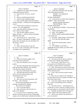|          | Page 74                                                                                         |                | Page 75                                                                            |
|----------|-------------------------------------------------------------------------------------------------|----------------|------------------------------------------------------------------------------------|
| 1        | James P. Kababick                                                                               | $\mathbf{1}$   | James P. Kababick                                                                  |
| 2        | A It appears to be a paper from the Drug                                                        | 2              | A I don't know that they took any steps.                                           |
| 3        | Testing and Analysis Journal.                                                                   | 3              | They don't discuss that here.                                                      |
| 4        | And it's by Dr. Lisi et al., correct?<br>Q                                                      | 4              | (Exhibit 7 was marked for                                                          |
| 5        | Yes.<br>A                                                                                       | 5              | identification.)                                                                   |
| 6        | Have you read this paper before?<br>Q                                                           | 6              | BY MS. WOOLSON:                                                                    |
| 7        | I think I recall reading this paper.<br>A                                                       | $\overline{7}$ | Q Let me show you what's been marked as                                            |
| 8        | Okay, and this paper involved Geranium<br>Q                                                     | 8              | Exhibit 7. Take a look at that.                                                    |
| 9        | oil and Geranium -- Geranium oil and supplements,                                               | 9              | (Witness peruses document.)                                                        |
| 10       | correct?                                                                                        | 10             | THE WITNESS: Okay.                                                                 |
| 11       | A It did involve Geranium oil, and let me                                                       | 11             | BY MS. WOOLSON:                                                                    |
| 12       | see here. Yes, and supplements.                                                                 | 12             | Q So showing you Exhibit 7, have you seen                                          |
| 13       | Q And where did the Geranium oils come                                                          | 13             | that before?                                                                       |
| 14       | from? What was their origin?                                                                    | 14             | A I think I did see this before.                                                   |
| 15       | A They list their origins as France,                                                            | 15             | Okay. If it's helpful --<br>Q                                                      |
| 16       | Egypt, and then a -- yeah, just France and Egypt                                                | 16             | A There's actually another paper attached                                          |
| 17       | right here in the table.                                                                        | 17             | to it, by the way.                                                                 |
| 18       | Q And do you see on -- I just lost my                                                           | 18             | Oh, okay. There you go. Not anymore.<br>Q                                          |
| 19       | place. Oh, under "Experimental" on page 2 of the                                                | 19             | So it's just this particular paper,<br>A                                           |
| 20       | report, these Geranium oils were purchased over                                                 | 20             | right?                                                                             |
| 21       | the internet, correct?                                                                          | 21<br>22       | It's the Di Lorenzo paper, correct?<br>Q                                           |
| 22       | A Yes.                                                                                          | 23             | Yes.<br>A                                                                          |
| 23       | Q Okay, and what steps, if any, did                                                             | 24             | If it's helpful, if you look at<br>$\overline{Q}$                                  |
| 24       | Dr. Lisi et al. take to determine if the Geranium                                               | 25             | paragraph 16 of your report, you refer to the                                      |
| 25       | oil samples were contaminated?                                                                  |                | Di Lorenzo study.                                                                  |
|          |                                                                                                 |                |                                                                                    |
|          | Page 76                                                                                         |                | Page 77                                                                            |
| 1        | James P. Kababick                                                                               | 1              | James P. Kababick                                                                  |
| 2        | A Yes.                                                                                          | 2              | and analysis of cannabinoids.                                                      |
| 3        | Where do the plant samples in the<br>Q                                                          | 3              | Q And when is the last time you spoke to                                           |
| 4        | Di Lorenzo study come from?                                                                     | 4              | Dr. Khan or Dr. ElSohly about DMAA?                                                |
| 5        | They were obtained, it says, at a plant<br>A                                                    | 5              | A I don't recall. I don't know if I've                                             |
| 6        | nursery.                                                                                        | 6              | ever spoken to Dr. ElSohly about it, and for                                       |
| 7        | And what information does the paper have<br>Q                                                   | 7              | Dr. Khan it would have been a while back.                                          |
| 8        | about the growing conditions, soil, nutrients,                                                  | 8              | Q Okay, and would your answer be the same                                          |
| 9        | water that were used on the plants?                                                             | 9              | regarding email communication as opposed to just                                   |
| 10       | A They don't indicate that in the paper.                                                        | 10             | verbal communication?                                                              |
| 11       | And what steps did Di Lorenzo et al.<br>Q                                                       | 11             | A Yeah, I don't recall any emails recently                                         |
| 12       | take to see if their plant samples were                                                         | 12             | about that.                                                                        |
| 13       | contaminated in any way?                                                                        | 13             | Q Have you ever spoken to Dr. ElSohly or                                           |
| 14       | A I don't know.                                                                                 | 14             | Dr. Khan about what we've marked as Exhibit 5, the                                 |
| 15       | Have you ever had conversations with<br>O                                                       | 15<br>16       | 2014 multi-centre study?                                                           |
| 16       | Dr. Khan -- well, strike that.                                                                  | 17             | A I may have spoken with Dr. Khan about                                            |
| 17<br>18 | Several times during the course of this                                                         | 18             | this. I don't recall speaking with Dr. ElSohly                                     |
| 19       | morning, I mentioned Dr. ElSohly.                                                               | 19             | about this.                                                                        |
| 20       | Do you know Dr. ElSohly?                                                                        | 20             | Q And when did you -- assuming that your                                           |
| 21       | Yes, I've met him before.<br>A                                                                  | 21             | recollection is correct, when do you think you had                                 |
| 22       | Okay, and when is the last time you<br>O                                                        | 22             | that conversation or conversations with Dr. Khan?                                  |
| 23       | spoke to Dr. ElSohly?                                                                           | 23             | A Probably around the time of the paper or                                         |
| 24       | A Last year I was at a conference at ASP,<br>and that was held at the University of Mississippi | 24             | maybe, maybe at the ASP conference 2015.<br>Q And do you remember the substance of |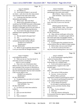|              | Page 78                                            |                                   | Page 79                                                                                          |
|--------------|----------------------------------------------------|-----------------------------------|--------------------------------------------------------------------------------------------------|
| $\mathbf{1}$ | James P. Kababick                                  | $\mathbf{1}$                      | James P. Kababick                                                                                |
| 2            | A Not offhand, no.                                 | $\overline{a}$                    | actually found DMAA in Geranium plants when                                                      |
| 3            | If you look at Exhibit 5, can you tell<br>Q        | 3                                 | participating in this multi-centre study?                                                        |
| 4            | me where -- well, first of all, how many centers   | $\overline{4}$                    | MR. O'NEAL: Object to the form.                                                                  |
| 5            | were involved in this multi-centre study?          | 5                                 | THE WITNESS: I don't know that                                                                   |
| 6            | A It indicates here that there were four           | 6<br>they did.                    |                                                                                                  |
| 7            | laboratories participating.                        | 7<br>BY MS. WOOLSON:              |                                                                                                  |
| 8            | Q Which were? Who were they?                       | 8                                 | Q Look at Exhibit 8 for me, and let me                                                           |
| 9            | Based on the information up front, it<br>A         | 9                                 | know, first of all, if you've ever seen this                                                     |
| 10           | would have the NCNPR University in Mississippi,    | 10<br>before.                     |                                                                                                  |
| 11           | Shanghai Institute Materia Medica School of        | 11                                | (Witness peruses document.)                                                                      |
| 12           | Pharmacy in Shanghai, and I'm not sure which of    | 12                                | THE WITNESS: Okay. I don't know                                                                  |
| 13           | the other ones is the participating laboratory.    | 13                                | that I recall this email chain, but I've read                                                    |
| 14           | Q If you look at the paper, do you see any         | 14<br>through it here.            |                                                                                                  |
| 15           | published results regarding the Shanghai           | 15<br>BY MS. WOOLSON:             |                                                                                                  |
| 16           | Institute?                                         | 16                                | Q Okay, and you would agree with me that                                                         |
| 17           | The one named in the paper here?<br>A              | 17                                | in this email chain -- or would you agree with me                                                |
| 18           | $\overline{Q}$<br>Yes.                             | 18                                | that in this email chain, the Shanghai Institute                                                 |
| 19           | A I don't see anything that says it's              | 19                                | is reporting that it detected DMAA in some of its                                                |
| 20           | exclusively from their institute offhand.          | 20<br>plant samples?              |                                                                                                  |
| 21           | (Exhibit 8 was marked for                          | 21                                | A It would appear that somebody from the                                                         |
| 22           | identification.)                                   | 22                                | institute believes they saw DMAA in plant samples.                                               |
| 23           | BY MS. WOOLSON:                                    | 23                                | Q Before today, were you aware of that?                                                          |
| 24           | Before we get to questions about Exhibit<br>Q      | 24                                | A I'm not sure, to tell you the truth. I                                                         |
| 25           | 8, are you aware that the Shanghai Institute       | 25                                | may have heard something about it, but I don't                                                   |
|              | Page 80                                            |                                   | Page 81                                                                                          |
| $\mathbf{1}$ | James P. Kababick                                  | $\mathbf{1}$                      | James P. Kababick                                                                                |
| 2            | recall offhand the specifics.                      | $\overline{c}$                    | A It's the Fleming paper regarding DMAA                                                          |
| 3            | Q When you say you "may have heard," it            | 3<br>analysis in Geranium plants. |                                                                                                  |
| 4            | seems like you have a recollection.                | $\overline{4}$                    | Q Okay. Now, do you agree that the                                                               |
| 5            | What is it you're recalling?                       | 5                                 | Fleming study was a validated study?                                                             |
| 6            | A There were a lot of discussions about            | 6                                 | A As far as the analytical approach for                                                          |
| 7            | DMAA with various folks over the years, and I      | 7                                 | the measurement, it appears to be a valid                                                        |
| 8            | don't remember if this was part of a discussion or | 8<br>scientific paper.            |                                                                                                  |
| 9            | not, but I remember discussing mass spectrometry   | 9<br>O                            | And what protocol did Fleming et al.                                                             |
| 10           | data and chromatography data, but I don't remember | 10<br>follow?                     |                                                                                                  |
| 11<br>12     | if this was the subject or not.                    | 11<br>12                          | A They used an LCMS procedure.                                                                   |
| 13           | (Exhibit 9 was marked for                          | $\mathbf{O}$<br>13                | I'm sorry. Let me revise that.<br>Did they follow a particular                                   |
| 14           | identification.)<br>BY MS. WOOLSON:                | 14                                |                                                                                                  |
| 15           | I'm going to show you what we've marked<br>Q       | 15                                | organization's method for performing the analysis?<br>A You mean for performing the actual tests |
| 16           | as Exhibit 9.                                      | 16                                | on the samples for the reported values?                                                          |
| 17           | (Witness peruses document.)                        | 17                                | Q Let me rephrase the question.                                                                  |
| 18           | THE WITNESS: Yes.                                  | 18                                | So with regard to reporting detection                                                            |
| 19           | BY MS. WOOLSON:                                    | 19                                | limits, accuracy, precision, linearity, things                                                   |
| 20           | Q I've shown you what's been marked as             | 20<br>like that.                  |                                                                                                  |
| 21           | Exhibit 9.                                         | 21                                | A Okay. For the validation?                                                                      |
| 22           | A Yes.                                             | 22<br>Mm-hmm.<br>Q                |                                                                                                  |
| 23           | Have you seen that before?<br>Q                    | 23<br>A                           | Yeah, they reference utilizing the                                                               |
| 24           | Yes.<br>A                                          | 24                                | Environmental Protection Agency's methodology for                                                |
| 25           | What is Exhibit 9?<br>Q                            | 25<br>contaminant testing.        |                                                                                                  |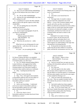|             | Page 82                                                                                   |                         | Page 83                                                   |
|-------------|-------------------------------------------------------------------------------------------|-------------------------|-----------------------------------------------------------|
| 1           | James P. Kababick                                                                         | $\mathbf{1}$            | James P. Kababick                                         |
| 2           | Have you ever followed that methodology<br>Q                                              | 2                       | DMAA that was detected in the Fleming study is the        |
| 3           | for any of the analyses that you've done in your                                          | 3                       | result of contamination?                                  |
| 4           | lab?                                                                                      | 4                       | A Yes.                                                    |
| 5           | A No. We use other methodologies.                                                         | 5                       | And what is your factual basis for<br>Q                   |
| 6           | And how do your methodologies vary from<br>Q                                              | 6                       | saying that?                                              |
| 7           | EPA's method, if at all?                                                                  | 7                       | A The larger body of scientific evidence                  |
| 8           | A I would have to review the EPA methods                                                  | 8                       | does not report this compound in any of the               |
| 9           | again to look at the specific aspects of how they                                         | 9                       | DMAA -- or any of the Geranium samples tested             |
| 10          | would differ.                                                                             | 10                      | overall, and in this case they were detected.             |
| 11          | Q Are you opining that use of the EPA                                                     | 11                      | DMAA was detected at extremely low levels within a        |
| 12          | method was incorrect?                                                                     | 12                      | range of what we would expect pesticide residues          |
| 13          | A No, I'm not saying that.                                                                | 13                      | and solvents to be detected in samples, or metal          |
| 14          | In your report in paragraphs 18 and 19,<br>O.                                             | 14                      | contaminants, and those low levels were not               |
| 15          | you discuss contamination.                                                                | 15                      | evaluated further and stand as outliers in the            |
| 16          | Do you see that?                                                                          | 16                      | larger data.                                              |
| 17          | (Witness peruses document.)                                                               | 17                      | Subsequent to my report reviewing                         |
| 18          | THE WITNESS: Yes.                                                                         | 18                      | Dr. Brown's report, she also discusses the                |
| 19          | BY MS. WOOLSON:                                                                           | 19                      | metabolic pathways and opines that it's not               |
| 20          | Q What facts do you have to -- strike                                                     | 20                      | possible for the plant to make this compound,             |
| 21          | that.                                                                                     | 21                      | which supports my understanding of the larger data        |
| 22          | What facts are you relying upon for your                                                  | 22                      | showing that it's not being detected.                     |
| 23          | opinion that the -- well, first of all, let me ask                                        | 23                      | Q So beyond the fact that there are other                 |
| 24          | it a different way.                                                                       | 24                      | studies that did not detect DMAA in Geranium              |
| 25          | Is it your -- are you opining that the                                                    | 25                      | plants, and that the concentrations were low, and         |
|             |                                                                                           |                         |                                                           |
|             | Page 84                                                                                   |                         | Page 85                                                   |
| $\mathbf 1$ | James P. Kababick                                                                         | $\mathbf{1}$            | James P. Kababick                                         |
| $\sqrt{2}$  |                                                                                           | $\overline{\mathbf{c}}$ |                                                           |
| 3           | Dr. Brown's opinion that there is no metabolic                                            | 3                       | MR. O'NEAL: Object to form.<br>THE WITNESS: I'm not sure. |
| 4           | pathway or biosynthetic pathway for DMAA to exist<br>in Geranium plants, any other facts? | 4                       | BY MS. WOOLSON:                                           |
| 5           | A Yes. Dr. Simone reported finding DMAA                                                   | 5                       | Q And you yourself have not spent any time                |
| 6           | in plant fertilizers, and suggested that further                                          | 6                       | looking at the biosynthetic pathways for Geranium         |
| 7           | studies be done by using the fertilizer to grow                                           | 7                       | plants, have you?                                         |
| 8           | Geranium plants to see what kind of uptake is                                             | 8                       | A No, I have not.                                         |
| 9           | involved so that could be ruled out or confirmed.                                         | 9                       | And with regard to the other studies<br>Q                 |
| 10          | Okay. Anything beyond those four<br>Q                                                     | 10                      | that you have cited as support for your position          |
| 11          | things?                                                                                   | $1\,1$                  | that the DMAA in Geranium plants is a contaminant,        |
| 12          | A Not that I recall at this time.                                                         | 12                      | did those plant samples come from the same region         |
| 13          | Okay. Now, with regard to the metabolic<br>$\overline{Q}$                                 | 13                      | as those studied by Fleming et al.?                       |
| 14          | or biosynthetic pathways that were the subject of                                         | 14                      | A I don't see where they specifically say                 |
| 15          | Dr. Brown's opinion, are you an expert in                                                 | 15                      | they were. There are samples included, but they           |
| 16          | biosynthetic pathways in plants?                                                          | 16                      | don't indicate the province of where they were            |
| 17          | A No, I'm not.                                                                            | $17\,$                  | located.                                                  |
| 18          | And to your knowledge -- I understand<br>$\mathbf{Q}$                                     | 18                      | Q And which studies have those samples --                 |
| 19          | you're not an expert in biosynthetic pathways --                                          | 19                      | The Khan paper, the Khan/ElSohly paper.<br>A              |
| 20          | has the biosynthetic pathway for every single                                             | 20                      | Okay. So as you sit here today, you<br>Q                  |
| 21<br>22    | plant on this planet been identified?                                                     | 21<br>22                | don't know whether those plants came from the same        |
| 23          | A No.                                                                                     | 23                      | region of China as those plants that Fleming              |
| 24          | And in fact, there's a lot of<br>$\overline{O}$                                           | 24                      | tested and found DMAA, correct?<br>$\mathbf{A}$<br>Yes.   |
| 25          | biosynthetic pathways for plants that haven't been<br>identified yet, correct?            | 25                      | Okay, and we looked at an email<br>O                      |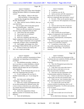|                | Page 86                                             |                | Page 87                                               |
|----------------|-----------------------------------------------------|----------------|-------------------------------------------------------|
| $\mathbf{1}$   | James P. Kababick                                   | $\mathbf{1}$   | James P. Kababick                                     |
| 2              | regarding the multi-centre study where Shanghai     | $\sqrt{2}$     | Q 90 percent?                                         |
| 3              | Institute did detect DMAA in Geranium plants,       | 3              | A I would say over 40, 50.                            |
| 4              | correct?                                            | $\overline{4}$ | And so you have still 100 components or<br>Q          |
| 5              | MR. O'NEAL: Object to the form.                     | 5              | more in the oil, at least 40 to 50 percent of         |
| 6              | THE WITNESS: In that email, they                    | 6              | which are compounds other than amines, correct?       |
| 7              | said that they thought they found DMAA.             | $\overline{7}$ | A I'm sorry. What was the question again?             |
| 8              | BY MS. WOOLSON:                                     | 8              | Q You have over 100 components in Geranium            |
| 9              | Q Okay, and low levels of DMAA, that was            | 9              | oil, correct?                                         |
| 10             | your third basis.                                   | 10             | A Yes.                                                |
| 11             | Do you agree with me that plant species             | 11             | Q And you said at least 40 to 50 percent              |
| 12             | like the Geranium plant -- strike that.             | 12             | of those components are chemicals other than          |
| 13             | When you did your analysis on Geranium              | 13             | amines, correct?                                      |
| 14             | oils, how many components did you find?             | 14             | A Yeah, at least.                                     |
| 15             | A I don't know the exact number.                    | 15             | Q What would be the second largest                    |
| 16             | Can you give me an estimate?<br>Q                   | 16             | category of compounds in the Geranium oil?            |
| 17             | A Well over a hundred.                              | 17             | A It would be other volatile oil                      |
| 18             | Well over a hundred, and what was<br>$\overline{Q}$ | 18             | constituents, sesquiterpenoids, monoterpenes,         |
| 19             | largest component of the oils that you found?       | 19             | things like that.                                     |
| 20             | A The largest components were oxygenated            | 20             | Q What percentage approximately of the                |
| 21             | compounds, alcohols, esters, formaldehydes.         | 21             | Geranium oil would those comprise?                    |
| 22             | Q And roughly, percentage-wise, what                | 22             | A I would have to look at that. It can                |
| 23             | percentage of those did they take up of the oil?    | 23             | vary widely, depending on the distillation            |
| 24             | A I'd have to look to see exactly, but              | 24             | technique and other things. The particular            |
| 25             | they were a major percentage.                       | 25             | chemotype.                                            |
|                |                                                     |                |                                                       |
|                | Page 88                                             |                | Page 89                                               |
| 1              | James P. Kababick                                   | $\mathbf{1}$   | James P. Kababick                                     |
| 2              | Q And why would the concentration of those          | $\sqrt{2}$     | Q And do you know the chemotypes of the               |
| 3              | compounds vary depending on the distillation        | 3              | Geraniums that were studied by ElSohly and Khan?      |
| $\overline{4}$ | procedure?                                          | $\overline{4}$ | A I believe they were all just rose                   |
| 5              | A The distillation procedure, whether or            | 5              | Geranium.                                             |
| 6              | not it was done as a steam distillation, a hybrid   | 6              | That's the Pelargonium graveolens that<br>Q           |
| 7              | distillation, or with or without vacuum in the      | 7              | we talked about earlier?                              |
| 8              | altitude could all impact the rate of hydrolysis    | 8              | A Yeah, there were some other items in                |
| 9              | and composition.                                    | 9              | there, but I have to refer back to it to see.         |
| 10             | Q Okay. So the technique that you use can           | 10             | They may have had a citriodora.                       |
| 11             | affect the composition that you find?               | 11             | Q And what were the chemotypes of the                 |
| 12             | If you're talking to the way that it's<br>A         | 12             | Geranium plants studied by Fleming et al.?            |
| 13             | distilled commercially, yes. It can change the      | 13             | A I'd have to refer back to the paper, but            |
| 14             | ratios.                                             | 14             | I believe they were the rose Geranium types.          |
| 15             | And when you're talking about<br>Q                  | 15             | Q When you say "rose Geranium types," are             |
| 16             | "chemotype," what do you mean?                      | 16             | there more than one type of rose Geranium?            |
| 17             | There are a variety of Pelargoniums that<br>A       | 17             | A It's a species that covers the main                 |
| 18             | are out there produced for different scents, like   | 18             | common essential oil producing, what we call          |
| 19             | a rose or citrus or what-have-you, and so there     | 19             | Geraniums Pelargonium. It's all the same species,     |
| 20             | are varieties that have been bred commercially for  | 20             | as far as I know.                                     |
| 21             | different types of scent.                           | 21             | Q And that's the graveolens?                          |
| 22             | Q And so the composition of those                   | 22             | A<br>Yes.                                             |
| 23             | different varieties of Geraniums may also be        | 23             | Just want to make sure we're all on the<br>О          |
| 24             |                                                     |                |                                                       |
| 25             | different?<br>A Yeah, the hybridization.            | 24<br>25       | same page.<br>So we talked about chemotype. We talked |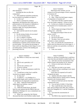|          | Page 90                                                                                     |                | Page 91                                                    |
|----------|---------------------------------------------------------------------------------------------|----------------|------------------------------------------------------------|
| 1        | James P. Kababick                                                                           | $\mathbf{1}$   | James P. Kababick                                          |
| 2        | about distillation.                                                                         | 2              | Allowing for that variation, can you                       |
| 3        | Anything else that can affect the                                                           | 3              | estimate for me the percentages of those compounds         |
| 4        | composition?                                                                                | 4              | in Geranium oil?                                           |
| 5        | A After production and before production,                                                   | 5              | A No, I couldn't.                                          |
| 6        | how the material was handled can impact it.                                                 | 6              | Okay. What's the third largest category<br>O.              |
| 7        | Q In what way?                                                                              | 7              | of components in Geranium oil?                             |
| 8        | There's a potential for oxidative<br>A                                                      | 8              | A I don't know that they would be broken                   |
| 9        | degradation, decomposition that could result in                                             | 9              | down into further categories. I'd have to look.            |
| 10       | polymerization or the formation of aldehydes or                                             | 10             | So there are a number of components in<br>O.               |
| 11       | amines. If it's not properly stored and it's                                                | 11             | the Geranium oil or Geranium plant, correct?               |
| 12       | exposed to light, you can get photooxidative                                                | 12             | Yes.<br>$\mathsf{A}$                                       |
| 13       | breakdown products.                                                                         | 13             | And the largest percentage of those have<br>$\overline{O}$ |
| 14       | Q And would the same be true for plants                                                     | 14             | nothing to do -- strike that.                              |
| 15       | versus oils?                                                                                | 15             | The largest percentage of those are not                    |
| 16       | A For the storing of plants, do you mean?                                                   | 16             | amines, correct?                                           |
| 17       | Yes, for Geranium plant.<br>Q                                                               | 17             | A For the oil, yes.                                        |
| 18       | A Yes, to a degree it would be.                                                             | 18             | Not true for the plant?<br>Q                               |
| 19       | Q Okay. So we were talking about the                                                        | 19             | A The plant, I have not seen amines                        |
| 20       | composition of I guess the sesquiterpenoids and                                             | 20             | indicated as a major constituent.                          |
| 21       | monoterpenes or terpenes of the Geranium oils that                                          | 21             | Q Now, you said that the concentrations of                 |
| 22       | you had studied. You said that the percentage of                                            | 22             | DMAA that were detected were in the range of -- I          |
| 23       | those could vary depending on these things we were                                          | 23             | think you said they were pesticides or solvents or         |
| 24       | just talking about, in terms of the handling and                                            | 24             | trace metals?                                              |
| 25       | processing of the oils.                                                                     | 25             | A Yeah, trace metals.                                      |
|          | Page 92                                                                                     |                | Page 93                                                    |
| 1        | James P. Kababick                                                                           | 1              | James P. Kababick                                          |
| 2        | But DMAA is clearly not a trace metal,<br>Q                                                 | 2              | DMAA in, and that it's possible that it could have         |
| 3        | is it?                                                                                      | 3              | come from that and should be studied further, yes.         |
| 4        | No.<br>A                                                                                    | $\overline{4}$ | Q And what were the concentrations of the                  |
| 5        | And it's not a pesticide, is it?<br>Q                                                       | 5              | DMAA found in the fertilizer by Dr. Simone?                |
| 6        | No.<br>A                                                                                    | 6              | A I'd have to refer back to the data to                    |
| 7        | And it's not a solvent, is it?<br>Q                                                         | 7              | see the levels.                                            |
| 8        | It can be a solvent.<br>A                                                                   | 8              | Q Why don't you look in your report,                       |
| 9        | Okay. In what circumstances could it be<br>0                                                | 9              | because I think you have something in your report.         |
| 10       | a solvent?                                                                                  | 10             | A I believe I do.                                          |
| 11       | A I would have to look, but it could be                                                     | 11             | Yeah, these two reported at 8.4 and 8.1                    |
| 12       | involved in an organic synthesis.                                                           | 12             | nanograms per gram.                                        |
| 13       | Q In what way?                                                                              | 13             | Q And how does that compare with the                       |
| 14       | It could be a -- as a freebase it's a<br>A                                                  | 14             | levels of DMAA that Dr. Simone and Dr. Fleming             |
| 15       | liquid, mobile liquid, and it could be involved in                                          | 15             | reported in the Geranium plants?                           |
| 16       | the furtherance of compounds or manufacture.                                                | 16             | A I'd have to look back and see what their                 |
| 17       | Q Okay. I think the fourth thing you                                                        | 17             | reported levels were.                                      |
| 18       | talked about was fertilizer, correct?                                                       | 18             | Q You can look at Exhibit 5 if that helps.                 |
| 19       | What's that?<br>A                                                                           | 19             | They would fall above their detection<br>A                 |
| 20       | I think the fourth factor, the fourth<br>0                                                  | 20             | limit, and according to this table, they would be          |
| 21       |                                                                                             |                | below the Changzhou S11-1 and the Changzhou 1              |
|          | basis for your opinion that the DMAA that was                                               | 21             |                                                            |
| 22       | detected by Fleming et al. was a contaminant was                                            | 22             | samples.                                                   |
| 23       | fertilizer, correct?                                                                        | 23             | Q You mean the concentrations of                           |
| 24<br>25 | A What I was saying that, that Simone<br>discussed that there were fertilizer studies found | 24<br>25       | fertilizer?<br>A The DMAA they reported in those two is    |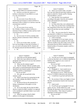|                         | Page 94                                                                                      | Page 95                                                            |  |
|-------------------------|----------------------------------------------------------------------------------------------|--------------------------------------------------------------------|--|
| $\mathbf{1}$            | James P. Kababick                                                                            | 1<br>James P. Kababick                                             |  |
| $\overline{\mathbf{c}}$ | higher than the DMAA he reported in fertilizer.                                              | 2<br>And as you sit here today, you don't<br>O.                    |  |
| 3                       | Q And have you done any analysis of                                                          | 3<br>have any facts about the growing conditions of the            |  |
| 4                       | fertilizer to determine if it has DMAA in it and,                                            | 4<br>plants in which Dr. Simone and Dr. Fleming                    |  |
| 5                       | if so, the concentrations?                                                                   | 5<br>detected DMAA, correct?                                       |  |
| 6                       | A No.                                                                                        | 6<br>A Only that they were transferred,                            |  |
| 7                       | Q Are you aware of any efforts by the                                                        | 7<br>according to the paper, from the soil to potted               |  |
| 8                       | United States government to analyze fertilizer to                                            | 8<br>plants and transferred to the institute.                      |  |
| 9                       | determine if there is DMAA in it and how much the                                            | 9<br>Q Institute?                                                  |  |
| 10                      | concentrations would be?                                                                     | 10<br>In China where they were authenticated.<br>$\mathbf{A}$      |  |
| 11                      | A No.                                                                                        | 11<br>Q Okay, but you don't know anything about                    |  |
| 12                      | Are you aware of any work by<br>Q                                                            | 12<br>the composition of the soil or the water that was            |  |
| 13                      | Drs. ElSohly or Khan to analyze fertilizer to                                                | 13<br>used or the pot that was used, anything?                     |  |
| 14                      | determine if there is DMAA in there and how much                                             | 14<br>A No.                                                        |  |
| 15                      | concentration there would be?                                                                | 15<br>Q Okay. Are you aware that Dr. Simone                        |  |
| 16                      | A No.                                                                                        | 16<br>also detected 1,3-DMAA in a Geranium plant that              |  |
| 17                      | Are you aware of work by anybody other<br>Q                                                  | 17<br>was purchased in the United States?                          |  |
| 18                      | than Dr. Simone to determine if there's DMAA in                                              | 18<br>A I don't recall that.                                       |  |
| 19                      | fertilizer?                                                                                  | 19<br>In paragraph 22 of your report, you say                      |  |
| 20                      | A No.                                                                                        | 20<br>that Dr. Simone did not consider his 2012 study --           |  |
| 21                      | And as you sit here today, you don't<br>Q                                                    | 21<br>"did not consider in his 2012 study or his current           |  |
| 22                      | have any knowledge of what type of fertilizer, if                                            | 22<br>declaration that the DMAA identified in the                  |  |
| 23                      | any, was used on the plants that Dr. Simone and                                              | 23<br>limited number of Geranium samples could be a                |  |
| 24                      | Dr. Fleming analyzed and detected DMAA, correct?                                             | 24<br>contaminant."                                                |  |
| 25                      | A No.                                                                                        | 25<br>Do you see that?                                             |  |
|                         |                                                                                              |                                                                    |  |
|                         | Page 96                                                                                      | Page 97                                                            |  |
| $\mathbf 1$             |                                                                                              | 1                                                                  |  |
| 2                       | James P. Kababick                                                                            | James P. Kababick<br>2                                             |  |
| 3                       | And what was the question again?<br>A                                                        | You also say in your report in paragraph<br>Q<br>3                 |  |
| 4                       | Well, first I just referred you to the<br>$\overline{Q}$                                     | 21 the fact that there was 1,4-DMAA identified in<br>4             |  |
| 5                       | paragraph and asked you if you saw that sentence                                             | fertilizer also suggests to you a source of<br>5<br>contamination. |  |
| 6                       | that you wrote.                                                                              | 6                                                                  |  |
| 7                       | A What was the sentence again?<br>That Dr. Simone "did not consider in his<br>$\overline{Q}$ | Do you see that?<br>7                                              |  |
| 8                       | 2012 study or current declaration that the DMAA                                              | A I'm sorry. What was the question on<br>8<br>this paragraph?      |  |
| 9                       | identified in the limited number of Geranium                                                 | 9<br>Q Paragraph 21. I just wanted you to                          |  |
| 10                      | samples could be a contaminant."                                                             | 10<br>orient yourself, to look at that paragraph.                  |  |
| 11                      | Do you see that?                                                                             | 11<br>My question to you is: What were the                         |  |
| 12                      | A Oh, yeah, the second half of the                                                           | 12<br>levels of 1,4-DMAA detected in the fertilizer?               |  |
| 13                      | sentence, yeah.                                                                              | 13<br>A I would have to go back and look at the                    |  |
| 14                      | Q What's your basis for saying that he did                                                   | 14<br>data.                                                        |  |
| 15                      | not consider whether the DMAA could be a                                                     | 15<br>Do you know if they were higher or lower<br>Q                |  |
| 16                      | contaminant?                                                                                 | 16<br>than the concentrations found in the Geranium                |  |
| 17                      | A He did not discuss the potential for it                                                    | 17<br>plants?                                                      |  |
| 18                      | being a contaminant in the paper or in his                                                   | 18<br>A I don't recall.                                            |  |
| 19                      | declaration.                                                                                 | 19<br>If you'll now go to paragraph 23 of your<br>O                |  |
| 20                      | Q So in your mind, the fact that he didn't                                                   | 20<br>report, you say, "In the studies by Li and                   |  |
| 21                      | discuss it means he didn't consider it as opposed                                            | 21<br>Fleming, the specimens were not directly obtained            |  |
| 22                      | to he considered it and didn't think it was worth                                            | 22<br>by the researchers. Their chain of custody is                |  |
| 23                      | mentioning?                                                                                  | 23<br>dependent on third parties in China."                        |  |
| 24<br>25                | A What I'm saying is that he didn't<br>address it in his paper or declaration.               | 24<br>Do you see that?<br>25<br>A Yes.                             |  |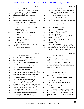|              | Page 98                                            |                | Page 99                                            |
|--------------|----------------------------------------------------|----------------|----------------------------------------------------|
| $\mathbf{1}$ | James P. Kababick                                  | $\mathbf{1}$   | James P. Kababick                                  |
| 2            | Q As we discussed when we were reviewing           | 2              | Q I put in front of you what's been marked         |
| 3            | the various studies that we marked as Exhibits 4,  | 3              | as Exhibit 10. Take a look at that and tell me if  |
| 4            | 5, 6, 7, the vast majority of these researchers    | 4              | you've seen it before.                             |
| 5            | obtained their specimens from third parties,       | 5              | (Witness peruses document.)                        |
| 6            | correct?                                           | 6              | THE WITNESS: Okay.                                 |
| 7            | A In the case of the paper by Khan and             | 7              | BY MS. WOOLSON:                                    |
| 8            | ElSohly where they obtained them at NCNPR, I don't | 8              | Q So I'm showing you what's been marked as         |
| 9            | know that the link of the relationship of those    | 9              | Exhibit 10.                                        |
| 10           | are their past experience of the samples, but      | 10             | Have you seen that before?                         |
| 11           | there were materials obtained by third parties.    | 11             | A Yes.                                             |
| 12           | MS. WOOLSON: It's 12:25. Do you                    | 12             | Q And what is Exhibit 10?                          |
| 13           | want to break now?                                 | 13             | A This is the Li paper.                            |
| 14           | MR. O'NEAL: That's fine.                           | 14             | And did you read the Li paper at or<br>Q           |
| 15           | (Whereupon, the lunch recess was                   | 15             | about the time it was published?                   |
| 16           | taken.)                                            | 16             | A I believe so, yes.                               |
| 17           | (Exhibit 10 was marked for                         | 17             | Q And what, if anything, did you do after          |
| 18           | identification.)                                   | 18             | you read the Li paper?                             |
| 19           | (Exhibit 11 was marked for                         | 19             | A If I'm remembering correctly, I did              |
| 20           | identification.)                                   | 20             | review this paper and evaluated the data and the   |
| 21           | BY MS. WOOLSON:                                    | 21             | validation metrics.                                |
| 22           | Are you ready to resume, Mr. Kababick?<br>Q        | 22             | Q And for what purpose did you do that?            |
| 23           | Yes.<br>A                                          | 23             | A Well, it was reporting the detection of          |
| 24           | And you're still under oath.<br>Q                  | 24             | these compounds which was contrary to the larger   |
| 25           | Yes.<br>$\mathsf{A}$                               | 25             | body of data, and that was a very significant      |
|              |                                                    |                |                                                    |
|              | Page 100                                           |                | Page 101                                           |
| $\mathbf{1}$ | James P. Kababick                                  | $\mathbf{1}$   | James P. Kababick                                  |
| 2            | finding, so I wanted to evaluate further the       | 2              | industry.                                          |
| 3            | validity of the paper as well as the steps that    | 3              | Q And was there a consensus statement              |
| 4            | were taken throughout.                             | $\overline{4}$ | issued?                                            |
| 5            | Q And what did you do with that analysis           | 5              | A I don't know that there actually was a           |
| 6            | of the paper?                                      | 6              | consensus statement issued, but the botanical      |
| 7            | A I did, I believe, discuss that with some         | $\overline{7}$ | adulterants program may have put out a guidance on |
| 8            | colleagues in email communications.                | 8              | Geranium. I don't recall.                          |
| 9            | Q And why did you do that?                         | 9              | (Exhibit 11 is handed to the                       |
| 10           | There was a lot of interest among many<br>A        | 10             | witness.)                                          |
| 11           | stakeholders in industry about DMAA in Geranium,   | 11             | (Witness peruses document.)                        |
| 12           | and we were looking at the various papers that     | 12             | THE WITNESS: Okay.                                 |
| $13$         | were out and discussing what the findings are and  | 13             | BY MS. WOOLSON:                                    |
| 14           | what might be going on.                            | 14             | Okay. Have you seen Exhibit 11 before?<br>Q        |
| 15           | Q Did you seek to have a consensus                 | 15             | Yes.<br>A                                          |
| 16           | statement issued by a particular group?            | 16             | What is Exhibit 11?<br>Q                           |
| 17           | A Yeah, I believe I talked to -- I'm               | 17             | A It's an email chain discussing the Li            |
| 18           | drawing a blank now. I'm sorry. Mark Blumenthal    | 18             | paper.                                             |
| 19           | at American Botanical Council about putting out a  | 19             | Q And to whom -- well, let me strike that.         |
|              |                                                    |                |                                                    |
| 20           | statement regarding the findings to date, because  | 20             | Who is on this email chain?                        |
| 21           | so many stakeholders in the industry were then     | 21             | A It looks like we have Mark Roman, Mark           |
| 22           | confused about what's going on, because there's    | $2\sqrt{2}$    | Blumenthal, Joe Betz, John Cardellina, Ikhlas      |

Khan, ElSohly, Anthony Armada, myself, Armstrong,

- <sup>24</sup> Frank Jaksch and Daniel W. I'm not sure who that  $25$  is
	- is.

<sup>24</sup> papers saying it's present, and what's the<br><sup>25</sup> consensus of experts that are working in

consensus of experts that are working in the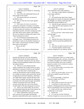|              | Page 102                                                                                        | Page 103                                                                                                   |
|--------------|-------------------------------------------------------------------------------------------------|------------------------------------------------------------------------------------------------------------|
| 1            | James P. Kababick                                                                               | 1<br>James P. Kababick                                                                                     |
| 2            | I think that may be Daniel W. Armstrong.<br>Q                                                   | 2<br>your comments to this wider audience?                                                                 |
| 3            | A Probably.                                                                                     | 3<br>A You mean to allow Mark to distribute it                                                             |
| 4            | And what is the relationship between all<br>Q                                                   | 4<br>to the larger audience?                                                                               |
| 5            | these people on this email?                                                                     | 5<br>Q Yes.                                                                                                |
| 6            | A All scientists that have an interest in                                                       | 6<br>A He wanted to get input from various                                                                 |
| 7            | the DMAA issue.                                                                                 | 7<br>other people on it and to see what they thought of                                                    |
| 8            | Q How is it that all of you came together                                                       | 8<br>my thoughts, so I said he could share that                                                            |
| 9            | in this email?                                                                                  | 9<br>information and get feedback on it.                                                                   |
| 10           | A Well, many of us have co-served on                                                            | 10<br>Q And did you get responses to your email?                                                           |
| 11           | committees and panels or members of scientific                                                  | 11<br>A I don't recall if I got responses to the                                                           |
| 12           | societies that worked on a lot of the methodology                                               | 12<br>email specifically.                                                                                  |
| 13           | in industry today and worked on a lot of the                                                    | 13<br>Q Okay. So let's take a look at what you                                                             |
| 14           | educational outreach, and often communicate with                                                | 14<br>have to say.                                                                                         |
| 15           | each other about various matters, and I believe                                                 | 15<br>You say you have "some serious issues                                                                |
| 16           | this one was related to seeking some input for the                                              | 16<br>with the paper."                                                                                     |
| 17           | American Botanical Council.                                                                     | 17<br>Do you see that?                                                                                     |
| 18           | Q If you look down on the bottom of the                                                         | 18<br>A Yes.                                                                                               |
| 19           | first page, it says, "Jim Kababick has given me                                                 | 19<br>And the first issue is that you're not<br>Q                                                          |
| $20$         | permission to send you his detailed comments on                                                 | 20<br>familiar with the journal that published the                                                         |
| $2\sqrt{1}$  | the Li paper. He previously sent these to Ikhlas                                                | 21<br>article?                                                                                             |
| 22           | Khan and to Frank Jaksch."                                                                      | 22<br>A Yes.                                                                                               |
| 23<br>24     | Do you see that?                                                                                | 23<br>And why was that of concern to you?<br>Q<br>24                                                       |
| 25           | A Yes.                                                                                          | A I'm pretty familiar with the major<br>25                                                                 |
|              | Q<br>What was the purpose in disseminating                                                      | journals recognized in our industry and the                                                                |
|              |                                                                                                 |                                                                                                            |
|              | Page 104                                                                                        | Page 105                                                                                                   |
| $\mathbf{1}$ |                                                                                                 | $\mathbf 1$                                                                                                |
| 2            | James P. Kababick                                                                               | James P. Kababick<br>$\overline{a}$                                                                        |
| 3            | journals that typically carry the information<br>related to discoveries of natural products and | following these papers, there was a large exposé<br>3<br>on pay-to-publish journals, and many, many papers |
| 4            | such. This journal, I had never seen any natural                                                | $\,4$<br>of credible or thought to be credible scientists                                                  |
| 5            | products research published related to the work in                                              | 5<br>have been discredited, and so pay-to-publish                                                          |
| 6            | our industry before.                                                                            | 6<br>journals are under a lot of scrutiny by scientists                                                    |
| 7            | Q And so is it your position that the                                                           | $\boldsymbol{7}$<br>and academics right now.                                                               |
| 8            | article is somehow less worthy because it wasn't                                                | As you sit here today, do you know who<br>8                                                                |
| 9            | published in a journal of which you are familiar?                                               | 9<br>peer-reviewed the Li article?                                                                         |
| 10           | A I don't know that I would say that. I                                                         | 10<br>A I do not.                                                                                          |
| $11\,$       | would say that journals accept or decline articles                                              | 11<br>And as you sit here today, you say a lot<br>Q                                                        |
| 12           | on a number of reasons, and a journal like Journal                                              | 12<br>of the pay-to-publish journals have been                                                             |
| 13           | of Agricultural and Food Chemistry, which has a                                                 | 13<br>discredited.                                                                                         |
| 14           | very high impact rating, will pick the best of the                                              | 14<br>To your knowledge, is Analytical                                                                     |
| $15$         | best science to publish, and often the submission                                               | 15<br>Chemistry Insights one of those?                                                                     |
| 16           | to journals who will accept the paper and publish                                               | 16<br>I'm not sure.<br>A                                                                                   |
| 17           | it doesn't necessarily have to do with the                                                      | 17<br>What would you need to do to be sure?<br>$\mathbf{O}$<br>18                                          |
| 18<br>19     | accuracy of the data, but it has to do with the                                                 | I would have to check some of the<br>A<br>19                                                               |
| 20           | overall caliber of the data among peer reviewers.                                               | academic watchdog groups that monitor the journals<br>20                                                   |
| 21           | Q And as you sit here today, do you have                                                        | and see if anything has come up on those lists.<br>21                                                      |
| 22           | any information about the peer review process for                                               | Q If that were the case, would you have<br>22<br>included that in your report?                             |
| 23           | the journal that published the Li paper?<br>A What I understand is that you can refer           | 23<br>A Pardon me?                                                                                         |
| $2\sqrt{4}$  | peer reviewers for your paper and that they                                                     | 24<br>If it were the case that Analytical<br>$\mathbf{Q}$                                                  |
| 25           | guarantee rapid publication upon acceptance, and                                                | 25<br>Chemistry Insights has come up on this list of                                                       |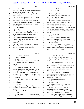|              | Page 106                                                                                          |              | Page 107                                                                                         |
|--------------|---------------------------------------------------------------------------------------------------|--------------|--------------------------------------------------------------------------------------------------|
| 1            | James P. Kababick                                                                                 | $\mathbf{1}$ | James P. Kababick                                                                                |
| 2            | questionable publications, would you have included                                                | 2            | Do you see that?                                                                                 |
| 3            | that information in your expert report?                                                           | 3            | A Yes.                                                                                           |
| $\,4$        | A Yeah, if I had that knowledge, I would                                                          | 4            | And why is that?<br>O.                                                                           |
| 5            | have included it.                                                                                 | 5            | A Because those are hypothetical states,                                                         |
| 6            | Q The second comment that you have about                                                          | 6            | essentially, in analytical chemistry.                                                            |
| 7            | the report is that you don't understand -- and I'm                                                | 7            | Q And why is that?                                                                               |
| 8            | paraphrasing -- you don't understand why the Li                                                   | 8            | A Because you can't be absolutely sure                                                           |
| 9            | authors made the statement that they are not aware                                                | 9            | that there's not at least one molecule present or                                                |
| 10           | of any publication that identifies 100 percent of                                                 | 10           | one molecule absent of something.                                                                |
| 11           | the oil content.                                                                                  | 11           | Q Okay. In comment number 3 you talk                                                             |
| 12           | Do you see that?                                                                                  | 12           | about the chromatography column that was used, and                                               |
| 13           | A Yes.                                                                                            | 13           | you say that you would "expect resolution issues                                                 |
| 14           | $\overline{Q}$<br>And it seems to me you agree that no one                                        | 14           | and possibly other chromatography problems from an                                               |
| 15           | has identified 100 percent of the oils content, so                                                | 15           | overload."                                                                                       |
| 16           | I'm not sure I understand why this comment                                                        | 16           | Do you see that?                                                                                 |
| 17           | bothered you.                                                                                     | 17           | A Yes.                                                                                           |
| 18           | A I would have to look at what this was                                                           | 18           | Q Did you make any attempt to replicate                                                          |
| 19           | speaking to specifically in the paper to see what                                                 | 19           | the conditions in the Li study to see if there                                                   |
| 20           | this was regarding, because I don't recall                                                        | 20           | were chromatography problems or resolution issues?                                               |
| 21           | specifically.                                                                                     | 21           | A No, I did not.                                                                                 |
| 22           | Q Well, in the paragraph you say, "I know                                                         | 22           | Q In paragraph 4 you say you would have                                                          |
| 23           | of no credible scientist that would report the                                                    | 23           | expected some "decomposition and formation of                                                    |
| 24           | values of zero percent or 100 percent in                                                          | 24           | aroma chemical compounds that are amine-like in                                                  |
| 25           | analytical chemistry."                                                                            | 25           | nature after a long travel from China."                                                          |
|              |                                                                                                   |              |                                                                                                  |
|              |                                                                                                   |              |                                                                                                  |
|              | Page 108                                                                                          |              | Page 109                                                                                         |
| 1            | James P. Kababick                                                                                 | $\mathbf{1}$ | James P. Kababick                                                                                |
| 2            | Do you see that?                                                                                  | 2            | A Yes. I don't know if it's the same                                                             |
| 3            | Yes.<br>A                                                                                         | 3            | catalog number, though. I have to go back and                                                    |
| 4            | Why were you asking if it was unusual?<br>$\overline{Q}$                                          | 4            | check.                                                                                           |
| 5            | Where I say "do you see this as<br>$\mathbf{A}$                                                   | 5            | Q Okay. In paragraph number 6 you say, "I                                                        |
| 6            | unusual"?                                                                                         | 6            | find the chromatographic separation, even for a                                                  |
| 7            | Yes.<br>Q                                                                                         | 7            | fused core column, to be remarkable, considering I                                               |
| 8            | A Having worked with lots of fresh                                                                | 8            | can't fully baseline resolve these diastereomers                                                 |
| 9            | material shipped from other countries, it is very                                                 | 9            | on a GC column with full baseline resolution                                                     |
| $10$         | hard to get fresh material into the US without                                                    | 10           | (unless derivatized)."                                                                           |
| 11           | delays such that usually, when it comes in, it is                                                 | 11           | As of the date that you had sent this                                                            |
| 12           | compromised. Even an extra day delay can cause                                                    | 12           | email, which looks like August 9, 2012, when was                                                 |
| 13           | issues unless it's shipped on dry ice or kept cold                                                | 13           | the last time that you had attempted to resolve                                                  |
| 14           | another way.                                                                                      | 14           | the DMAA diastereomers?                                                                          |
| 15           | Q Okay, and the decomposition that you're                                                         | 15           | A Resolved on a GC column?                                                                       |
| 16           | referring to, is that a natural process or                                                        | 16           | Yes.<br>Q                                                                                        |
| 17           | phenomenon?                                                                                       | 17           | A I don't recall.                                                                                |
| 18           | It can be.<br>A                                                                                   | 18           | Have you, in fact, tried to resolve the<br>O                                                     |
| 19           | Okay. In the fifth paragraph you say<br>O                                                         | 19           | DMAA diastereomers on a GC column?                                                               |
| 20           | that the standard for DMAA was purchased from                                                     | 20           | A Yes, I did work on that, and I got the                                                         |
| 21           | Sigma.                                                                                            | 21           | diastereomers almost baseline resolved.                                                          |
| 22           | Do you see that?                                                                                  | 22           | Q What were you using as the source of the                                                       |
| 23           | A Yes.                                                                                            | 23           | DMAA when you were doing this work?                                                              |
| 24<br>$25\,$ | Isn't that where Drs. Khan and ElSohly<br>0<br>purchased their sample -- their standards as well? | 24<br>25     | A I had isolated some from trade material,<br>commercial DMAA being proffered to industry that I |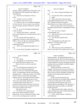|          | Page 110                                                                                          |                | Page 111                                                                                         |
|----------|---------------------------------------------------------------------------------------------------|----------------|--------------------------------------------------------------------------------------------------|
| 1        | James P. Kababick                                                                                 | 1              | James P. Kababick                                                                                |
| 2        | obtained, and also standard from ChromaDex, and I                                                 | $\sqrt{2}$     | that?                                                                                            |
| 3        | also obtained the CPR standard from Sigma, the                                                    | 3              | No. I have a method developed to do<br>A                                                         |
| 4        | uncertified one.                                                                                  | 4              | that.                                                                                            |
| 5        | Q And were you doing this work for a                                                              | 5              | You just don't offer it commercially?<br>Q                                                       |
| 6        | client?                                                                                           | 6              | $\mathbf{A}$<br>Right.                                                                           |
| 7        | A Actually, it was for a method                                                                   | $\overline{7}$ | Okay, and when I asked you about<br>$\overline{Q}$                                               |
| 8        | development for client services, yes.                                                             | 8              | resolving the diastereomers on a GC column --                                                    |
| 9        | Q When you say it was "method development                                                         | 9              | well, I asked you about resolving the                                                            |
| 10       | for client services," do you mean it was work that                                                | 10             | diastereomers on a column, and you said GC.                                                      |
| 11       | you were doing to develop a method for a specific                                                 | 11             | Have you done other work with regard to                                                          |
| 12       | client?                                                                                           | 12             | the DMAA diastereomers in attempting to resolve                                                  |
| 13       | A No. It was for developing methodologies                                                         | 13             | them?                                                                                            |
| 14       | to offer to clients.                                                                              | 14             | A Yes. I've run it on liquid                                                                     |
| 15       | Q And has Flora offered -- strike that.                                                           | 15             | chromatography, too.                                                                             |
| 16       | Have you developed such a method and now offer it                                                 | 16             | Q And was the source of the material the                                                         |
| 17       | to clients?                                                                                       | 17             | same, trade material?                                                                            |
| 18       | A We currently offer the analysis of                                                              | 18             | A Yes, the three materials that I                                                                |
| 19       | compounds or mixtures to detect the presence of                                                   | 19             | mentioned.                                                                                       |
| 20       | DMAA. We're not right now quantifying DMAA.                                                       | 20             | Q In paragraph 9 you talk about "the                                                             |
| 21       | Q Is there a reason why you're not                                                                | 21             | addition of .1 percent formic acid."                                                             |
| 22       | quantifying DMAA?                                                                                 | 22             | Do you see that?                                                                                 |
| 23       | A There's not enough demand right now for                                                         | 23             | A Yes.                                                                                           |
| 24       | that.                                                                                             | 24             | $\overline{Q}$<br>Did you do any work to determine if                                            |
| 25       | So you haven't developed a method to do<br>Q                                                      | 25             | there was any shift in the retention times caused                                                |
|          |                                                                                                   |                |                                                                                                  |
|          | Page 112                                                                                          |                | Page 113                                                                                         |
| 1        |                                                                                                   | 1              |                                                                                                  |
| 2        | James P. Kababick                                                                                 | 2              | James P. Kababick                                                                                |
| 3        | by the acid?<br>A No, I did not.                                                                  | 3              | HorRat equation. He had hypothesized that as                                                     |
| 4        |                                                                                                   | $\overline{4}$ | technology advanced, that he would see precision                                                 |
| 5        | Q In paragraph 11 you talk about working<br>in the "pesticide residue chemistry area."            | 5              | and accuracy improve over time. So if we looked                                                  |
| 6        | What work have you done in pesticide                                                              | 6              | at older methods to measure something and newer<br>methods, the newer methods would have tighter |
| 7        | residues?                                                                                         | $\sqrt{ }$     | precision and accuracy.                                                                          |
| $\,8\,$  | A We developed special methods for the                                                            | 8              | What he found out was that never                                                                 |
| 9        | analysis of trace residues in ginseng and                                                         | 9              | changed. Precision and accuracy were always a                                                    |
| 10       | botanicals, and I have collaborated, through the                                                  | 10             | function of the analyte concentration and matrix,                                                |
| 11       | AOAC, on methodology with the Food and Drug                                                       | 11             | and so much so that he developed a formula that                                                  |
| $1\,2$   | Administration's -- what's the acronym? Not CDER.                                                 | 12             | will give you the approximate window for                                                         |
| 13       | CFSAN, Center for Food Safety and Applied                                                         | 13             | performance.                                                                                     |
| 14       | Nutrition with Dr. John Wong and Alex Krynitsky.                                                  | 14             | In this case, these precision and                                                                |
| 15       | Q In the same paragraph you go on to say,                                                         | 15             | accuracy data points are extremely tight compared                                                |
| 16       | "They may be the luckiest chemists ever. The data                                                 | 16             | to what one would expect for the working                                                         |
| 17       | is extremely tight, and this data is not                                                          | 17             | concentrations being measured, and so it is                                                      |
| 18       | consistent with the work by Horwitz, which shows                                                  | 18             | unusual, because, according to 130, 140 years of                                                 |
| 19       | that accuracy and precision are empirical function                                                | 19             | research data, statistical studies, you shouldn't                                                |
| 20       | of the level of analyte in the matrix."                                                           | $20$           | be able to get that.                                                                             |
| 21       | What did you mean?                                                                                | $2\sqrt{1}$    | Q Have you seen other studies where the                                                          |
| 22       | Dr. Horwitz was a statistician and<br>A                                                           | 22             | values are better than what would be predicted by                                                |
| 23       | editor for the official methods of AOAC                                                           | 23             | Horwitz and his equation?                                                                        |
| 24<br>25 | International. He was awarded the Priestley medal<br>for his work in developing what's called the | 24<br>$25\,$   | A I have. Some of those, I should say,<br>were fabricated.                                       |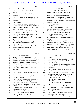|          | Page 114                                                                                 | Page 115                                                                                                    |  |
|----------|------------------------------------------------------------------------------------------|-------------------------------------------------------------------------------------------------------------|--|
| 1        | James P. Kababick                                                                        | $\mathbf 1$<br>James P. Kababick                                                                            |  |
| 2        | And how do you know they were<br>Q                                                       | $\sqrt{2}$<br>Q You say, "Considering that one of the                                                       |  |
| 3        | fabricated?                                                                              | 3<br>authors declares in the paper that he provided                                                         |  |
| 4        | A Further work and investigation yielded                                                 | $\overline{4}$<br>expert witness services for the company funding                                           |  |
| 5        | that information.                                                                        | 5<br>the study, I feel it is even more critical to                                                          |  |
| 6        | Q Okay, and as you sit here today, do you                                                | 6<br>emphasize why they are the only group that was                                                         |  |
| 7        | have any facts to suggest that the Li results were                                       | 7<br>able to obtain samples of oils and botanical                                                           |  |
| 8        | fabricated?                                                                              | 8<br>materials that had DMAA when all other researchers                                                     |  |
| 9        | A I do not.                                                                              | 9<br>were unable to do so."                                                                                 |  |
| 10       | Q Okay. I just want to go back to the                                                    | 10<br>Do you see that?                                                                                      |  |
| 11       | question I was asking you about quantification of                                        | 11<br>A Yes.                                                                                                |  |
| 12       | DMAA. You said that that is not a service that                                           | 12<br>And in your mind, what relevance is it<br>$\mathbf{O}$                                                |  |
| 13       | you offer for clients.                                                                   | 13<br>that one of the authors provided expert services                                                      |  |
| 14       | Have you, in fact, attempted to quantify                                                 | 14<br>to a company funding the study?                                                                       |  |
| 15       | any DMAA in any substance?                                                               | 15<br>A Your question was why -- I'm sorry.                                                                 |  |
| 16       | A We did do some of that work in the past,                                               | 16<br>Q Of what significance is it to you that                                                              |  |
| 17       | but it rapidly dropped off with the, you know,                                           | 17<br>one of the authors of the study was providing                                                         |  |
| 18       | removal of DMAA from products. We didn't pursue                                          | 18<br>expert witnesses for the company who funded the                                                       |  |
| 19<br>20 | it.                                                                                      | 19<br>study?<br>20                                                                                          |  |
| 21       | Q Do you agree with me that it is possible                                               | A Well, there is a claim by USPlabs, if<br>21                                                               |  |
| 22       | for racemic mixtures to be created naturally?<br>Some.                                   | I'm correct, that Geranium is a natural source of<br>22<br>the compound. The only scientist who really come |  |
| 23       | A<br>Q Now, at the end of your analysis -- it's                                          | 23<br>out and show that in the plant were Li at this                                                        |  |
| 24       | on the page marked ElSohly 2630.                                                         | 24<br>point, and he also was helping them as an expert                                                      |  |
| 25       | Yes.<br>A                                                                                | 25<br>witness in that aspect. And therefore, the fact                                                       |  |
|          |                                                                                          |                                                                                                             |  |
|          |                                                                                          |                                                                                                             |  |
|          | Page 116                                                                                 | Page 117                                                                                                    |  |
| 1        | James P. Kababick                                                                        | 1<br>James P. Kababick                                                                                      |  |
| 2        | that his data goes against the larger body of                                            | 2<br>USADA.                                                                                                 |  |
| 3        | scientific evidence, and he's working with a group                                       | 3<br>Q And to your knowledge, has Dr. ElSohly                                                               |  |
| 4        | arguing this naturalness, that I think it's really                                       | 4<br>acted as an expert witness for USADA?                                                                  |  |
| 5        | important to establish, you know, exactly why he                                         | 5<br>I'm not sure.<br>$\mathbf{A}$                                                                          |  |
| 6        | feels nobody else could see that material and                                            | 6<br>To your knowledge, has Dr. Khan acted as<br>$\Omega$                                                   |  |
| 7        | what's going on there.                                                                   | 7<br>an expert witness for the United States                                                                |  |
| 8        | Okay. This is Exhibit 4, the ElSohly<br>Q                                                | 8<br>government?                                                                                            |  |
| 9        | 2012 study.                                                                              | 9<br>A I believe he has, yes. He did an expert                                                              |  |
| 10       | Yes.<br>A                                                                                | 10<br>report for this case.                                                                                 |  |
| 11       | Is that study funded by the FDA and the<br>Q                                             | 11<br>Q If you'd turn now back to Exhibit 11 and                                                            |  |
| 12<br>13 | NIH?                                                                                     | 12<br>specifically to page ElSohly 2633, there's an<br>13                                                   |  |
| 14       | A It says it was supported by the U.S.                                                   | email that starts on the bottom of that page, and<br>14                                                     |  |
| 15       | Anti-Doping Agency.                                                                      | it carries over to 2634.<br>15                                                                              |  |
| 16       | Q Okay, and who are the co-authors on the                                                | I'm sorry. Which page?<br>A<br>16                                                                           |  |
| 17       | paper with Drs. Khan and ElSohly?                                                        | 2633.<br>Q<br>17<br>A                                                                                       |  |
| 18       | A There's Waseem Gul, Kareem ElSohly,<br>Timothy Murphy. I'm going to maybe have trouble | Oh, the one for Mark Blumenthal?<br>18<br>Q<br>Yes.                                                         |  |
| 19       | with this name. Aroona Weerasooriya. Then Amar                                           | 19<br>You see where it says "Jim K. has                                                                     |  |
| 20       | Chittiboyina, Bharathi Avula, Ikhlas Khan, Amy                                           | 20<br>suggested a possible consensus statement on this                                                      |  |
| 21       | Eichner and Larry Bowers.                                                                | 21<br>matter, possibly coming from ABC"?                                                                    |  |
| 22       | Who is Amy Eichner?<br>$\overline{Q}$                                                    | 22<br>Yes.<br>A                                                                                             |  |
| 23       | Amy Eichner is a scientist at USADA.<br>A                                                | 23<br>And that was the consensus statement we<br>0                                                          |  |
| 24<br>25 | And who is Larry Bowers?<br>$\mathbf{Q}$<br>I believe he is also a scientist at<br>A     | 24<br>talked about earlier this afternoon?<br>25<br>A Yeah, the one about the various papers                |  |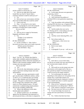|    | Page 118                                                   |                | Page 119                                                   |
|----|------------------------------------------------------------|----------------|------------------------------------------------------------|
| 1  | James P. Kababick                                          | 1              | James P. Kababick                                          |
| 2  | and the synthesis of all the data, yes.                    | 2              | BY MS. WOOLSON:                                            |
| 3  | And you see right above that email,<br>O                   | 3              | So this paper discusses next-generation<br>Q               |
| 4  | Joseph Betz says that he "doesn't think a                  | $\overline{4}$ | sequencing, correct?                                       |
| 5  | consensus statement would be useful just yet"?             | 5              | A Yes, of botanicals.                                      |
| 6  | A Yes.                                                     | 6              | And it discusses the problem of<br>O.                      |
| 7  | Did you have any conversations with him<br>Q               | 7              | incidental DNA in next-generation sequencing,              |
| 8  | about why he didn't think that would be useful?            | 8              | correct?                                                   |
| 9  | A I don't recall any.                                      | 9              | A Yeah, the problem with incidental DNA,                   |
| 10 | Okay. Let's go back to your report,<br>Q                   | 10             | meaning DNA that shows up, or fragment DNA that            |
| 11 | Exhibit 1. In paragraph 19, you're discussing the          | 11             | shows up that is linked to a certain botanical             |
| 12 | possibility of foreign DNA in plant samples.               | 12             | species.                                                   |
| 13 | Do you see that?                                           | 13             | Q And the studies that were run by                         |
| 14 | A Yes.                                                     | 14             | Dr. Fleming and Dr. Li had nothing to do with              |
| 15 | Q And you cite to a paper by Newmaster,                    | 15             | next-generation sequencing, did they?                      |
| 16 | Ragupathy and Hanner, right?                               | 16             | A No.                                                      |
| 17 | A Yes.                                                     | 17             | Q<br>And they weren't detecting DNA, were                  |
| 18 | (Exhibit 12 was marked for                                 | 18             | they?                                                      |
| 19 | identification.)                                           | 19             | Not in those studies, no.<br>A                             |
| 20 | BY MS. WOOLSON:                                            | 20             | (Whereupon, a short recess was                             |
| 21 | Q So this is Exhibit 12. Take a look at                    | 21             | taken.)                                                    |
| 22 | that and let me know when you're ready to proceed.         | 22             | BY MS. WOOLSON:                                            |
| 23 | (Witness peruses document.)                                | 23             | Back to your report.<br>Q.                                 |
| 24 | THE WITNESS: Okay.                                         | 24             | Yes.<br>A                                                  |
| 25 |                                                            | 25             | In paragraph 25 you say -- well, are you<br>$\overline{O}$ |
|    |                                                            |                |                                                            |
|    | Page 120                                                   |                | Page 121                                                   |
| 1  | James P. Kababick                                          | $\mathbf{1}$   | James P. Kababick                                          |
| 2  | there? You say, "Dr. Simone also failed to                 | $\sqrt{2}$     | these, and then you run a formula to compare               |
| 3  | utilize other available analytical techniques to           | 3              | those.                                                     |
| 4  | gain additional evidence about the naturalness of          | 4              | Q And I take it, as you sit here today,                    |
| 5  | DMAA in the Geranium samples studied, such as              | 5              | you did not run isotope ratio mess spectrometry on         |
| 6  | isotope ratio mass spectrometry."                          | 6              | any Geranium plant samples, did you?                       |
|    | Do you see that?                                           | 7              | A No.                                                      |
| 8  | Yes.<br>A                                                  | 8              | And would you run the isotope ratio mass<br>Q              |
| 9  | First of all, what information would you<br>$\overline{Q}$ | 9              | spectrometry on the sample itself or like on a,            |
| 10 | expect to get from running isotope ratio mass              | 10             | just a ground-up sample of Geranium plant, or              |
| 11 | spectrometry?                                              | 11             | would you process the sample somehow?                      |
| 12 | Isotope ratio mass spectrometry would<br>A                 | 12             | A You would prepare the sample, and                        |
| 13 | give you the ratios of different carbons, carbon           | $13$           | depending on what analysis you were going to do by         |
| 14 | 12 and 13, 14. It could also give you isotope              | $1\,4$         | isotope ratio, I would either prepare it by                |
| 15 | data on other elements such as hydrogen and                | 15             | isolating and purifying the compound or setting it         |
| 16 | oxygen. The goal is to determine if a compound             | 16             | up in a volatile state where it could be separated         |
| 17 | has an isotope ratio consistent with a plant               | 17             | by gas chromatography.                                     |
| 18 | source or a Petra chemical source. It's used               | 18             | When you say "isolating the compound,"<br>O.               |
| 19 | extensively in authenticating natural products             | 19             | what compound are you talking about? DMAA?                 |
| 20 | that are also available synthetically.                     | 20             | Yeah, whatever compound I would want to<br>A               |
| 21 | What is the difference in the ratios<br>Q                  | 21             | study. The most recent one I did was on caffeine.          |
| 22 | between plant and synthetic?                               | 22             | To your knowledge, has anyone run<br>Q.                    |
| 23 | A I'd have to look it up. It's calculated                  | 23             | isotope ratio mass spectrometry on Geranium                |
| 24 | against Pee Dee Belemnite and expressed in a               | 24             | plants?                                                    |

<sup>25</sup> A Yes. I believe that there have been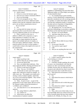|              | Page 122                                                                         |                | Page 123                                                                                      |
|--------------|----------------------------------------------------------------------------------|----------------|-----------------------------------------------------------------------------------------------|
| $\mathbf{1}$ | James P. Kababick                                                                | $\mathbf 1$    | James P. Kababick                                                                             |
| $\mathbf 2$  | analyses conducted on constituents of the oil.                                   | $\sqrt{2}$     | guideline or methodology that prescribes these                                                |
| 3            | Q And by whom?                                                                   | 3              | additional studies, or is that simply your opinion                                            |
| 4            | A I'd have to review the literature again.                                       | 4              | of what should be done?                                                                       |
| 5            | And were any of those constituents DMAA?<br>Q                                    | 5              | A It's considered basic good scientific                                                       |
| 6            | Not to my knowledge.<br>A                                                        | 6              | practice, if you're identifying a compound that is                                            |
| 7            | In the next paragraph you say, "They<br>$\mathbf{Q}$                             | $\overline{7}$ | generally considered not to be occurring naturally                                            |
| 8            | failed to conduct the necessary additional studies                               | 8              | in a product, to explore that further and make                                                |
| 9            | needed to show that the compound is plant-derived                                | 9              | sure that that compound actually is coming from                                               |
| 10           | and to rule out likely contamination sources."                                   | 10             | the plant and not a byproduct of degradation,                                                 |
| 11           | Do you see that?                                                                 | 11             | contamination or anything like that.                                                          |
| 12           | A Yes.                                                                           | 12             | Q My question was: Is it set forth in a                                                       |
| 13           | Q Leaving aside the isotope ratio mass                                           | 13             | particular methodology or procedure or guideline                                              |
| 14           | spectrometry that we just discussed, what                                        | 14             | that those are the steps that need to be taken?                                               |
| 15           | necessary additional studies are you referring to?                               | 15             | A Not that I can recall of fhand.                                                             |
| 16           | A What I would do in this case, in                                               | 16             | Q And those steps that you've just                                                            |
| 17           | addition to IRMS on the compound, is to get a                                    | 17             | identified for us, you didn't do any of those                                                 |
| 18           | larger population of samples to see what                                         | 18             | steps, did you?                                                                               |
| 19<br>20     | percentage in a larger population the material                                   | 19<br>20       | A No.                                                                                         |
| 21           | appears, and multiple replicates of samples, so                                  | 21             | $\overline{Q}$<br>And Dr. Brown didn't do any of those                                        |
| 22           | from each region, additional samples. And if the                                 | 22             | steps, did she?                                                                               |
| 23           | material seemed to be only in certain samples, I                                 | 23             | I'm not sure if she did.<br>A                                                                 |
| 24           | would further evaluate what might be the source of<br>the contamination.         | 24             | You read her expert report?<br>Q<br>I did.<br>$\mathsf{A}$                                    |
| 25           | Okay, and is there a particular<br>Q                                             | 25             | Did you see anything like that in her<br>$\mathbf Q$                                          |
|              |                                                                                  |                |                                                                                               |
|              |                                                                                  |                |                                                                                               |
|              | Page 124                                                                         |                | Page 125                                                                                      |
| $\mathbf{1}$ | James P. Kababick                                                                | 1              | James P. Kababick                                                                             |
| 2            | expert report?                                                                   | $\sqrt{2}$     | A Is there a specific analyte class that                                                      |
| 3            | A I don't recall that I did.                                                     | 3              | you're looking at, or levels?                                                                 |
| 4            | Did Dr. Khan do any of those studies?<br>Q                                       | $\,4$          | Q Just generally.                                                                             |
| 5            | I'm not sure that he did.<br>A                                                   | 5              | A Generally, broadly speaking, this would,                                                    |
| 6            | Now, you talked about replicates. How<br>$\Omega$                                | 6<br>7         | of course, vary tremendously with what the                                                    |
| 7            | many replicates did Drs. Fleming and Simone do?                                  |                | analytes are, their concentrations and other                                                  |
| 8<br>9       | I'd have to refer back to the paper.<br>A                                        | 8<br>9         | variables, but how they are collected, how they                                               |
| 10           | Okay. You can. It's Exhibit 9.<br>Q                                              | 10             | are grown and collected, how they're stored, how                                              |
| 11           | It looks like in some cases from a given<br>A                                    | 11             | they're processed, those would all be factors.                                                |
| 12           | region, they collected or tested two samples. In                                 | 12             | Q What about the environment in which                                                         |
| 13           | other cases, one. The samples were made up by                                    | 13             | they're grown?<br>Yes.<br>A                                                                   |
| 14           | mixing a variety of plants together, which they                                  | 14             | 0                                                                                             |
| 15           | say is two to ten mixed up together. They weren't<br>individual plant specimens. | 15             | What about the season in which they're<br>harvested?                                          |
| 16           | Q Okay. As part of your -- as part of the                                        | 16             | That could.<br>A                                                                              |
| 17           | preparation of your expert report, did you review                                | 17             | What about the soil in which they grow?<br>Q                                                  |
| 18           | Dr. Simone's studies on the derivatization of                                    | 18             | A<br>Yes.                                                                                     |
| 19           | 1,3-DMAA and 1,4-DMAA?                                                           | 19             | What about the weather? I guess that<br>0                                                     |
| 20           | A You mean the GC or LC derivatization for                                       | 20             | would be environment, so --                                                                   |
| 21           | analysis?                                                                        | 21             | Right.<br>A                                                                                   |
| 22           | Yes, using I think it's called FLEC.<br>Q                                        | 22             | Okay, and as you sit here today, do you<br>0                                                  |
| 23           | Yes, I believe so.<br>A                                                          | 23             | have knowledge about any of those factors for any                                             |
| 24<br>25     | What factors can affect the<br>$\Omega$<br>concentrations of analytes in plants? | 24<br>25       | of the Geranium plants that have been studied,<br>whether by Dr. ElSohly, Dr. Khan, Dr. Lisi, |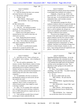|              | Page 126                                                                                | Page 127                                                                                         |
|--------------|-----------------------------------------------------------------------------------------|--------------------------------------------------------------------------------------------------|
| $\mathbf{1}$ | James P. Kababick                                                                       | $\mathbf{1}$<br>James P. Kababick                                                                |
| 2            | Dr. Fleming, Dr. Li?                                                                    | 2<br>develop analytical methods and put those methods                                            |
| 3            | A Only the mention that there were summer                                               | 3<br>or promulgate those methods out to industry.                                                |
| 4            | and winter harvests in the one paper.                                                   | 4<br>Originally, a long time ago, AOAC was                                                       |
| 5            | Beyond that, nothing?<br>Q                                                              | 5<br>part of the FDA. It was a society within the FDA                                            |
| 6            | A Not that I recall.                                                                    | 6<br>many years ago. It was privatized and is now an                                             |
| 7            | MR. O'NEAL: Which paper?                                                                | 7<br>independent entity, and it includes scientists                                              |
| 8            | THE WITNESS: The Li and Fleming                                                         | 8<br>from all over the world.                                                                    |
| 9            | paper.                                                                                  | 9<br>The organization manages the official                                                       |
| 10           | BY MS. WOOLSON:                                                                         | 10<br>methods of analysis which are recognized under the                                         |
| 11           | Q We've talked a lot about --                                                           | 11<br>C.F.R. as official test methods and are used all                                           |
| 12           | A Yeah, the -- am I getting my papers                                                   | 12<br>over the world, and when methods are needed and                                            |
| 13           | mixed up? The Fleming and Simone paper. Let me                                          | 13<br>there's a call for methods, the call goes out,                                             |
| 14           | see if I got my wires crossed here.                                                     | 14<br>experts are assembled, and methods are evaluated                                           |
| 15           | I believe one of the papers refers to                                                   | 15<br>and taken to different action statuses.                                                    |
| 16           | seasonal harvest, but I need to check that, see                                         | 16<br>The process has changed over time                                                          |
| 17           | which one it was here.                                                                  | 17<br>because of the rapid response needed to changing                                           |
| 18           | Yeah, "during three harvest seasons,"                                                   | 18<br>global conditions, but they have what are called                                           |
| 19           | yeah, so it's the Fleming/Simone paper here.                                            | 19<br>"official methods, first action methods," and then                                         |
| 20           | Q Okay. We've talked at various points                                                  | 20<br>there are methods that meet what they call                                                 |
| 21           | today about something called the AOAC.                                                  | 21<br>"standard performance requirements" or "SPM                                                |
| 22           | What is that?                                                                           | 22<br>methods," and these cover all kinds of things from                                         |
| 23           | A The AOAC is a professional scientific                                                 | 23<br>fertilizers to infant formula, vitamins, to, you                                           |
| 24           | society that is a group of scientists and                                               | 24<br>know, water testing and food and supplements and                                           |
| 25           | interested parties that collaborate, cooperate to                                       | 25<br>pharma. That's pretty extensive.                                                           |
|              |                                                                                         |                                                                                                  |
|              | Page 128                                                                                | Page 129                                                                                         |
| 1            | James P. Kababick                                                                       | 1<br>James P. Kababick                                                                           |
| 2            | And when you say "when a call goes out<br>Q                                             | 2                                                                                                |
| 3            | for a method," who is making -- who is sending out                                      | Ingredient Ranking Subcommittee. So for the<br>3<br>dietary supplements, this committee has been |
| 4            | the call?                                                                               | 4<br>charged with determining what the priority order                                            |
| 5            | The call could be stakeholders. For<br>A                                                | 5<br>is for methods that might need to be developed,                                             |
| 6            | instance, recently, Mead Johnson, makers of infant                                      | 6<br>and that can be rearranged over time. That                                                  |
| 7            | formula, they wanted to get a unified method for                                        | 7<br>depends on what's going on in the market and                                                |
| 8            | analyzing the level of nutrient vitamins in infant                                      | 8<br>things like that.                                                                           |
| 9            | formula, and that was using a more modern                                               | 9<br>Q Okay. I just wanted to clarify                                                            |
| 10           | technique, and they sponsored the development of a                                      | 10<br>something. You said "IRS." You didn't mean the                                             |
| 11           | method along with some other infant formula                                             | 11<br>Internal Revenue Service?                                                                  |
| 12           | companies.                                                                              | 12<br>No, no.<br>A                                                                               |
| 13           | Q So stakeholders who have an interest in                                               | 13<br>Because it didn't make any sense.<br>O                                                     |
| 14           | developing the method can send out the call and                                         | 14<br>MR. O'NEAL: He said what the                                                               |
| 15           | then sponsor the work?                                                                  | 15<br>letters were.                                                                              |
| 16           | A Yes, or sometimes it will come from                                                   | 16<br>THE WITNESS: Ingredient Ranking                                                            |
| 17           | regulatory, there's a need, or maybe part of a                                          | 17<br>Subcommittee.                                                                              |
| 18           | clinical research project, there might be a need                                        | 18<br>MS. WOOLSON: I heard "IRS," and I                                                          |
| 19           | to develop a method.                                                                    | 19<br>was like, what?                                                                            |
| 20           | Q Okay. So, for example, FDA could send                                                 | 20<br>MR. O'NEAL: We'll stipulate that                                                           |
| 21           | out a call saying we need to develop a method to                                        | 21<br>the Internal Revenue Service should not be                                                 |
| 22           | do X, or NIH could send out a request and say we                                        | 22<br>involved.                                                                                  |
| 23           | need a method for Y?                                                                    | 23<br>THE WITNESS: Yes. I think that                                                             |
| 24<br>25     | A Yeah, and then normally these are based<br>on the input of what's called the IRS, the | 24<br>was not the best choice for an acronym.<br>25                                              |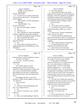# Case 1:13-cv-03675-WBH Document 108-7 Filed 12/30/16 Page 447 of 519

|              | Page 130                                               |                  | Page 131                                                                                  |
|--------------|--------------------------------------------------------|------------------|-------------------------------------------------------------------------------------------|
| $\mathbf{1}$ | James P. Kababick                                      | 1                | James P. Kababick                                                                         |
| 2            | (Exhibit 13 was marked for                             | 2                | Oh, on the right side.<br>A                                                               |
| 3            | identification.)                                       | 3                | "Data acquisition follows the sample<br>Q                                                 |
| 4            | BY MS. WOOLSON:                                        | 4                | preparation step and requires advanced analytical                                         |
| 5            | Q You don't have to read the whole thing.              | 5                | techniques, as the ultra-complexity of samples for                                        |
| 6            | You can, but you don't have to. The questions          | 6                | metabolomic analysis makes it impossible to                                               |
| 7            | will be targeted.                                      | 7                | technologically separate, quantify and identify                                           |
| 8            | MR. O'NEAL: We'll be adjusting our                     | 8                | every metabolite within a biological sample."                                             |
| 9            | travel schedule.                                       | 9                | Do you see that?                                                                          |
| 10           | THE WITNESS: Yes.                                      | 10               | A Yes.                                                                                    |
| 11           | BY MS. WOOLSON:                                        | 11               | Do you agree with that statement?<br>$\mathbf{O}$                                         |
| 12           | Have you seen Exhibit 13 before?<br>Q                  | 12               | A I would say in the context of top-down                                                  |
| 13           | A<br>Yes.                                              | 13               | metabolomic pathway studies, yes, as this is                                              |
| 14           | And what is it?<br>$\overline{Q}$                      | 14               | talking.                                                                                  |
| 15           | This is Appendix K, which are guidelines<br>A          | 15               | Q When you say "top-down metabolomic                                                      |
| 16           | for dietary supplement and botanical methods.          | 16               | studies," what do you mean?                                                               |
| 17           | And these are guidelines issued by whom?<br>Q          | 17               | A That's the studying of metabolic plant                                                  |
| 18           | They are issued by the AOAC.<br>A                      | 18               | pathways by looking at a variety of compounds and                                         |
| 19           | Okay, and if you could turn for me to<br>Q             | 19               | data-mining those compounds using chemometric                                             |
| 20           | page GOV-031203.                                       | 20               | modeling.                                                                                 |
| 21           | A Yes.                                                 | 21               | And to what end I guess is the question.<br>O.                                            |
| 22           | At the bottom of that page, there's a<br>$\Omega$      | 22               | Tracing the pathways by which<br>A                                                        |
| 23           | paragraph right above the table that says "Data        | 23               | metabolites are produced in the plant.                                                    |
| 24           | Acquisition."                                          | 24               | And if you turn to the next page,<br>Q                                                    |
| 25           | Do you see that?                                       | 25               | there's Table 2, and it's got listed some standard                                        |
|              |                                                        |                  |                                                                                           |
|              | Page 132                                               |                  | Page 133                                                                                  |
| 1            |                                                        | $\mathbf 1$      |                                                                                           |
| 2            | James P. Kababick                                      | $\boldsymbol{2}$ | James P. Kababick                                                                         |
| 3            | techniques that are used in metabolomic analysis.      | 3                | table means regarding sensitivity and why NMR is                                          |
| 4            | It's Table 2, not Figure 2.                            | $\overline{4}$   | low sensitivity versus mass spec methods?                                                 |
| 5            | A Oh, sorry. You have a question                       | 5                | A In this, related to metabolomic                                                         |
| 6            | regarding the --                                       | 6                | analysis, the NMR, the way it's being referenced                                          |
| 7            | I do.<br>Q<br>So on Table 2 there are various          | 7                | here, to my understanding, is looking at an<br>extracted sample. You have in that sample  |
| 8            | techniques that are listed for analyzing               | 8                | multiple components as a -- we call Gestalt.                                              |
| 9            | compounds, and this morning I was trying to ask        | 9                | They're all together at once. You're getting all                                          |
| 10           | you, in a very inarticulate fashion, questions         | 10               | the signal from everything that responds to NMR,                                          |
| 11           | about NMR versus mass spec, so hopefully this          | 11               | where GC/MS and LC/MS involve some degree of                                              |
| 12           | table will help me ask a more articulate question      | 12               | chromatographic separation of the compound, so                                            |
| 13           | of you.                                                | 13               | you're now getting compounds separated from other                                         |
| 14           | So looking at the table, it says for the               | 14               | compounds.                                                                                |
| 15           | technique of NMR, nuclear magnetic resonance, it's     | 15               | Q And when you're talking about separation                                                |
| 16           | "low sensitivity."                                     | 16               | of compounds, does that mean that you are somehow                                         |
| 17           | Do you see that?                                       | 17               | performing an action on the initial product or                                            |
| 18           | A Yes.                                                 | 18               | substrate in order to effect that separation?                                             |
| 19           | And then for gas chromatography mass<br>$\overline{O}$ | 19               | A I'm not sure I understand.                                                              |
| 20           | spec, it says "high sensitivity."                      | 20               | Sure.<br>Q                                                                                |
| 21           | Yes.<br>A                                              | 21               | You're talking about separating                                                           |
| 22           | And for LC mass spec, it says "medium<br>$\mathbf{O}$  | 22               | compounds in LC and mass spec.                                                            |
| 23           | sensitivity."                                          | 23               | A Yes.                                                                                    |
| 24<br>25     | Yes.<br>A<br>What is your understanding of what this   | 24<br>25         | And so my question was: Does that mean<br>0<br>that you're operating in some way upon the |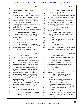|                         | Page 134                                                                    |              | Page 135                                                                                       |
|-------------------------|-----------------------------------------------------------------------------|--------------|------------------------------------------------------------------------------------------------|
| $\mathbf 1$             | James P. Kababick                                                           | $\mathbf{1}$ | James P. Kababick                                                                              |
| 2                       | original substrate in order to effect that                                  | 2            | So that other approaches may be used if<br>O.                                                  |
| 3                       | separation?                                                                 | 3            | they're deemed to be appropriate?                                                              |
| $\overline{4}$          | A You're operating on whatever you                                          | 4            | Yes, that is the case.<br>A                                                                    |
| 5                       | prepared for analysis, which could be a simple                              | 5            | Do you agree that some compounds that<br>0                                                     |
| 6                       | extraction from something like into a solvent, but                          | 6            | are characterized as drugs can still be naturally                                              |
| $\sqrt{ }$              | even then, one must keep in mind that that's                                | 7            | occurring compounds?                                                                           |
| 8                       | somewhat selective. You don't put -- if you're                              | 8            | A When you say "categorized as drugs," do                                                      |
| 9                       | working directly with plant material, not                                   | 9            | you mean that they are compounds that are                                                      |
| 10                      | everything is going to go into solution, so you're                          | 10           | recognized as pharmaceutical drugs by FDA?                                                     |
| 11                      | always getting some kind of bias in what you're                             | 11           | Q I don't know.                                                                                |
| 12                      | seeing, but once you get onto the instrument,                               | 12           | (Exhibit 14 was marked for                                                                     |
| 13                      | whatever you have put on the instrument, the goal                           | 13           | identification.)                                                                               |
| 14                      | there is to get separation.                                                 | 14           | BY MS. WOOLSON:                                                                                |
| 15                      | You don't always get separation of                                          | 15           | Q I'm showing you Exhibit 14, which I                                                          |
| 16                      | everything. It depends on what the detector can                             | 16           | think you will recognize is an article that you                                                |
| 17                      | detect, what separates on the column and their                              | 17           | authored.                                                                                      |
| 18                      | concentrations.                                                             | 18           | $\mathbf{A}$<br>Yes.                                                                           |
| 19                      | So it depends on the conditions that<br>$\overline{Q}$                      | 19           | $\mathbf{Q}$<br>Okay. So this was an article that you                                          |
| 20                      | you're employing?                                                           | 20           | wrote about yohimbine?                                                                         |
| 21                      | Right, partly, yes.<br>A                                                    | 21           | Yes.<br>A                                                                                      |
| 22                      | Okay. Do you agree that the guidance<br>Q                                   | 22           | I think I said that right.<br>Q                                                                |
| 23                      | that the AOAC and similar organizations publish                             | 23           | A<br>You did.                                                                                  |
| 24                      | are simply that, they're guidance?                                          | 24           | And my understanding is that it has been<br>$\mathbf Q$                                        |
| 25                      | A In general, they're guidelines, yes.                                      | 25           | categorized as a scheduled prescription drug in                                                |
|                         |                                                                             |              |                                                                                                |
|                         | Page 136                                                                    |              | Page 137                                                                                       |
| 1                       | James P. Kababick                                                           | 1            | James P. Kababick                                                                              |
| $\overline{\mathbf{c}}$ | several parts of the country, but yet it is also                            | 2            | It's the email that we talked about this morning.                                              |
| 3                       | something that is a natural product; is that --                             | 3            | Yes.<br>A                                                                                      |
| 4                       | Yohimbine hydrochloride is a monograph<br>A                                 | 4            | In your email that is Exhibit 2, you<br>Q                                                      |
| 5                       | drug in the United States Pharmacopeia, and it is                           | 5            | start the email by saying, "Dear colleagues and                                                |
| 6                       | recognized as a drug by FDA, as far as I know.                              | 6            | remaining friends who don't yet hate me for                                                    |
| 7                       | The yohimbine in yohimbine bark is in the freebase                          | 7            | pointing out dangerous supplement issues."                                                     |
| 8                       | form. It's a freebase form, the difference being                            | 8            | Do you see that?                                                                               |
| 9                       | the salt moiety and the source of the material.                             | 9            | Yes.<br>A                                                                                      |
| 10                      | Q And can you take the freebase yohimbine                                   | 10           | What dangerous supplement issue were you<br>O                                                  |
| 11                      | in the bark and then make it rather easily into                             | 11           | trying to point out in this email?                                                             |
| 12                      | the prescription drug that we're talking about?                             | 12           | MR. O'NEAL: Object to the form.                                                                |
| 13                      | A You could turn it into a hydrochloride                                    | 13           | THE WITNESS: I think in this                                                                   |
| 14                      | salt, which would have the same structure as the                            | 14           | particular thing what I was speaking to is in                                                  |
| 15                      | pharmaceutical form.                                                        | 15           | general, when I brought up concerns about                                                      |
| 16                      | Q Okay. So when I asked the question                                        | 16           | supplement issues, which most of them have                                                     |
| 17                      | earlier about can something that is a prescription                          | 17           | been related to phosphodiesterase 5                                                            |
| 18                      | drug also be naturally occurring, it was in the                             | 18<br>19     | inhibitors, Sibutramine and analogues of                                                       |
| 19                      | context of this article that I was asking that                              | 20           | Sibutramine and contaminants such as getting                                                   |
| 20<br>21                | question.                                                                   | 21           | the wrong species mixed up, it's toxic, that                                                   |
| 22                      | So with that in mind, what is your<br>answer?                               | 22           | kind of thing.                                                                                 |
| 23                      |                                                                             | 23           | And then in this case we were                                                                  |
| 24                      | A It could be the same molecular compound<br>as far as structure goes, yes. | 24           | looking into the reports on the Forthane DMAA<br>safety issues, and so I was pointing that out |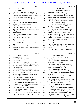|             | Page 138                                                                                                 |                | Page 139                                                                                          |
|-------------|----------------------------------------------------------------------------------------------------------|----------------|---------------------------------------------------------------------------------------------------|
| 1           | James P. Kababick                                                                                        | $\mathbf 1$    | James P. Kababick                                                                                 |
| 2           | BY MS. WOOLSON:                                                                                          | 2              | Do you recall what, if any, steps you                                                             |
| 3           | Q Okay. In the next paragraph you say,                                                                   | 3              | had taken before this email?                                                                      |
| 4           | "In my continuing argument that DMAA (a/k/a                                                              | 4              | A I don't actually recall specifically                                                            |
| 5           | Geranium, a/k/a methylhexaneamine) is a drug with                                                        | 5              | what I did. I don't have a good recollection of                                                   |
| 6           | dangers," and then you continue on.                                                                      | 6              | all the timing of how this played out, because it                                                 |
| 7           | How long have you been making that                                                                       | 7              | was so long ago.                                                                                  |
| 8           | argument?                                                                                                | 8              | Okay. You're not a physician, correct?<br>Q                                                       |
| 9           | A As far as that there could be potential                                                                | 9              | No, I'm not a physician.<br>A                                                                     |
| 10          | dangers with methylhexaneamine?                                                                          | 10             | And as you sit here today, are you<br>$\Omega$                                                    |
| 11          | Q Yes.                                                                                                   | 11             | opining about the safety of DMAA?                                                                 |
| 12          | A I don't know the specific amount of                                                                    | 12             | A No, I'm not opining on the safety.                                                              |
| 13          | time. When the issue started coming up, I started                                                        | 13             | Now, at the end of your email you say,<br>$\mathbf{O}$                                            |
| 14          | looking into it, but I don't have a time window,                                                         | 14             | "Finally, if I turn out to be wrong about this,                                                   |
| 15          | to tell you the truth.                                                                                   | 15             | and methylhexaneamine is actually found in                                                        |
| 16          | Q Can you estimate? Was it five years,                                                                   | 16             | Geranium oil as per the Ping paper and confirmed                                                  |
| 17          | ten years?                                                                                               | 17             | using mass spec and IRMS to be natural and                                                        |
| 18          | A Oh, no, I don't think anything like                                                                    | 18             | authentic, I will be happy to be the first person                                                 |
| 19          | that.                                                                                                    | 19             | to publish a correction to my position."                                                          |
| 20          | Okay, and what --<br>Q                                                                                   | 20             | Do you see that?                                                                                  |
| 21          | This was all rapidly happening at the<br>A                                                               | 21             | A Yes.                                                                                            |
| 22<br>23    | time.                                                                                                    | 22             | Did you publish anything to change your<br>$\overline{Q}$                                         |
| 24          | Okay. So the use of the term "continued<br>$\overline{Q}$                                                | 23<br>24       | position after the Li and Fleming papers were                                                     |
| 25          | argument" suggests that there had been preceding                                                         | 25             | issued?                                                                                           |
|             | argument.                                                                                                |                | A No, I did not. They did not meet the                                                            |
|             |                                                                                                          |                |                                                                                                   |
|             | Page 140                                                                                                 |                | Page 141                                                                                          |
| $\mathbf 1$ | James P. Kababick                                                                                        | 1              | James P. Kababick                                                                                 |
| 2           | requirement here.                                                                                        | 2              | Again, you're not an expert in<br>$\overline{O}$                                                  |
| 3           | Q And in what way did they fail to meet                                                                  | 3              | biosynthetic pathways, correct?                                                                   |
| 4           | the requirement?                                                                                         | $\overline{4}$ | A No. I'm relying on her expertise, which                                                         |
| 5           | A They didn't use isotope ratio mass spec,                                                               | 5              | I have no reason to question.                                                                     |
| 6           | and the papers, while they identify the presence                                                         | 6              | Q And you've already testified that there                                                         |
| 7           | of DMAA, they don't confirm that it's a naturally                                                        | 7              | are many biosynthethic pathways for plants that                                                   |
| 8           | occurring material.                                                                                      | 8              | have not yet been identified, correct?                                                            |
| 9           | And again as you sit here today, you<br>Q                                                                | 9              | A I would imagine there are.                                                                      |
| 10          | don't have any information about the conditions of                                                       | 10             | And do you know what steps, if any,<br>Q                                                          |
| 11          | the plant, the treatment of the plant, the                                                               | 11             | Dr. Brown took to identify potential biosynthethic                                                |
| 12          | handling of the plant samples, nothing, correct,                                                         | 12             | pathways?                                                                                         |
| 13          | beyond what's in the papers?                                                                             | 13             | A I'm not familiar with that. I'm solely                                                          |
| 14          | A Beyond what's in the papers, no.                                                                       | 14             | relying on her expertise in the field.                                                            |
| 15          | And as you sit here today, you don't<br>O                                                                | 15             | Q And when you had issued this report that                                                        |
| 16<br>17    | have any facts to demonstrate that the plants were                                                       | 16             | you've been looking at as Exhibit 1, had you read                                                 |
| 18          | contaminated with DMAA beyond the fact that there                                                        | $17\,$<br>18   | Dr. Brown's report by that time?                                                                  |
| 19          | are studies that don't find DMAA, and there are                                                          | 19             | A No, I didn't read her report until after                                                        |
| 20          | studies that do find DMAA?                                                                               | 20             | I did my report.                                                                                  |
| 21          | A Well, actually, no. After reading                                                                      | 21             | Q What, if any, reports had you read when                                                         |
| 22          | Dr. Brown's report that states -- her expert                                                             | 22             | you drafted your report, other than Dr. Simone's?                                                 |
| 23          | report that DMAA can't be made by the metabolic                                                          | 23             | A Dr. Simone's and Dr. Heuer's, I believe.                                                        |
| 24          | pathways in Geranium, it supports my position that<br>it must be a contaminant, because there's no other | 24             | Yeah, Heuer. I read these two reports, and I<br>think I may have read something from Dr. ElSohly, |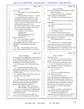|                | Page 142                                                                                |              | Page 143                                                                                             |
|----------------|-----------------------------------------------------------------------------------------|--------------|------------------------------------------------------------------------------------------------------|
| $\mathbf 1$    | James P. Kababick                                                                       | $\mathbf{1}$ | James P. Kababick                                                                                    |
| 2              | I'm not sure.                                                                           | 2            | group called "ORAHQ, ORS Management at FDA."                                                         |
| 3              | MR. O'NEAL: Are you talking about                                                       | 3            | What group is that?                                                                                  |
| 4              | expert reports?                                                                         | 4            | A That would be the Office of Regulatory                                                             |
| 5              | THE WITNESS: There was -- I think                                                       | 5            | Affairs Headquarters Management.                                                                     |
| 6              | I may be thinking about his paper. There                                                | 6            | Q And why were you communicating with                                                                |
| 7              | were these two expert reports I read, and                                               | 7            | them?                                                                                                |
| 8              | then after I did my report, I was provided                                              | 8            | A I don't recall why we were communicating                                                           |
| 9              | with Dr. Brown's and Ikhlas Khan's report and                                           | 9            | regarding this.                                                                                      |
| 10             | read those following it, but I read                                                     | 10           | Q Okay, and you also sent it to the ORA                                                              |
| 11             | Dr. Simone's and Dr. Heuer's, and I reviewed                                            | 11           | lab directors?                                                                                       |
| 12             | the other documents related to the case, the                                            | 12           | Yes.<br>A                                                                                            |
| 13             | papers and articles and things.                                                         | 13           | And you CC'd Daniel Fabricant, correct?<br>O                                                         |
| 14             | (Exhibit 15 was marked for                                                              | 14           | Yes, it appears so here.<br>A                                                                        |
| 15             | identification.)                                                                        | 15           | When you look at the email, it says,<br>O.                                                           |
| 16             | (Witness peruses document.)                                                             | 16           | "I've had a chance to review the embargoed paper                                                     |
| 17             | THE WITNESS: Yes.                                                                       | 17           | and saw those two erroneous hits, and the MS data                                                    |
| 18             | BY MS. WOOLSON:                                                                         | 18           | did not support it, in my opinion."                                                                  |
| 19             | You've seen Exhibit 15 before?<br>$\mathbf{O}$                                          | 19           | What embargoed paper are you talking                                                                 |
| 20             | Yeah, it looks like an email<br>$\mathbf{A}$                                            | 20           | about?                                                                                               |
| 21             | communication that I sent, and this article is --                                       | 21           | That I'm not sure. I remember looking<br>A                                                           |
| 22             | looks like it's from Wall Street Journal,                                               | 22           | at embargoed paper, but I do not recall whose                                                        |
| 23             | possibly.                                                                               | 23           | paper it was. I've looked at some articles that                                                      |
| 24             | Q Okay. This email that you sent, you                                                   | 24           | were embargoed, given an opportunity to review and                                                   |
| 25             | sent to William Martin at FDA. It looks like a                                          | 25           | comment before it went to press, and also was                                                        |
|                |                                                                                         |              |                                                                                                      |
|                |                                                                                         |              |                                                                                                      |
|                | Page 144                                                                                |              | Page 145                                                                                             |
| 1              | James P. Kababick                                                                       | $\mathbf{1}$ | James P. Kababick                                                                                    |
| $\sqrt{2}$     | asked to peer-review additionally a paper because                                       | 2            | discussing, correct?                                                                                 |
| 3              | of my familiarity with DMAA, but I don't know if                                        | 3            | A Not exactly, but I think it would be one                                                           |
| $\overline{4}$ | this was Armstrong's paper or the joint                                                 | 4            | of those -- let me see here. I'm not sure if this                                                    |
| 5              | collaborative one with ElSohly and Khan.                                                | 5            | article is linked to this communication or not.                                                      |
| 6              | Did you peer-review either one of those<br>$\mathbf{O}$                                 | 6            | You see further down in the email it<br>O                                                            |
| 7              | papers?                                                                                 | 7            | says, "Regardless, I was very pleased the final                                                      |
| 8              | A I reviewed them at the request of the                                                 | 8            | paper did not have that data."                                                                       |
| 9              | authors prior to their release, but not actually                                        | 9            | Do you see that?                                                                                     |
| 10             | through the journal process as a primary reviewer,                                      | 10           | A Yes.                                                                                               |
| 11             | as a final reviewer.                                                                    | 11           | Why were you pleased that the final<br>O.                                                            |
| 12             | Q And the ElSohly study that you reviewed;                                              | 12           | paper did not have data in it?                                                                       |
| 13             | was that the multi-centre study?                                                        | 13           | A In particular, I believe this is                                                                   |
| 14             | A Yes.                                                                                  | 14           | addressing some data that suggested DMAA was                                                         |
| 15             | And when you reviewed the multi-centre<br>0                                             | 15           | present, but in looking at the spectral data, the                                                    |
| 16             | study, did you have benefit of the information                                          | 16           | mass spec data was not matching, and in one case                                                     |
| 17             | that we discussed today about the Shanghai                                              | $1\,7$       | the data that I looked at, the signals were below                                                    |
| 18             | Institute and its detection of DMAA?                                                    | 18           | detection limits of the method, so in those cases                                                    |
| 19             | MR. O'NEAL: Object to the form.                                                         | 19           | you can't make a scientifically valid call that                                                      |
| 20             | THE WITNESS: I'm not sure exactly                                                       | 20           | that's DMAA.                                                                                         |
| 21             | what data was provided, but I remember there                                            | 21           | Q And so you think that omitting the data                                                            |
| 22             | being some raw data to look at and evaluate.                                            | 22           | altogether from the paper is appropriate?                                                            |
| 23             | BY MS. WOOLSON:                                                                         | 23           | A I think that not saying that it's a                                                                |
| 24<br>25       | Q Okay, and as you sit here today, you<br>don't know what embargoed paper this email is | 24<br>25     | compound when you're below the level at which you<br>say you can detect the compound is appropriate. |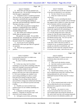|                | Page 146                                                                            |                | Page 147                                                                                              |
|----------------|-------------------------------------------------------------------------------------|----------------|-------------------------------------------------------------------------------------------------------|
| $\mathbf{1}$   | James P. Kababick                                                                   | $\mathbf{1}$   | James P. Kababick                                                                                     |
| $\overline{a}$ | Well, that's not what my question was.<br>$\overline{O}$                            | 2              | A And when you say the data "doesn't fit,"                                                            |
| 3              | My question was: Do you think omitting the data                                     | 3              | is that that you determine it's not valid data?                                                       |
| $\overline{4}$ | from the paper is appropriate?                                                      | $\overline{4}$ | Q No, that it doesn't fit your conclusion.                                                            |
| 5              | A It depends on how it would be presented.                                          | 5              | A Well, how would it not fit the                                                                      |
| 6              | The way it was, yes, because it was making an                                       | 6              | conclusion?                                                                                           |
| 7              | inaccurate, unscientifically supported claim.                                       | 7              | Q Well, if you're concluding that there's                                                             |
| 8              | Q How is presenting data making an                                                  | 8              | no DMAA in a plant, for example, and you find data                                                    |
| 9              | inaccurate and unscientifically supported claim?                                    | 9              | that suggests there is DMAA in a plant, that would                                                    |
| 10             | The data is the data, is it not?                                                    | 10             | not be consistent with the conclusion, right?                                                         |
| 11             | A Well, when you present it saying that it                                          | 11             | A In this hypothetical situation, just so                                                             |
| 12             | identifies a compound that you're unable to                                         | 12             | I understand, are you saying that the findings are                                                    |
| 13             | actually empirically confirm that, then that's                                      | 13             | empirically supported by the methodology or                                                           |
| 14             | misrepresenting the data.                                                           | 14             | that -- because in the cases that I recall looking                                                    |
| 15             | Q But I think you're taking my question                                             | 15             | at, it was like taking noise from a radio and                                                         |
| 16             | further than my question went.                                                      | 16             | saying, oh, I hear the same frequencies that I                                                        |
| 17             | My question was simply: Do you think                                                | $17$           | hear in this Michael Jackson song, so that must be                                                    |
| 18             | omitting the data, not making any conclusion, but                                   | 18             | the Michael Jackson song. You can't say that,                                                         |
| 19             | omitting the data entirely from a paper just                                        | 19             | because you're in the noise.                                                                          |
| 20             | because it doesn't fit, is inappropriate?                                           | 20             | My concern with this was that signal was                                                              |
| 21             | A I'm not sure if you're speaking                                                   | 21             | in the noise, which is the level at which, as                                                         |
| 22             | specifically to this mass spec data or in general                                   | 22             | scientists we say, as analytical chemists we can't                                                    |
| 23             | as a practice.                                                                      | 23             | actually say what this is scientifically, and                                                         |
| 24             | Q Well, let's say in general as a                                                   | 24             | therefore we don't name this compound, because                                                        |
| 25             | practice.                                                                           | 25             | it's not able to be named. And in the one case,                                                       |
|                |                                                                                     |                |                                                                                                       |
|                |                                                                                     |                |                                                                                                       |
|                | Page 148                                                                            |                | Page 149                                                                                              |
| 1              | James P. Kababick                                                                   | $\mathbf{1}$   | James P. Kababick                                                                                     |
| 2              | it was missing critical ions, so it didn't even                                     | 2              | looked at this Exhibit 15, it doesn't refresh your                                                    |
| 3              | look like the compound.                                                             | 3              | recollection about what article you were                                                              |
| $\overline{4}$ | So, yeah, I would say definitely in that                                            | 4              | reviewing?                                                                                            |
| 5              | case.                                                                               | 5              | A I don't recall with absolute certainty.                                                             |
| 6              | In that case, okay, but if you detect<br>O                                          | 6              | And what would you need to look at to<br>O.                                                           |
| 7              | something or you may detect something within the                                    | 7              | recall with absolute certainty?                                                                       |
| 8              | noise level, shouldn't you go back and do more                                      | 8              | A If I had the article, that would be                                                                 |
| 9              | studies to confirm whether it's there?                                              | 9              | great, or the data.                                                                                   |
| 10             | A It depends on what you detect and what's                                          | 10             | Q The end of the sentence, you say, "The                                                              |
| 11             | going on and what your scope of the application                                     | $1\,1$         | lack of authentication means they could have been                                                     |
| 12             | is. So if you're looking to say whether or not                                      | 12             | testing adulterated oils, and I see more                                                              |
| 13             | you're seeing something at or above a certain                                       | 13             | adulterated Geranium EO than clean EO in today's                                                      |
| 14             | level and you're seeing it at that level, that's                                    | 14             | market."                                                                                              |
| $15$           | one thing. If you're seeing it below that level                                     | 15             | Do you see that?                                                                                      |
| 16             | and you'd like to change your method and redevelop                                  | 16             | A Yes.                                                                                                |
| $17\,$         | it to go lower, you could opt to go back and study                                  | 17             | Q Is your comment based solely on the fact                                                            |
| 18<br>19       | it further.                                                                         | 18<br>19       | that you think that the oils were not properly                                                        |
| 20             | Q Wouldn't you want to do that if you                                               | 20             | authenticated as opposed to what the results of                                                       |
| 21             | wanted to know for sure whether something was                                       | 21             | the study were?                                                                                       |
| 22             | there or not?                                                                       | 22             | A Yeah, the -- my concern is, in my                                                                   |
| 23             | A It depends on what the goal of the                                                | 23             | research on essential oils I have seen over the                                                       |
| 24             | method is. It depends on what the scope is and                                      | 24             | years multiple papers discussing the chemistry of                                                     |
| 25             | what levels you're trying to achieve.<br>And again as you sit here, and having<br>Q | 25             | oils, and in some cases they were naming compounds<br>which are known to be absolutely synthetic, and |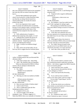|                | Page 150                                                           |                         | Page 151                                                   |
|----------------|--------------------------------------------------------------------|-------------------------|------------------------------------------------------------|
| $\mathbf{1}$   | James P. Kababick                                                  | $\mathbf 1$             | James P. Kababick                                          |
| 2              | they were making decisions based on the assumption                 | 2                       | that were examined by Drs. Li and Fleming were             |
| 3              | that what they had was natural when they didn't                    | 3                       | tampered with?                                             |
| $\overline{4}$ | have it.                                                           | 4                       | A Tampered with in regard to deliberately                  |
| 5              | And the NIH established expert panels,                             | 5                       | adulterated, no.                                           |
| 6              | which I was involved in, to help researchers make                  | 6                       | (Whereupon, a short recess was                             |
| 7              | sure that they are doing clinical research on                      | 7                       | taken.)                                                    |
| 8              | natural products that are actually the natural                     | 8                       | BY MS. WOOLSON:                                            |
| 9              | products they think.                                               | 9                       | Q Mr. Kababick, I may have asked you this,                 |
| 10             | So it's very important to have a good                              | 10                      | and if I did, I apologize for asking it again.             |
| 11             | chain of custody and authentication on materials,                  | 11                      | This morning you testified that you had                    |
| 12             | because if you're going to make a conclusion about                 | 12                      | done some DMAA testing on extracts of Geranium             |
| 13             | something present and you don't know if the                        | 13                      | plants.                                                    |
| 14             | material has been tampered with, that could be a                   | 14                      | Do you remember that testimony?                            |
| 15             | concern.                                                           | 15                      | A Yeah, there were materials sent to me                    |
| 16             | Q Well, authentication of samples is                               | 16                      | that were reported to be Geranium plant extracts,          |
| 17             | different than tampering with samples, is it not?                  | 17                      | but I didn't know for sure if they were Geranium           |
| 18             | A Authentication would be the process of                           | 18                      | plant extracts.                                            |
| 19             | determining if the material appears to be an                       | 19                      | Q With regard to these, the extracts in                    |
| 20             | authentic material. Tampering would be the                         | 20                      | which you did detect DMAA, did you do that isotope         |
| 21<br>22       | process of modifying that material.                                | 21<br>22                | mass spec ratio that you discussed earlier?                |
| 23             | Q Right. So they're two different things?                          | 23                      | A No, I didn't, because my goal in that                    |
| 24             | A Yes.                                                             | 24                      | was just to see if it was DMAA and in one case             |
| 25             | Q Okay, and as you sit here today, do you                          | 25                      | what levels were there, so it wasn't necessary.            |
|                | have any facts to suggest that the Geranium plants                 |                         | Q And I take it then you didn't do any                     |
|                | Page 152                                                           |                         | Page 153                                                   |
| 1              | James P. Kababick                                                  | $\mathbf 1$             | James P. Kababick                                          |
| 2              | carbon 14 dating analysis that you discussed this                  | $\overline{\mathbf{c}}$ | plants"?                                                   |
| 3              | afternoon either?                                                  |                         |                                                            |
| 4              |                                                                    | 3                       | A Yes.                                                     |
|                | A Yeah, that's isotope ratio. Same thing.                          | $\overline{4}$          | Q Have you been asked to comment on the                    |
| 5              | Sorry. My chemistry days are long gone.<br>$\mathbf{O}$            | 5                       | New Zealand government's publication saying that           |
| 6              | When you determined the DMAA in those                              | 6                       | DMAA -- the evidence suggests that DMAA naturally          |
| 7              | extracts, did you attempt to determine the                         | 7                       | occurs in Geranium plants?                                 |
| 8              | diastereomer ratio?                                                | 8                       | A I don't recall that I have, actually.                    |
| 9              | A No, I didn't.                                                    | 9                       | And you haven't discussed that with any<br>0               |
| 10             | (Exhibit 16 was marked for                                         | 10                      | of your colleagues at AOAC?                                |
| 11             | identification.)                                                   | 11                      | A I don't recall specifically discussing                   |
| 12             | BY MS. WOOLSON:                                                    | 12                      | this.                                                      |
| 13             | Showing you what was marked as Exhibit<br>Q                        | 13                      | Q If you could turn back to Exhibit 1,                     |
| 14             | 16.                                                                | 14                      | which is your report, please, and I'm on page 17.          |
| 15             | (Witness peruses document.)                                        | 15                      | You see under "Expert Report" you list                     |
| 16             | THE WITNESS: Okay.                                                 | 16                      | Dr. Brown's report?                                        |
| 17<br>18       | BY MS. WOOLSON:                                                    | 17<br>18                | A Yes.                                                     |
| 19             | Have you seen Exhibit 16 before today?<br>Q.                       | 19                      | So does that refresh your recollection<br>0                |
| 20             | I don't recall if I have.<br>A                                     | 20                      | about whether you had looked at Dr. Brown's report         |
| 21             | This is a publication from the New<br>$\overline{O}$               | 21                      | before you prepared your report?                           |
| 22             | Zealand government, correct?<br>A                                  | 22                      | A I definitely did not.<br>0                               |
| 23             | It appears to be so, yes.<br>You see on page 3 of 8, the last<br>О | 23                      | You definitely did not look at                             |
| 24             | paragraph, it says, "Evidence suggests it is                       | 24                      | Dr. Brown's report?<br>A No. I drafted my report, and I -- |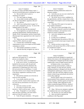|                | Page 154                                                                            | Page 155                                                                            |  |
|----------------|-------------------------------------------------------------------------------------|-------------------------------------------------------------------------------------|--|
| 1              | James P. Kababick                                                                   | $\mathbf 1$<br>James P. Kababick                                                    |  |
| $\sqrt{2}$     | Dr. Brown's report and Ikhlas Khan's report. I                                      | 2<br>clandestine and drug adulteration analysis for                                 |  |
| 3              | had not reviewed them prior to drafting my report.                                  | 3<br>detention samples.                                                             |  |
| $\overline{4}$ | Q But you did review it prior to                                                    | $\overline{4}$<br>Q And when you say you were vetted by the                         |  |
| 5              | finalizing your report?                                                             | 5<br>FDA, what does that involve?                                                   |  |
| 6              | A Yes, and I made no changes.                                                       | 6<br>A The AOAC has to review candidates for                                        |  |
| 7              | So you didn't include anything about<br>0                                           | 7<br>the appointments, and they compare that to what                                |  |
| 8              | Dr. Brown's biosynthetic argument, did you?                                         | 8<br>FDA expects of an expert to serve in those funded                              |  |
| 9              | A No, I did not.                                                                    | 9<br>committees.                                                                    |  |
| 10             | And if you could go back to page 3 of<br>$\overline{Q}$                             | 10<br>Q What does FDA expect of an expert in                                        |  |
| 11             | your report, paragraph 4, you say, "As one of the                                   | 11<br>those funded committees?                                                      |  |
| 12             | leading experts in my field."                                                       | 12<br>A They have to have knowledge of the                                          |  |
| 13             | What is the basis for that statement?                                               | chemistry of the compound's analytical techniques,<br>13                            |  |
| 14             | A I'm recognized as an expert by the Food                                           | 14<br>validation techniques, and experience in the                                  |  |
| 15             | and Drug Administration, National Institute of                                      | 15<br>analysis of various components.                                               |  |
| 16             | Health, AOAC International, and the United States                                   | 16<br>Q And is the vetting the same for NIH?                                        |  |
| 17             | Pharmacopeia have appointed me to the Council of                                    | 17<br>It's similar.<br>$\mathsf{A}$                                                 |  |
| 18             | Experts.                                                                            | 18<br>In what way is it different?<br>Q                                             |  |
| 19             | Q When you say you're recognized as an                                              | 19<br>Depending upon the position at NIH, you<br>A                                  |  |
| 20             | expert by FDA, what do you mean?                                                    | 20<br>may or may not need certain types of grant review                             |  |
| 21             | A It means that I satisfied the vetting                                             | 21<br>experience.                                                                   |  |
| 22             | requirements to serve as an expert on FDA-funded                                    | 22<br>Q And do you have to meet with or                                             |  |
| 23             | committees in AOAC.                                                                 | 23<br>interview with anyone from FDA or NIH in order to                             |  |
| 24             | FDA-funded committees in AOAC?<br>0                                                 | 24<br>be considered an expert?                                                      |  |
| 25             | And also that they recognize my work in<br>A                                        | 25<br>No. I just had to fill out an<br>A                                            |  |
|                |                                                                                     |                                                                                     |  |
|                | Page 156                                                                            | Page 157                                                                            |  |
| 1              | James P. Kababick                                                                   | $\mathbf{1}$<br>James P. Kababick                                                   |  |
| 2              | application and submit my CV, and then that                                         | 2<br>are grants specifically designed to expand and                                 |  |
| 3              | process was handled by others.                                                      | 3<br>advance the science at the undergraduate level, so                             |  |
| 4              | Q Do you know who it was handled by?                                                | $\overline{4}$<br>it's funding that is designed specifically to help                |  |
| 5              | A In the case of AOAC, it would have been                                           | 5<br>students gain a more in-depth research skill set.                              |  |
| 6              | handled by the executive staff, the paid staff.                                     | 6<br>In relation to this, it was related to                                         |  |
| 7              | There's an employed staff that administers the                                      | $\overline{7}$<br>things involving natural products, studies of                     |  |
| 8              | organization in Gaithersburg, but I don't recall                                    | 8<br>crops, chemistry of crops and such, and the                                    |  |
| 9              | the exact person that was handling it. It would                                     | 9<br>funding mechanism is designed such that the actual                             |  |
| 10             | have been whoever was in charge of the development                                  | $10$<br>undergraduate students get a chance to do the                               |  |
| 11             | of the dietary supplement community for the                                         | $11\,$<br>research, more like what they might do in grad                            |  |
| 12             | organization.                                                                       | $12$<br>school, to kind of spur and advance the level of                            |  |
| 13             | Q Did someone nominate you to become an                                             | 13<br>science they might get.                                                       |  |
| 14             | expert for FDA and NIH?                                                             | 14<br>The R21 grants come in for research of                                        |  |
| 15             | A I was actually asked by one of the                                                | 15<br>natural products from academics, private sector, a                            |  |
| 16             | scientists at AOAC, based on their experience with                                  | 16<br>variety of parties, and those grants are based on                             |  |
| 17             | my work and my presentations over the years at                                      | 17<br>a variety of things, either applying for early                                |  |
| 18<br>19       | conferences.                                                                        | 18<br>studies on pharmacological efficacy, chemical<br>19                           |  |
| 20             | And what scientist was that?<br>Q                                                   | composition, characterization of materials and<br>20                                |  |
| 21             | A I'm trying to recall her name. She's                                              | such.<br>21                                                                         |  |
| 22             | moved on. I don't recall her name. I'm sorry.                                       | Okay. Did you ever attempt to replicate<br>Q<br>22                                  |  |
| 23             | Q Okay. Paragraph 8, we were talking                                                | the conditions that were in the Ping study?<br>23<br>A                              |  |
| 24             | about the grant committees, and I don't think I<br>asked you what R15 and R21 were. | No, because you can't replicate them.<br>24<br>Have you tried to replicate the<br>Q |  |
| 25             | A Yeah, R15 grant committees -- R15 grants                                          | 25<br>conditions in the Ping study?                                                 |  |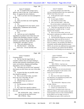|                | Page 158                                                                                      | Page 159                                                 |
|----------------|-----------------------------------------------------------------------------------------------|----------------------------------------------------------|
| $\mathbf{1}$   | James P. Kababick                                                                             | $\mathbf{1}$<br>James P. Kababick                        |
| 2              | No. It would be like trying to put a<br>A                                                     | 2<br>You're not saying in your report that               |
| 3              | gallon of water in this cup. It just cannot be                                                | 3<br>you have identified products that were spiked with  |
| 4              | done. It's against the laws of physics.                                                       | $\overline{4}$<br>DMAA from China, have you?             |
| 5              | Q I take it you have not even attempted to                                                    | 5<br>A In this particular report? You mean               |
| 6              | do that.                                                                                      | 6<br>relative to this?                                   |
| 7              | A No.                                                                                         | 7<br>Q In your report, Exhibit 1.                        |
| 8              | Q Have you done any work regarding                                                            | 8<br>A No, I did not say that in this.                   |
| 9              | $1,4-DMAA?$                                                                                   | 9<br>Q Have you been asked -- strike that.               |
| 10             | A No.                                                                                         | 10<br>Do you have plans to undertake in the              |
| 11             | In paragraph 24 of your report, you're<br>Q                                                   | 11<br>future any analysis of Geranium plants for DMAA?   |
| 12             | talking about "clandestine and economic                                                       | 12<br>A I don't have any plans per se, but I'm           |
| 13             | adulteration."                                                                                | 13<br>not saying that I wouldn't do that. It would       |
| 14             | Do you see that?                                                                              | 14<br>depend on the situation.                           |
| 15             | A Yes.                                                                                        | 15<br>Q But as you sit here today, you've not            |
| 16             | And you say you've identified<br>$\overline{Q}$                                               | 16<br>been asked to undertake any studies in the future? |
| 17             | ingredients in products from China that were                                                  | 17<br>A Not at this time, no.                            |
| 18             | "spiked with stimulants, laxatives, erectile                                                  | 18<br>Q And beyond the things that we discussed          |
| 19             | dysfunction drugs, diabetes drugs, antibiotics,                                               | 19<br>this morning, which were the low levels of         |
| 20             | sedatives, psychiatric drugs, bath salts,                                                     | 20<br>detection of DMAA, Dr. Brown's opinion that        |
| 21             | cannabinoids" and others, correct?                                                            | 21<br>there's no pathway, the possibility that DMAA is   |
| 22             | That were adulterated, yes.<br>A                                                              | 22<br>in fertilizer, and the studies that did not detect |
| 23             | But that doesn't -- strike that.<br>0                                                         | 23<br>DMAA, do you have any additional facts upon which  |
| 24             | You're not -- let me start that over                                                          | 24<br>you are relying for your opinion that the DMAA     |
| 25             | again.                                                                                        | 25<br>detected by Li and Fleming was not natural to the  |
|                |                                                                                               |                                                          |
|                |                                                                                               |                                                          |
|                | Page 160                                                                                      | Page 161                                                 |
| 1              | James P. Kababick                                                                             | $\mathbf{1}$<br>James P. Kababick                        |
| 2              |                                                                                               | $\sqrt{2}$<br>(Whereupon, a short recess was             |
| 3              | Geranium plant?                                                                               | 3<br>taken.)                                             |
| $\overline{4}$ | A The fact that the larger body of                                                            | $\overline{4}$<br>MS. WOOLSON: I have no further         |
| 5              | scientific evidence does not report finding it,                                               | 5<br>questions.                                          |
| 6              | and that other potential contamination sources,<br>water, environment, shipping and handling, | 6<br>MR. O'NEAL: I just have one.                        |
| 7              | degradation, were not evaluated.                                                              | 7<br>EXAMINATION BY COUNSEL FOR PLAINTIFF                |
| 8              | And when you use the word "potential,"<br>Q                                                   | 8<br>BY MR. O'NEAL:                                      |
| 9              | that means you don't know one way or the other,                                               | 9<br>Q Mr. Kababick, you were just previously            |
| $10$           | right?                                                                                        | 10<br>talking about paragraph 24 with counsel, is that   |
| 11             | A It means that they are possible routes                                                      | 11<br>correct, of your expert report?                    |
| 12             | that should be explored.                                                                      | 12<br>A Yes.                                             |
| 13             | But as you sit here today, you don't<br>Q                                                     | 13<br>Have you, in the course of operating<br>Q          |
| 14             | know one way or the other, do you?                                                            | 14<br>your laboratory, ever identified any products that |
| 15             | One way or the other --<br>A                                                                  | 15<br>were adulterated with DMAA?                        |
| 16             | Whether those are sources of<br>Q                                                             | 16<br>A Yes.                                             |
| 17             | contamination.                                                                                | 17<br>MS. WOOLSON: Objection to form.                    |
| 18             | For the presence of DMAA?<br>A                                                                | 18<br>BY MR. O'NEAL:                                     |
| 19             | Yes.<br>Q                                                                                     | 19<br>And what products were those?<br>О.                |
| 20             | A<br>No, I don't have specific evidence                                                       | 20<br>A I tested a raw material that was                 |
| 21             | showing that those are contamination sources in                                               | 21<br>supposed to be a Geranium extract, and it was      |
| 22             | this case.                                                                                    | 22<br>nearly pure DMAA, and I tested a product that said |
| 23             | MS. WOOLSON: Okay. I think I'm                                                                | 23<br>it had Geranium extract in it that contained DMAA, |
| 24             | done. Just let me do one final review.                                                        | 24<br>but the DMAA was very high, in excess of           |
| 25             | MR. O'NEAL: Okay.                                                                             | 25<br>100 milligrams per gram, which would not be        |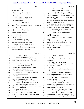| Page 162       |                                                    |                | Page 163                                                |
|----------------|----------------------------------------------------|----------------|---------------------------------------------------------|
| $\mathbf 1$    | James P. Kababick                                  | 1              | James P. Kababick                                       |
| $\,2$          | feasible for a natural source.                     | $\overline{a}$ | And you omitted DMAA from that exhibit?<br>О            |
| 3              | Q So then was your previous response to            | 3              | A Well, I discuss DMAA in the rest of the               |
| $\overline{4}$ | counsel merely that DMAA was not listed in         | 4              | whole report. This was an addition, number 24.          |
| 5              | paragraph 24?                                      | 5              | These other things that I have also found showing       |
| 6              | MS. WOOLSON: Objection to form.                    | 6              | that there is a history of adulteration issues and      |
| 7              | THE WITNESS: Yeah, that's what I                   | 7              | in so many of these cases, their argument was made      |
| 8              | thought was being asked.                           | 8              | these were naturally occurring, and in many or all      |
| 9              | MR. O'NEAL: Okay. I have no                        | 9              | cases, they were ruled not to be.                       |
| 10             | further questions.                                 | 10             | Q And yet so you left out the two examples              |
| 11             | FURTHER EXAMINATION BY COUNSEL FOR DEFENDANT       | 11             | that you claim are evidence of spiking of DMAA          |
| 12             | BY MS. WOOLSON:                                    | 12             | from an expert report about the presence of DMAA?       |
| 13             | Q Mr. Kababick, why would you not include          | 13             | MR. O'NEAL: Object to the form.                         |
| 14             | that information in your expert report if you      | 14             | Mischaracterizes his testimony.                         |
| 15             | believed those samples were spiked?                | 1.5            | THE WITNESS: No, I wouldn't say                         |
| 16             | A Because I was opining on the Li and              | 16             | that.                                                   |
| 17             | Fleming papers and the discussion of the           | 17             | BY MS. WOOLSON:                                         |
| 18             | naturalness of DMAA.                               | 18             | And where did these two extracts come<br>$\Omega$       |
| 19             | Q So you would put in your report a                | 19             | from?                                                   |
| 20             | statement that you have investigated or identified | 20             | One was submitted by a client for<br>$\mathbf{A}$       |
| 21             | several botanical materials that were spiked with  | 21             | testing, and the other one was provided by an           |
| 22             | various substances, but you would leave out DMAA?  | 22             | importer.                                               |
| 23             | A Well, the body of my report was                  | 23             | Q And from where in the world did these                 |
| 24             | discussing DMAA. These were additional components  | 24             | extracts purport to come?                               |
| 25             | that I identified in a larger picture of my work.  | 25             | A China.                                                |
|                | Page 164                                           |                | Page 165                                                |
| $\mathbf{1}$   | James P. Kababick                                  | $\mathbf{1}$   | James P. Kababick                                       |
| 2              | And the client that submitted the<br>0             | $\overline{a}$ | Yes.<br>A                                               |
| 3              | extract to you, was this the one that you said was | 3              | And you were told that that sample came<br>$\mathbf{O}$ |
| 4              | pure DMAA or the one that was 100 milligrams per   | 4              | from China?                                             |

| 5 | gram? |            |
|---|-------|------------|
| 6 | A     | $100$ mill |

| 6 | 100 milligrams per gram or greater. |
|---|-------------------------------------|
|   | O And the client -- did the client  |

| 8  | indicate to you where the sample had come from,      |
|----|------------------------------------------------------|
| 9  | i.e., who the manufacturer was?                      |
| 10 | No. Just that it was from China.<br>A                |
| 11 | And that's all you know about the sample<br>$\Omega$ |
| 12 | was that it came from China?                         |
| 13 | A Yes.                                               |
| 14 | And the extract that was 100 milligrams<br>$\Omega$  |
| 15 | per gram, where did that come from?                  |

### 16 A That was reported to come from China. Q And that was sent to you by an importer? A No. The extract was sent to me by the client. A pure compound or near pure compound was

 sent to me by an importer. Q So let me start over. 22 The pure -- the product that was<br>
23 numeried to be an extract but you teste purported to be an extract but you tested and believed to be pure DMAA, was that sent to you by an importer?

| $\mathbf{1}$   |               | James P. Kababick                                 |
|----------------|---------------|---------------------------------------------------|
| $\mathfrak{D}$ |               | A Yes.                                            |
| 3              | 0             | And you were told that that sample came           |
| 4              |               | from China?                                       |
| 5              | A             | Right. Yes. That's correct.                       |
| 6              | О             | And the 100 milligrams per gram sample,           |
| 7              |               | that came from a client?                          |
| 8              |               | A Yes                                             |
| 9              |               | Q And you were told that came from China?         |
| 10             |               | A Yes.                                            |
| 11             |               | Q And was this client an entity that was          |
| 12             |               | interested in manufacturing or selling or using   |
| 13             | this extract? |                                                   |
| 14             |               | A Yes. They were interested in utilizing          |
| 15             |               | it in their product.                              |
| 16             | Ο.            | And what was their product?                       |
| 17             | A             | I don't know exactly what it was. They            |
| 18             |               | said they had a formulation they were working on. |
| 19             |               | Q You don't even know what kind of                |
| 20             |               | category the product was in?                      |
| 21             | A             | No, I don't. I don't remember if it was           |
| 22             |               | a sports or a weight loss or what.                |
| 23             | O.            | And other than these two extracts, you            |
| 24             |               | have not identified any other product, natural    |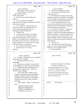|                | Page 166                                                 |                | Page 167                                           |
|----------------|----------------------------------------------------------|----------------|----------------------------------------------------|
| 1              | James P. Kababick                                        | $1\,$          | James P. Kababick                                  |
| 2              | MR. O'NEAL: Object to the form.                          | $\overline{2}$ | Q What was the weight loss product?                |
| 3              | THE WITNESS: I'm not sure I                              | 3              | A I don't recall the exact name of the             |
| 4              | understand the question.                                 | 4              | weight loss product.                               |
| 5              | BY MS. WOOLSON:                                          | 5              | Q Other than the two extracts and now this         |
| 6              | Q What don't you understand about the                    | 6              | weight loss product that you didn't test for DMAA, |
| 7              | question?                                                | 7              | any other products, natural products you believe   |
| 8              | A Are you saying have I identified                       | 8              | that you've tested were spiked with DMAA?          |
| 9              | products that were claimed to be spiked with DMAA?       | 9              | A I'm not recalling any offhand. There             |
| 10             | Is that what you asked?                                  | 10             | may have been others, but due to the time that's   |
| 11             | Q No. I asked you: Other than these two                  | 11             | passed and the tens of thousands of samples I've   |
| 12             | extracts that you just now remembered, did you           | 12             | analyzed, I don't recall specifically.             |
| 13             | test any other natural products that you're              | 13             | Q And I believe we talked -- it might have         |
| 14             | claiming were spiked with DMAA?                          | 14             | been this morning, it might have been this         |
| 15             | A I believe I did.                                       | 15             | afternoon -- about your lab developing methods for |
| 16             | And what natural products were those?<br>Q               | 16             | detection for DMAA. These three examples that      |
| 17             | A One of those was a weight loss product,                | 17             | you've just given me, were they detected -- well,  |
| 18             | but the goal of the analysis was not to test for         | 18             | the two examples where you actually tested for     |
| 19             | DMAA. It was related to other compounds, but it          | 19             | DMAA, were they tested using this method that your |
| 20             | had a DMAA claim on the label. I don't know if it        | 20             | lab developed?                                     |
| 21             | actually had DMAA in it, because that was outside        | 21             | A Yes, they were.                                  |
| 22             | the scope of what I was working on.                      | 22             | And I believe you told me that you no<br>О         |
| 23             | Q So you didn't actually test for DMAA?                  | 23             | longer -- are you no longer offering the DMAA      |
| 24             | A Not in that one, no. It wasn't                         | 24             | detection, or is it the quantification?            |
| 25             | requested.                                               | 25             | The quantification.<br>A                           |
|                |                                                          |                |                                                    |
|                |                                                          |                |                                                    |
|                | Page 168                                                 |                | Page 169                                           |
| 1              | James P. Kababick                                        | $\mathbf{1}$   | James P. Kababick                                  |
| $\overline{2}$ | So when is the last time you ran a DMAA<br>O.            | $\sqrt{2}$     |                                                    |
| 3              | detection test for a sample?                             | 3              |                                                    |
| 4              | It's been several years, to my<br>A                      | $\overline{4}$ |                                                    |
| 5              | knowledge.                                               | 5              |                                                    |
| 6              | So these two examples of extracts that<br>$\overline{O}$ | 6              | <b>ACKNOWLEDGEMENT OF WITNESS</b>                  |
| 7              | you identified, how many years ago were they?            | 7              | I, JAMES P. KABABICK, do                           |
| 8              | A I believe they were around the time of                 | 8              | hereby acknowledge that I have read and            |
| 9              | this paper, 2012, right in there. I'd have to            | 9              | examined the foregoing testimony, and the          |
| 10             | check to be sure, though.                                | $10$           | same is a true, correct and complete               |
| 11             | MS. WOOLSON: Subject to the                              | $11\,$         | transcription of the testimony given by me,        |
| $12$           | request for information about the identities             | $1\,2$         | and any corrections appear on the attached         |
| 13             | of major customers of Flora Labs and the                 | 13             | Errata sheet signed by me.                         |
| 14             | identities of the customers for whom these               | 14             |                                                    |
| 15             | extracts tests were run, I have no further               | 15             |                                                    |
| 16             | questions.                                               | 16             |                                                    |
| 17             | MR. O'NEAL: Okay. We'll read and                         | $17\,$         | (DATE)<br>(SIGNATURE)                              |
| 18             | sign.                                                    | 18             |                                                    |
| 19             | (Signature having not been                               | 19             |                                                    |
| 20             | waived, the deposition of                                | 20             |                                                    |
| 21             | <b>JAMES P. KABABICK was</b>                             | 21             |                                                    |
| 22             | concluded at 3:27 p.m.)                                  | 22             |                                                    |
| 23             |                                                          | 23             |                                                    |
| 24<br>25       |                                                          | 24<br>25       |                                                    |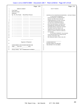# Case 1:13-cv-03675-WBH Document 108-7 Filed 12/30/16 Page 457 of 519

| $\mathbf{1}$<br>$\mathbf 1$<br>James P. Kababick<br><b>ERRATA SHEET</b><br>$\sqrt{2}$<br>$\sqrt{2}$<br>Case Name:<br>3<br>3<br>Deposition Date:<br>$\,4\,$<br>Deponent:<br>$\overline{4}$<br>5<br>Pg. No. Now Reads Should Read Reason<br>5<br>$\epsilon$<br>6<br>$\overline{7}$<br>I, Laurie Donovan, Registered<br>Professional Reporter, Certified Realtime<br>$\sqrt{ }$<br>$\,8\,$<br>Reporter, the officer before whom the<br>8<br>foregoing deposition was taken, do hereby<br>9<br>_ ___ ____________<br>$\mathsf 9$<br>certify that the foregoing transcript is a<br>10<br><u>and the state of the state of the state of the state of the state of the state of the state of the state of the state of the state of the state of the state of the state of the state of the state of the state of the state</u><br>true and correct record of the testimony<br>11<br>$10$<br>given; that said testimony was taken by me<br>$ -$<br>12<br>stenographically and thereafter reduced to<br>__ ____ _____<br>-- -<br>$11\,$<br>typewriting under my supervision; and that I<br>13<br>am neither counsel for, related to, nor<br>14<br>_ ___ __________<br>___<br>$1\,2$<br>employed by any of the parties to this case<br>15<br>__ __ ___<br>__ __<br>and have no interest, financial or otherwise,<br>16<br><u> 1989 - Johann Barbara, martxa alemani</u><br>13<br>in its outcome.<br>17<br>$1\,4$<br>IN WITNESS WHEREOF, I have hereunto<br>$  -$<br>- -<br>18<br>set my hand and affixed my notarial seal this<br>15<br>23rd day of November, 2016.<br>19<br>16<br>My commission expires: March 14th, 2021<br>20<br>17<br>$1\,8$<br>21<br>19<br>Signature of Deponent<br>20<br><b>LAURIE DONOVAN</b><br>22<br>NOTARY PUBLIC IN AND FOR<br>21<br>THE DISTRICT OF COLUMBIA<br>SUBSCRIBED AND SWORN BEFORE ME<br>22<br>23<br>THIS _____ DAY OF __________, 2016.<br>23<br>24<br>24<br>25<br>(Notary Public) MY COMMISSION EXPIRES:<br>25 | Page 170 | Page 171                                           |
|----------------------------------------------------------------------------------------------------------------------------------------------------------------------------------------------------------------------------------------------------------------------------------------------------------------------------------------------------------------------------------------------------------------------------------------------------------------------------------------------------------------------------------------------------------------------------------------------------------------------------------------------------------------------------------------------------------------------------------------------------------------------------------------------------------------------------------------------------------------------------------------------------------------------------------------------------------------------------------------------------------------------------------------------------------------------------------------------------------------------------------------------------------------------------------------------------------------------------------------------------------------------------------------------------------------------------------------------------------------------------------------------------------------------------------------------------------------------------------------------------------------------------------------------------------------------------------------------------------------------------------------------------------------------------------------------------------------------------------------------------------------------------------------------------------------------------------------------------------------------------------------------------------------------------------------------|----------|----------------------------------------------------|
|                                                                                                                                                                                                                                                                                                                                                                                                                                                                                                                                                                                                                                                                                                                                                                                                                                                                                                                                                                                                                                                                                                                                                                                                                                                                                                                                                                                                                                                                                                                                                                                                                                                                                                                                                                                                                                                                                                                                              |          |                                                    |
|                                                                                                                                                                                                                                                                                                                                                                                                                                                                                                                                                                                                                                                                                                                                                                                                                                                                                                                                                                                                                                                                                                                                                                                                                                                                                                                                                                                                                                                                                                                                                                                                                                                                                                                                                                                                                                                                                                                                              |          |                                                    |
|                                                                                                                                                                                                                                                                                                                                                                                                                                                                                                                                                                                                                                                                                                                                                                                                                                                                                                                                                                                                                                                                                                                                                                                                                                                                                                                                                                                                                                                                                                                                                                                                                                                                                                                                                                                                                                                                                                                                              |          |                                                    |
|                                                                                                                                                                                                                                                                                                                                                                                                                                                                                                                                                                                                                                                                                                                                                                                                                                                                                                                                                                                                                                                                                                                                                                                                                                                                                                                                                                                                                                                                                                                                                                                                                                                                                                                                                                                                                                                                                                                                              |          |                                                    |
|                                                                                                                                                                                                                                                                                                                                                                                                                                                                                                                                                                                                                                                                                                                                                                                                                                                                                                                                                                                                                                                                                                                                                                                                                                                                                                                                                                                                                                                                                                                                                                                                                                                                                                                                                                                                                                                                                                                                              |          | CERTIFICATE OF SHORTHAND REPORTER -- NOTARY PUBLIC |
|                                                                                                                                                                                                                                                                                                                                                                                                                                                                                                                                                                                                                                                                                                                                                                                                                                                                                                                                                                                                                                                                                                                                                                                                                                                                                                                                                                                                                                                                                                                                                                                                                                                                                                                                                                                                                                                                                                                                              |          |                                                    |
|                                                                                                                                                                                                                                                                                                                                                                                                                                                                                                                                                                                                                                                                                                                                                                                                                                                                                                                                                                                                                                                                                                                                                                                                                                                                                                                                                                                                                                                                                                                                                                                                                                                                                                                                                                                                                                                                                                                                              |          |                                                    |
|                                                                                                                                                                                                                                                                                                                                                                                                                                                                                                                                                                                                                                                                                                                                                                                                                                                                                                                                                                                                                                                                                                                                                                                                                                                                                                                                                                                                                                                                                                                                                                                                                                                                                                                                                                                                                                                                                                                                              |          |                                                    |
|                                                                                                                                                                                                                                                                                                                                                                                                                                                                                                                                                                                                                                                                                                                                                                                                                                                                                                                                                                                                                                                                                                                                                                                                                                                                                                                                                                                                                                                                                                                                                                                                                                                                                                                                                                                                                                                                                                                                              |          |                                                    |
|                                                                                                                                                                                                                                                                                                                                                                                                                                                                                                                                                                                                                                                                                                                                                                                                                                                                                                                                                                                                                                                                                                                                                                                                                                                                                                                                                                                                                                                                                                                                                                                                                                                                                                                                                                                                                                                                                                                                              |          |                                                    |
|                                                                                                                                                                                                                                                                                                                                                                                                                                                                                                                                                                                                                                                                                                                                                                                                                                                                                                                                                                                                                                                                                                                                                                                                                                                                                                                                                                                                                                                                                                                                                                                                                                                                                                                                                                                                                                                                                                                                              |          |                                                    |
|                                                                                                                                                                                                                                                                                                                                                                                                                                                                                                                                                                                                                                                                                                                                                                                                                                                                                                                                                                                                                                                                                                                                                                                                                                                                                                                                                                                                                                                                                                                                                                                                                                                                                                                                                                                                                                                                                                                                              |          |                                                    |
|                                                                                                                                                                                                                                                                                                                                                                                                                                                                                                                                                                                                                                                                                                                                                                                                                                                                                                                                                                                                                                                                                                                                                                                                                                                                                                                                                                                                                                                                                                                                                                                                                                                                                                                                                                                                                                                                                                                                              |          |                                                    |
|                                                                                                                                                                                                                                                                                                                                                                                                                                                                                                                                                                                                                                                                                                                                                                                                                                                                                                                                                                                                                                                                                                                                                                                                                                                                                                                                                                                                                                                                                                                                                                                                                                                                                                                                                                                                                                                                                                                                              |          |                                                    |
|                                                                                                                                                                                                                                                                                                                                                                                                                                                                                                                                                                                                                                                                                                                                                                                                                                                                                                                                                                                                                                                                                                                                                                                                                                                                                                                                                                                                                                                                                                                                                                                                                                                                                                                                                                                                                                                                                                                                              |          |                                                    |
|                                                                                                                                                                                                                                                                                                                                                                                                                                                                                                                                                                                                                                                                                                                                                                                                                                                                                                                                                                                                                                                                                                                                                                                                                                                                                                                                                                                                                                                                                                                                                                                                                                                                                                                                                                                                                                                                                                                                              |          |                                                    |
|                                                                                                                                                                                                                                                                                                                                                                                                                                                                                                                                                                                                                                                                                                                                                                                                                                                                                                                                                                                                                                                                                                                                                                                                                                                                                                                                                                                                                                                                                                                                                                                                                                                                                                                                                                                                                                                                                                                                              |          |                                                    |
|                                                                                                                                                                                                                                                                                                                                                                                                                                                                                                                                                                                                                                                                                                                                                                                                                                                                                                                                                                                                                                                                                                                                                                                                                                                                                                                                                                                                                                                                                                                                                                                                                                                                                                                                                                                                                                                                                                                                              |          |                                                    |
|                                                                                                                                                                                                                                                                                                                                                                                                                                                                                                                                                                                                                                                                                                                                                                                                                                                                                                                                                                                                                                                                                                                                                                                                                                                                                                                                                                                                                                                                                                                                                                                                                                                                                                                                                                                                                                                                                                                                              |          |                                                    |
|                                                                                                                                                                                                                                                                                                                                                                                                                                                                                                                                                                                                                                                                                                                                                                                                                                                                                                                                                                                                                                                                                                                                                                                                                                                                                                                                                                                                                                                                                                                                                                                                                                                                                                                                                                                                                                                                                                                                              |          |                                                    |
|                                                                                                                                                                                                                                                                                                                                                                                                                                                                                                                                                                                                                                                                                                                                                                                                                                                                                                                                                                                                                                                                                                                                                                                                                                                                                                                                                                                                                                                                                                                                                                                                                                                                                                                                                                                                                                                                                                                                              |          |                                                    |
|                                                                                                                                                                                                                                                                                                                                                                                                                                                                                                                                                                                                                                                                                                                                                                                                                                                                                                                                                                                                                                                                                                                                                                                                                                                                                                                                                                                                                                                                                                                                                                                                                                                                                                                                                                                                                                                                                                                                              |          |                                                    |
|                                                                                                                                                                                                                                                                                                                                                                                                                                                                                                                                                                                                                                                                                                                                                                                                                                                                                                                                                                                                                                                                                                                                                                                                                                                                                                                                                                                                                                                                                                                                                                                                                                                                                                                                                                                                                                                                                                                                              |          |                                                    |
|                                                                                                                                                                                                                                                                                                                                                                                                                                                                                                                                                                                                                                                                                                                                                                                                                                                                                                                                                                                                                                                                                                                                                                                                                                                                                                                                                                                                                                                                                                                                                                                                                                                                                                                                                                                                                                                                                                                                              |          |                                                    |
|                                                                                                                                                                                                                                                                                                                                                                                                                                                                                                                                                                                                                                                                                                                                                                                                                                                                                                                                                                                                                                                                                                                                                                                                                                                                                                                                                                                                                                                                                                                                                                                                                                                                                                                                                                                                                                                                                                                                              |          |                                                    |
|                                                                                                                                                                                                                                                                                                                                                                                                                                                                                                                                                                                                                                                                                                                                                                                                                                                                                                                                                                                                                                                                                                                                                                                                                                                                                                                                                                                                                                                                                                                                                                                                                                                                                                                                                                                                                                                                                                                                              |          |                                                    |
|                                                                                                                                                                                                                                                                                                                                                                                                                                                                                                                                                                                                                                                                                                                                                                                                                                                                                                                                                                                                                                                                                                                                                                                                                                                                                                                                                                                                                                                                                                                                                                                                                                                                                                                                                                                                                                                                                                                                              |          |                                                    |
|                                                                                                                                                                                                                                                                                                                                                                                                                                                                                                                                                                                                                                                                                                                                                                                                                                                                                                                                                                                                                                                                                                                                                                                                                                                                                                                                                                                                                                                                                                                                                                                                                                                                                                                                                                                                                                                                                                                                              |          |                                                    |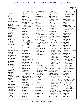|                             |                                        |                                      |                                        | Page 1                         |
|-----------------------------|----------------------------------------|--------------------------------------|----------------------------------------|--------------------------------|
|                             |                                        |                                      |                                        |                                |
| $\mathbf{A}$                | 1:7 127:15,19 133:17                   | 88:11 90:3 124:24                    | 116:19                                 | 11:13,15 32:7 54:20            |
| a.m(1)                      | actively(1)                            | affixed $(1)$                        | <b>AMERICA (1)</b>                     | 54:22,24 55:2,3,16             |
| 1:20                        | 36:20                                  | 171:14                               | 1:6                                    | 55:25 57:21 58:18              |
| a/k/a(2)                    | actual(3)                              | afternoon (3)                        | American (5)                           | 58:22 59:6 94:24               |
| 138:4,5                     | 38:4 81:15 157:9                       | 117:24 152:3 167:15                  | 46:20,21 51:25                         | 167:12                         |
| ABC(5)                      | addition (3)                           | ag(2)                                | 100:19 102:17                          | analyzing (3)                  |
| 47:9,10 51:25 52:6          | 111:21 122:17 163:4                    | 17:2,3                               | amine-like (1)                         | 11:13 128:8 132:8              |
| 117:21                      | additional (8)                         | agencies (2)                         | 107:24                                 | and/or $(1)$                   |
| ability $(4)$               | 38:13 120:4 122:8,15                   | 17:16,19                             | amines(5)                              | 24:16                          |
| 7:4 9:4 64:20 72:14         | 122:21 123:3                           | agency $(5)$                         | 87:6,13 90:11 91:16                    | answer $(13)$                  |
| able $(6)$                  | 159:23 162:24                          | 15:12 16:22 29:9                     | 91:19                                  | 6:25 7:8,10,18 13:25           |
| 31:10 45:7 57:8             | additionally (1)                       | 36:24 116:14                         | amount $(2)$                           | 15:5,7 22:19,20                |
| 113:20 115:7                | 144:2                                  | Agency's $(1)$                       | 66:3 138:12                            | 26:23 68:2 77:8                |
| 147:25                      | address(1)                             | 81:24                                | amounts $(1)$                          | 136:22                         |
| absent $(1)$                | 96:25                                  | ago (10)<br>6:10 24:18 30:15 34:8    | 50:21                                  | answering $(3)$<br>6:18 7:3,16 |
| 107:10                      | addressed (2)<br>24:11 47:21           |                                      | Amy $(4)$<br>34:19 116:20,22,23        | answers $(2)$                  |
| absolute (2)                |                                        | 34:9 50:20 127:4,6<br>139:7 168:7    | analogues $(1)$                        | 6:20 26:2                      |
| 149:5,7                     | addresses (2)                          |                                      | 137:18                                 |                                |
| absolutely (2)              | 46:5,7                                 | agree $(14)$                         |                                        | Anthony (1)<br>101:23          |
| 107:8 149:25                | addressing $(3)$<br>22:22 50:20 145:14 | 18:3,7 64:3,14 72:6                  | analyses (4)<br>55:8 58:12 82:3 122:2  | Anti-Doping (1)                |
| acacia(2)                   |                                        | 79:16,17 81:4 86:11<br>106:14 114:20 |                                        | 116:14                         |
| 48:19 49:16                 | adequate $(1)$<br>67:8                 | 131:11 134:22                        | analysis (42)<br>10:3,21,23,24 11:3,16 | antibiotics (1)                |
| academic (1)                | adequately (2)                         | 135:5                                | 11:21 12:7,8,23                        | 158:19                         |
| 105:19                      | 67:3.9                                 | Agricultural (1)                     | 21:4,19 22:15 27:8                     | anybody $(5)$                  |
| academics (3)               | adjusting (1)                          | 104:13                               | 27:10 30:13 55:7                       | 28:11 44:6 50:2 52:16          |
| 28:9 105:7 157:15           | 130:8                                  | Agriculture (1)                      | 56:13 57:17 58:19                      | 94:17                          |
| accept(2)                   | administers (1)                        | 17:15                                | 74:3 77:2 81:3,14                      | anymore (1)                    |
| 104:11,16                   | 156:7                                  | Agriculture's (1)                    | 86:13 94:3 100:5                       | 75:18                          |
| acceptable(1)               | administration (2)                     | 16:25                                | 110:18 112:9                           | AOAC(27)                       |
| 51:10                       | 9:10 154:15                            | AHP(2)                               | 114:23 121:13                          | 23:20 32:22 36:20,24           |
| acceptance (1)              | <b>Administration's (1)</b>            | 52:8,9                               | 124:21 127:10                          | 37:7,10,16,18,22               |
| 104:25                      | 112:12                                 | air(1)                               | 131:6 132:2 133:5                      | 38:2,20 39:20,25               |
| accession (1)               | administrator (1)                      | 70:21                                | 134:5 152:2 155:2                      | 112:11,23 126:21               |
| 71:7                        | 60:13                                  | al $(18)$                            | 155:15 159:11                          | 126:23 127:4                   |
| accuracy (8)                | adulterant (1)                         | 4:16,18,19,20,22 5:4                 | 166:18                                 | 130:18 134:23                  |
| 64:23 81:19 104:18          | 29:24                                  | 5:6, 10, 15 68: 24, 25               | analyte (5)                            | 153:10 154:16,23               |
| 112:19 113:4,7,9,15         | adulterants (3)                        | 74:4,24 76:11 81:9                   | 26:22 65:15 112:20                     | 154:24 155:6 156:5             |
| acetate(2)                  | 47:8,11 101:7                          | 85:13 89:12 92:22                    | 113:10 125:2                           | 156:16                         |
| 31:16 58:22                 | adulterated (6)                        | alcohols $(2)$                       | analytes $(2)$                         | apologize (2)                  |
| achieve (1)                 | 16:4 149:12,13 151:5                   | 56:23 86:21                          | 124:25 125:7                           | 64:8 151:10                    |
| 148:24                      | 158:22 161:15                          | aldehydes (2)                        | analytical (26)                        | appear $(2)$                   |
| acid(3)                     | adulteration (3)                       | 56:24 90:10                          | 8:15,19 9:21 20:14                     | 79:21 169:12                   |
| 58:20 111:21 112:2          | 155:2 158:13 163:6                     | alert $(2)$                          | 21:13,16 22:2 27:4                     | appears (9)                    |
| acknowledge (1)             | advance (2)                            | 15:24,25                             | 29:22 33:17,17                         | 42:16 43:4 71:3 74:2           |
| 169:8<br><b>ACKNOWLEDGE</b> | 157:3,12                               | Alex $(1)$                           | 62:15 64:15,25 65:7                    | 81:7 122:20 143:14             |
| 169:6                       | advanced (7)                           | 112:14                               | 66:11 81:6 105:14                      | 150:19 152:22                  |
| acquisition (3)             | 9:13 64:25 66:6,8,13                   | allow $(2)$                          | 105:24 106:25                          | Appendix (2)                   |
| 65:2 130:24 131:3           | 113:3 131:4                            | 15:5 103:3                           | 107:6 120:3 127:2                      | 5:12 130:15                    |
| acronym(2)                  | advances (1)                           | Allowing (1)                         | 131:4 147:22                           | application (3)                |
| 112:12 129:24               | 64:15                                  | 91:2                                 | 155:13                                 | 20:13 148:11 156:2             |
| acronyms(1)                 | advisory (1)                           | altitude (1)                         | analyze (9)                            | applications (2)               |
| 16:21                       | 47:13                                  | 88:8                                 | 26:21 51:18 55:17,21                   | 27:25 28:4                     |
| $\text{acted}(2)$           | Affairs (1)                            | altogether $(1)$                     | 56:5,11 65:23 94:8                     | Applied (1)                    |
| 117:4,6                     | 143:5                                  | 145:22                               | 94:13                                  | 112:13                         |
| action(4)                   | affect $(3)$                           | Amar $(1)$                           | analyzed (16)                          | applying $(2)$                 |
|                             |                                        |                                      |                                        |                                |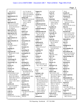| 10:5 157:17                             |                                         | August $(1)$                          | 41:21,24                               | 79:22                                  |
|-----------------------------------------|-----------------------------------------|---------------------------------------|----------------------------------------|----------------------------------------|
| appointed (1)                           | 111:7,9 136:16<br>144:2 151:9 153:4     | 109:12                                | bark $(2)$                             | benefit (3)                            |
| 154:17                                  | 156:15,24 159:9,16                      | Austin (1)                            | 136:7,11                               | 8:8 9:17 144:16                        |
| appointments (1)                        | 162:8 166:10,11                         | 67:2                                  | base $(1)$                             | benzene $(2)$                          |
| 155:7                                   | asking $(10)$                           | authentic (2)                         | 58:21                                  | 16:16 38:23                            |
| appreciating (1)                        | 48:25 49:2 53:9 61:20                   | 139:18 150:20                         | based $(8)$                            | best $(6)$                             |
| 35:14                                   | 70:12,17 108:4                          | authenticate (1)                      | 67:11 70:16 78:9                       | 7:3 70:18 72:14                        |
|                                         | 114:11 136:19                           | 57:9                                  | 128:24 149:17                          |                                        |
| approach (17)                           | 151:10                                  |                                       | 150:2 156:16                           | 104:14,15 129:24<br>better $(4)$       |
| 18:4 21:3,13,15,24                      | ASP(2)                                  | authenticated (5)                     | 157:16                                 | 22:4,21 65:20 113:22                   |
| 22:2,9,11,12,21                         | 76:23 77:23                             | 69:17,19 70:2 95:10<br>149:19         | baseline (3)                           |                                        |
| 23:2,6,19,23 25:13<br>27:10 81:6        | aspect $(1)$                            | authenticating (1)                    | 109:8,9,21                             | Betz $(5)$<br>35:21,24 36:16           |
|                                         | 115:25                                  | 120:19                                | basic $(2)$                            | 101:22 118:4                           |
| approaches $(3)$<br>22:5 26:9 135:2     |                                         |                                       | 6:15 123:5                             |                                        |
|                                         | aspects $(2)$                           | authentication (6)                    |                                        | beyond $(14)$                          |
| appropriate (4)                         | 27:2 82:9                               | 55:6 70:5 149:11                      | basically (2)                          | 9:14,15 24:5,9 39:8                    |
| 135:3 145:22,25                         | assembled (1)<br>127:14                 | 150:11,16,18                          | 26:7 70:2                              | 60:11 61:6 83:23<br>84:10 126:5 140:13 |
| 146:4                                   |                                         | authenticity (3)<br>8:24 10:4 11:19   | basing $(1)$                           |                                        |
| approximate (1)                         | $\text{ assist}(1)$                     |                                       | 70:13                                  | 140:14,17 159:18                       |
| 113:12                                  | 20:2<br><b>Association (1)</b>          | author $(1)$<br>12:22                 | basis $(6)$                            | Bharathi (1)                           |
| approximately (1)                       |                                         |                                       | 83:5 86:10 92:21                       | 116:20                                 |
| 87:20                                   | 43:19                                   | authored (3)                          | 96:14 120:25                           | bias $(1)$                             |
| area(4)                                 | assume $(2)$                            | 33:2,9 135:17                         | 154:13                                 | 134:11                                 |
| 12:18 62:5 64:17                        | 7:2 41:4                                | authors $(5)$                         | Bates $(11)$                           | biological (1)                         |
| 112:5                                   | Assumes (1)                             | 106:9 115:3,13,17                     | 4:14,16,20,23,25 5:4                   | 131:8                                  |
| arguing(1)                              | 44:12                                   | 144:9                                 | 5:6,9,10,14,16                         | biosynthethic (2)                      |
| 116:4                                   | assuming $(2)$                          | available (2)                         | bath $(1)$                             | 141:7,11                               |
| argument(6)                             | 70:14 77:19                             | 120:3,20                              | 158:20                                 | biosynthetic (9)                       |
| 138:4,8,24,25 154:8                     | assumption (1)                          | average $(1)$                         | Bay $(3)$                              | 84:3,14,16,19,20,24                    |
| 163:7                                   | 150:2                                   | 66:3                                  | 29:22,25 31:8                          | 85:6 141:3 154:8                       |
| Armada (1)                              | Atlanta (2)                             | Avula (1)                             | BCC(2)                                 | Biotechnology (1)                      |
| 101:23                                  | 1:43:12                                 | 116:20                                | 46:3,7                                 | 69:24                                  |
| Armstrong (2)                           | atom's(1)                               | awarded (1)                           | BCC'd(1)                               | bit $(2)$                              |
| 101:23 102:2                            | 58:4                                    | 112:24                                | 45:18                                  | 15:13 39:17                            |
| Armstrong's (1)                         | attached (2)                            | aware $(7)$                           | Becker $(1)$                           | blacked (2)                            |
| 144:4                                   | 75:16 169:12                            | 78:25 79:23 94:7,12                   | 3:20                                   | 64:7,10                                |
| aroma(1)                                | attachment (1)<br>4:24                  | 94:17 95:15 106:9                     | <b>BEHALF</b> (2)                      | blank $(1)$                            |
| 107:24                                  |                                         | B                                     | 3:3,19                                 | 100:18                                 |
| Aroona (1)                              | attempt (8)                             |                                       | Belemnite (1)                          | blatant $(1)$                          |
| 116:19                                  | 22:11 50:13 58:13                       | B(1)                                  | 120:24                                 | 50:13                                  |
| article (22)                            | 59:19 60:9 107:18                       | 4:10                                  | believe (39)                           | blind $(1)$                            |
| 4:18,19,20,22 5:4,6                     | 152:7 157:21                            | bachelor's (4)                        | 16:12 24:11 33:9                       | 45:10<br>blind-copied (1)              |
| 5:10,15,18 24:9                         | attempted (3)                           | 9:9,11,14,16                          | 34:12,24 35:18 37:9                    |                                        |
| 30:22 33:5 103:21<br>104:8 105:9 135:16 | 109:13 114:14 158:5<br>attempting $(1)$ | back $(31)$<br>12:21 14:7 26:15       | 39:2,18 47:7 48:5<br>49:17 50:19,20    | 45:8<br><b>Blumenthal</b> (5)          |
|                                         |                                         |                                       |                                        |                                        |
| 135:19 136:19<br>142:21 145:5 149:3     | 111:12                                  | 29:11 50:5,12 53:21                   | 54:11 63:10 64:13<br>66:23 68:11 70:23 | 46:21 47:4 100:18                      |
| 149:8                                   | attention (1)<br>50:9                   | 55:18 59:18,24 61:9                   | 89:4,14 93:10 99:16                    | 101:22 117:17                          |
|                                         |                                         | 71:14,20 73:15 77:7                   |                                        | board $(2)$                            |
| articles (5)<br>24:12 47:24 104:11      | attorney (3)<br>19:14,15 20:6           | 89:9,13 93:6,16<br>97:13 109:3 114:10 | 100:7,17 102:15<br>116:25 117:9        | 47:12,13<br>body(6)                    |
|                                         |                                         |                                       |                                        |                                        |
| 142:13 143:23                           | Attorney's (1)<br>3:9                   | 117:11 118:10                         | 121:25 124:23                          | 62:11 83:7 99:25                       |
| articulate(1)<br>132:12                 |                                         | 119:23 124:8                          | 126:15 141:22<br>145:13 166:15         | 116:2 160:3 162:23                     |
| aside $(1)$                             | attorneys (5)<br>7:16 18:24 19:16 20:5  | 136:25 148:8,17<br>153:13 154:10      | 167:7,13,22 168:8                      | books $(1)$<br>25:6                    |
| 122:13                                  | 73:19                                   | background (1)                        | believed (2)                           | botanical (15)                         |
| asked (17)                              | audience (2)                            | 8:9                                   | 162:15 164:24                          | 8:20, 22, 25 21:10 36:8                |
| 17:23 21:9 67:24 96:4                   | 103:2,4                                 | banned $(2)$                          | believes (1)                           | 46:21 47:8,11                          |
|                                         |                                         |                                       |                                        |                                        |
|                                         |                                         |                                       |                                        |                                        |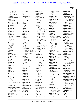|                       |                       |                                   |                        | Page 3                |
|-----------------------|-----------------------|-----------------------------------|------------------------|-----------------------|
| 100:19 101:6          | 33:22 34:10,13        | carbon(2)                         | 148:13 155:20          | chemicals (1)         |
| 102:17 115:7          | buyers $(1)$          | 120:13 152:2                      | certainly(1)           | 87:12                 |
| 119:11 130:16         | 57:12                 | carbons $(1)$                     | 14:23                  | chemistry (17)        |
| 162:21                | byproduct (1)         | 120:13                            | certainty (2)          | 8:19 9:20,21 62:15    |
| botanical-related (1) | 123:10                | Cardellina (1)                    | 149:5,7                | 64:15,25 76:25        |
| 47:15                 |                       | 101:22                            | <b>CERTIFICATE (1)</b> | 104:13 105:15,25      |
| botanicals (8)        | $\mathbf C$           | carries $(1)$                     | 171:6                  | 106:25 107:6 112:5    |
| 5:14 17:6,8 48:15,16  | C(2)                  | 117:14                            | Certified (2)          | 149:23 152:5          |
| 48:24 112:10 119:5    | 3:26:2                | carry $(1)$                       | 2:20 171:7             | 155:13 157:8          |
| botanists (1)         | $C-13(1)$             | 104:2                             | certify $(1)$          | chemists (2)          |
| 70:9                  | 66:17                 | case $(25)$                       | 171:9                  | 112:16 147:22         |
| botany $(1)$          | C.F.R(1)              | 8:25 14:10 19:9,22                | cetera(1)              | chemometric (1)       |
| 70:9                  | 127:11                | 49:21 66:19 83:10                 | 66:17                  | 131:19                |
| bothered (1)          | C7H171N(1)            | 98:7 105:21,24                    | CFSAN(1)               | chemotype (3)         |
| 106:17                | 63:23                 | 113:14 117:10                     | 112:13                 | 87:25 88:16 89:25     |
| bottom $(3)$          | caffeine (1)          | 122:16 135:4                      | chain $(12)$           | chemotypes (2)        |
| 102:18 117:13 130:22  | 121:21                | 137:22 142:12                     | 4:14,24 5:8,16 46:4    | 89:2,11               |
| bound $(2)$           | Cairo $(1)$           | 145:16 147:25                     | 79:13,17,18 97:22      | Chicago (1)           |
| 14:2 55:14            | 12:18                 | 148:5,6 151:23                    | 101:17,20 150:11       | 28:8                  |
| bow $(1)$             | calculated (1)        | 156:5 160:22 170:2                | chair $(2)$            | China $(18)$          |
| 50:12                 | 120:23                | 171:12                            | 28:13 37:2             | 12:18 54:2 59:3,4     |
| Bowers $(2)$          | caliber $(1)$         | cases $(12)$                      | challenge $(1)$        | 67:18,22 85:22        |
| 116:21,24             | 104:19                | 57:2,3,5 64:22 69:16              | 21:22                  | 95:10 97:23 107:25    |
| box(1)                | call $(16)$           | 124:10,12 145:18                  | challenged (1)         | 158:17 159:4          |
| 26:12                 | 10:20 38:8 51:24 60:6 | 147:14 149:24                     | 23:5                   | 163:25 164:10,12      |
| Branch (1)            | 60:11 89:18 127:13    | 163:7,9                           | chance $(3)$           | 164:16 165:4,9        |
| 2:7                   | 127:13,20 128:2,4,5   | CAT(1)                            | 69:5 143:16 157:10     | Chittiboyina (1)      |
| break $(3)$           | 128:14,21 133:8       | 21:17                             | change $(3)$           | 116:20                |
| 7:19,21 98:13         | 145:19                | catalog(1)                        | 88:13 139:22 148:16    | chloroform (1)        |
| breakdown (1)         | called (9)            | 109:3                             | changed $(3)$          | 58:22                 |
| 90:13                 | 15:19 39:11 62:15     | categories (1)                    | 65:3 113:9 127:16      | choice (1)            |
| bred(1)               | 112:25 124:22         | 91:9                              | changes (1)            | 129:24                |
| 88:20                 | 126:21 127:18         | categorized (2)                   | 154:6                  | chondroitin (8)       |
| British (1)           | 128:25 143:2          | 135:8,25                          | changing $(1)$         | 29:17,24 30:11,14,25  |
| 32:21                 | calls $(1)$           | category (3)                      | 127:17                 | 31:4 32:7 39:8        |
| broadly $(1)$         | 38:9                  | 87:16 91:6 165:20                 | Changzhou (2)          | Christy $(1)$         |
| 125:5                 | calorimetry (2)       | cause $(1)$                       | 93:21,21               | 30:5                  |
| broke $(1)$           | 31:15,24              | 108:12                            | characterization (1)   | <b>ChromaDex</b> (7)  |
| 41:16                 | campus (1)            | caused $(1)$                      | 157:19                 | 33:14,15,21 34:5,11   |
| broken(1)             | 76:25                 | 111:25                            | characterize (1)       | 34:14 110:2           |
| 91:8                  | Canada (3)            | CC'd(1)                           | 11:18                  | Chromascentia (5)     |
| brokers (1)           | 32:20 51:12,14        | 143:13                            | characterized (1)      | 10:2,14 11:5,11 12:25 |
| 57:12                 | Canada's (2)          | $CC'$ ing $(1)$                   | 135:6                  | chromatographic (2)   |
| brought(1)            | 51:7,8                | 45:18                             | charge $(1)$           | 109:6 133:12          |
| 137:15                | candidate (1)         | CDER(1)                           | 156:10                 | chromatography (15)   |
| Brown $(5)$           | 38:10                 | 112:12                            | charged (1)            | 8:13,15,16 10:6,20    |
| 14:5 32:17,20 123:20  | candidates (1)        | cellulose (1)                     | 129:4                  | 27:11,12 55:23        |
| 141:11                | 155:6                 | 31:16                             | chart(1)               | 80:10 107:12,14,20    |
| Brown's (12)          | cannabinoid (1)       | Center (3)                        | 64:4                   | 111:15 121:17         |
| 83:18 84:2,15 140:21  | 76:25                 | 3:21 69:22 112:13                 | check $(8)$            | 132:19                |
| 141:17 142:9          | cannabinoids (2)      | centers $(1)$                     | 24:18 35:20 49:7       | circumstances (3)     |
| 153:16,19,23 154:2    | 77:2 158:21           | 78:4                              | 62:16 105:18 109:4     | 46:24 47:5 92:9       |
| 154:8 159:20          | canned $(1)$          | CEO(1)                            | 126:16 168:10          | cite (1)<br>118:15    |
| business $(4)$        | 26:9                  | 43:18                             | chemical (4)           |                       |
| 9:10 33:22,24 34:2    | capacity (1)<br>14:21 | certain(5)<br>26:20 119:11 122:22 | 11:3 107:24 120:18     | cited(1)<br>85:10     |
| buy $(3)$             |                       |                                   | 157:18                 |                       |
|                       |                       |                                   |                        |                       |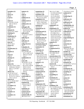**citriodora (1)** 89:10 **citrus (1)** 88:19 **Civil (1)** 1:7 **claim (7)** 53:14 59:3 115:20 146:7,9 163:11 166:20 **Claimants (1)** 1:14 **claimed (3)** 50:22 53:17 166:9 **claiming (1)** 166:14 **clandestine (2)** 155:2 158:12 **clarify (2)** 15:13 129:9 **class (2)** 36:15 125:2 **classes (1)** 11:3 **classification (1)** 5:19 **Claude (1)** 3:7 **clean (1)** 149:13 **cleanup (1)** 58:21 **clearly (1)** 92:2 **client (14)** 46:10,11 59:15 110:6 110:8,10,12 163:20 164:2,7,7,19 165:7 165:11 **clients (13)** 11:22 14:3 31:4,7 46:2,3 51:4 55:11 55:13 57:11 110:14 110:17 114:13 **clinical (3)** 39:12 128:18 150:7 **co-author (1)** 40:4 **co-authors (1)** 116:15 **co-served (1)** 102:10 **coauthor (1)** 12:22 **coauthors (1)** 35:17

**cohesive (1)** 25:11 **cold (1)** 108:13 **collaborate (1)** 126:25 **collaborated (1)** 112:10 **collaborative (1)** 144:5 **colleagues (8)** 19:20 24:25 25:4 26:10 45:18 100:8 137:5 153:10 **collected (5)** 31:23 72:12 124:11 125:8,9 **collecting (1)** 24:24 **collection (2)** 71:8 72:2 **college-level (1)** 28:3 **Columbia (3)** 2:22 32:21 171:21 **column (13)** 8:15,16 58:2,3,9 107:12 109:7,9,15 109:19 111:8,10 134:17 **combination (1)** 31:13 **come (18)** 26:10 30:17 57:10 72:7 74:13 76:4 85:12 93:3 105:20 105:25 115:22 128:16 157:14 163:18,24 164:8,15 164:16 **comes (2)** 15:23 108:11 **comfortable (1)** 40:21 **coming (3)** 117:21 123:9 138:13 **comment (6)** 106:6,16 107:11 143:25 149:17 153:4 **comments (2)** 102:20 103:2 **commercial (2)** 59:16 109:25 **commercially (3)** 88:13,20 111:5

**commission (2)** 170:25 171:16 **committee (10)** 28:6,14,18 37:2,18,20 39:21,22,23 129:3 **committees (11)** 27:18,22 32:22 39:20 102:11 154:23,24 155:9,11 156:23,25 **common (2)** 66:8 89:18 **communicate (1)** 102:14 **communicated (2)** 44:24 46:19 **communicating (2)** 143:6,8 **communication (9)** 43:5 44:20 45:25 48:13,14 77:9,10 142:21 145:5 **communications (3)** 47:23 49:13 100:8 **community (1)** 156:11 **companies (2)** 15:17 128:12 **company (16)** 11:24 13:14,17 16:3 20:6 29:16 31:6,11 32:14 33:16 34:10 52:7 60:19 115:4,14 115:18 **company's (1)** 19:17 **compare (3)** 93:13 121:2 155:7 **compared (2)** 113:15 120:25 **compensated (2)** 15:16 29:3 **complete (3)** 8:11 63:9 169:10 **completely (1)** 51:6 **component (1)** 86:19 **components (13)** 9:3 11:20 27:14 86:14 86:20 87:4,8,12 91:7,10 133:8 155:15 162:24 **composition (8)** 56:16 88:9,11,22 90:4 90:20 95:12 157:19 **compound (26)**

30:11 31:17 40:9 51:19 65:24 83:8,20 115:22 120:16 121:15,18,19,20 122:9,17 123:6,9 133:12 136:23 145:24,25 146:12 147:24 148:3 164:19,19 **compound's (1)** 155:13 **compounds (27)** 8:19 11:3 56:19 58:8 64:4,21 86:21 87:6 87:16 88:3 91:3 92:16 99:24 107:24 110:19 131:18,19 132:9 133:13,14,16 133:22 135:5,7,9 149:24 166:19 **comprise (1)** 87:21 **compromised (1)** 108:12 **Computerized (1)** 65:2 **concentration (4)** 65:15 88:2 94:15 113:10 **concentrations (11)** 83:25 91:21 93:4,23 94:5,10 97:16 113:17 124:25 125:7 134:18 **concern (4)** 103:23 147:20 149:21 150:15 **concerns (2)** 31:4 137:15 **concluded (1)** 168:22 **concluding (1)** 147:7 **conclusion (5)** 146:18 147:4,6,10 150:12 **condition (1)** 58:6 **conditions (19)** 57:17,18 58:2,4,5,10 58:14 68:6,15 70:20 71:11 76:8 95:3 107:19 127:18 134:19 140:10 157:22,25 **conduct (3)**

25:20 30:13 122:8 **conducted (1)** 122:2 **Conducting (1)** 25:19 **conference (2)** 76:23 77:23 **conferences (2)** 35:3 156:18 **confidentiality (4)** 14:2,9 46:3 55:14 **confirm (3)** 140:7 146:13 148:9 **confirmed (2)** 84:9 139:16 **confused (2)** 22:25 100:22 **congratulating (1)** 35:13 **connected (1)** 52:2 **connection (1)** 29:19 **consensus (7)** 100:15,25 101:3,6 117:20,23 118:5 **consider (5)** 95:20,21 96:7,15,21 **considered (6)** 38:12 56:19 96:22 123:5,7 155:24 **considering (2)** 109:7 115:2 **consistent (3)** 112:18 120:17 147:10 **constituent (1)** 91:20 **constituents (4)** 56:22 87:18 122:2,5 **consulting (1)** 33:18 **Consumer (1)** 2:7 **contact (2)** 60:12,13 **contacted (1)** 31:2 **contained (1)** 161:23 **contaminant (9)** 31:5 81:25 85:11 92:22 95:24 96:10 96:16,18 140:24 **contaminants (2)** 83:14 137:19 **contaminate (1)**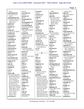|                            |                       |                         |                       | Page 5                 |
|----------------------------|-----------------------|-------------------------|-----------------------|------------------------|
|                            | 139:19                |                         |                       |                        |
| 30:23                      |                       | crossed $(1)$<br>126:14 | 149:9                 | 90:18 133:11           |
| contaminated (4)           | corrections (1)       |                         | $data-mining(1)$      | delay(3)               |
| 73:7 74:25 76:13<br>140:17 | 169:12                | $\cscosover(2)$         | 131:19                | 58:7 66:16 108:12      |
|                            | correctly $(1)$       | 21:16 22:2              | date $(14)$           | delays $(1)$           |
| contamination (10)         | 99:19                 | CRR(1)                  | 24:17 25:12 30:16     | 108:11                 |
| 73:10 82:15 83:3 97:5      | corresponded (1)      | 1:25                    | 42:19 52:13,15        | deliberately (1)       |
| 122:10,24 123:11           | 48:18                 | CryoProbe (3)           | 54:15,21 55:9 56:2    | 151:4                  |
| 160:5,17,21                | correspondence (3)    | 66:6,8,14               | 100:20 109:11         | demand $(1)$           |
| content (2)                | 47:21 48:8,12         | crystalline (1)         | 169:17 170:3          | 110:23                 |
| 106:11,15                  | corresponding (4)     | 60:24                   | dating $(1)$          | demonstrate (1)        |
| contents (1)               | 46:25 47:5,18 48:10   | cup(1)                  | 152:2                 | 140:16                 |
| 19:5                       | Council (4)           | 158:3                   | David $(1)$           | density $(1)$          |
| context $(3)$              | 46:21 100:19 102:17   | current $(2)$           | 3:13                  | 10:25                  |
| 47:18 131:12 136:19        | 154:17                | 95:21 96:8              | day $(5)$             | Department (4)         |
| continue $(2)$             | counsel (8)           | currently (12)          | 41:17,18 108:12       | 2:6 3:4 16:25 17:15    |
| 23:10 138:6                | 6:6 8:5,7 161:7,10    | 13:24 16:5,7,24 17:17   | 170:23 171:15         | depend $(1)$           |
| continued (2)              | 162:4,11 171:11       | 28:21 29:8 44:5         | days $(2)$            | 159:14                 |
| 5:2 138:23                 | countries (1)         | 47:12 48:17 72:15       | 49:15 152:5           | dependent (1)          |
| continuing $(2)$           | 108:9                 | 110:18                  | DC(3)                 | 97:23                  |
| 10:10 138:4                | country $(2)$         | custody $(2)$           | 1:182:93:6            | depending (6)          |
| contract(1)                | 59:2 136:2            | 97:22 150:11            | dealing $(1)$         | 22:5 87:23 88:3 90:23  |
| 14:2                       | couple(1)             | customers (7)           | 22:16                 | 121:13 155:19          |
| contracted (2)             | 32:6                  | 11:22,23 13:24 17:24    | Dear $(1)$            | depends $(11)$         |
| 36:24 37:10                | course(6)             | 17:24 168:13,14         | 137:5                 | 25:16 65:11 66:5,15    |
| contractual (2)            | 19:18 36:12 40:25     | CV(1)                   | deceased (1)          | 129:7 134:16,19        |
| 14:21 15:8                 | 76:17 125:6 161:13    | 156:2                   | 30:2                  | 146:5 148:10,22,23     |
| contrary $(1)$             | courses $(2)$         |                         | decisions (1)         | Deponent (2)           |
| 99:24                      | 9:6 10:10             | D                       | 150:2                 | 170:4,21               |
| conversation (2)           | court (5)             | D(1)                    | declaration (4)       | deposition (10)        |
| 77:21,25                   | 1:2 6:21 7:6,11 14:16 | 6:2                     | 95:22 96:8,19,25      | 1:17 2:2 6:11,12 7:25  |
| conversations (3)          | cover (2)             | daily $(1)$             | declares(1)           | 40:11,25 168:20        |
| 76:15 77:21 118:7          | 24:3 127:22           | 11:13                   | 115:3                 | 170:3 171:8            |
| cooperate (1)              | covers(1)             | Dana $(2)$              | $\text{decline} (1)$  | derivatization (2)     |
| 126:25                     | 89:17                 | 13:10,11                | 104:11                | 124:18,20              |
| copy(2)                    | CPR(1)                | dangerous (2)           | decomposition (4)     | derivatized (1)        |
| 45:10 64:6                 | 110:3                 | 137:7,10                | 16:17 90:9 107:23     | 109:10                 |
| copying $(1)$              | create $(1)$          | dangers (2)             | 108:15                | describe(2)            |
| 73:17                      | 22:11                 | 138:6,10                | Dee $(1)$             | 21:3,6                 |
| core(1)                    | created $(3)$         | Daniel (6)              | 120:24                | <b>DESCRIPTION (2)</b> |
| 109:7                      | 13:5 21:5 114:21      | 43:5,10,17 101:24       | deemed (1)            | $4:11\,5:3$            |
| correct(46)                | creatine $(1)$        | 102:2 143:13            | 135:3                 | design(1)              |
| 9:14 23:25 24:6 26:6       | 34:15                 | data(56)                | Defendant (3)         | 23:9                   |
| 42:18 59:20 64:5,12        | credible (3)          | 8:3 15:18 21:18,20      | 1:11 6:6 162:11       | designed $(3)$         |
| 70:15 71:2,22 72:4         | 105:4,4 106:23        | 22:6 23:13 25:7,8       | <b>DEFENDANTS (1)</b> | 157:2,4,9              |
| 72:8 74:4,10,21            | critical $(2)$        | 25:10,21 31:23,24       | 3:19                  | designing $(4)$        |
| 75:21 77:20 84:25          | 115:5 148:2           | 45:14 65:2 80:10,10     | defined (1)           | 25:12,15,18 26:19      |
| 85:23 86:4 87:6,9          | critique(1)           | 83:16,21 93:6 97:14     | 20:19                 | desirable (1)          |
| 87:13 91:11,16             | 48:3                  | 99:20,25 104:18,19      | defining $(1)$        | 11:20                  |
| 92:18,23 94:24 95:5        | critiques (1)         | 112:16,17 113:15        | 25:9                  | Despite $(1)$          |
| 98:6 115:21 119:4,8        | 47:22                 | 113:19 116:2 118:2      | definitely (4)        | 51:17                  |
| 139:8 140:12 141:3         | $\text{crop}(1)$      | 120:15,25 130:23        | 28:25 148:4 153:21    | detailed (1)           |
| 141:8 143:13 145:2         | 27:2                  | 131:3 143:17            | 153:22                | 102:20                 |
| 152:21 158:21              | crops $(2)$           | 144:21,22 145:8,12      | degradation (3)       | details (6)            |
| 161:11 165:5               | 157:8,8               | 145:14,15,16,17,21      | 90:9 123:10 160:7     | 47:3 55:4 62:17 68:3   |
| 169:10 171:9               | $\csc 2$              | 146:3,8,10,10,14,18     | degree $(8)$          | 68:5,14                |
| correction $(1)$           | 21:13 27:4            | 146:19,22 147:2,3,8     | 8:11 9:8,13,14,15,16  | detained (1)           |
|                            |                       |                         |                       |                        |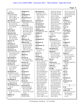| 15:25                               | dialogued (1)                       | discussing (12)                      | 140:19,22 144:3,18                   | 141:11,17,21,22,22           |
|-------------------------------------|-------------------------------------|--------------------------------------|--------------------------------------|------------------------------|
| detect(11)                          | 46:22                               | 5:8 20:9 27:5 47:7                   | 145:14,20 147:8,9                    | 141:24 142:9,11,11           |
| 64:20 83:24 86:3                    | dialoguing (2)                      | 80:9 100:13 101:17                   | 151:12,20,23 152:6                   | 153:16,19,23 154:2           |
| 110:19 134:17                       | 48:17,24                            | 118:11 145:2                         | 152:25 153:6,6                       | 154:8 159:20                 |
| 145:25 148:6,7,10                   | diastereomer (1)                    | 149:23 153:11                        | 159:4, 11, 20, 21, 23                | $dr$ aft $(1)$               |
| 151:20 159:22                       | 152:8                               | 162:24                               | 159:24 160:18                        | 20:4                         |
| detected(15)                        | diastereomers (7)                   | discussion (2)                       | 161:15,22,23,24                      | drafted $(2)$                |
| 64:4 79:19 83:2,10,11               | 109:8,14,19,21 111:8                | 80:8 162:17                          | 162:4,18,22,24                       | 141:21 153:24                |
| 83:13,22 91:22                      | 111:10,12                           | discussions (3)                      | 163:2,3,11,12 164:4                  | drafting $(1)$               |
| 92:22 94:24 95:5,16                 | dietary $(19)$                      | 8:7 49:3 80:6                        | 164:24 165:25                        | 154:3                        |
| 97:12 159:25                        | 5:13 9:2 10:7 20:15                 | disseminating $(1)$                  | 166:9,14,19,20,21                    | draw(1)                      |
| 167:17                              | 21:18 23:22 32:12                   | 102:25                               | 166:23 167:6,8,16                    | 50:9                         |
| detecting $(2)$                     | 32:14 34:17 35:25                   | distillation (6)                     | 167:19,23 168:2                      | drawing $(2)$                |
| 65:14 119:17                        | 36:25 39:23 50:15                   | 87:23 88:3,5,6,7 90:2                | DNA(6)                               | 50:12 100:18                 |
| detection (10)                      | 51:3,4,15 129:3                     | distilled (1)                        | 118:12 119:7,9,10,10                 | dressed (1)                  |
| 64:20 81:18 93:19                   | 130:16 156:11                       | 88:13                                | 119:17                               | 50:14                        |
| 99:23 144:18                        | differ $(1)$                        | distinct (1)                         | dotors(1)                            | dried $(1)$                  |
| 145:18 159:20                       | 82:10                               | 45:24                                | 28:9                                 | 52:17                        |
| 167:16,24 168:3                     | difference (3)                      | distinguish (1)                      | document (17)                        | Drive $(1)$                  |
| detector(1)                         | 26:7 120:21 136:8                   | 41:2                                 | 42:7 62:24 63:7,9,12                 | 3:11                         |
| 134:16                              | different (16)                      | distribute (1)                       | 73:13,15,21 75:9                     | dropped (1)                  |
| detention (4)                       | 11:2 22:21 27:8,9                   | 103:3                                | 79:11 80:17 82:17                    | 114:17                       |
| 15:18,20,21 155:3                   | 49:11 65:5 82:24                    | distribution (1)                     | 99:5 101:11 118:23                   | Drs(13)                      |
| determination (2)                   | 88:18,21,23,24                      | 29:17                                | 142:16 152:15                        | 52:25 67:2,7,14 71:2         |
| 25:22 51:2                          | 120:13 127:15                       | District (5)                         | documents $(3)$                      | 71:15,22 73:5 94:13          |
| determine (13)                      | 150:17,22 155:18                    | 1:2,3 2:21 3:10                      | 8:3 69:2 142:12                      | 108:24 116:16                |
| 8:24 11:19 25:24 73:7               | differential (1)                    | 171:21                               | doing $(14)$                         | 124:7 151:2                  |
| 74:24 94:4,9,14,18                  | 31:14                               | diverse $(1)$                        | 11:21 12:6,8 16:24                   | drug(11)                     |
| 111:24 120:16                       | diluted (1)                         | 20:14                                | 17:11,17 23:7,8                      | 50:14 74:2 112:11            |
| 147:3 152:7                         | 57:22                               | Division $(3)$                       | 26:6 59:15 109:23                    | 135:25 136:5,6,12            |
| determined (2)                      | directly $(6)$                      | 1:4 36:2 69:24                       | 110:5,11 150:7                       | 136:18 138:5                 |
| 38:13 152:6                         | 15:17 26:22 43:8                    | <b>DMAA</b> (141)                    | DoJ(1)                               | 154:15 155:2                 |
| determining $(2)$                   | 57:23 97:21 134:9                   | 1:10 35:7 40:6,7,8,12                | 19:12                                | drugs(6)                     |
| 129:4 150:19                        | director $(3)$                      | 40:15 41:21,24                       | Donovan (4)                          | 135:6,8,10 158:19,19         |
| develop(11)                         | 13:20,22 35:24                      | 42:15 44:10,18,22                    | 1:25 2:19 171:7,20                   | 158:20                       |
| 16:13 17:5 37:12,16                 | directors (2)                       | 46:15 47:2,6,8,19                    | dozen $(3)$                          | $\mathbf{dry}\left(1\right)$ |
| 37:19 38:8,24                       | 13:21 143:11                        | 47:22 48:8,10,12                     | 56:10,14,14                          | 108:13                       |
| 110:11 127:2                        | disclose (1)                        | 50:21 51:11,14                       | Dr(89)                               | DSC(1)                       |
| 128:19,21                           | 46:4                                | 53:11,14 54:21                       | 14:5 47:17,24 48:8,12                | 31:15                        |
| developed (13)                      | disclosed (1)                       | 56:25 59:8 60:20,21                  | 49:13,20,23 50:2                     | due $(1)$                    |
| 20:20,24 21:2 23:4                  | 38:22                               | 63:19 71:16 77:4                     | 52:18,18,21 54:4,4                   | 167:10                       |
| 24:2 37:7 110:16,25                 | discoveries (2)                     | 79:2,19,22 80:7                      | 54:6,8,8 66:20,20                    | duly $(1)$                   |
| 111:3 112:8 113:11<br>129:5 167:20  | 26:3 104:3                          | 81:2 83:2,9,11,24                    | 66:20,20,21 67:25<br>67:25,25 68:9,9 | 6:4                          |
| developing $(5)$                    | discredited (2)                     | 84:3,5 85:11,23                      | 71:24 74:4,24 76:16                  | duration (1)                 |
|                                     | 105:5,13                            | 86:3,7,9 91:22 92:2                  | 76:18,19,22 77:4,4                   | 40:11                        |
| 38:5 110:13 112:25<br>128:14 167:15 | discuss(6)                          | 92:21 93:2,5,14,25                   | 77:6,7,13,14,16,17                   | dysfunction (1)              |
| development (5)                     | 75:3 82:15 96:17,21<br>100:7 163:3  | 94:2,4,9,14,18,24<br>95:5,22 96:8,15 | 77:21 83:18 84:2,5                   | 158:19                       |
| 36:24 110:8,9 128:10                |                                     | 100:11 102:7                         | 84:15 93:5,14,14                     | ${\bf E}$                    |
| 156:10                              | discussed (13)<br>14:6,19 35:8 39:9 | 108:20 109:14,19                     | 94:18,23,24 95:4,4                   | E(5)                         |
| Di(9)                               |                                     | 109:23,25 110:20                     | 95:15,20 96:7                        | 3:2,2 4:10 6:2,2             |
| 4:22 66:21 67:2,25                  | 68:12 92:25 98:2<br>122:14 144:17   | 110:20,22 111:12                     | 112:14,22 117:3,6                    | earlier $(10)$               |
| 73:19 75:21,25 76:4                 | 151:21 152:2 153:9                  | 114:12,15,18 115:8                   | 119:14,14 120:2                      | 9:12 14:5 17:23 21:8         |
| 76:11                               | 159:18                              | 120:5 121:19 122:5                   | 123:20 124:4,18                      | 39:6 40:6 89:7               |
| diabetes $(1)$                      | discusses $(3)$                     | 137:23 138:4                         | 125:25,25,25 126:2                   | 117:24 136:17                |
| 158:19                              | 83:18 119:3,6                       | 139:11 140:7,17,18                   | 126:2 140:21                         | 151:21                       |
|                                     |                                     |                                      |                                      |                              |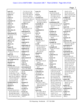| early $(2)$          | 77:9 79:13,17,18         | error(1)              | exactly $(15)$         | 136:25 137:4            |
|----------------------|--------------------------|-----------------------|------------------------|-------------------------|
| 58:8 157:17          | 85:25 86:6 100:8         | 73:17                 | 24:19 25:9 44:20       | 141:16 142:14,19        |
| easier $(1)$         | 101:17,20 102:5,9        | Esq $(3)$             | 46:23 49:14 52:24      | 149:2 152:10,13,18      |
| 40:15                | 103:10,12 109:12         | 3:7,13,23             | 57:4 58:11 61:11       | 153:13 159:7 163:2      |
| easily $(1)$         | 117:13 118:3 137:2       | essential (12)        | 67:17 86:24 116:5      | Exhibits $(3)$          |
| 136:11               | 137:4,5,11 139:3,13      | 10:3,16 11:6,9 12:2,3 | 144:20 145:3           | 5:2 69:6 98:3           |
| economic (1)         | 142:20,24 143:15         | 12:24 55:2 56:22      | 165:17                 | exist(1)                |
| 158:12               | 144:25 145:6             | 58:5 89:18 149:22     | examination (10)       | 84:3                    |
| editor $(1)$         | emailed (1)              | essentially $(2)$     | 4:2,4,5 6:6 8:23 15:20 | expand $(1)$            |
| 112:23               | 35:10                    | 37:22 107:6           | 15:22 22:13 161:7      | 157:2                   |
| editorial (1)        | emails (6)               | establish $(1)$       | 162:11                 | expect (5)              |
| 62:12                | 35:12 45:14,17,22        | 116:5                 | examinations (1)       | 83:12 107:13 113:16     |
| education (1)        | 46:14 77:11              | established (1)       | 25:19                  | 120:10 155:10           |
| 10:10                | embargoed (5)            | 150:5                 | examine (2)            | expected $(1)$          |
| educational (4)      | 143:16,19,22,24          | $\text{ester}(1)$     | 10:19 11:9             | 107:23                  |
| 8:9 24:12 47:16      | 144:25                   | 34:16                 | examined (4)           | expects $(1)$           |
| 102:14               | emerging $(1)$           | esters $(2)$          | 21:25 49:8 151:2       | 155:8                   |
|                      | 22:24                    |                       | 169:9                  |                         |
| effect $(2)$         |                          | 56:24 86:21           |                        | expenses (1)            |
| 133:18 134:2         | emphasize (1)            | estimate (4)          | examining $(2)$        | 29:6                    |
| efficacy $(1)$       | 115:6                    | 56:9 86:16 91:3       | 9:2 10:16              | experience (8)          |
| 157:18               | empirical (1)            | 138:16                | example $(4)$          | 9:20,23,24 23:7 98:10   |
| efforts(1)           | 112:19                   | et(19)                | 27:11 65:18 128:20     | 155:14,21 156:16        |
| 94:7                 | empirically (2)          | 4:16,18,19,20,22 5:4  | 147:8                  | experiment (2)          |
| Egypt $(3)$          | 146:13 147:13            | 5:6,10,15 66:17       | examples (4)           | 65:11 66:15             |
| 12:17 74:16,16       | employed (2)             | 68:24,25 74:4,24      | 163:10 167:16,18       | experimental (2)        |
| Eichner $(5)$        | 156:7 171:12             | 76:11 81:9 85:13      | 168:6                  | 25:12 74:19             |
| 34:19,25 116:21,22   | employee (1)             | 89:12 92:22           | excess(1)              | experiments (3)         |
| 116:23               | 43:20                    | ethanol $(1)$         | 161:24                 | 23:10 25:25 26:19       |
|                      |                          |                       |                        |                         |
| either $(6)$         | employing (1)            | 57:25                 | exclusively (1)        | expert $(43)$           |
| 19:6 25:24 121:14    | 134:20                   | ethyl $(2)$           | 78:20                  | 4:12 8:4 18:21,22       |
| 144:6 152:3 157:17   | enforcement (1)          | 34:15 58:21           | excuse(1)              | 19:9, 12, 21, 23 27: 15 |
| electrophoresis (2)  | 37:12                    | evaluate (4)          | 23:24                  | 27:23 39:24 49:20       |
| 31:16,25             | entirely (1)             | 18:8 100:2 122:23     | executive (1)          | 49:24 50:3 84:15,19     |
| elements (1)         | 146:19                   | 144:22                | 156:6                  | 106:3 115:4,13,18       |
| 120:15               | entity $(2)$             | evaluated (4)         | exhaust (1)            | 115:24 117:4,7,9        |
| ElSohly (39)         | 127:7 165:11             | 83:15 99:20 127:14    | 16:20                  | 123:23 124:2,17         |
| 4:18,19,25 5:9 52:18 | environment (3)          | 160:7                 | exhibit (98)           | 140:21 141:2 142:4      |
| 54:4 66:20,23 67:3   | 125:11,20 160:6          | evaluating $(2)$      | 4:11,12,14,16,18,19    | 142:7 150:5 153:15      |
| 67:13,14 68:9 69:7   | <b>Environmental</b> (1) | 22:17 56:17           | 4:20,22,24 5:3,4,6,8   | 154:14,20,22 155:8      |
| 71:2,16,22 73:5      | 81:24                    | evaluation (2)        | 5:10,12,15,16,18       | 155:10,24 156:14        |
| 76:18,19,22 77:4,6   | EO(2)                    | 20:14 51:9            | 18:11,15,16,18,20      | 161:11 162:14           |
| 77:13,17 89:3 94:13  | 149:13,13                | everybody (1)         | 27:16 41:13 42:6,10    | 163:12                  |
| 98:8 101:23 108:24   | EPA(2)                   | 46:5                  | 42:12,13,14 50:5       | expertise $(3)$         |
| 114:24 116:8,16,17   | 82:8,11                  | everybody's (1)       | 56:7 59:18 61:14       | 62:4 141:4,14           |
| 117:3,12 125:25      | EPA's $(1)$              | 28:10                 | 63:2,6,15 68:18,20     | experts $(8)$           |
| 141:24 144:5,12      | 82:7                     | evidence (9)          | 68:23,24 69:9 70:19    | 69:17,19,20 70:14       |
| ElSohly/Khan (2)     | Epstein $(1)$            | 44:12 83:7 116:3      | 70:24 71:4,4,10,15     | 100:25 127:14           |
| 68:24,25             | 3:20                     | 120:4 152:24 153:6    | 71:20 73:6,6,11,18     | 154:12,18               |
| eluting $(1)$        | equation $(2)$           | 160:4,20 163:11       | 73:24,25 75:4,8,12     | expires $(2)$           |
| 58:8                 | 113:2,23                 | evolving $(1)$        | 77:14 78:3,21,24       | 170:25 171:16           |
| email $(51)$         | erectile $(1)$           | 65:3                  | 79:8 80:12,16,21,25    | explanation (1)         |
| 4:14,24 5:8,16 35:11 | 158:18                   | exact $(12)$          | 93:18 98:17,19 99:3    | 140:25                  |
| 42:15,24 43:3 45:3   | Errata $(2)$             | 24:17 28:23 30:16     | 99:9,12 101:9,14,16    | explore(1)              |
| 45:4,6,8 46:4,5,6,8  | 169:13 170:1             | 44:19 55:9 58:3       | 116:8 117:11           | 123:8                   |
| 50:7,10 51:14 52:13  | erroneous(1)             | 62:17 68:3,5 86:15    | 118:11,18,21 124:9     | explored (1)            |
| 52:15 54:16,21 56:2  | 143:17                   | 156:9 167:3           | 130:2,12 135:12,15     | 160:12                  |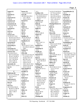| exposé (1)          | factors $(3)$         | 51:5                  | 5:4 52:25 54:8 58:14      | formaldehydes (1)     |
|---------------------|-----------------------|-----------------------|---------------------------|-----------------------|
| 105:2               | 124:24 125:10,23      | fertilizer (15)       | 67:7 81:2,5,9 83:2        | 86:21                 |
| exposed (1)         | facts $(8)$           | 84:7 92:18,23,25 93:5 | 85:13,22 89:12            | formally $(2)$        |
| 90:12               | 82:20,22 84:4 95:3    | 93:24 94:2,4,8,13     | 92:22 93:14 94:24         | 43:21 44:3            |
| expressed (1)       | 114:7 140:16          | 94:19,22 97:4,12      | 95:4 97:21 119:14         | format $(3)$          |
| 120:24              | 150:25 159:23         | 159:22                | 124:7 126:2,8,13          | 45:7,12,13            |
| extensive (2)       | factual $(1)$         | fertilizers (2)       | 139:23 151:2              | formation (2)         |
| 10:9 127:25         | 83:5                  | 84:6 127:23           | 159:25 162:17             | 90:10 107:23          |
| extensively (4)     | fail $(1)$            | field $(4)$           | <b>Fleming/Simone (1)</b> | formed $(1)$          |
| 8:18 10:8 39:19     | 140:3                 | 10:9 20:21 141:14     | 126:19                    | 10:4                  |
| 120:19              | failed $(2)$          | 154:12                | flesh $(1)$               | formerly (2)          |
| external(1)         | 120:2 122:8           | fields $(1)$          | 38:14                     | 43:24 44:4            |
| 70:17               | fair $(1)$            | 25:4                  | flip $(2)$                | formic $(1)$          |
| extra(1)            | 65:25                 | fifth(3)              | 71:14,19                  | 111:21                |
| 108:12              | fall $(1)$            | 2:8 3:5 108:19        | Flora $(18)$              | forms $(1)$           |
| extract $(13)$      | 93:19                 | Figure $(1)$          | 10:4 13:6,7,9,21,23       | 58:23                 |
| 12:10 53:11 55:6    | familiar $(5)$        | 132:3                 | 15:11,14 16:5,23          | formula (8)           |
| 60:24 61:4,6 161:21 | 40:18 103:20,24       | fill(1)               | 17:12,16,20 19:21         | 63:18,24 113:11       |
| 161:23 164:3,14,18  | 104:9 141:13          | 155:25                | 31:19 38:18 110:15        | 121:2 127:23 128:7    |
| 164:23 165:13       | familiarity $(1)$     | final $(4)$           | 168:13                    | 128:9,11              |
| extracted (2)       | 144:3                 | 144:11 145:7,11       | flow $(8)$                | formulation (2)       |
| 58:20 133:7         | far $(9)$             | 160:24                | 23:8,11,12,23 24:4,8      | 21:22 165:18          |
| extracting $(1)$    | 18:25 53:6 57:7 61:9  | finalized (1)         | 24:21 26:16               | forth $(2)$           |
| 53:14               | 81:6 89:20 136:6,24   | 153:25                | focused $(1)$             | 71:20 123:12          |
| extraction (3)      | 138:9                 | finalizing $(1)$      | 20:16                     | Forthane (1)          |
| 53:19 58:21 134:6   | fashion $(1)$         | 154:5                 | folks $(1)$               | 137:23                |
| extracts $(25)$     | 132:10                | Finally $(2)$         | 80:7                      | found $(13)$          |
| 55:4,19,22 56:11    | FDA (30)              | 7:19 139:14           | follow $(4)$              | 25:22 29:24 65:7 79:2 |
| 58:17,25 59:2,6,8   | 8:20 15:15,16 16:2,19 | financial $(1)$       | 25:15 26:5 81:10,13       | 85:23 86:7,19 92:25   |
| 59:14,17,20 60:11   | 17:14 36:5,5 37:5     | 171:12                | followed $(1)$            | 93:5 97:16 113:8      |
| 151:12,16,18,19     | 43:20,25 44:7,24      | find $(7)$            | 82:2                      | 139:15 163:5          |
| 152:7 163:18,24     | 46:9 50:11,24         | 40:15 86:14 88:11     | following (2)             | four $(2)$            |
| 165:23 166:12       | 116:11 127:5,5        | 109:6 140:18,19       | 105:2 142:10              | 78:6 84:10            |
| 167:5 168:6,15      | 128:20 135:10         | 147:8                 | follows $(2)$             | fourth $(3)$          |
| extremely $(3)$     | 136:6 142:25 143:2    | finding $(4)$         | 6:5 131:3                 | 92:17,20,20           |
| 83:11 112:17 113:15 | 154:20 155:5,8,10     | 57:8 84:5 100:2 160:4 | food $(6)$                | fragment $(1)$        |
| eye(1)              | 155:23 156:14         | findings $(3)$        | 20:16 104:13 112:11       | 119:10                |
| 9:4                 | FDA-funded (2)        | 100:13,20 147:12      | 112:13 127:24             | framework (1)         |
|                     | 154:22,24             | fine $(1)$            | 154:14                    | 26:12                 |
| F                   | feasible $(1)$        | 98:14                 | foregoing $(3)$           | France (2)            |
| Fabricant (9)       | 162:2                 | finish $(2)$          | 169:9 171:8,9             | 74:15,16              |
| 43:5,11,17 44:10,18 | features $(1)$        | 7:8,10                | foreign $(1)$             | Frank $(4)$           |
| 44:22 46:9,13       | 70:11                 | first $(15)$          | 118:12                    | 33:11,14 101:24       |
| 143:13              | federal(2)            | 6:4 24:23 25:8 48:5   | forensic (2)              | 102:22                |
| fabricated (3)      | 17:16,19              | 57:20 67:13 78:4      | 8:20 21:18                | free $(1)$            |
| 113:25 114:3,8      | feedback(1)           | 79:9 82:23 96:3       | forget $(1)$              | 51:18                 |
| face $(1)$          | 103:9                 | 102:19 103:19         | 26:20                     | freebase(5)           |
| 14:22               | feel $(1)$            | 120:9 127:19          | forgot $(1)$              | 58:22 92:14 136:7,8   |
| fact $(11)$         | 115:5                 | 139:18                | 52:7                      | 136:10                |
| 44:12 83:23 84:23   | feels $(1)$           | fit(4)                | form $(17)$               | frequencies (1)       |
| 96:20 97:3 109:18   | 116:6                 | 146:20 147:2,4,5      | 22:3 41:22 44:11 52:5     | 147:16                |
| 114:14 115:25       | fellow(1)             | five $(2)$            | 59:21 79:4 85:2           | fresh $(2)$           |
| 140:17 149:17       | 36:22                 | 28:24 138:16          | 86:5 136:8,8,15           | 108:8,10              |
| 160:3               | felt $(1)$            | FLEC(1)               | 137:12 144:19             | Friday $(1)$          |
| factor $(1)$        | 31:5                  | 124:22                | 161:17 162:6              | 1:19                  |
| 92:20               | fence $(1)$           | Fleming $(26)$        | 163:13 166:2              | friends $(1)$         |
|                     |                       |                       |                           |                       |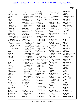|                       |                       |                       |                       | Page 9                  |
|-----------------------|-----------------------|-----------------------|-----------------------|-------------------------|
| 137:6                 | 25:7                  | 48:18 49:16,17        | 4:23                  | guarantee $(1)$         |
| front $(3)$           | GC(11)                | ginseng $(2)$         | GOV-030720 (1)        | 104:25                  |
| 73:24 78:9 99:2       | 57:16,18,19,21 58:19  | 17:10 112:9           | 5:14                  | guess $(4)$             |
| FTIR(1)               | 109:9,15,19 111:8     | give (9)              | GOV-031203 (1)        | 22:25 90:20 125:19      |
| 31:13                 | 111:10 124:20         | 6:15 8:8 9:17 46:6    | 130:20                | 131:21                  |
| full $(1)$            | $GC/MS$ (3)           | 68:14 86:16 113:12    | GOV-031305 (1)        | guidance (3)            |
| 109:9                 | 55:24 58:4 133:11     | 120:13,14             | 5:11                  | 101:7 134:22,24         |
| fully $(1)$           | general (8)           | given (9)             | government (11)       | guideline (2)           |
| 109:8                 | 28:3 72:20,21 134:25  | 16:12 17:5 29:6       | 16:23 17:16,20,25     | 123:2,13                |
| function $(2)$        | 137:15,25 146:22      | 102:19 124:10         | 18:24 19:10 28:17     | guidelines (4)          |
| 112:19 113:10         | 146:24                | 143:24 167:17         | 29:9 94:8 117:8       | 5:12 130:15,17          |
| funded $(6)$          | generally (4)         | 169:11 171:10         | 152:21                | 134:25                  |
| 37:5,9 115:18 116:11  | 70:9 123:7 125:4,5    | global(2)             | government's (1)      | Guido (1)               |
| 155:8,11              | gentlemen (2)         | 20:16 127:18          | 153:5                 | 28:7                    |
| funding $(14)$        | 70:14,15              | go(19)                | governmental (1)      | Gul(1)                  |
| 36:23 37:8,15,19,22   | geographic (3)        | 14:7 20:18 41:8 51:17 | 15:12                 | 116:17                  |
| 38:7,17,19,22 39:4    | 12:15 57:13 58:24     | 53:21 60:10 75:18     | grad(2)               |                         |
| 115:4,14 157:4,9      | Georgia (3)           | 97:13,19 109:3        | 8:11 157:11           | $\bf H$                 |
| further $(18)$        | 1:3 3:10,12           | 112:15 114:10         | graduate (2)          | H(1)                    |
| 25:25 41:8 51:2 83:15 | Geranium (91)         | 118:10 134:10         | 8:11 9:6              | 4:10                    |
| 84:6 91:9 93:3        | 11:7,10 12:11,13 13:2 | 136:25 148:8,17,17    | gram(6)               | half $(1)$              |
| 100:2 114:4 122:23    | 35:7 40:22,23,25      | 154:10                | 93:12 161:25 164:5,6  | 96:12                   |
| 123:8 145:6 146:16    | 41:3,4 47:23 50:23    | goal(5)               | 164:15 165:6          | hand $(2)$              |
| 148:18 161:4          | 51:11,18 53:7,17,23   | 120:16 134:13 148:22  | grams(1)              | 22:6 171:14             |
| 162:10,11 168:15      | 54:15,20,22,25 55:3   | 151:22 166:18         | 65:19                 | handed $(1)$            |
| furtherance (1)       | 55:17,25 57:25        | goes(4)               | grant(8)              | 101:9                   |
| 92:16                 | 58:13 59:17,19        | 116:2 127:13 128:2    | 16:13 17:5 27:18,25   | handled $(5)$           |
| fused $(1)$           | 60:10,23 67:19 74:8   | 136:24                | 28:3 155:20 156:23    | 14:18 90:6 156:3,4,6    |
| 109:7                 | 74:9,9,11,13,20,24    | going (29)            | 156:25                | handling $(4)$          |
| future $(2)$          | 79:2 81:3 83:9,24     | 6:15,16,187:2 15:4,6  | grants(8)             | 90:24 140:12 156:9      |
| 159:11,16             | 84:4,8 85:6,11 86:3   | 16:20 18:14 19:8,19   | 28:20,22 29:4,8       | 160:6                   |
|                       | 86:12,13 87:8,16,21   | 22:4 26:21,22 29:12   | 156:25 157:2,14,16    | Hanner $(1)$            |
| $\mathbf G$           | 89:5,12,14,15,16      | 41:4,17 50:5 63:5     | graveolens (4)        | 118:16                  |
| G(1)                  | 90:17,21 91:4,7,11    | 73:18 80:15 100:14    | 40:19 41:5 89:6,21    | happening $(1)$         |
| 6:2                   | 91:11 93:15 95:16     | 100:22 116:7,18       | $gr(1)$               | 138:21                  |
| gain(2)               | 95:23 96:9 97:16      | 121:13 129:7          | 149:9                 | happens $(1)$           |
| 120:4 157:5           | 100:11 101:8          | 134:10 148:11         | greater(1)            | 72:24                   |
| gained (1)            | 115:21 120:5 121:6    | 150:12                | 164:6                 | happy $(1)$             |
| 9:23                  | 121:10,23 125:24      | good(6)               | Green $(1)$           | 139:18                  |
| Gaithersburg (1)      | 138:5 139:16          | 6:8,9 31:5 123:5      | 3:20                  | hard $(1)$              |
| 156:8                 | 140:23 149:13         | 139:5 150:10          | ground-up (1)         | 108:10                  |
| gallon (1)            | 150:25 151:12,16      | gotten(1)             | 121:10                | harvest $(2)$           |
| 158:3                 | 151:17 152:25         | 53:23                 | group(11)             | 126:16,18               |
| Garden (1)            | 153:7 159:11 160:2    | GOV-004568 (1)        | 47:24 49:4,13 50:3    | harvested (1)           |
| 69:15                 | 161:21,23             | 4:17                  | 71:24 100:16 115:6    | 125:15                  |
| gas(6)                | Geraniums (3)         | GOV-006988 (1)        | 116:3 126:24 143:2    | harvests $(1)$          |
| 8:13 10:20 27:12      | 88:23 89:3,19         | 4:15                  | 143:3                 | 126:4                   |
| 55:23 121:17          | Gestalt (1)           | GOV-007710 (1)        | groups (1)            | hate $(1)$              |
| 132:19                | 133:8                 | 5:17                  | 105:19                | 137:6                   |
| Gateway (1)           | gestures(1)           | GOV-0278669 (1)       | grow(2)               | HCl(1)                  |
| 3:21                  | 7:7                   | 5:5                   | 84:7 125:17           | 1:10                    |
| gather (3)            | getting(6)            | $GOV-027941(1)$       | growing (5)           | head $(3)$              |
| 23:8 25:8 60:10       | 59:18 126:12 133:9    | 5:7                   | 68:6 70:20 71:11 76:8 | 7:7 23:15 69:23         |
| gathered (1)          | 133:13 134:11         | GOV-027962 (1)        | 95:3                  | heading $(1)$           |
| 73:2                  | 137:19                | 4:21                  | $grown$ (4)           | 28:14                   |
| gathering (1)         | ginkgo(3)             | GOV-027966 (1)        | 68:7,12 125:9,12      | <b>Headquarters (1)</b> |
|                       |                       |                       |                       |                         |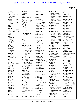|                      |                       |                      |                      | Page 10                  |
|----------------------|-----------------------|----------------------|----------------------|--------------------------|
| 143:5                | hundred (2)           |                      |                      | 7:17                     |
|                      |                       | impart(1)<br>27:3    | industry (18)        |                          |
| Health $(7)$         | 86:17,18              |                      | 17:25 18:2 21:19     | instructions (2)         |
| 16:6 27:18 51:7,7,12 | hybrid $(1)$          | impartially $(2)$    | 24:12 25:4 30:25     | 6:16 7:22                |
| 51:14 154:16         | 88:6                  | 18:5,9               | 33:19 52:2 60:5,11   | instructor $(1)$         |
| hear $(4)$           | hybridization (1)     | import $(2)$         | 100:11,21 101:2      | 36:4                     |
| 6:22,23 147:16,17    | 88:25                 | 15:24,25             | 102:13 103:25        | instrument $(2)$         |
| heard $(5)$          | hydrochloride (2)     | important (7)        | 104:6 109:25 127:3   | 134:12,13                |
| 7:2 35:2 79:25 80:3  | 136:4,13              | 6:21 7:5,8 18:4,8    | infant $(4)$         | Integrative (1)          |
| 129:18               | hydrogen (1)          | 116:5 150:10         | 127:23 128:6,8,11    | 69:14                    |
| held $(2)$           | 120:15                | importer (4)         | informal $(1)$       | intensive (1)            |
| 2:5 76:24            | hydrolysis (1)        | 163:22 164:17,20,25  | 6:19                 | 36:14                    |
| help(9)              | 88:8                  | impossible(1)        | informally (1)       | interacted (1)           |
| 22:3 31:6,7,9 48:25  | hypothesized (1)      | 131:6                | 44:7                 | 37:4                     |
| 49:2 132:12 150:6    | 113:2                 | improve (1)          | information (26)     | interagency $(2)$        |
| 157:4                | hypothetical (2)      | 113:4                | 14:8,14 23:9,9 24:24 | 37:9,15                  |
| helped $(1)$         | 107:5 147:11          | impurities (1)       | 44:10,18,21 51:12    | interest $(8)$           |
| 35:14                |                       | 26:25                | 53:25 68:16 70:16    | 30:12 31:3 32:9,12       |
| helpful $(2)$        | 1                     | impurity (1)         | 71:4 72:13 76:7      | 100:10 102:6             |
| 75:15,23             | i.e $(1)$             | 31:2                 | 78:9 103:9 104:2,21  | 128:13 171:12            |
| helping $(1)$        | 164:9                 | in-depth $(1)$       | 106:3 114:5 120:9    | interested (4)           |
| 115:24               | ice $(1)$             | 157:5                | 140:10 144:16        | 52:4 126:25 165:12       |
| helps $(1)$          | 108:13                | inaccurate (2)       | 162:14 168:12        | 165:14                   |
| 93:18                | identification (17)   | 146:7,9              | infrared $(2)$       | Internal $(2)$           |
| Herbal $(2)$         | 18:12 41:14 63:3      | inappropriate (1)    | 31:13,23             | 129:11,21                |
| 46:20 51:25          | 68:19,21 70:10        | 146:20               | infrastructure (1)   | internally $(1)$         |
| hereunto $(1)$       | 73:12 75:5 78:22      | inarticulate (1)     | 37:23                | 11:23                    |
| 171:14               | 80:13 98:18,20        | 132:10               | ingredient (3)       | <b>International (3)</b> |
| Heuer $(1)$          | 118:19 130:3          | incidental (2)       | 34:18 129:2,16       | 36:21 112:24 154:16      |
| 141:23               | 135:13 142:15         | 119:7,9              | ingredients (6)      | internet $(1)$           |
| Heuer's $(2)$        | 152:11                | include $(2)$        | 8:25 9:2 10:7 20:15  | 74:21                    |
| 141:22 142:11        | identified (16)       | 154:7 162:13         | 33:18 158:17         | interpose (1)            |
| $HI-TECH(1)$         | 84:21,25 95:22 96:9   | included (4)         | inhibitors $(1)$     | 7:15                     |
| 1:13                 | 97:3 106:15 123:17    | 85:15 105:22 106:2,5 | 137:18               | interval (1)             |
| high $(4)$           | 141:8 158:16 159:3    | includes $(2)$       | initial $(1)$        | 11:12                    |
| 62:9 104:14 132:20   | 161:14 162:20,25      | 70:10 127:7          | 133:17               | interview $(1)$          |
| 161:24               | 165:24 166:8 168:7    | including $(2)$      | initially $(1)$      | 155:23                   |
| higher $(2)$         | identifies (2)        | 25:6 65:6            | 10:13                | investigated (1)         |
| 94:2 97:15           | 106:10 146:12         | incorporated (1)     | injected (1)         | 162:20                   |
| history $(2)$        | identify $(5)$        | 24:5                 | 57:23                | investigating $(1)$      |
| 9:18 163:6           | 30:24 31:9 131:7      | incorrect (1)        | input $(5)$          | 29:23                    |
| hits $(1)$           | 140:6 141:11          | 82:12                | 47:15 48:2 102:16    | investigation (2)        |
| 143:17               | identifying $(1)$     | independent (1)      | 103:6 128:25         | 21:20 114:4              |
| holds $(1)$          | 123:6                 | 127:7                | inquire $(1)$        | involve $(3)$            |
| 37:10                | identities (2)        | INDEX $(1)$          | 49:5                 | 74:11 133:11 155:5       |
| honest $(1)$         | 168:12,14             | 4:2                  | Insights $(3)$       | involved (16)            |
| 59:13                | identity $(2)$        | indicate (4)         | 62:15 105:15,25      | 10:3 21:20 29:17         |
| hope $(1)$           | 8:24 17:6             | 71:17 76:10 85:16    | instance $(2)$       | 30:17 31:8,25 32:23      |
| 50:11                | ignoring $(1)$        | 164:8                | 45:25 128:6          | 36:20,22 74:8 78:5       |
| hopefully $(1)$      | 50:13                 | indicated (1)        | institute (13)       | 84:9 92:12,15            |
| 132:11               | Ikhlas (6)            | 91:20                | 32:21 69:14 78:11,16 | 129:22 150:6             |
| hoping $(1)$         | 46:22 101:22 102:21   | indicates (2)        | 78:20,25 79:18,22    | involvement (1)          |
| 50:25                | 116:20 142:9 154:2    | 71:23 78:6           | 86:3 95:8,9 144:18   | 71:25                    |
| HorRat $(1)$         | imagine $(1)$         | indirectly $(1)$     | 154:15               | involving $(2)$          |
| 113:2                | 141:9                 | 27:3                 | Institutes (2)       | 28:2 157:7               |
| Horwitz (3)          | impact $(4)$          | individual (2)       | 16:6 27:17           | ions $(1)$               |
| 112:18,22 113:23     | 62:9 88:8 90:6 104:14 | 14:20 124:15         | instruct $(1)$       | 148:2                    |
|                      |                       |                      |                      |                          |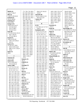| IRMS $(2)$                   | 77:1 78:1 79:1 80:1   | 104:12,22 142:22             | 149:1 150:1 151:1,9  | 104:10 105:8          |
|------------------------------|-----------------------|------------------------------|----------------------|-----------------------|
| 122:17 139:17                | 81:1 82:1 83:1 84:1   | 144:10                       | 152:1 153:1 154:1    | 106:22 109:2 114:2    |
| IRS(3)                       | 85:1 86:1 87:1 88:1   | journals (8)                 | 155:1 156:1 157:1    | 114:17 116:5          |
| 128:25 129:10,18             | 89:1 90:1 91:1 92:1   | 103:25 104:2,11,16           | 158:1 159:1 160:1    | 118:22 127:24         |
| isolated (2)                 | 93:1 94:1 95:1 96:1   | 105:3,6,12,19                | 161:1,9 162:1,13     | 135:11 136:6          |
| 50:22 109:24                 | 97:1 98:1 99:1        | Justice $(2)$                | 163:1 164:1 165:1    | 138:12 141:10         |
| isolating $(2)$              | 100:1 101:1 102:1     | 2:63:4                       | 166:1 167:1 168:1    | 144:3,25 148:20       |
| 121:15,18                    | 103:1 104:1 105:1     |                              | 168:21 169:1,7       | 150:13 151:17         |
| isotope $(13)$               | 106:1 107:1 108:1     | $\mathbf K$                  | 171:1                | 156:4 160:9,14        |
| 120:6, 10, 12, 14, 17        | 109:1 110:1 111:1     | K(5)                         | Kareem (1)           | 164:11 165:17,19      |
| 121:5,8,14,23                | 112:1 113:1 114:1     | 5:12 39:21,22 117:19         | 116:17               | 166:20                |
| 122:13 140:5                 | 115:1 116:1 117:1     | 130:15                       | keep(4)              | knowledge (15)        |
| 151:20 152:4                 | 118:1 119:1 120:1     | Kababick (187)               | 7:5 11:7 12:13 134:7 | 27:3 39:5 67:11 70:18 |
| issue $(8)$                  | 121:1 122:1 123:1     | $1:1,17$ $2:1,3$ $3:1$ $4:1$ | kept(1)              | 84:18 94:22 105:14    |
| 17:9 25:10 26:2 35:15        | 124:1 125:1 126:1     | 4:13 5:1 6:1,3 7:1           | 108:13               | 106:4 117:3,6         |
| 102:7 103:19                 | 127:1 128:1 129:1     | 8:1 9:1 10:1 11:1            | Khan $(35)$          | 121:22 122:6          |
| 137:10 138:13                | 130:1 131:1 132:1     | 12:1 13:1 14:1 15:1          | 46:22 47:17 48:8,12  | 125:23 155:12         |
| issued $(7)$                 | 133:1 134:1 135:1     | 16:1 17:1 18:1,3             | 49:23 52:18 54:4     | 168:5                 |
| 100:16 101:4,6               | 136:1 137:1 138:1     | 19:1 20:1 21:1 22:1          | 66:20,23 67:14 68:9  | known $(3)$           |
| 130:17,18 139:24             | 139:1 140:1 141:1     | 23:1 24:1 25:1 26:1          | 71:2,15,22,24 73:6   | 25:12 52:3 149:25     |
| 141:15                       | 142:1 143:1 144:1     | 27:1 28:1 29:1 30:1          | 76:16 77:4,7,14,16   | Krynitsky (1)         |
| issues $(11)$                | 145:1 146:1 147:1     | 31:1 32:1 33:1 34:1          | 77:21 85:19 89:3     | 112:14                |
| 21:20 22:17 26:8             | 148:1 149:1 150:1     | 35:1 36:1 37:1 38:1          | 94:13 98:7 101:23    |                       |
| 103:15 107:13,20             | 151:1 152:1 153:1     | 39:1 40:1 41:1,20            | 102:22 108:24        | ${\bf L}$             |
| 108:13 137:7,16,24           | 154:1 155:1 156:1     | 42:1,20,21 43:1,9,9          | 116:16,20 117:6      | lab(9)                |
| 163:6                        | 157:1 158:1 159:1     | 44:1 45:1 46:1 47:1          | 124:4 125:25 144:5   | 11:22 38:8,24 72:18   |
| items $(1)$                  | 160:1 161:1 162:1     | 48:1 49:1 50:1 51:1          | Khan's $(6)$         | 72:22 82:4 143:11     |
| 89:8                         | 163:1 164:1 165:1     | 52:1 53:1 54:1 55:1          | 47:24 49:13,20 50:2  | 167:15,20             |
|                              | 166:1 167:1 168:1     | 56:1 57:1 58:1 59:1          | 142:9 154:2          | label $(1)$           |
| $\mathbf{J}$                 | 168:21 169:1,7        | 60:1 61:1 62:1 63:1          | Khan/ElSohly (1)     | 166:20                |
| Jackson (2)                  | 171:1                 | 64:1 65:1 66:1 67:1          | 85:19                | laboratories (3)      |
| 147:17,18                    | January (1)           | 68:1 69:1 70:1 71:1          | $\;$ kind (5)        | 10:5 13:9 78:7        |
| Jaksch (6)                   | 42:17                 | 72:1 73:1 74:1 75:1          | 84:8 134:11 137:21   | laboratory (4)        |
| 33:11,14,20 34:7             | JAREN (1)             | 76:1 77:1 78:1 79:1          | 157:12 165:19        | 21:2 38:18 78:13      |
| 101:24 102:22                | 1:13                  | 80:1 81:1 82:1 83:1          | $\text{kinds}(1)$    | 161:14                |
| <b>James</b> (180)           | Jennings (1)          | 84:1 85:1 86:1 87:1          | 127:22               | $\text{labs}(11)$     |
| $1:1,17$ $2:1,3$ $3:1$ $4:1$ | 8:14                  | 88:1 89:1 90:1 91:1          | knew $(1)$           | 13:6 15:11,19 16:5,23 |
| 4:13 5:1 6:1,3 7:1           | Jersey $(1)$          | 92:1 93:1 94:1 95:1          | 33:22                | 17:12,17,20 65:7      |
| 8:1 9:1 10:1 11:1            | 3:22                  | 96:1 97:1 98:1,22            | know(92)             | 66:11 168:13          |
| 12:1 13:1 14:1 15:1          | $\text{Jim} (2)$      | 99:1 100:1 101:1             | 6:23,25 7:20 11:12   | lack $(1)$            |
| 16:1 17:1 18:1 19:1          | 102:19 117:19         | 102:1,19 103:1               | 12:15,20 14:23 17:8  | 149:11                |
| 20:1 21:1 22:1 23:1          | Job(1)                | 104:1 105:1 106:1            | 19:18 28:15 32:17    | large $(3)$           |
| 24:1 25:1 26:1 27:1          | 1:24                  | 107:1 108:1 109:1            | 33:11,20,24 34:13    | 11:13 50:21 105:2     |
| 28:1 29:1 30:1 31:1          | Joe (2)               | 110:1 111:1 112:1            | 34:15,19,25 35:6,14  | larger(12)            |
| 32:1 33:1 34:1 35:1          | 37:4 101:22           | 113:1 114:1 115:1            | 35:19,21 36:3 41:3   | 62:11 83:7,16,21      |
| 36:1 37:1 38:1 39:1          | John(2)               | 116:1 117:1 118:1            | 43:22 44:9,17 45:10  | 99:24 103:4 116:2     |
| 40:1 41:1 42:1,20            | 101:22 112:14         | 119:1 120:1 121:1            | 46:6,17 48:4,11,21   | 122:18,19 137:25      |
| 42:21 43:1,9,9 44:1          | <b>Johnson</b> $(1)$  | 122:1 123:1 124:1            | 51:9,13 55:5 57:7    | 160:3 162:25          |
| 45:1 46:1 47:1 48:1          | 128:6                 | 125:1 126:1 127:1            | 57:13 59:4 61:11,12  | largest $(8)$         |
| 49:1 50:1 51:1 52:1          | joint $(2)$           | 128:1 129:1 130:1            | 62:13,20 63:19,25    | 13:23 17:24 86:19,20  |
| 53:1 54:1 55:1 56:1          | 29:21 144:4           | 131:1 132:1 133:1            | 67:20,23 68:3,5      | 87:15 91:6,13,15      |
| 57:1 58:1 59:1 60:1          | Joseph $(3)$          | 134:1 135:1 136:1            | 72:9,11 75:2 76:14   | Larry $(2)$           |
| 61:1 62:1 63:1 64:1          | 35:21,24 118:4        | 137:1 138:1 139:1            | 76:19 77:5 79:5,9    | 116:21,24             |
| 65:1 66:1 67:1 68:1          | journal $(13)$        | 140:1 141:1 142:1            | 79:12 85:21 86:15    | Laurie $(4)$          |
| 69:1 70:1 71:1 72:1          | 24:14 62:9,12,16 74:3 | 143:1 144:1 145:1            | 89:2,20 91:8 95:11   | 1:25 2:19 171:7,20    |
| 73:1 74:1 75:1 76:1          | 103:20 104:4,9,12     | 146:1 147:1 148:1            | 97:15 98:9 101:5     | laws(1)               |
|                              |                       |                              |                      |                       |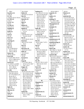|                                       |                                    |                                 |                                           | Page 12                              |
|---------------------------------------|------------------------------------|---------------------------------|-------------------------------------------|--------------------------------------|
|                                       |                                    |                                 |                                           |                                      |
| 158:4                                 | 95:23 96:9                         | looking $(27)$                  | 103:24 168:13                             | 145:16                               |
| laxatives $(1)$                       | limits $(3)$                       | 25:5 26:24 27:15 52:4           | majority $(1)$                            | Materia (1)                          |
| 158:18                                | 64:19 81:19 145:18                 | 56:15,16,18,20 59:7             | 98:4                                      | 78:11                                |
| LC(3)                                 | line $(3)$                         | 59:8 61:12 66:17                | makers $(1)$                              | material (41)                        |
| 124:20 132:22 133:22                  | 11:24,25 12:3                      | 69:9 72:15 85:6                 | 128:6                                     | 21:25 22:18 51:24                    |
| LC/MS(1)                              | linearity $(1)$                    | 100:12 125:3                    | making (7)                                | 52:3,4,14,16,19,22                   |
| 133:11                                | 81:19                              | 131:18 132:14                   | 54:2 128:3 138:7                          | 53:2,5,9,12,13,16                    |
| LCGC(1)                               | link(1)                            | 133:6 137:23                    | 146:6,8,18 150:2                          | 53:18 56:3 60:3,14                   |
| 20:22                                 | 98:9                               | 138:14 141:16                   | Management (2)                            | 60:20,21 61:7 68:12                  |
| LCMS(2)                               | linked $(2)$                       | 143:21 145:15                   | 143:2,5                                   | 73:7 90:6 108:9,10                   |
| 65:6 81:11                            | 119:11 145:5                       | 147:14 148:12                   | manages $(1)$                             | 109:24 111:16,17                     |
| leading $(1)$                         | liquid $(5)$                       | looks $(8)$                     | 127:9                                     | 116:6 122:19,22                      |
| 154:12                                | 16:16 27:11 92:15,15               | 43:13 63:16 101:21              | manner(1)                                 | 134:9 136:9 140:8                    |
| leads $(1)$                           | 111:14                             | 109:12 124:10                   | 14:25                                     | 150:14,19,20,21                      |
| 71:24                                 | Lisi $(7)$                         | 142:20,22,25<br>Lorenzo (9)     | manufacture (1)<br>92:16                  | 161:20                               |
| leaf(1)                               | 4:20 66:20 67:2,25                 |                                 |                                           | materials (14)                       |
| 51:18                                 | 74:4,24 125:25                     | 4:22 66:21 67:2,25              | manufacturer (1)                          | 9:3 21:23 34:17,18                   |
| leave $(1)$                           | list $(3)$                         | 73:19 75:21,25 76:4<br>76:11    | 164:9                                     | 60:18 72:10,11<br>98:11 111:18 115:8 |
| 162:22                                | 74:15 105:25 153:15                |                                 | manufacturers (3)                         | 150:11 151:15                        |
| Leaving $(1)$                         | listed $(4)$                       | loss(5)<br>165:22 166:17 167:2  | 53:10,13 54:2                             | 157:19 162:21                        |
| 122:13                                | 64:4 131:25 132:8                  | 167:4,6                         | manufacturing $(2)$                       |                                      |
| $left(1\right)$                       | 162:4                              |                                 | 27:2 165:12                               | matrix $(2)$<br>112:20 113:10        |
| 163:10                                | lists $(1)$                        | lost(1)                         | March $(1)$                               |                                      |
| let's(7)                              | 105:20                             | 74:18                           | 171:16                                    | matter $(4)$<br>51:2 61:13 62:5      |
| 21:21 68:9 69:16                      | literature (3)<br>24:25 25:5 122:4 | lot(17)<br>10:11 23:5 26:8,9,18 | Mark $(10)$                               | 117:21                               |
| 103:13 118:10                         |                                    | 30:24 31:3 49:4                 | 30:2 39:6,7,17 46:20                      | matters $(3)$                        |
| 136:25 146:24                         | little $(2)$                       | 51:4 80:6 84:23                 | 100:18 101:21,21                          | 47:15 48:21 102:15                   |
| letters $(2)$                         | 15:13 41:19                        | 100:10 102:12,13                | 103:3 117:17                              | Mead(1)                              |
| 40:16 129:15                          | live $(1)$<br>52:16                | 105:6,11 126:11                 | marked (30)                               | 128:6                                |
| level $(10)$                          |                                    | $\text{lots} (1)$               | 18:11,14 27:16 41:13<br>42:5 63:2,5 68:18 | mean $(39)$                          |
| 112:20 128:8 145:24                   | located $(1)$<br>85:17             | 108:8                           |                                           | 10:22 15:22 18:25                    |
| 147:21 148:8,14,14<br>148:15 157:3,12 | long(8)                            | low(9)                          | 68:20,23 73:11 75:4<br>75:7 77:14 78:21   | 19:15 20:11,25 27:7                  |
| levels $(12)$                         | 17:11 30:15 36:11                  | 65:16,17 83:11,14,25            | 80:12,15,20 98:3,17                       | 30:19 34:3 35:5                      |
| 11:19 83:11,14 86:9                   | 107:25 127:4 138:7                 | 86:9 132:16 133:3               | 98:19 99:2,8 114:24                       | 37:25 43:7,23 48:25                  |
| 93:7,14,17 97:12                      | 139:7 152:5                        | 159:19                          | 118:18 130:2                              | 50:18 53:6,12 54:19                  |
| 125:3 148:24                          | longer $(2)$                       | lower $(3)$                     | 135:12 142:14                             | 54:24 61:25 62:7                     |
| 151:24 159:19                         | 167:23,23                          | 58:6 97:15 148:17               | 152:10,13                                 | 65:23 69:25 72:20                    |
| Li(28)                                | look $(38)$                        | Lucas $(1)$                     | markers $(3)$                             | 81:15 88:16 90:16                    |
| 5:6,8 48:5,6 52:21                    | 20:18 33:10 43:3 45:6              | 5:15                            | 56:17,21,21                               | 93:23 103:3 110:10                   |
| 54:6 58:14 66:22                      | 45:13 50:25 53:20                  | luckiest (1)                    | market $(2)$                              | 112:21 124:20                        |
| 67:7 97:20 99:13,14                   | 56:25 58:8 63:6,20                 | 112:16                          | 129:7 149:14                              | 129:10 131:16                        |
| 99:18 101:17                          | 69:6 75:8,23 78:3                  | lunch $(1)$                     | Martin $(1)$                              | 133:16,24 135:9                      |
| 102:21 104:22                         | 78:14 79:8 82:9                    | 98:15                           | 142:25                                    | 154:20 159:5                         |
| 105:9 106:8 107:19                    | 86:24 87:22 91:9                   |                                 | mass (33)                                 | meaning(3)                           |
| 114:7 115:23                          | 92:11 93:8,16,18                   | $\mathbf{M}$                    | 27:12 39:12 55:23                         | 17:12 62:10 119:10                   |
| 119:14 126:2,8                        | 97:10,13 99:3                      | Magazine (1)                    | 57:16,19,21 58:19                         | means $(6)$                          |
| 139:23 151:2                          | 102:18 103:13                      | 20:22                           | 64:2,5 65:4,5,9,16                        | 96:21 133:2 149:11                   |
| 159:25 162:16                         | 106:18 118:21                      | magnetic (1)                    | 65:17,21 66:4 80:9                        | 154:21 160:9,11                      |
| light $(2)$                           | 120:23 143:15                      | 132:15                          | 120:6, 10, 12 121:8                       | measure(1)                           |
| 35:15 90:12                           | 144:22 148:3 149:6                 | main(1)                         | 121:23 122:13                             | 113:5                                |
| likewise (1)                          | 153:22                             | 89:17                           | 132:11,19,22 133:3                        | measured $(1)$                       |
| 7:9                                   | looked $(6)$                       | mainstream (1)                  | 133:22 139:17                             | 113:17                               |
| limit(1)                              | 85:25 113:4 143:23                 | 65:4                            | 140:5 145:16                              | measurement (1)                      |
| 93:20                                 | 145:17 149:2                       | major $(5)$                     | 146:22 151:21                             | 81:7                                 |
| limited $(2)$                         | 153:19                             | 12:19 86:25 91:20               | matching(1)                               | measurements (1)                     |
|                                       |                                    |                                 |                                           |                                      |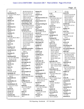| 11:2                  |
|-----------------------|
| mechanism (7)         |
| 37:8,10,23 38:7,20,21 |
| 157:9                 |
| medal (1)             |
| 112:24                |
|                       |
| Medica (1)            |
| 78:11                 |
| medical (1)           |
| 28:9                  |
| Medicinal (1)         |
| 69:15                 |
| Medicine (1)          |
| 69:14                 |
|                       |
| medium (1)            |
| 132:22                |
| meet $(4)$            |
| 127:20 139:25 140:3   |
| 155:22                |
| meetings (1)          |
| 33:25                 |
|                       |
| meets $(1)$           |
| 16:3                  |
| members (2)           |
| 13:7 102:11           |
| membrane (1)          |
| 31:16                 |
| mention $(1)$         |
| 126:3                 |
|                       |
| mentioned (6)         |
| 13:5 37:5 39:6 40:6   |
| 76:18 111:19          |
| mentioning (1)        |
| 96:23                 |
| merely (1)            |
| 162:4                 |
|                       |
| mess(1)               |
| 121:5                 |
| met(3)                |
| 6:10 8:5 76:20        |
| metabolic (5)         |
| 83:19 84:2,13 131:17  |
| 140:22                |
| metabolite (1)        |
| 131:8                 |
|                       |
| metabolites (1)       |
| 131:23                |
| metabolomic (5)       |
| 131:6, 13, 15 132:2   |
| 133:4                 |
| metal(2)              |
| 83:13 92:2            |
| metals $(2)$          |
|                       |
| 91:24,25              |
| method (28)           |
| 22:9 26:5 38:9,11,12  |

38:18,24,24 81:14 82:7,12 110:7,9,11 110:16,25 111:3 128:3,7,11,14,19,21 128:23 145:18 148:16,23 167:19 **methodologies (4)** 22:3 82:5,6 110:13 **methodology (10)** 16:13,14 21:25 81:24 82:2 102:12 112:11 123:2,13 147:13 **methods (41)** 22:18 26:9 35:25 36:23 37:2,6,11,12 37:13,16,19 38:5,9 38:10,11,19 39:23 67:4,9 82:8 112:8 112:23 113:5,6,6 127:2,2,3,10,11,12 127:13,14,19,19,20 127:22 129:5 130:16 133:3 167:15 **methylhexaneamin...** 40:9,13 138:5,10 139:15 **metrics (1)** 99:21 **Michael (2)** 147:17,18 **microgram (2)** 65:21 66:7 **micrograms (2)** 65:20,24 **microscope (2)** 8:24 9:5 **microscopic (1)** 8:23 **microscopist (1)** 21:10 **microscopy (5)** 8:20,21,22 10:6 36:8 **middle (1)** 43:8 **milligrams (5)** 161:25 164:4,6,14 165:6 **mind (6)** 26:17 35:6 96:20 115:12 134:7 136:21 **mine (1)** 64:10 **minimum (1)** 66:3

**minute (1)** 136:25 **minutes (1)** 6:10 **Mischaracterizes (1)** 163:14 **mispronounce (1)** 29:12 **misrepresenting (1)** 146:14 **missing (1)** 148:2 **Mississippi (3)** 68:13 76:24 78:10 **mixed (3)** 124:14 126:13 137:20 **mixing (1)** 124:13 **mixtures (2)** 110:19 114:21 **Mm-hmm (2)** 53:8 81:22 **mobile (1)** 92:15 **modeling (1)** 131:20 **modern (2)** 8:15 128:9 **modifying (1)** 150:21 **moiety (1)** 136:9 **molecular (3)** 63:18,25 136:23 **molecule (2)** 107:9,10 **monitor (1)** 105:19 **monograph (1)** 136:4 **monoterpenes (2)** 87:18 90:21 **morning (9)** 6:8,9 40:6 76:18 132:9 137:2 151:11 159:19 167:14 **moved (1)** 156:21 **multi-centre (6)** 77:15 78:5 79:3 86:2 144:13,15 **multiple (4)** 27:8 122:20 133:8 149:23 **Murphy (1)** 116:18

**N N (2)** 3:2 6:2 **name (13)** 23:16 28:10 30:6 33:7 40:2 52:7 55:12 116:19 147:24 156:20,21 167:3 170:2 **named (3)** 30:23 78:17 147:25 **names (1)** 64:6 **naming (1)** 149:24 **nanograms (1)** 93:12 **National (4)** 16:6 27:17 69:22  $154.15$ **native (3)** 45:7,11 52:5 **natural (25)** 9:20 10:7 20:15 28:2 43:18 57:9 69:22 104:3,4 108:16 115:21 120:19 136:3 139:17 150:3 150:8,8 157:7,15 159:25 162:2 165:24 166:13,16 167:7 **naturally (10)** 50:22 51:11 114:21 123:7 135:6 136:18 140:7 152:25 153:6 163:8 **naturalness (3)** 116:4 120:4 162:18 **nature (5)** 19:4 44:19 49:2 55:7 107:25 **NCNPR (7)** 69:21 71:8,24 72:4,7 78:10 98:8 **Neal (6)** 13:10,11 42:20,21 43:9,9 **near (1)** 164:19 **nearly (2)** 60:25 161:22 **necessarily (1)** 104:17 **necessary (4)** 14:15 122:8,15

151:24 **need (19)** 7:19 9:4 15:18 19:18 22:20 25:24 41:2 66:4,14 105:17 123:14 126:16 128:17,18,21,23 129:5 149:6 155:20 **needed (4)** 38:14 122:9 127:12 127:17 **neither (1)** 171:11 **never (3)** 73:19 104:4 113:8 **New (4)** 3:22 5:18 152:20 153:5 **Newark (1)** 3:22 **newer (2)** 113:5,6 **Newmaster (2)** 5:10 118:15 **next-generation (3)** 119:3,7,15 **NIH (19)** 16:11,20 17:14 28:11 28:14,20,22 29:4 35:24 37:8 38:23 39:4 116:12 128:22 150:5 155:16,19,23 156:14 **NIH/FDA (2)** 37:9,15 **NMR (12)** 30:6 65:10,20 66:4,5 66:7,14 132:11,15 133:2,5,10 **NMRs (1)** 66:9 **nods (1)** 7:7 **noise (4)** 147:15,19,21 148:8 **nominal (1)** 64:2 **nominate (1)** 156:13 **nonroutine (1)** 22:24 **normally (1)** 128:24 **Northern (2)** 1:3 3:10 **notarial (1)**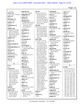|                             |                              |                                         |                               | Page 14                    |
|-----------------------------|------------------------------|-----------------------------------------|-------------------------------|----------------------------|
| 171:14                      | objection (3)                | oil (31)                                | omitting (4)                  | 58:24 74:15                |
| Notary (4)                  | 7:15 161:17 162:6            | 10:25 11:18 12:10                       | 145:21 146:3,18,19            | ORS(1)                     |
| 2:21 170:25 171:6,20        | obligations (2)              | 53:18,24 55:2,5,19                      | once $(2)$                    | 143:2                      |
| notice $(1)$                | 14:22 15:9                   | 55:21 56:18,22                          | 133:9 134:12                  | orthogonal (2)             |
| 2:18                        | obtain $(2)$                 | 57:20 58:5 74:9,9                       | ones $(2)$                    | 22:3 27:6                  |
| November (2)                | 59:19 115:7                  | 74:11,25 86:23 87:5                     | 12:19 78:13                   | outcome(1)                 |
| 1:19 171:15                 | obtained (19)                | 87:9,16,17,21 89:18                     | ongoing $(1)$                 | 171:13                     |
| nuclear $(1)$               | 55:3 68:4 69:11,12,13        | 91:4,7,11,17 106:11                     | 47:23                         | outliers (1)               |
| 132:15                      | 70:25 71:17,21,23            | 122:2 139:16                            | ongoingly (1)                 | 83:15                      |
| Nucleomaxx (1)              | 72:8,18,22 76:5              | oils (33)                               | 47:14                         | outline (1)                |
| 39:11                       | 97:21 98:5,8,11              | 10:3,16,19 11:6,9,13                    | operating (4)                 | 24:23                      |
| number $(18)$               | 110:2,3                      | 12:2,4,9,14,16,24                       | 22:12 133:25 134:4            | outreach (1)               |
| 4:14,16,25 5:5,6,16         | obtaining (1)                | 56:5,14 57:8,10,14                      | 161:13                        | 102:14                     |
| 10:9 11:14 22:14            | 53:6                         | 58:13 59:20 60:10                       | opines $(1)$                  | outside (4)                |
| 86:15 91:10 95:23           | obviously (1)                | 74:13,20 86:14,19                       | 83:19                         | 12:17 19:21 26:12          |
| 96:9 104:12 107:11          | 35:5                         | 90:15,21,25 106:15                      | opining (6)                   | 166:21                     |
| 109:3,5 163:4               | occasion(1)                  | 115:7 149:12,18,22                      | 67:7 82:11,25 139:11          | outside-the-box (1)        |
| numbers $(1)$               | 11:5                         | 149:24                                  | 139:12 162:16                 | 26:17                      |
| 71:7                        | occasionally (2)             | okay (104)                              | opinion (8)                   | overall (3)                |
| nursery $(1)$               | 34:12,16                     | 6:17 8:6 11:4 12:6                      | 82:23 84:2,15 92:21           | 64:20 83:10 104:19         |
| 76:6                        | occur(1)                     | 13:20 14:4,11 15:2                      | 123:3 143:18                  | overload (1)               |
| Nutraceuticals (1)          | 152:25                       | 17:3 24:4 26:14                         | 159:20,24                     | 107:15                     |
| 33:8                        | occurring (6)                | 27:15 29:11 30:22                       | opportunity (1)               | owned $(2)$                |
| <b>Nutraingredients (1)</b> | 51:11 123:7 135:7            | 34:19 40:24 41:5,6                      | 143:24                        | 13:9,17                    |
| 33:5                        | 136:18 140:8 163:8           | 41:8 42:8,14 45:16                      | opposed (6)                   | owners $(1)$               |
| nutrient $(1)$              | occurs(1)                    | 46:6 48:23 50:8                         | 12:9 44:2 70:16 77:9          | 13:7                       |
| 128:8                       | 153:7                        | 53:21 63:11,18,22                       | 96:21 149:19                  | ownership (2)              |
| nutrients (3)               | offer $(5)$                  | 64:11 65:9 66:25                        | opt(1)                        | 32:9,11                    |
| 70:21 71:12 76:8            | 110:14,16,18 111:5           | 69:3,5 70:7,12,19                       | 148:17                        | oxidative (1)              |
| nutrition $(2)$             | 114:13                       | 72:6,13 74:8,23                         | <b>ORA</b> (1)                | 90:8                       |
| 33:6 112:14                 | offered $(1)$                | 75:10,15,18 76:21<br>77:8 79:12,16 81:4 | 143:10                        | oxygen(1)                  |
| NW(2)                       | 110:15                       | 81:21 84:10,13                          | ORAHQ(1)                      | 120:16                     |
| 2:83:5                      | offering (2)                 | 85:20,25 86:9 88:10                     | 143:2                         | oxygenated (2)             |
| $\mathbf 0$                 | 52:16 167:23<br>offers $(2)$ | 90:19 91:6 92:9,17                      | order(5)<br>14:9 129:4 133:18 | 56:23 86:20                |
| O(1)                        | 51:17,23                     | 95:11,15 99:6                           | 134:2 155:23                  | P                          |
| 6:2                         | offhand (15)                 | 101:12,14 103:13                        | organic $(1)$                 | P(178)                     |
| O'Neal(31)                  | 28:16 35:20 48:22            | 107:11 108:15,19                        | 92:12                         | $1:1,17$ $2:1,3$ $3:1,2,2$ |
| 3:13 4:5 7:14 14:11         | 49:19 57:4 60:16             | 109:5 111:7 114:6                       | organization (5)              | 4:1,13 5:1 6:1,2 7:1       |
| 14:17 41:22 43:23           | 61:3 63:20 67:17             | 114:10 116:8,15                         | 37:23,25 127:9 156:8          | 8:1 9:1 10:1 11:1          |
| 44:6,11 59:21 63:8          | 71:13 78:2,20 80:2           | 118:10,24 122:25                        | 156:12                        | 12:1 13:1 14:1 15:1        |
| 63:11 79:4 85:2             | 123:15 167:9                 | 124:9,16 125:22                         | organization's (1)            | 16:1 17:1 18:1 19:1        |
| 86:5 98:14 126:7            | office $(4)$                 | 126:20 128:20                           | 81:14                         | 20:1 21:1 22:1 23:1        |
| 129:14,20 130:8             | 3:9 19:19 35:25 143:4        | 129:9 130:19                            | organizations (1)             | 24:1 25:1 26:1 27:1        |
| 137:12 142:3                | officer $(1)$                | 134:22 135:19                           | 134:23                        | 28:1 29:1 30:1 31:1        |
| 144:19 160:25               | 171:8                        | 136:16 138:3,20,23                      | organized (2)                 | 32:1 33:1 34:1 35:1        |
| 161:6,8,18 162:9            | offices $(1)$                | 139:8 142:24                            | 23:7 32:24                    | 36:1 37:1 38:1 39:1        |
| 163:13 166:2                | 2:5                          | 143:10 144:24                           | orient $(1)$                  | 40:1 41:1 42:1 43:1        |
| 168:17                      | official (7)                 | 148:6 150:24                            | 97:10                         | 44:1 45:1 46:1 47:1        |
| oath $(3)$                  | 36:23 37:6,11 112:23         | 152:16 156:22                           | origin $(3)$                  | 48:1 49:1 50:1 51:1        |
| 6:5,19 98:24                | 127:9,11,19                  | 157:21 160:23,25                        | 57:13 59:3 74:14              | 52:1 53:1 54:1 55:1        |
| Object $(10)$               | oh(9)                        | 162:9 168:17                            | original $(3)$                | 56:1 57:1 58:1 59:1        |
| 41:22 44:11 59:21           | 34:8 74:19 75:18             | older $(1)$<br>113:5                    | 45:14 53:21 134:2             | 60:1 61:1 62:1 63:1        |
| 79:4 85:2 86:5              | 96:12 117:17 131:2           | omitted (1)                             | originally (3)                | 64:1 65:1 66:1 67:1        |
| 137:12 144:19               | 132:4 138:18                 | 163:2                                   | 10:2 13:18 127:4              | 68:1 69:1 70:1 71:1        |
| 163:13 166:2                | 147:16                       |                                         | origins $(2)$                 | 72:1 73:1 74:1 75:1        |
|                             |                              |                                         |                               |                            |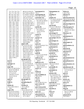| 72:1 73:1 74:1 75:1   | 48:5,6 51:10 62:23  | participated (1)          | Pelargoniums (1)      | Ph.Ds $(2)$           |
|-----------------------|---------------------|---------------------------|-----------------------|-----------------------|
| 76:1 77:1 78:1 79:1   | 63:17 64:5,12 66:24 | 10:11                     | 88:17                 | 69:25 70:4            |
| 80:1 81:1 82:1 83:1   | 67:16 68:15 70:8,16 | participating (4)         | pending(1)            | pharma(1)             |
| 84:1 85:1 86:1 87:1   | 72:14 73:14,19 74:2 | 37:3 78:7,13 79:3         | 7:21                  | 127:25                |
| 88:1 89:1 90:1 91:1   | 74:6,7,8 75:16,19   | particular (11)           | people $(12)$         | pharmaceutical (3)    |
| 92:1 93:1 94:1 95:1   | 75:21 76:7,10 77:22 | 12:12 25:14 75:19         | 7:12 19:4,11,18 26:19 | 50:14 135:10 136:15   |
| 96:1 97:1 98:1 99:1   | 78:14,17 81:2,8     | 81:13 87:24 100:16        | 31:19 38:10 45:8      | PHARMACEUTIC          |
| 100:1 101:1 102:1     | 85:19,19 89:13 95:7 | 122:25 123:13             | 46:15,17 102:5        | 1:13                  |
| 103:1 104:1 105:1     | 96:18,25 98:7 99:13 | 137:14 145:13             | 103:7                 | pharmacological (1)   |
| 106:1 107:1 108:1     | 99:14,18,20 100:3,6 | 159:5                     | percent (8)           | 157:18                |
| 109:1 110:1 111:1     | 101:18 102:21       | parties (9)               | 87:2,5,11 106:10,15   | Pharmacopeia (7)      |
| 112:1 113:1 114:1     | 103:16 104:16,22    | 45:23 70:25 71:21         | 106:24,24 111:21      | 23:22 29:23 30:4      |
| 115:1 116:1 117:1     | 104:24 106:19       | 97:23 98:5,11             | percent-percent (1)   | 46:20 51:25 136:5     |
| 118:1 119:1 120:1     | 115:3 116:16        | 126:25 157:16             | 120:25                | 154:17                |
| 121:1 122:1 123:1     | 118:15 119:3 124:8  | 171:12                    | percentage (7)        | Pharmacy (1)          |
| 124:1 125:1 126:1     | 126:4,7,9,13,19     | partly(1)                 | 86:23,25 87:20 90:22  | 78:12                 |
| 127:1 128:1 129:1     | 139:16 141:25       | 134:21                    | 91:13,15 122:19       | phenomenon (1)        |
| 130:1 131:1 132:1     | 142:6 143:16,19,22  | partner(1)                | percentage-wise (1)   | 108:17                |
| 133:1 134:1 135:1     | 143:23 144:2,4,25   | 13:10                     | 86:22                 | phosphodiesterase (   |
| 136:1 137:1 138:1     | 145:8, 12, 22 146:4 | parts(1)                  | percentages (1)       | 137:17                |
| 139:1 140:1 141:1     | 146:19 168:9        | 136:2                     | 91:3                  | photocopies (1)       |
| 142:1 143:1 144:1     | papers (29)         | party(5)                  | performance (2)       | 73:20                 |
| 145:1 146:1 147:1     | 8:2 12:23 33:2 39:7 | 45:23 72:8,18,22 73:2     | 113:13 127:21         | photooxidative (1)    |
| 148:1 149:1 150:1     | 39:19 47:16 48:2    | passed (1)                | performed (1)         | 90:12                 |
| 151:1 152:1 153:1     | 49:6 61:15,22,25    | 167:11                    | 66:19                 | physical (3)          |
| 154:1 155:1 156:1     | 66:22 68:11 100:12  | patents (2)               | performing (3)        | 10:24 15:20,22        |
| 157:1 158:1 159:1     | 100:23,24 105:2,3   | 40:2,4                    | 81:14,15 133:17       | physician (2)         |
| 160:1 161:1 162:1     | 117:25 126:12,15    | path(8)                   | period(2)             | 139:8,9               |
| 163:1 164:1 165:1     | 139:23 140:6,13,14  | 23:8,11,12,24 24:4,8      | 36:13 61:10           | physics (1)           |
| 166:1 167:1 168:1     | 142:13 144:7        | 24:21 26:16               | permission (1)        | 158:4                 |
| 168:21 169:1,7        | 149:23 162:17       | pathway(5)                | 102:20                | physiochemical (2)    |
| 171:1                 | paragraph (33)      | 84:3,3,20 131:13          | permitted (1)         | 10:21,22              |
| p.m(1)                | 20:8 27:16 50:10    | 159:21                    | 51:15                 | phytochemical (1)     |
| 168:22                | 61:14,18 62:22      | pathways (12)             | person(4)             | 34:17                 |
| packages (1)          | 66:25 75:24 95:19   | 83:19 84:14,16,19,24      | 28:13,14 139:18       | phytochemistry (1)    |
| 15:18                 | 96:4 97:2,8,9,10,19 | 85:6 131:18,22            | 156:9                 | 27:23                 |
| page (19)             | 106:22 107:22       | 140:23 141:3,7,12         | personally (2)        | phytoforensic (9)     |
| 4:3,11 5:3 40:10 43:4 | 108:19 109:5        | PAUL(1)                   | 31:18,22              | 20:10,11,13,19 21:12  |
| 50:10 74:19 89:24     | 111:20 112:4,15     | 6:3                       | personnel (1)         | 21:15 22:10,13        |
| 102:19 114:24         | 118:11 119:25       | Paula (2)                 | 28:18                 | 23:19                 |
| 117:12,13,15          | 122:7 130:23 138:3  | 32:17,20                  | peruses(16)           | pick(1)               |
| 130:20,22 131:24      | 152:24 154:11       | pay-to-publish (3)        | 42:7 62:24 63:7,12    | 104:14                |
| 152:23 153:14         | 156:22 158:11       | 105:3,5,12                | 69:2 73:13,21 75:9    | picked (1)            |
| 154:10                | 161:10 162:5        | Pee $(1)$                 | 79:11 80:17 82:17     | 67:19                 |
| paid(1)               | paragnhs(1)         | 120:24                    | 99:5 101:11 118:23    | picture (2)           |
| 156:6                 | 82:14               | peer $(4)$                | 142:16 152:15         | 22:4 162:25           |
| Palli(1)              | paraphrasing (1)    | 47:14 104:19,21,24        | pesticide (4)         | pieces $(1)$          |
| 28:7                  | 106:8               | peer-review $(2)$         | 83:12 92:5 112:5,6    | 52:17                 |
| panels $(4)$          | Pardon (2)          | 144:2,6                   | pesticides (1)        | pigeonholed (1)       |
| 10:12 39:25 102:11    | 42:11 105:23        | peer-reviewed (9)         | 91:23                 | 26:20                 |
| 150:5                 | part(15)            | 61:15, 16, 19, 21, 21, 25 | PETER (1)             | Ping $(9)$            |
| paper $(95)$          | 25:2,2 26:16 37:18  | 62:14,20 105:9            | 6:3                   | 4:16 51:9 62:23 63:16 |
| 4:16 5:9 23:13,16,17  | 39:13 42:15 43:13   | peers $(3)$               | Petra $(1)$           | 64:5,12 139:16        |
| 24:9,13 31:10 33:8    | 66:18 70:5 73:15    | 25:3 26:10 62:4           | 120:18                | 157:22,25             |
| 35:2,4,5,7,8,13,16    | 80:8 124:16,16      | Pelargonium (4)           | Pg(1)                 | pioneered (2)         |
| 39:13 47:22 48:3,4    | 127:5 128:17        | 40:19 41:5 89:6,19        | 170:5                 | 8:15 20:21            |
|                       |                     |                           |                       |                       |

TSG Reporting - Worldwide 877-702-9580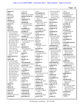| piqued $(1)$                        | 137:7,24                          | 123:2                          | 23:10 25:14 26:25       | 66:17                                   |
|-------------------------------------|-----------------------------------|--------------------------------|-------------------------|-----------------------------------------|
| 31:3                                | points $(3)$                      | prescription (3)               | 62:14 104:21            | provide (3)                             |
| place $(2)$                         | 25:23 113:15 126:20               | 135:25 136:12,17               | 108:16 121:11           | 24:3 26:23 52:16                        |
| 14:9 74:19                          | polymerization (1)                | presence $(4)$                 | 127:16 144:10           | provided (13)                           |
| placed (1)                          | 90:10                             | 110:19 140:6 160:18            | 150:18,21 156:3         | 12:9,14 14:8 37:16,21                   |
| 58:21                               | population (2)                    | 163:12                         | processed $(1)$         | 47:14 68:16 71:22                       |
| Plaintiff (3)                       | 122:18,19                         | present(5)                     | 125:10                  | 115:3,13 142:8                          |
| 1:7 3:3 161:7                       | position (8)                      | 100:24 107:9 145:15            | processing (1)          | 144:21 163:21                           |
| planet <sub>(1)</sub>               | 51:7,8 85:10 104:7                | 146:11 150:13                  | 90:25                   | provides (2)                            |
| 84:21                               | 139:19,23 140:23                  | presentations (1)              | produced (2)            | 26:11 33:16                             |
| plans $(2)$                         | 155:19                            | 156:17                         | 88:18 131:23            | providing(1)                            |
| 159:10,12                           | possibility $(2)$                 | presented (4)                  | producers (1)           | 115:17                                  |
| plant $(52)$                        | 118:12 159:21                     | 8:3 23:20,21 146:5             | 57:12                   | province $(3)$                          |
| 12:10 52:16,19,21                   | possible $(5)$                    | presenting (1)                 | producing (1)           | 12:19 59:4 85:16                        |
| 53:2,5 54:22,25                     | 83:20 93:2 114:20                 | 146:8                          | 89:18                   | provinces $(1)$                         |
| 56:3 68:7 69:11,15                  | 117:20 160:11                     | preservative (1)               | product (18)            | 12:20                                   |
| 69:23 70:4,10 71:5                  | possibly (3)                      | 16:18                          | 15:23 21:22 39:10       | psychiatric (1)                         |
| 73:7 76:3,5,12                      | 107:14 117:21 142:23              | preserves (1)                  | 54:23,25 123:8          | 158:20                                  |
| 79:20,22 83:20 84:6                 | poster $(8)$                      | 45:14                          | 133:17 136:3            | psychology (1)                          |
| 84:21 85:12 86:11                   | 23:18,19,24 24:2,6,10             | pres(1)                        | 161:22 164:22           | 9:11                                    |
| 86:12 90:17 91:11                   | 24:15 39:13                       | 143:25                         | 165:15,16,20,24         | psychopharmacolo                        |
| 91:18,19 95:16                      | pot(1)                            | pretty $(4)$                   | 166:17 167:2,4,6        | 8:10 9:7                                |
| 115:23 118:12                       | 95:13                             | 26:4 66:10 103:24              | production (4)          |                                         |
|                                     |                                   |                                | 27:2 68:12 90:5.5       | public (4)                              |
| 120:17,22 121:6,10<br>123:10 124:15 | potential (7)<br>38:12 90:8 96:17 | 127:25                         | products $(26)$         | 2:21 170:25 171:6,20<br>publication (8) |
| 131:17,23 134:9                     |                                   | previous <sub>1</sub><br>162:3 | 9:20 10:7 20:15 28:2    |                                         |
|                                     | 138:9 141:11 160:5                |                                | 43:18 50:21 69:22       | 24:5,9 33:7 62:14                       |
| 140:11,11,12 147:8                  | 160:8                             | previously (4)                 |                         | 104:25 106:10                           |
| 147:9 151:16,18                     | potted (1)                        | 14:19 38:22 102:21             | 90:13 104:3,5           | 152:20 153:5                            |
| 160:2                               | 95:7                              | 161:9                          | 114:18 120:19           | publications (12)                       |
| plant-derived (1)                   | powder(1)                         | Priestley (1)                  | 150:8,9 157:7,15        | 25:6 33:9 61:16,19,21                   |
| 122:9                               | 60:24                             | 112:24                         | 158:17 159:3            | 62:2,3,6,8 67:12,13                     |
| plants $(49)$                       | powders (1)                       | primary $(1)$                  | 161:14,19 165:25        | 106:2                                   |
| 11:7,10 54:15,20                    | 55:6                              | 144:10                         | 166:9, 13, 16 167: 7, 7 | publish (6)                             |
| 55:17 56:2 59:20                    | PowerPoint (6)                    | printed $(1)$                  | professional (3)        | 35:16 104:15,16                         |
| 60:10 67:19,22 70:2                 | 23:20,24 24:2,6,10,16             | 64:9                           | 2:19 126:23 171:7       | 134:23 139:19,22                        |
| 70:25 71:12 72:3,7                  | practice (4)                      | prior $(4)$                    | proffered (1)           | published (13)                          |
| 72:21,25 76:9 79:2                  | 45:17 123:6 146:23                | 47:13 144:9 154:3,4            | 109:25                  | 30:19 35:2,4 39:7,19                    |
| 81:3 83:25 84:4,8                   | 146:25                            | priority $(2)$                 | program (3)             | 49:6 66:22 78:15                        |
| 84:16,24 85:7,11,21                 | preceding(1)                      | 37:12 129:4                    | 47:9,11 101:7           | 99:15 103:20 104:5                      |
| 85:22 86:3 89:12                    | 138:24                            | private(6)                     | project(1)              | 104:9,22                                |
| 90:14,16 93:15                      | precision(8)                      | 8:17 9:25 15:19 17:24          | 128:18                  | publishing (1)                          |
| 94:23 95:4,8 97:17                  | 64:19,23 81:19                    | 18:2 157:15                    | projects $(2)$          | 49:5                                    |
| 121:24 124:13.25                    | 112:19 113:3,7,9,14               | privatized (1)                 | 47:25 48:9              | pulse(1)                                |
| 125:24 140:16                       | predicted $(1)$                   | 127:6                          | promulgate $(1)$        | 66:16                                   |
| 141:7 150:25                        | 113:22                            | probably $(3)$                 | 127:3                   | purchased (6)                           |
| 151:13 153:2,7                      | prefers (1)                       | 46:22 77:22 102:3              | properly $(2)$          | 34:4,15 74:20 95:17                     |
| 159:11                              | 7:13                              | problem(5)                     | 90:11 149:18            | 108:20,25                               |
| played(1)                           | preparation $(2)$                 | 23:6 25:13,17 119:6,9          | properties $(1)$        | pure $(16)$                             |
| 139:6                               | 124:17 131:4                      | problems $(2)$                 | 10:25                   | 29:13,16,20,22 30:8                     |
| please $(2)$                        | prepare (4)                       | 107:14,20                      | $\text{protect} (1)$    | 30:12,20 32:5,9                         |
| 44:14 153:14                        | 7:24 24:15 121:12,14              | procedure (5)                  | 46:2                    | 60:25 161:22 164:4                      |
| pleased (2)                         | prepared $(2)$                    | 22:12 81:11 88:4,5             | Protection (2)          | 164:19,19,22,24                         |
| 145:7,11                            | 134:5 153:20                      | 123:13                         | 2:7 81:24               | purifying $(1)$                         |
| point $(3)$                         | preparing $(3)$                   | proceed $(3)$                  | protocol (1)            | 121:15                                  |
| 65:25 115:24 137:11                 | 18:22,25 19:25                    | 6:16 14:13 118:22              | 81:9                    | $p$ urport $(1)$                        |
| pointing $(2)$                      | prescribes (1)                    | process(12)                    | proton(1)               | 163:24                                  |
|                                     |                                   |                                |                         |                                         |

TSG Reporting - Worldwide 877-702-9580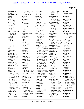|                                     |                                 |                                   |                                           | Page 17                            |
|-------------------------------------|---------------------------------|-----------------------------------|-------------------------------------------|------------------------------------|
|                                     |                                 |                                   |                                           |                                    |
| purported (1)                       | 67:24 78:24 130:6               | 74:7 140:20                       | 42:14 63:15 69:6                          | region $(4)$                       |
| 164:23                              | 132:10 161:5                    | reads $(2)$                       | 73:25 135:16                              | 85:12,22 122:21                    |
| purportedly (1)                     | 162:10 168:16                   | 60:2 170:5                        | 154:25                                    | 124:11                             |
| 165:25                              | quick $(1)$                     | ready $(2)$                       | recognized (8)                            | regions $(1)$                      |
| purpose (2)                         | 41:9                            | 98:22 118:22                      | 37:11 62:5 103:25                         | 12:16                              |
| 99:22 102:25                        | quickly $(1)$                   | real $(1)$<br>41:9                | 127:10 135:10                             | <b>Registered (2)</b>              |
| $p$ urposes $(1)$<br>67:13          | 16:21                           |                                   | 136:6 154:14,19                           | 2:19 171:7                         |
|                                     | quite $(3)$<br>12:21 37:4 39:17 | really $(6)$<br>22:22 51:19 64:22 | recollection (5)<br>77:20 80:4 139:5      | regroup(1)<br>25:23                |
| pursuant (2)                        |                                 | 66:15 115:22 116:4                | 149:3 153:18                              |                                    |
| $2:18$ 14:8<br>pursue(1)            | $\bf R$                         | Realtime (2)                      | record $(2)$                              | regulatory (2)<br>128:17 143:4     |
| 114:18                              | R(2)                            | 2:20 171:7                        | 63:8 171:9                                | reimbursement (1)                  |
| put $(11)$                          | 3:26:2                          | rearranged (1)                    | recovery(2)                               | 29:6                               |
| 37:3 51:24 60:6 65:12               | R15(4)                          | 129:6                             | 65:16,17                                  | related $(12)$                     |
| 99:2 101:7 127:2                    | 27:18 156:24,25,25              | reason(9)                         | redevelop $(1)$                           | 9:2 13:2 48:21 102:16              |
| 134:8,13 158:2                      | R21(3)                          | 23:4 41:2 45:23,24                | 148:16                                    | 104:3,5 133:4                      |
| 162:19                              | 27:18 156:24 157:14             | 53:4,22 110:21                    | reduced $(1)$                             | 137:17 142:12                      |
| putting $(2)$                       | racemic $(1)$                   | 141:5 170:5                       | 171:10                                    | 157:6 166:19                       |
| 25:10 100:19                        | 114:21                          | reasons $(1)$                     | refer $(11)$                              | 171:11                             |
| puzzle(1)                           | radio $(1)$                     | 104:12                            | 21:14 23:12 40:11,21                      | relation $(1)$                     |
| 25:2                                | 147:15                          | rebuttal $(3)$                    | 40:24 75:24 89:9,13                       | 157:6                              |
|                                     | Ragupathy (1)                   | 4:12 18:21,22                     | 93:6 104:23 124:8                         | relationship (2)                   |
| $\mathbf{o}$                        | 118:16                          | recall $(76)$                     | reference $(3)$                           | 98:9 102:4                         |
| qualifications (1)                  | ran $(2)$                       | 17:18,22 28:12,16,18              | 61:15 71:16 81:23                         | relative $(2)$                     |
| 20:9                                | 58:5 168:2                      | 28:19,23 39:15 43:2               | referenced (2)                            | 21:18 159:6                        |
| qualifying $(1)$                    | range $(2)$                     | 44:19,23 45:3 46:14               | 71:8 133:5                                | relaxation $(1)$                   |
| 21:22                               | 83:12 91:22                     | 46:23 47:3 48:22                  | references (1)                            | 66:16                              |
| quality $(3)$                       | Ranking (2)                     | 49:19 51:16 52:15                 | 20:22                                     | release $(1)$                      |
| 20:17 56:18 62:11                   | 129:2,16                        | 52:20,23 54:5,7,13                | referred $(2)$                            | 144:9                              |
| quantification (3)                  | rapid $(2)$                     | 54:23 55:4,7,9 56:4               | 48:4 96:3                                 | relevance (1)                      |
| 114:11 167:24,25                    | 104:25 127:17                   | 56:12 57:4,6,7 58:3               | referring $(2)$                           | 115:12                             |
| quantify (2)                        | rapidly $(2)$                   | 58:11,16 59:12,13                 | 108:16 122:15                             | relevant $(1)$                     |
| 114:14 131:7                        | 114:17 138:21                   | 60:16 61:3,8 62:21                | refers $(2)$                              | 46:2                               |
| quantifying $(3)$                   | rate $(2)$                      | 67:17 68:17 74:7                  | 40:8 126:15                               | reliable $(2)$                     |
| 16:15 110:20,22                     | 66:16 88:8                      | 77:5,11,17 79:13                  | refrain $(1)$                             | 62:6,7                             |
| <b>QUANTITIES (1)</b>               | rating $(2)$                    | 80:2 84:12 95:18                  | 7:16                                      | relying $(4)$                      |
| 1:9                                 | 62:10 104:14                    | 97:18 101:8 103:11                | refresh $(2)$                             | 82:22 141:4,14                     |
| quantity (1)                        | ratio $(13)$                    | 106:20 109:17                     | 149:2 153:18                              | 159:24                             |
| 65:14                               | 120:6, 10, 12, 17 121:5         | 118:9 123:15 124:3                | refuse $(1)$                              | remaining $(1)$                    |
| question (42)                       | 121:8,14,23 122:13              | 126:6 139:2,4 143:8               | 15:5                                      | 137:6                              |
| 7:2,9,10,15,18,20                   | 140:5 151:21 152:4              | 143:22 147:14                     | regard $(8)$                              | remarkable (1)                     |
| 15:6,7 22:19 26:23                  | 152:8                           | 149:5,7 152:19                    | 47:8 55:6 81:18 84:13                     | 109:7                              |
| 29:11 36:10 44:14                   | ratios $(3)$                    | 153:8,11 156:8,20                 | 85:9 111:11 151:4                         | remember $(23)$                    |
| 45:15 53:22 58:17                   | 88:14 120:13,21                 | 156:21 167:3,12                   | 151:19                                    | 23:14 24:17,21,22                  |
| 59:23 60:8 66:2                     | raw $(2)$                       | recalling $(2)$                   | regarding $(32)$                          | 28:10 30:5,16 33:7                 |
| 67:14 81:17 87:7                    | 144:22 161:20                   | 80:5 167:9<br>receive $(3)$       | 5:19 12:23 19:4,7                         | 47:20,21 48:13                     |
| 96:2 97:7,11 114:11                 | reaching $(1)$                  | 36:7 38:19 61:6                   | 24:14 30:22 42:15                         | 49:14 51:12 61:9                   |
| 115:15 123:12                       | 25:3<br>read $(19)$             | received (2)                      | 44:22 46:14 47:2,11                       | 62:17 77:24 80:8,9<br>80:10 143:21 |
| 131:21 132:4,12<br>133:24 136:16,20 | 47:22 59:24 74:6                | 37:19 38:23                       | 47:19,24 48:8,12,14<br>48:18,19 49:6,7,11 | 144:21 151:14                      |
| 141:5 146:2,3,15,16                 | 79:13 99:14,18                  | recess(5)                         | 67:25 77:9 78:15                          | 165:21                             |
| 146:17 166:4,7                      | 123:23 130:5                    | 41:11 98:15 119:20                | 81:2 86:2 100:20                          | remembered (1)                     |
| questionable (1)                    | 141:16,18,20,23,24              | 151:6 161:2                       | 106:20 132:5 133:2                        | 166:12                             |
| 106:2                               | 142:7,10,10 168:17              | recognition $(1)$                 | 143:9 158:8                               | remembering $(1)$                  |
| questions (11)                      | 169:8 170:5                     | 62:10                             | Regardless (1)                            | 99:19                              |
| 6:18,22 26:2 49:7                   | reading $(2)$                   | recognize (6)                     | 145:7                                     | removal (1)                        |
|                                     |                                 |                                   |                                           |                                    |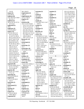| 114:18                                | 60:3 166:25                              | restroom(1)                           | rotation $(1)$                     | 85:12,15,18 93:22                      |
|---------------------------------------|------------------------------------------|---------------------------------------|------------------------------------|----------------------------------------|
| repeat $(2)$                          | requirement (2)                          | 41:9                                  | 11:2                               | 95:23 96:10 98:10                      |
| 6:24 59:23                            | 140:2,4                                  | result(2)                             | roughly $(1)$                      | 115:7 118:12 120:5                     |
| rephrase (6)                          | requirements (2)                         | 83:3 90:9                             | 86:22                              | 121:6 122:18,20,21                     |
| 6:25 36:9 45:15 60:8                  | 127:21 154:22                            | resulting $(1)$                       | rounded $(1)$                      | 122:22 124:11,12                       |
| 66:2 81:17                            | requires $(1)$                           | 16:17                                 | 22:21                              | 131:5 140:12                           |
| replicate $(5)$                       | 131:4                                    | results $(5)$                         | routes $(1)$                       | 150:16,17 155:3                        |
| 58:14 107:18 157:21                   | research (39)                            | 57:6 59:9 78:15 114:7                 | 160:11                             | 162:15 167:11                          |
| 157:23,24                             | 10:4 11:24 13:6,8,9                      | 149:19                                | routine $(4)$                      | satisfied (1)                          |
| replicated (1)                        | 13:21 15:11,14 16:5                      | resume(1)                             | 22:18,23 23:3 66:10                | 154:21                                 |
| 58:4                                  | 16:23 17:2,4,12,17                       | 98:22                                 | routinely $(1)$                    | saw $(3)$<br>79:22 96:4 143:17         |
| replicates (3)                        | 17:20 18:5,8 19:21                       | retention $(1)$                       | 65:7                               |                                        |
| 122:20 124:6,7                        | 26:6 28:2 29:21,22                       | 111:25                                | Roy(1)                             | saying $(18)$<br>70:3 82:13 83:6 92:24 |
| report $(71)$<br>4:12 8:4 18:21,23    | 31:6,19 32:3 38:19                       | Revenue (2)                           | 46:19                              | 96:14,24 100:23,24                     |
|                                       | 49:5 69:21,22 72:19<br>73:3 104:5 113:19 | 129:11,21                             | RPR(1)<br>1:25                     | 128:21 137:5                           |
| 19:2,5,25 20:4,8<br>21:14 27:15 29:15 | 128:18 149:22                            | review $(27)$<br>11:6 20:4 21:17 23:9 |                                    | 145:23 146:11                          |
| 49:21,24 50:3 62:23                   | 150:7 157:5,11,14                        | 24:24 25:9 28:20,22                   | rule $(2)$<br>4:12 122:10          | 147:12,16 153:5                        |
| 66:25 74:20 75:24                     | Research's (1)                           | 29:8 37:21 38:13                      | ruled $(3)$                        | 159:2,13 166:8                         |
| 82:14 83:8,17,18                      | 13:23                                    | 39:25 47:14 49:20                     | 51:14 84:9 163:9                   | says $(17)$                            |
| 93:8,9 95:19 97:2                     | researched (1)                           | 67:11,16 82:8 99:20                   | run $(9)$                          | 42:20 43:10 72:10,10                   |
| 97:20 105:22 106:3                    | 72:23                                    | 104:21 122:4                          | 54:14 66:4 111:14                  | 76:5 78:19 102:19                      |
| 106:7,23 117:10                       | researcher $(1)$                         | 124:17 143:16,24                      | 119:13 121:2,5,8,22                | 116:13 117:19                          |
| 118:10 119:23                         | 31:3                                     | 154:4 155:6,20                        | 168:15                             | 118:4 130:23                           |
| 123:23 124:2,17                       | researchers (4)                          | 160:24                                | running $(1)$                      | 132:14,20,22                           |
| 140:21,22 141:15                      | 97:22 98:4 115:8                         | reviewed (11)                         | 120:10                             | 143:15 145:7                           |
| 141:17,18,19,21                       | 150:6                                    | 8:2,4 62:4 66:18,22                   | runs $(1)$                         | 152:24                                 |
| 142:8,9 153:14,15                     | residue(1)                               | 142:11 144:8,12,15                    | 33:14                              | scanning $(1)$                         |
| 153:16,19,20,23,24                    | 112:5                                    | 153:25 154:3                          |                                    | 31:14                                  |
| 153:25 154:2,2,3,5                    | residues (3)                             | reviewer $(2)$                        | S                                  | scent $(1)$                            |
| 154:11 158:11                         | 83:12 112:7,9                            | 144:10,11                             | S(3)                               | 88:21                                  |
| 159:2,5,7 160:4                       | resolution (3)                           | reviewers (2)                         | 3:2 4:10 6:2                       | scents $(1)$                           |
| 161:11 162:14,19                      | 107:13,20 109:9                          | 104:19,24                             | $S11-1(1)$                         | 88:18                                  |
| 162:23 163:4,12                       | resolve(6)                               | reviewing (7)                         | 93:21                              | schedule (1)                           |
| reported $(10)$                       | 14:24 25:25 109:8,13                     | 25:21 27:24,25 29:4                   | safety $(5)$                       | 130:9                                  |
| 1:25 81:16 84:5 93:11                 | 109:18 111:12                            | 83:17 98:2 149:4                      | 20:16 112:13 137:24                | scheduled (1)                          |
| 93:15,17,25 94:2                      | resolved (2)                             | revise $(1)$                          | 139:11,12                          | 135:25                                 |
| 151:16 164:16                         | 109:15,21                                | 81:12                                 | salt $(2)$                         | school (3)                             |
| reporter $(8)$                        | resolving $(2)$                          | right $(24)$                          | 136:9,14                           | 8:11 78:11 157:12                      |
| 2:20,20 7:6,11 60:2                   | 111:8,9                                  | 23:15 43:7 62:22                      | salts $(1)$                        | science (10)                           |
| 171:6,7,8                             | resonance(1)                             | 64:24 65:25 72:5                      | 158:20                             | 8:14,18 9:10,11,21                     |
| reporting $(3)$                       | 132:15                                   | 74:17 75:20 105:7                     | sample $(22)$                      | 20:13 70:10 104:15                     |
| 79:19 81:18 99:23                     | resources $(4)$                          | 110:20,23 111:6                       | 52:21 60:19 65:18,19               | 157:3,13                               |
| reports $(5)$                         | 20:23 24:3,13,25                         | 118:3,16 125:21                       | 65:21 66:4,14 71:16                | scientific (18)                        |
| 137:23 141:20,23<br>142:4,7           | respect $(1)$                            | 130:23 131:2                          | 108:25 121:9,10,11                 | 8:2 10:11 23:19 25:4                   |
| represent $(1)$                       | 71:20                                    | 134:21 135:22<br>147:10 150:22        | 121:12 131:3,8                     | 25:5 26:5 36:21<br>47:13 62:4,6,7 81:8 |
| 14:20                                 | responded (1)<br>52:13                   | 160:10 165:5 168:9                    | 133:7,7 164:8,11                   | 83:7 102:11 116:3                      |
| represented (1)                       | responds $(1)$                           | rigorous $(1)$                        | 165:3,6 168:3                      | 123:5 126:23 160:4                     |
| 59:17                                 | 133:10                                   | 36:9                                  | samples $(51)$<br>15:18 32:6 58:20 | scientifically (2)                     |
| reprints $(2)$                        | response $(2)$                           | role(1)                               | 59:10,11,12,16,19                  | 145:19 147:23                          |
| 48:2 49:7                             | 127:17 162:3                             | 27:21                                 | 60:10 66:7 67:15                   | scientist (14)                         |
| request $(5)$                         | responses $(3)$                          | Roman $(5)$                           | 68:4,6 69:11,11                    | 18:4,8 20:10,12,19                     |
| 52:10,14 128:22                       | 7:6 103:10,11                            | 30:2 39:6,8,15 101:21                 | 70:24 71:5,21 72:17                | 32:20 34:22 69:21                      |
| 144:8 168:12                          | rest(1)                                  | rose $(5)$                            | 74:25 76:3,12 79:20                | 69:23 106:23                           |
| requested $(2)$                       | 163:3                                    | 88:19 89:4,14,15,16                   | 79:22 81:16 83:9,13                | 115:22 116:23,25                       |
|                                       |                                          |                                       |                                    |                                        |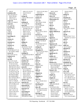| 156:19                                | 149:12,15 151:23                      | 133:12,15,18 134:3             | 160:21 163:5                     | 150:24 159:15             |
|---------------------------------------|---------------------------------------|--------------------------------|----------------------------------|---------------------------|
| scientists (10)                       | 152:23 153:15<br>158:14               | 134:14,15                      | shown $(2)$                      | 160:13                    |
| 26:5 33:23 62:11<br>102:6 105:4,6     | seeing $(4)$                          | sequencing $(3)$<br>119:4,7,15 | 51:20 80:20<br>shows $(3)$       | sitting $(1)$<br>62:19    |
| 126:24 127:7                          | 134:12 148:13,14,15                   | serious $(1)$                  | 112:18 119:10,11                 | situation (2)             |
| 147:22 156:16                         | seek $(1)$                            | 103:15                         | Sibutramine (2)                  | 147:11 159:14             |
| scope $(3)$                           | 100:15                                | serve $(3)$                    | 137:18,19                        | skill $(1)$               |
| 148:11,23 166:22                      | seeking $(2)$                         | 28:5 154:22 155:8              | $\rm$ sic $(1)$                  | 157:5                     |
| Scott $(3)$                           | 47:25 102:16                          | served $(3)$                   | 43:21                            | societies (1)             |
| 3:7 14:6,19                           | seen $(16)$                           | 27:17 39:20,24                 | side $(1)$                       | 102:12                    |
| scrutiny $(2)$                        | 18:16 42:10,12 75:12                  | serves $(1)$                   | 131:2                            | society $(4)$             |
| 62:12 105:6                           | 79:9 80:23 91:19                      | 32:22                          | Sigma $(2)$                      | 10:11 36:21 126:24        |
| se $(1)$                              | 99:4,10 101:14                        | service (4)                    | 108:21 110:3                     | 127:5                     |
| 159:12                                | 104:4 113:21                          | 66:11 114:12 129:11            | Sigma-Aldrich (1)                | software (1)              |
| seal $(1)$                            | 130:12 142:19                         | 129:21                         | 71:18                            | 65:3                      |
| 171:14                                | 149:22 152:18                         | services (7)                   | sign(1)                          | soil $(8)$                |
| searching $(1)$                       | selective (1)                         | 17:2 33:17,18 110:8            | 168:18                           | 68:6,14 70:21 71:11       |
| 25:6                                  | 134:8                                 | 110:10 115:4,13                | signal $(2)$                     | 76:8 95:7,12 125:17       |
| season $(1)$                          | sell $(1)$                            | sesquiterpenoids (3)           | 133:10 147:20                    | sold $(1)$                |
| 125:14                                | 50:13                                 | 56:23 87:18 90:20              | signals $(1)$                    | 51:15                     |
| seasonal $(1)$                        | selling $(1)$                         | set $(5)$                      | 145:17                           | sole $(1)$                |
| 126:16                                | 165:12                                | 42:19 58:10 123:12             | Signature (3)                    | 13:20                     |
| seasons $(1)$                         | send (10)                             | 157:5 171:14                   | 168:19 169:17 170:21             | solely $(2)$              |
| 126:18                                | 42:24 45:17 52:10                     | setting $(2)$                  | signed $(1)$                     | 141:13 149:17             |
| second $(7)$                          | 60:14,18 67:22                        | 6:20 121:15                    | 169:13                           | solicited (1)             |
| 50:10 58:6,10 71:15                   | 102:20 128:14,20                      | Shanghai (7)                   | significance (1)                 | 33:21                     |
| 87:15 96:12 106:6                     | 128:22                                | 78:11,12,15,25 79:18           | 115:16                           | solution (1)              |
| sector $(3)$                          | sending $(5)$                         | 86:2 144:17                    | significant $(1)$                | 134:10                    |
| 8:17 9:25 157:15                      | 44:10,18 45:22 46:14                  | share $(1)$                    | 99:25                            | solvent (7)               |
| sedatives $(1)$                       | 128:3                                 | 103:8                          | similar $(2)$                    | 57:22,24 58:7 92:7,8      |
| 158:20                                | sense $(3)$                           | sharing $(1)$                  | 134:23 155:17                    | 92:10 134:6               |
| see (84)                              | 63:23 129:13 137:25                   | 46:5                           | similarly $(1)$                  | solvents $(2)$            |
| 9:4,5 14:7,13,24                      | sensitive (3)                         | shed $(1)$                     | 14:13                            | 83:13 91:23               |
| 20:21 22:7 26:18                      | 65:9 67:4,9                           | 35:14                          | Simone $(15)$                    | somebody (3)              |
| 27:19 31:9 33:6                       | sensitivity $(5)$                     | sheet $(2)$                    | 52:25 54:8 84:5 92:24            | 38:7 67:21 79:21          |
| 42:22 43:6,12 45:7                    | 132:16,20,23 133:2,3                  | 169:13 170:1                   | 93:5,14 94:18,23                 | somewhat (1)              |
| 49:8 50:16 51:18,21                   | sent $(22)$<br>42:15 43:14 44:21      | Sheila (1)                     | 95:4,15,20 96:7                  | 134:8                     |
| 52:2 60:13 61:16,23<br>67:569:1671:13 |                                       | 3:23                           | 120:2 124:7 126:13               | song $(2)$                |
| 72:10,16 74:12,18                     | 45:3,3 46:8,13<br>60:19 72:18,22 73:2 | shift $(1)$<br>111:25          | Simone's (4)<br>124:18 141:21,22 | 147:17,18<br>sorry $(16)$ |
| 75:14 76:12 78:14                     | 102:21 109:11                         | shipped $(2)$                  | 142:11                           | 18:19 21:11 24:7          |
| 78:19 82:16 84:8                      | 142:21,24,25                          | 108:9,13                       | simple $(2)$                     | 28:13 59:22 71:19         |
| 85:14 86:24 89:9                      | 143:10 151:15                         | shipping $(1)$                 | 11:7 134:5                       | 73:17 81:12 87:7          |
| 93:7,16 95:25 96:11                   | 164:17,18,20,24                       | 160:6                          | simply $(5)$                     | 97:7 100:18 115:15        |
| 97:6,24 102:23                        | sentence (4)                          | short $(4)$                    | 15:5 27:7 123:3                  | 117:15 132:4 152:5        |
| 103:7,17 105:20                       | 96:4,6,13 149:10                      | 41:11 119:20 151:6             | 134:24 146:17                    | 156:21                    |
| 106:12,19 107:2,16                    | separate $(3)$                        | 161:2                          | single $(4)$                     | sort $(2)$                |
| 107:19 108:2,5,22                     | 31:17 64:20 131:7                     | shorthand (2)                  | 38:8,18,24 84:20                 | 22:11 27:12               |
| 111:22 113:3                          | separated $(2)$                       | 41:17 171:6                    | $s$ it $(22)$                    | source $(12)$             |
| 115:10 116:6                          | 121:16 133:13                         | show $(8)$                     | 15:10 39:15 45:2                 | 53:13,16 71:5 97:4        |
| 117:19 118:3,13                       | separates $(1)$                       | 16:3 18:14 42:5 63:5           | 46:18 54:14 85:20                | 109:22 111:16             |
| 120:7 122:11,18                       | 134:17                                | 75:7 80:15 115:23              | 94:21 95:2 104:20                | 115:21 120:18,18          |
| 123:25 126:14,16                      | separating $(2)$                      | 122:9                          | 105:8,11 114:6                   | 122:23 136:9 162:2        |
| 130:25 131:9                          | 8:18 133:21                           | showing $(7)$                  | 121:4 125:22                     | sources $(8)$             |
| 132:17 137:8                          | separation (10)                       | 75:12 83:22 99:8               | 139:10 140:9,15                  | 38:6 69:13 70:17          |
| 139:20 145:4,6,9                      | 8:14,18 9:21 109:6                    | 135:15 152:13                  | 144:24 148:25                    | 72:11 122:10 160:5        |
|                                       |                                       |                                |                                  |                           |

TSG Reporting - Worldwide 877-702-9580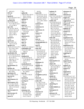| 160:16,21                       | 85:5                        | 162:20                    | students (2)                         | substances (1)        |
|---------------------------------|-----------------------------|---------------------------|--------------------------------------|-----------------------|
| SPA(1)                          | spiked (8)                  | states $(19)$             | 157:5,10                             | 162:22                |
| 21:16                           | 158:18 159:3 162:15         | 1:2,6 3:9 14:7 15:12      | studied (10)                         | substrate (2)         |
| speak $(6)$                     | 162:21 165:25               | 15:24 16:22 19:16         | 8:13 71:6 72:25 85:13                | 133:18 134:2          |
| 18:23 19:4 26:13 35:3           | 166:9,14 167:8              | 20:5 23:21 29:9,23        | 89:3,12 90:22 93:3                   | suggest $(3)$         |
| 49:23 50:2                      | spiking $(1)$               | 94:8 95:17 107:5          | 120:5 125:24                         | 14:12 114:7 150:25    |
| speaking $(8)$                  | 163:11                      | 117:7 136:5 140:21        | studies $(33)$                       | suggested (3)         |
| 12:11 55:15 64:17               | SPM(1)                      | 154:16                    | 12:23 39:9 54:15,19                  | 84:6 117:20 145:14    |
| 77:17 106:19 125:5              | 127:21                      | statistical (1)           | 58:15 66:19 68:10                    | suggests $(5)$        |
| 137:14 146:21                   | spoke $(3)$                 | 113:19                    | 69:7 83:24 84:7                      | 97:4 138:24 147:9     |
| spec $(16)$                     | 34:6 76:22 77:3             | statistician (1)          | 85:9,18 92:25 97:20                  | 152:24 153:6          |
| 57:16,19,21 58:19               | spoken $(7)$                | 112:22                    | 98:3 113:19,21                       | sulphate $(2)$        |
| 65:9,21 132:11,20               | 19:20,23 32:24 49:10        | statisticians (1)<br>28:9 | 119:13,19 122:8,15<br>123:3 124:4,18 | 29:18 30:25           |
| 132:22 133:3,22<br>139:17 140:5 | 77:6,13,16<br>sponsor $(1)$ | statuses (1)              | 131:13,16 140:18                     | summer $(1)$<br>126:3 |
| 145:16 146:22                   | 128:15                      | 127:15                    | 140:19 148:9 157:7                   | supervision $(1)$     |
| 151:21                          | sponsored (1)               | steam $(1)$               | 157:18 159:16,22                     | 171:11                |
| special $(1)$                   | 128:10                      | 88:6                      | study $(36)$                         | supplement $(12)$     |
| 112:8                           | sports $(1)$                | stem $(3)$                | 24:5 37:21 38:23                     | 21:19 32:12 36:25     |
| species $(5)$                   | 165:22                      | 51:18 53:17,23            | 39:10 59:20 68:24                    | 50:15 51:3,4,15       |
| 86:11 89:17,19                  | spur $(1)$                  | stenographically (1)      | 68:25 69:10,10                       | 130:16 137:7,10,16    |
| 119:12 137:20                   | 157:12                      | 171:10                    | 75:25 76:4 77:15                     | 156:11                |
| specific $(11)$                 | staff $(5)$                 | step $(2)$                | 78:5 79:3 81:5,5                     | supplements (11)      |
| 10:25 12:13 21:3 47:3           | 19:18 31:25 156:6,6,7       | 25:8 131:4                | 83:2 86:2 95:20,21                   | 5:13 16:16 23:22      |
| 54:17 64:17 82:9                | stakeholders (6)            | steps $(18)$              | 96:8 107:19 115:5                    | 32:15 35:25 37:13     |
| 110:11 125:2                    | 21:21 23:5 100:11,21        | 14:15 15:6 22:14          | 115:14,17,19 116:9                   | 39:24 74:9,12         |
| 138:12 160:20                   | 128:5,13                    | 23:14 24:21,22            | 116:11 121:21                        | 127:24 129:3          |
| specifically (19)               | stand $(1)$                 | 25:24 58:18 74:23         | 144:12,13,16                         | supplying $(1)$       |
| 16:16 20:16 22:16,19            | 83:15                       | 75:2 76:11 100:3          | 148:17 149:20                        | 34:3                  |
| 31:11 36:6 56:15,25             | standard (9)                | 123:14,16,18,21           | 157:22,25                            | support $(5)$         |
| 85:14 103:12                    | 22:18 23:23 60:22           | 139:2 141:10              | studying (1)                         | 37:22 51:6,10 85:10   |
| 106:19,21 117:12                | 71:18 108:20 110:2          | sticks (1)                | 131:17                               | 143:18                |
| 139:4 146:22                    | 110:3 127:21                | 35:5                      | Subcommittee (2)                     | supported (4)         |
| 153:11 157:2,4                  | 131:25                      | stimulants $(1)$          | 129:2,17                             | 116:13 146:7,9        |
| 167:12                          | standardized (7)            | 158:18                    | subject $(9)$                        | 147:13                |
| specifications (1)              | 21:12,15,24 22:9,10         | stipulate $(1)$           | 15:24,25 24:8 35:11                  | supports $(2)$        |
| 16:3                            | 23:2,18                     | 129:20                    | 39:11 62:5 80:11                     | 83:21 140:23          |
| specifics $(6)$                 | standards (8)               | stored $(2)$              | 84:14 168:11                         | suppose $(1)$         |
| 47:20 54:23 55:5 68:4           | 33:17,22 34:3,4,10,13       | 90:11 125:9               | subjects $(1)$                       | 55:12                 |
| 68:17 80:2                      | 36:2 108:25                 | storing $(1)$             | 44:25                                | supposed $(2)$        |
| specimens $(3)$                 | start $(4)$                 | 90:16                     | submission (1)                       | 60:23 161:21          |
| 97:21 98:5 124:15               | 11:6 137:5 158:24           | straightforward (1)       | 104:15                               | sure $(48)$           |
| spectral $(1)$                  | 164:21                      | 41:19                     | submit $(2)$                         | 6:22 9:25 14:17 15:7  |
| 145:15                          | started $(4)$               | Street $(3)$              | 38:10 156:2                          | 15:14 24:7,19 33:10   |
| spectrometers (1)               | 10:5 33:21 138:13,13        | 2:8 3:5 142:22            | submitted (4)                        | 34:16 37:14 40:17     |
| 65:6                            | starting $(1)$              | strike $(10)$             | 15:19 57:11 163:20                   | 41:10 44:16 45:9      |
| spectrometry (12)               | 58:6                        | 12:7 46:13 76:16          | 164:2                                | 46:16,22 52:11 56:8   |
| 27:12 39:12 55:24               | starts $(1)$                | 82:20 86:12 91:14         | submitting $(1)$                     | 63:21 65:22 71:25     |
| 65:4 80:9 120:6,11              | 117:13                      | 101:19 110:15             | 24:13                                | 73:9 78:12 79:24      |
| 120:12 121:5,9,23               | state $(1)$                 | 158:23 159:9              | <b>SUBSCRIBED (1)</b>                | 85:3 89:23 101:24     |
| 122:14                          | 121:16                      | string $(1)$              | 170:22                               | 105:16,17 106:16      |
| spectroscopist (1)              | statement $(12)$            | 50:12                     | Subsequent (1)                       | 107:8 117:5 123:9     |
| 30:6                            | 70:13 100:16,20             | structure (2)             | 83:17                                | 123:22 124:5          |
| spectroscopy $(2)$              | 101:3,6 106:9               | 136:14,24                 | substance (4)                        | 133:19,20 141:25      |
| 17:7 31:14                      | 117:20,23 118:5             | stuck $(1)$               | 22:13 35:12 77:24                    | 142:2 143:21          |
| spent $(1)$                     | 131:11 154:13               | 26:11                     | 114:15                               | 144:20 145:4          |
|                                 |                             |                           |                                      |                       |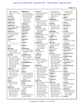|                        |                           |                                         |                                       | Page 21                              |
|------------------------|---------------------------|-----------------------------------------|---------------------------------------|--------------------------------------|
| 146:21 148:20          | talking $(20)$            | terms(6)                                | 138:18 141:24                         | 150:24 152:18                        |
| 150:7 151:17 166:3     | 7:12 22:10 41:4,5         | 61:20,23 64:19 65:12                    | 142:5 145:3,21,23                     | 159:15 160:13                        |
| 168:10                 | 46:9 60:22 88:12,15       | 65:14 90:24                             | 146:3,15,17 149:18                    | today's $(1)$                        |
| sworn $(2)$            | 90:19,24 121:19           | terpenes $(2)$                          | 150:9 156:23                          | 149:13                               |
| 6:4 170:22             | 131:14 133:15,21          | 56:23 90:21                             | 160:23                                | $t$ old $(6)$                        |
| symposia (2)           | 136:12 142:3              | test $(14)$                             | thinking (4)                          | 19:11,13 63:22 165:3                 |
| 32:24 37:3             | 143:19 156:22             | 16:13,14 25:16,18,19                    | 26:17,20 141:25                       | 165:9 167:22                         |
| synthesis $(2)$        | 158:12 161:10             | 25:20 31:7 61:4                         | 142:6                                 | top(2)                               |
| 92:12 118:2            | Tampa (3)                 | 127:11 166:13,18                        | third $(12)$                          | 23:14 43:3                           |
| synthetic (3)          | 29:22,25 31:8             | 166:23 167:6 168:3                      | 50:10 70:25 71:21                     | $top-down(2)$                        |
| 56:19 120:22 149:25    | tampered $(3)$            | tested $(9)$                            | 72:8,18,22 73:2                       | 131:12,15                            |
| synthetically (1)      | 150:14 151:3,4            | 83:9 85:23 124:11                       | 86:10 91:6 97:23                      | toxic $(1)$                          |
| 120:20                 | tampering $(2)$           | 161:20,22 164:23                        | 98:5,11                               | 137:20                               |
| Synutra (9)            | 150:17,20                 | 167:8,18,19                             | thought $(4)$                         | trace(6)                             |
| 29:13,16,19,21 30:7    | tapping $(1)$             | testified (4)                           | 86:7 103:7 105:4                      | 65:14,15 91:24,25                    |
| 30:12,20 32:5,9        | 24:25                     | 6:4 21:8 141:6 151:11                   | 162:8                                 | 92:2 112:9                           |
| system (1)             | target(1)                 | testimony $(8)$                         | thoughts $(1)$                        | Tracing (1)                          |
| 16:18                  | 26:22                     | 9:13 52:12 151:14                       | 103:8                                 | 131:22                               |
| systematic (1)         | targeted $(1)$            | 163:14 169:9,11                         | thousands $(1)$                       | trade(5)                             |
| 21:17                  | 130:7                     | 171:9,10                                | 167:11                                | 33:7 53:10,12 109:24                 |
|                        | teach $(1)$               | testing $(11)$                          | three $(5)$                           | 111:17                               |
| T                      | 10:12                     | 10:7 16:2 36:25 37:13                   | 24:18 34:9 111:18                     | trained $(5)$                        |
| T(1)                   | team $(1)$                | 73:9 74:3 81:25                         | 126:18 167:16                         | 8:10,17,19 21:9 36:4                 |
| 4:10                   | 49:10                     | 127:24 149:12                           | tight $(2)$                           | training $(5)$                       |
| table (10)             | technique (8)             | 151:12 163:21                           | 112:17 113:15                         | 10:10 36:6,11,12,15                  |
| 64:6 74:17 93:20       | 16:15 21:13,16 22:2       | tests $(4)$                             | tighter $(1)$                         | transcript $(1)$                     |
| 130:23 131:25          | 87:24 88:10 128:10        | 25:13,15 81:15                          | 113:6                                 | 171:9                                |
| 132:3,7,12,14 133:2    | 132:15                    | 168:15                                  | time(35)                              | transcription (1)                    |
| take (26)              | techniques (14)           | Thank $(2)$                             | 7:12,14,14,20 16:10                   | 169:11                               |
| 6:11 7:7,11,19,21      | 10:6,18 17:6 20:14        | 41:7 52:9                               | 28:23 30:3 34:6                       | transferred (2)                      |
| 9:12 14:14,15,22       | 21:17 27:4,8,9            | thing $(9)$                             | 36:5,13 49:12 51:13                   | 95:6,8                               |
| 15:6 55:15,18 58:18    | 120:3 131:5 132:2,8       | 24:23 27:13 40:18                       | 56:6,7 61:10,12                       | travel $(3)$                         |
| 63:6 67:12 74:24       | 155:13,14                 | 92:17 130:5 137:14                      | 76:21 77:3,22 84:12                   | 29:6 107:25 130:9                    |
| 75:8 76:12 86:23       | technologically (1)       | 137:21 148:15                           | 85:5 99:15 109:13                     | treatment $(1)$                      |
| 99:3 103:13 118:21     | 131:7                     | 152:4                                   | 113:4 127:4,16                        | 140:11                               |
| 121:4 136:10           | technology (2)            | things $(26)$                           | 129:6 138:13,14,22                    | tremendously (1)                     |
| 151:25 158:5           | 32:21 113:3               | 21:23 22:22,24 26:18                    | 141:17 159:17                         | 125:6                                |
| taken (15)             | Ted(1)                    | 26:25 32:24 33:25                       | 167:10 168:2,8                        | trial $(1)$                          |
| 2:18 6:12 10:9 25:24   | 3:11                      | 41:18 48:2 49:8,9                       | times $(4)$                           | 39:12                                |
| 41:12 98:16 100:4      | tell(14)                  | 49:11 65:7 81:19                        | 26:8,18 76:17 111:25                  | tried $(3)$                          |
| 119:21 123:14          | 8:6 9:23 15:10 19:8       | 84:11 87:19,24                          | $\lim_{t \to \infty}$ (1)             | 60:5 109:18 157:24                   |
| 127:15 139:3 151:7     | 55:12 60:16 64:24         | 90:23 127:22 129:8                      | 139:6                                 | trouble(1)                           |
| 161:3 171:8,10         | 70:20 71:10 72:14         | 142:13 150:22                           | Timothy (1)                           | 116:18                               |
| takers (1)             | 78:3 79:24 99:3           | 157:7,17 159:18                         | 116:18                                | true(4)                              |
| 51:19                  | 138:15                    | 163:5                                   | to-from $(1)$<br>43:10                | 90:14 91:18 169:10                   |
| talk (6)               | temperature $(2)$         | think $(45)$                            |                                       | 171:9                                |
| 26:24 31:2 62:23       | 58:7,9                    | 14:17 21:9 26:12 27:5<br>34:8 37:6 44:6 | today $(32)$                          | truth $(3)$                          |
| 107:11 111:20<br>112:4 | ten(8)                    | 48:19 50:13 52:23                       | 6:11,167:25 15:10<br>18:16 39:16 45:2 | 60:17 79:24 138:15                   |
| talked (19)            | 17:21 28:24,25 65:19      | 54:7,18 62:15 67:18                     | 46:18 54:14 56:7                      | try $(3)$<br>15:6 31:6 41:18         |
| 16:19,19 21:11 26:14   | 65:19,23 124:14<br>138:17 | 67:21 74:7 75:14                        | 62:19 79:23 85:20                     |                                      |
| 32:4,4 41:16 76:25     | tens(1)                   | 77:20 91:23 92:17                       | 94:21 95:2 102:13                     | trying $(11)$<br>30:24 33:6 41:21,23 |
| 89:7,25,25 92:18       | 167:11                    | 92:20 93:9 96:22                        | 104:20 105:8,11                       | 48:19 65:23 132:9                    |
| 100:17 117:24          | term(8)                   | 102:2 116:4 118:4,8                     | 114:6 121:4 125:22                    | 137:11 148:24                        |
| 124:6 126:11,20        | 20:18,19,20,24 21:5       | 124:22 129:23                           | 126:21 139:10                         | 156:20 158:2                         |
| 137:2 167:13           | 40:8,19 138:23            | 135:16,22 137:13                        | 140:9,15 144:17,24                    | turn(6)                              |
|                        |                           |                                         |                                       |                                      |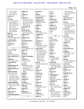| 117:11 130:19         | unified $(1)$        | vacuum $(1)$          | 38:12                 | 133:5,25 140:3        |
|-----------------------|----------------------|-----------------------|-----------------------|-----------------------|
| 131:24 136:13         | 128:7                | 88:7                  | view $(1)$            | 146:6 155:18 160:9    |
| 139:14 153:13         | unique $(1)$         | valid $(3)$           | 22:22                 | 160:14,15             |
| Turner $(1)$          | 21:3                 | 81:7 145:19 147:3     | violate $(1)$         | ways $(3)$            |
| 3:11                  | United (17)          | validated (4)         | 15:8                  | 22:21 38:15 64:25     |
| two(24)               | 1:2,6 3:9 14:7 15:11 | 38:8 67:3,8 81:5      | vitamins $(2)$        | WBH-JCF $(1)$         |
| 7:11 13:13,16 21:17   | 15:23 16:22 19:16    | validation (4)        | 127:23 128:8          | 1:9                   |
| 24:18 34:8 46:2       | 20:5 23:21 29:9,23   | 38:18 81:21 99:21     | vocabulary $(1)$      | we'll $(9)$           |
| 56:10,14 93:11,25     | 94:8 95:17 117:7     | 155:14                | 16:20                 | 11:6,7 14:14 40:24    |
| 124:11,14 141:23      | 136:5 154:16         | validity (1)          | volatile (2)          | 55:15 67:12 129:20    |
| 142:7 143:17          | universities $(1)$   | 100:3                 | 87:17 121:16          | 130:8 168:17          |
| 150:22 163:10,18      | 66:10                | value(1)              | volunteer $(2)$       | we're $(12)$          |
| 165:23 166:11         | university (6)       | 14:23                 | 29:5 37:20            | 6:10,19 15:6 17:10    |
| 167:5,18 168:6        | 10:12 28:7 68:13     | values $(3)$          | vs(1)                 | 22:16 40:10 41:4,5    |
| type(3)               | 69:15 76:24 78:10    | 81:16 106:24 113:22   | 1:8                   | 46:8 89:23 110:20     |
| 66:5 89:16 94:22      | unknown(1)           | variables $(1)$       |                       | 136:12                |
| types $(6)$           | 23:6                 | 125:8                 | $\mathbf W$           | we've(8)              |
| 41:3 65:5 88:21 89:14 | unknowns $(1)$       | variation (1)         | W(2)                  | 16:19 27:16 32:4      |
| 89:15 155:20          | 22:17                | 91:2                  | 101:24 102:2          | 48:17 77:14 80:15     |
| typewriting $(1)$     | unscientifically (2) | varieties (2)         | $W-E-I-G-O(1)$        | 126:11,20             |
| 171:11                | 146:7,9              | 88:20,23              | 30:9                  | weather $(1)$         |
| typically $(1)$       | unsure $(1)$         | variety $(7)$         | waived $(1)$          | 125:19                |
| 104:2                 | 26:11                | 38:6,15 88:17 124:13  | 168:20                | week $(2)$            |
|                       | unusual (4)          | 131:18 157:16,17      | walk $(1)$            | 14:5 36:14            |
| $\mathbf U$           | 72:17 108:4,6 113:18 | various (20)          | 22:14                 | Weerasooriya (1)      |
| $U-S-A-D-A(1)$        | uptake $(1)$         | 32:22 36:23 37:6      | Wall $(1)$            | 116:19                |
| 34:23                 | 84:8                 | 39:24 44:25 47:15     | 142:22                | weight $(6)$          |
| U.S(4)                | Upton $(2)$          | 47:24 48:14 56:17     | Walter $(1)$          | 63:25 165:22 166:17   |
| 2:6 3:4 30:4 116:13   | 46:19,25             | 69:13 80:7 98:3       | 8:14                  | 167:2,4,6             |
| ultra-complexity (1)  | Urbana-Champaig      | 100:12 102:15         | want $(6)$            | Weigo $(1)$           |
| 131:5                 | 28:8                 | 103:6 117:25          | 35:6 89:23 98:13      | 30:9                  |
| unable $(3)$          | USADA(5)             | 126:20 132:7          | 114:10 121:20         | went $(6)$            |
| 13:25 115:9 146:12    | 34:22,24 116:23      | 155:15 162:22         | 148:19                | 8:12 43:5 44:20 67:18 |
| uncertified (1)       | 117:2,4              | vary $(5)$            | wanted $(10)$         | 143:25 146:16         |
| 110:4                 | use $(15)$           | 82:6 87:23 88:3 90:23 | 46:2 50:24 53:15,18   | weren't $(2)$         |
| undergraduate (4)     | 31:4 40:8 41:17,18   | 125:6                 | 97:9 100:2 103:6      | 119:17 124:14         |
| 9:8,9 157:3,10        | 50:21 57:25 61:23    | vast $(1)$            | 128:7 129:9 148:20    | what-have-you (1)     |
| undergraduates (1)    | 67:8,8 82:5,11       | 98:4                  | wanting $(1)$         | 88:19                 |
| 28:3                  | 88:10 138:23 140:5   | vendor $(2)$          | 46:4                  | WHEAT (1)             |
| understand (20)       | 160:8                | 61:2,3                | Waseem $(1)$          | 1:13                  |
| 6:22,24 7:22 15:4     | useful $(2)$         | vendors (3)           | 116:17                | <b>WHEREOF (1)</b>    |
| 22:7 24:7 31:7        | 118:5,8              | 60:13,15 61:7         | <b>Washington (3)</b> | 171:14                |
| 37:14 40:12 45:9      | USP(2)               | verbal $(2)$          | 1:18 2:9 3:6          | white $(1)$           |
| 65:22 84:18 104:23    | 30:20 31:8           | 7:6 77:10             | wasn't $(3)$          | 60:24                 |
| 106:7,8,16 133:19     | USPlabs(1)           | verify $(1)$          | 104:8 151:24 166:24   | widely $(1)$          |
| 147:12 166:4,6        | 115:20               | 39:3                  | watchdog $(1)$        | 87:23                 |
| understanding (9)     | usually $(3)$        | version $(1)$         | 105:19                | wider $(1)$           |
| 24:20 25:3,11 70:6,7  | 49:4 57:25 108:11    | 63:9                  | water $(7)$           | 103:2                 |
| 83:21 132:25 133:6    | utilize $(2)$        | versus $(4)$          | 70:21 71:12 76:9      | wife $(3)$            |
| 135:24                | 22:3 120:3           | 65:19 90:15 132:11    | 95:12 127:24 158:3    | 13:11 32:8,11         |
| understood (1)        | utilized $(1)$       | 133:3                 | 160:6                 | William $(1)$         |
| 7:3                   | 22:5                 | vetted $(1)$          | way $(21)$            | 142:25                |
| undertake (2)         | utilizing $(3)$      | 155:4                 | 14:18 15:8 26:12,21   | window $(2)$          |
| 159:10,16             | 8:23 81:23 165:14    | vetting $(2)$         | 65:13 73:8 75:17      | 113:12 138:14         |
| UNDETERMINED          |                      | 154:21 155:16         | 76:13 82:24 88:12     | winter $(1)$          |
| 1:9                   | V                    | viable $(1)$          | 90:7 92:13 108:14     | 126:4                 |
|                       |                      |                       |                       |                       |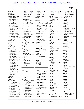| wires $(1)$             | 111:11,24 112:6,18   | 141:23 142:20          | 87:4,8 106:10,15,24   | 42:14 50:5 56:7       |
|-------------------------|----------------------|------------------------|-----------------------|-----------------------|
| 126:14                  | 112:25 114:4,16      | 148:4 149:21           | 161:25 164:4,6,14     | 59:18 61:14 74:19     |
| witness $(59)$          | 128:15 154:25        | 151:15 152:4           | 165:6                 | 131:25 132:3,3,7      |
| 19:9,12 41:23 42:7,8    | 156:17 158:8         | 156:25 162:7           | 11(7)                 | 136:25 137:4          |
| 43:25 44:4,13 59:22     | 162:25               | year $(1)$             | 5:8 98:19 101:9,14,16 | 20(1)                 |
| 60:4 62:24,25 63:7      | worked $(12)$        | 76:23                  | 112:4 117:11          | 64:16                 |
| 63:12,13 69:2,3         | 7:17 9:25 10:8,13    | years $(25)$           | 114994(1)             | 2006(2)               |
| 73:13, 14, 21, 22 75: 9 | 22:23 33:23 36:16    | 9:19,22 17:13,21 23:7  | 1:24                  | 16:12 39:2            |
| 75:10 79:5,11,12        | 39:10,19 102:12,13   | 24:18 28:24,24 29:2    | 115(2)                | 2011(1)               |
| 80:17,18 82:17,18       | 108:8                | 34:8,9 39:18 41:20     | 64:2,5                | 4:20                  |
| 85:3 86:6 99:5,6        | workforce (1)        | 50:19 61:19 64:16      | 118(1)                | 2012(14)              |
| 101:10,11,12 115:4      | 8:12                 | 80:7 113:18 127:6      | 5:11                  | 4:18,22 42:17 61:10   |
| 115:25 117:4,7          | working $(10)$       | 138:16,17 149:23       | 12(4)                 | 68:24 69:7,9 73:14    |
| 118:23,24 126:8         | 17:10 32:2 48:9      | 156:17 168:4,7         | 5:10 118:18,21        | 95:20,21 96:8         |
| 129:16,23 130:10        | 100:25 112:4         | yesterday (1)          | 120:14                | 109:12 116:9 168:9    |
| 137:13 142:5,16,17      | 113:16 116:3 134:9   | 8:4                    | 12:25(1)              | 2014(4)               |
| 144:20 152:15,16        | 165:18 166:22        | yielded (1)            | 98:12                 | 4:19 68:25 69:7 77:15 |
| 162:7 163:15 166:3      | Workshop (1)         | 114:4                  | 13(4)                 | 2015(1)               |
| 169:6 171:14            | 23:22                | yohimbine (5)          | 5:12 120:14 130:2,12  | 77:23                 |
| witnesses $(1)$         | world $(4)$          | 135:20 136:4,7,7,10    | 130(2)                | 2016(3)               |
| 115:18                  | 33:8 127:8,12 163:23 | Yunnan $(1)$           | 5:14 113:18           | 1:19 170:23 171:15    |
| Wong $(1)$              | worse $(1)$          | 12:18                  | 135(1)                | 2021(1)               |
| 112:14                  | 65:20                |                        | 5:15                  | 171:16                |
| Woolson (60)            | worth $(1)$          | $\mathbf{z}$           | 14(5)                 | 20530(2)              |
| 3:23 4:4 6:7 14:4,12    | 96:22                | Zealand (3)            | 5:15 120:14 135:12    | 2:9 3:6               |
| 15:2,3 18:13 41:10      | worthy $(1)$         | 5:18 152:21 153:5      | 135:15 152:2          | 21(2)                 |
| 41:15 42:2,9 44:2,8     | 104:8                | zero $(1)$             | 140(1)                | 97:3,9                |
| 44:15 59:24 60:7        | wouldn't $(3)$       | 106:24                 | 113:18                | 22(1)                 |
| 63:4,10,14 68:22        | 148:19 159:13 163:15 | Zhang $(4)$            | 142(1)                | 95:19                 |
| 69:4 73:16,23 75:6      | write $(1)$          | 66:20,24 67:2,25       | 5:17                  | 2267(1)               |
| 75:11 78:23 79:7,15     | 31:10                |                        | 14th(1)               | 4:25                  |
| 80:14,19 82:19 85:4     | wrong $(2)$          | $\bf{0}$               | 171:16                | 23(3)                 |
| 86:8 98:12,21 99:7      | 137:20 139:14        | 01(2)                  | 15(5)                 | 9:19,22 97:19         |
| 101:13 118:20           | wrote $(5)$          | 30:23,23               | 5:16 62:22 142:14,19  | 23rd(1)               |
| 119:2,22 126:10         | 23:13 33:5,8 96:5    | 07102(1)               | 149:2                 | 171:15                |
| 129:18 130:4,11         | 135:20               | 3:22                   | 152(1)                | 24(4)                 |
| 135:14 138:2            |                      |                        | 5:20                  | 158:11 161:10 162:5   |
| 142:18 144:23           | $\mathbf X$          | 1                      | 16(6)                 | 163:4                 |
| 151:8 152:12,17         | X(2)                 | 1(14)                  | 5:18 66:25 75:24      | 25(1)                 |
| 160:23 161:4,17         | 4:10 128:22          | 4:12 18:11,15,16,18    | 152:10,14,18          | 119:25                |
| 162:6,12 163:17         |                      | 18:20 20:8 27:16       | 161(1)                | 26(1)                 |
| 166:5 168:11            | Y                    | 93:21 111:21           | 4:5                   | 4:12                  |
| word $(2)$              | Y(1)                 | 118:11 141:16          | 162(1)                | 2626(1)               |
| 27:6 160:8              | 128:23               | 153:13 159:7           | 4:4                   | 5:9                   |
| work (60)               | yeah $(41)$          | 1,3-dimethylamyla      | 17(1)                 | 2630(1)               |
| 9:18 15:11,14,16,17     | 13:18 19:17,17 25:16 | 1:95:20                | 153:14                | 114:24                |
| 16:4,6,10,24 17:12      | 27:9 34:4 35:10      | $1,3$ -DMAA $(2)$      | 18(3)                 | 2633(2)               |
| 17:17,21 19:7,21,24     | 43:8,25 45:11 64:6   | 95:16 124:19           | 1:19 4:13 82:14       | 117:12,16             |
| 29:3,25 30:7,10,15      | 68:3 72:15,24 74:16  | $1,4$ -DMAA $(4)$      | 19(2)                 | 2634(1)               |
| 30:18,19,24 31:11       | 77:11 81:23 87:14    | 97:3,12 124:19 158:9   | 82:14 118:11          | 117:14                |
| 31:18,19,20 32:5        | 88:25 89:8 91:25     | $1:13$ -cv-13675 $(1)$ | 1996(3)               |                       |
| 36:25 37:21 38:4,13     | 93:11 96:12,13       | 1:8                    | 64:12,16,25           | $\mathbf{3}$          |
| 38:25 39:8,14,17        | 100:17 106:4         | 10(6)                  |                       | 3(7)                  |
| 47:10 59:14 66:7,18     | 117:25 119:9         | 5:6 65:21 98:17 99:3   | $\boldsymbol{2}$      | 4:16 63:2,6,15 107:11 |
| 70:5 94:12,17 104:5     | 121:20 126:12,18     | 99:9,12                | 2(17)                 | 152:23 154:10         |
| 109:20,23 110:5,10      | 126:19 128:24        | 100(10)                | 4:14 41:13 42:6,10,12 | 3:27(1)               |
|                         |                      |                        |                       |                       |

4:14 41:13 42:6,10,12 **3:27 (1)**